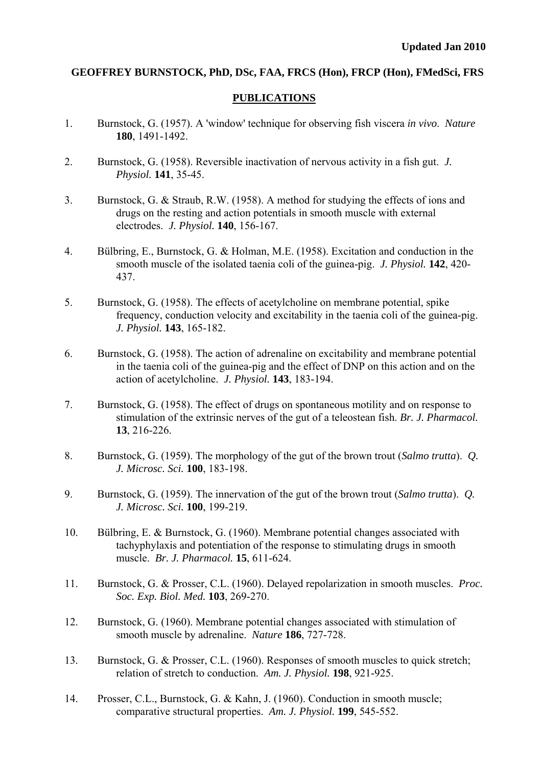## **GEOFFREY BURNSTOCK, PhD, DSc, FAA, FRCS (Hon), FRCP (Hon), FMedSci, FRS**

## **PUBLICATIONS**

- 1. Burnstock, G. (1957). A 'window' technique for observing fish viscera *in vivo*. *Nature* **180**, 1491-1492.
- 2. Burnstock, G. (1958). Reversible inactivation of nervous activity in a fish gut. *J. Physiol.* **141**, 35-45.
- 3. Burnstock, G. & Straub, R.W. (1958). A method for studying the effects of ions and drugs on the resting and action potentials in smooth muscle with external electrodes. *J. Physiol.* **140**, 156-167.
- 4. Bülbring, E., Burnstock, G. & Holman, M.E. (1958). Excitation and conduction in the smooth muscle of the isolated taenia coli of the guinea-pig. *J. Physiol.* **142**, 420- 437.
- 5. Burnstock, G. (1958). The effects of acetylcholine on membrane potential, spike frequency, conduction velocity and excitability in the taenia coli of the guinea-pig. *J. Physiol.* **143**, 165-182.
- 6. Burnstock, G. (1958). The action of adrenaline on excitability and membrane potential in the taenia coli of the guinea-pig and the effect of DNP on this action and on the action of acetylcholine. *J. Physiol.* **143**, 183-194.
- 7. Burnstock, G. (1958). The effect of drugs on spontaneous motility and on response to stimulation of the extrinsic nerves of the gut of a teleostean fish. *Br. J. Pharmacol.* **13**, 216-226.
- 8. Burnstock, G. (1959). The morphology of the gut of the brown trout (*Salmo trutta*). *Q. J. Microsc. Sci.* **100**, 183-198.
- 9. Burnstock, G. (1959). The innervation of the gut of the brown trout (*Salmo trutta*). *Q. J. Microsc. Sci.* **100**, 199-219.
- 10. Bülbring, E. & Burnstock, G. (1960). Membrane potential changes associated with tachyphylaxis and potentiation of the response to stimulating drugs in smooth muscle. *Br. J. Pharmacol.* **15**, 611-624.
- 11. Burnstock, G. & Prosser, C.L. (1960). Delayed repolarization in smooth muscles. *Proc. Soc. Exp. Biol. Med.* **103**, 269-270.
- 12. Burnstock, G. (1960). Membrane potential changes associated with stimulation of smooth muscle by adrenaline. *Nature* **186**, 727-728.
- 13. Burnstock, G. & Prosser, C.L. (1960). Responses of smooth muscles to quick stretch; relation of stretch to conduction. *Am. J. Physiol.* **198**, 921-925.
- 14. Prosser, C.L., Burnstock, G. & Kahn, J. (1960). Conduction in smooth muscle; comparative structural properties. *Am. J. Physiol.* **199**, 545-552.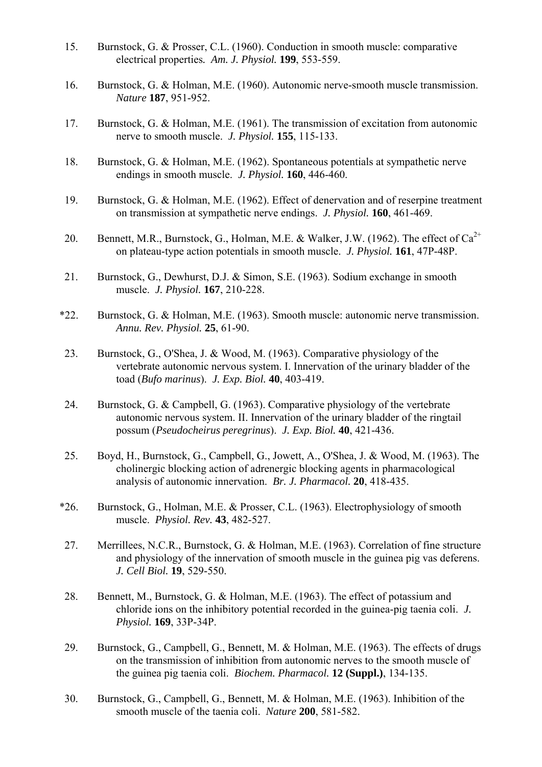- 15. Burnstock, G. & Prosser, C.L. (1960). Conduction in smooth muscle: comparative electrical properties*. Am. J. Physiol.* **199**, 553-559.
- 16. Burnstock, G. & Holman, M.E. (1960). Autonomic nerve-smooth muscle transmission. *Nature* **187**, 951-952.
- 17. Burnstock, G. & Holman, M.E. (1961). The transmission of excitation from autonomic nerve to smooth muscle. *J. Physiol.* **155**, 115-133.
- 18. Burnstock, G. & Holman, M.E. (1962). Spontaneous potentials at sympathetic nerve endings in smooth muscle. *J. Physiol.* **160**, 446-460.
- 19. Burnstock, G. & Holman, M.E. (1962). Effect of denervation and of reserpine treatment on transmission at sympathetic nerve endings. *J. Physiol.* **160**, 461-469.
- 20. Bennett, M.R., Burnstock, G., Holman, M.E. & Walker, J.W. (1962). The effect of  $Ca^{2+}$ on plateau-type action potentials in smooth muscle. *J. Physiol.* **161**, 47P-48P.
- 21. Burnstock, G., Dewhurst, D.J. & Simon, S.E. (1963). Sodium exchange in smooth muscle. *J. Physiol.* **167**, 210-228.
- \*22. Burnstock, G. & Holman, M.E. (1963). Smooth muscle: autonomic nerve transmission. *Annu. Rev. Physiol.* **25**, 61-90.
- 23. Burnstock, G., O'Shea, J. & Wood, M. (1963). Comparative physiology of the vertebrate autonomic nervous system. I. Innervation of the urinary bladder of the toad (*Bufo marinus*). *J. Exp. Biol.* **40**, 403-419.
- 24. Burnstock, G. & Campbell, G. (1963). Comparative physiology of the vertebrate autonomic nervous system. II. Innervation of the urinary bladder of the ringtail possum (*Pseudocheirus peregrinus*). *J. Exp. Biol.* **40**, 421-436.
- 25. Boyd, H., Burnstock, G., Campbell, G., Jowett, A., O'Shea, J. & Wood, M. (1963). The cholinergic blocking action of adrenergic blocking agents in pharmacological analysis of autonomic innervation. *Br. J. Pharmacol.* **20**, 418-435.
- \*26. Burnstock, G., Holman, M.E. & Prosser, C.L. (1963). Electrophysiology of smooth muscle. *Physiol. Rev.* **43**, 482-527.
- 27. Merrillees, N.C.R., Burnstock, G. & Holman, M.E. (1963). Correlation of fine structure and physiology of the innervation of smooth muscle in the guinea pig vas deferens. *J. Cell Biol.* **19**, 529-550.
- 28. Bennett, M., Burnstock, G. & Holman, M.E. (1963). The effect of potassium and chloride ions on the inhibitory potential recorded in the guinea-pig taenia coli. *J. Physiol.* **169**, 33P-34P.
- 29. Burnstock, G., Campbell, G., Bennett, M. & Holman, M.E. (1963). The effects of drugs on the transmission of inhibition from autonomic nerves to the smooth muscle of the guinea pig taenia coli. *Biochem. Pharmacol.* **12 (Suppl.)**, 134-135.
- 30. Burnstock, G., Campbell, G., Bennett, M. & Holman, M.E. (1963). Inhibition of the smooth muscle of the taenia coli. *Nature* **200**, 581-582.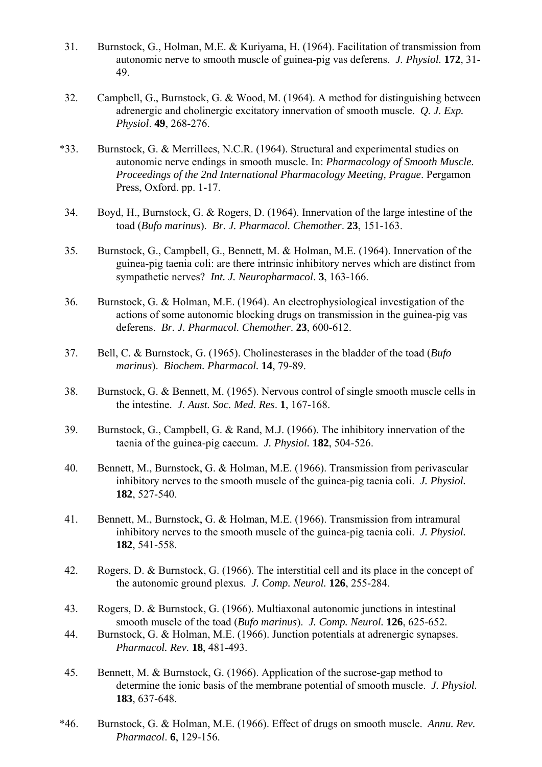- 31. Burnstock, G., Holman, M.E. & Kuriyama, H. (1964). Facilitation of transmission from autonomic nerve to smooth muscle of guinea-pig vas deferens. *J. Physiol.* **172**, 31- 49.
- 32. Campbell, G., Burnstock, G. & Wood, M. (1964). A method for distinguishing between adrenergic and cholinergic excitatory innervation of smooth muscle. *Q. J. Exp. Physiol*. **49**, 268-276.
- \*33. Burnstock, G. & Merrillees, N.C.R. (1964). Structural and experimental studies on autonomic nerve endings in smooth muscle. In: *Pharmacology of Smooth Muscle. Proceedings of the 2nd International Pharmacology Meeting, Prague*. Pergamon Press, Oxford. pp. 1-17.
- 34. Boyd, H., Burnstock, G. & Rogers, D. (1964). Innervation of the large intestine of the toad (*Bufo marinus*). *Br. J. Pharmacol. Chemother*. **23**, 151-163.
- 35. Burnstock, G., Campbell, G., Bennett, M. & Holman, M.E. (1964). Innervation of the guinea-pig taenia coli: are there intrinsic inhibitory nerves which are distinct from sympathetic nerves? *Int. J. Neuropharmacol*. **3**, 163-166.
- 36. Burnstock, G. & Holman, M.E. (1964). An electrophysiological investigation of the actions of some autonomic blocking drugs on transmission in the guinea-pig vas deferens. *Br. J. Pharmacol. Chemother*. **23**, 600-612.
- 37. Bell, C. & Burnstock, G. (1965). Cholinesterases in the bladder of the toad (*Bufo marinus*). *Biochem. Pharmacol.* **14**, 79-89.
- 38. Burnstock, G. & Bennett, M. (1965). Nervous control of single smooth muscle cells in the intestine. *J. Aust. Soc. Med. Res*. **1**, 167-168.
- 39. Burnstock, G., Campbell, G. & Rand, M.J. (1966). The inhibitory innervation of the taenia of the guinea-pig caecum. *J. Physiol.* **182**, 504-526.
- 40. Bennett, M., Burnstock, G. & Holman, M.E. (1966). Transmission from perivascular inhibitory nerves to the smooth muscle of the guinea-pig taenia coli. *J. Physiol.* **182**, 527-540.
- 41. Bennett, M., Burnstock, G. & Holman, M.E. (1966). Transmission from intramural inhibitory nerves to the smooth muscle of the guinea-pig taenia coli. *J. Physiol.* **182**, 541-558.
- 42. Rogers, D. & Burnstock, G. (1966). The interstitial cell and its place in the concept of the autonomic ground plexus. *J. Comp. Neurol.* **126**, 255-284.
- 43. Rogers, D. & Burnstock, G. (1966). Multiaxonal autonomic junctions in intestinal smooth muscle of the toad (*Bufo marinus*). *J. Comp. Neurol.* **126**, 625-652.
- 44. Burnstock, G. & Holman, M.E. (1966). Junction potentials at adrenergic synapses. *Pharmacol. Rev.* **18**, 481-493.
- 45. Bennett, M. & Burnstock, G. (1966). Application of the sucrose-gap method to determine the ionic basis of the membrane potential of smooth muscle. *J. Physiol.* **183**, 637-648.
- \*46. Burnstock, G. & Holman, M.E. (1966). Effect of drugs on smooth muscle. *Annu. Rev. Pharmacol*. **6**, 129-156.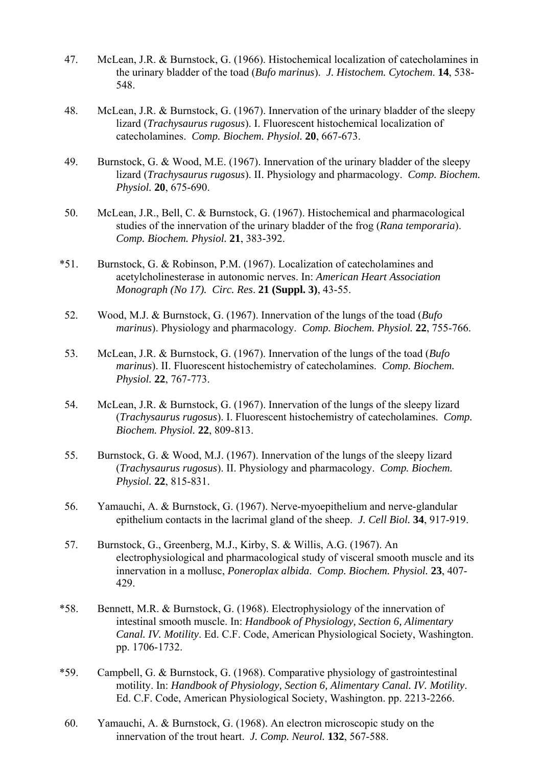- 47. McLean, J.R. & Burnstock, G. (1966). Histochemical localization of catecholamines in the urinary bladder of the toad (*Bufo marinus*). *J. Histochem. Cytochem*. **14**, 538- 548.
- 48. McLean, J.R. & Burnstock, G. (1967). Innervation of the urinary bladder of the sleepy lizard (*Trachysaurus rugosus*). I. Fluorescent histochemical localization of catecholamines. *Comp. Biochem. Physiol.* **20**, 667-673.
- 49. Burnstock, G. & Wood, M.E. (1967). Innervation of the urinary bladder of the sleepy lizard (*Trachysaurus rugosus*). II. Physiology and pharmacology. *Comp. Biochem. Physiol.* **20**, 675-690.
- 50. McLean, J.R., Bell, C. & Burnstock, G. (1967). Histochemical and pharmacological studies of the innervation of the urinary bladder of the frog (*Rana temporaria*). *Comp. Biochem. Physiol.* **21**, 383-392.
- \*51. Burnstock, G. & Robinson, P.M. (1967). Localization of catecholamines and acetylcholinesterase in autonomic nerves. In: *American Heart Association Monograph (No 17). Circ. Res*. **21 (Suppl. 3)**, 43-55.
- 52. Wood, M.J. & Burnstock, G. (1967). Innervation of the lungs of the toad (*Bufo marinus*). Physiology and pharmacology. *Comp. Biochem. Physiol.* **22**, 755-766.
- 53. McLean, J.R. & Burnstock, G. (1967). Innervation of the lungs of the toad (*Bufo marinus*). II. Fluorescent histochemistry of catecholamines. *Comp. Biochem. Physiol.* **22**, 767-773.
- 54. McLean, J.R. & Burnstock, G. (1967). Innervation of the lungs of the sleepy lizard (*Trachysaurus rugosus*). I. Fluorescent histochemistry of catecholamines. *Comp. Biochem. Physiol.* **22**, 809-813.
- 55. Burnstock, G. & Wood, M.J. (1967). Innervation of the lungs of the sleepy lizard (*Trachysaurus rugosus*). II. Physiology and pharmacology. *Comp. Biochem. Physiol.* **22**, 815-831.
- 56. Yamauchi, A. & Burnstock, G. (1967). Nerve-myoepithelium and nerve-glandular epithelium contacts in the lacrimal gland of the sheep. *J. Cell Biol.* **34**, 917-919.
- 57. Burnstock, G., Greenberg, M.J., Kirby, S. & Willis, A.G. (1967). An electrophysiological and pharmacological study of visceral smooth muscle and its innervation in a mollusc, *Poneroplax albida*. *Comp. Biochem. Physiol.* **23**, 407- 429.
- \*58. Bennett, M.R. & Burnstock, G. (1968). Electrophysiology of the innervation of intestinal smooth muscle. In: *Handbook of Physiology, Section 6, Alimentary Canal. IV. Motility*. Ed. C.F. Code, American Physiological Society, Washington. pp. 1706-1732.
- \*59. Campbell, G. & Burnstock, G. (1968). Comparative physiology of gastrointestinal motility. In: *Handbook of Physiology, Section 6, Alimentary Canal. IV. Motility*. Ed. C.F. Code, American Physiological Society, Washington. pp. 2213-2266.
- 60. Yamauchi, A. & Burnstock, G. (1968). An electron microscopic study on the innervation of the trout heart. *J. Comp. Neurol.* **132**, 567-588.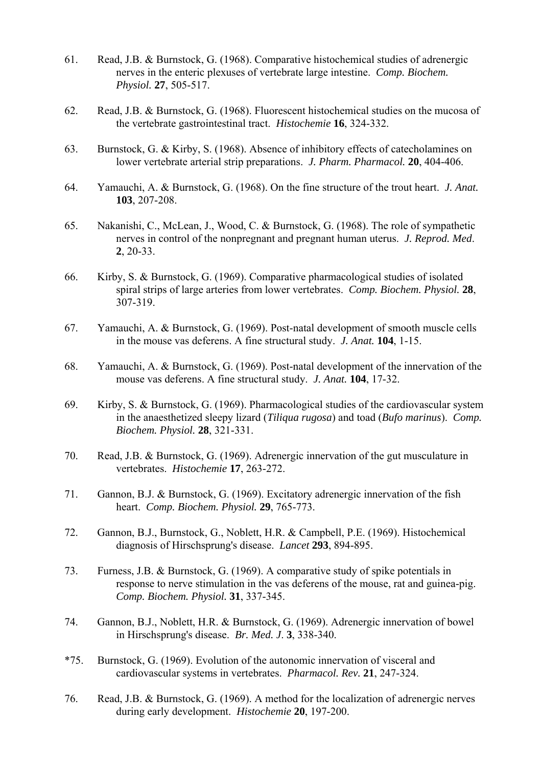- 61. Read, J.B. & Burnstock, G. (1968). Comparative histochemical studies of adrenergic nerves in the enteric plexuses of vertebrate large intestine. *Comp. Biochem. Physiol.* **27**, 505-517.
- 62. Read, J.B. & Burnstock, G. (1968). Fluorescent histochemical studies on the mucosa of the vertebrate gastrointestinal tract. *Histochemie* **16**, 324-332.
- 63. Burnstock, G. & Kirby, S. (1968). Absence of inhibitory effects of catecholamines on lower vertebrate arterial strip preparations. *J. Pharm. Pharmacol.* **20**, 404-406.
- 64. Yamauchi, A. & Burnstock, G. (1968). On the fine structure of the trout heart. *J. Anat.* **103**, 207-208.
- 65. Nakanishi, C., McLean, J., Wood, C. & Burnstock, G. (1968). The role of sympathetic nerves in control of the nonpregnant and pregnant human uterus. *J. Reprod. Med*. **2**, 20-33.
- 66. Kirby, S. & Burnstock, G. (1969). Comparative pharmacological studies of isolated spiral strips of large arteries from lower vertebrates. *Comp. Biochem. Physiol.* **28**, 307-319.
- 67. Yamauchi, A. & Burnstock, G. (1969). Post-natal development of smooth muscle cells in the mouse vas deferens. A fine structural study. *J. Anat.* **104**, 1-15.
- 68. Yamauchi, A. & Burnstock, G. (1969). Post-natal development of the innervation of the mouse vas deferens. A fine structural study. *J. Anat.* **104**, 17-32.
- 69. Kirby, S. & Burnstock, G. (1969). Pharmacological studies of the cardiovascular system in the anaesthetized sleepy lizard (*Tiliqua rugosa*) and toad (*Bufo marinus*). *Comp. Biochem. Physiol.* **28**, 321-331.
- 70. Read, J.B. & Burnstock, G. (1969). Adrenergic innervation of the gut musculature in vertebrates. *Histochemie* **17**, 263-272.
- 71. Gannon, B.J. & Burnstock, G. (1969). Excitatory adrenergic innervation of the fish heart. *Comp. Biochem. Physiol.* **29**, 765-773.
- 72. Gannon, B.J., Burnstock, G., Noblett, H.R. & Campbell, P.E. (1969). Histochemical diagnosis of Hirschsprung's disease. *Lancet* **293**, 894-895.
- 73. Furness, J.B. & Burnstock, G. (1969). A comparative study of spike potentials in response to nerve stimulation in the vas deferens of the mouse, rat and guinea-pig. *Comp. Biochem. Physiol.* **31**, 337-345.
- 74. Gannon, B.J., Noblett, H.R. & Burnstock, G. (1969). Adrenergic innervation of bowel in Hirschsprung's disease. *Br. Med. J*. **3**, 338-340.
- \*75. Burnstock, G. (1969). Evolution of the autonomic innervation of visceral and cardiovascular systems in vertebrates. *Pharmacol. Rev.* **21**, 247-324.
- 76. Read, J.B. & Burnstock, G. (1969). A method for the localization of adrenergic nerves during early development. *Histochemie* **20**, 197-200.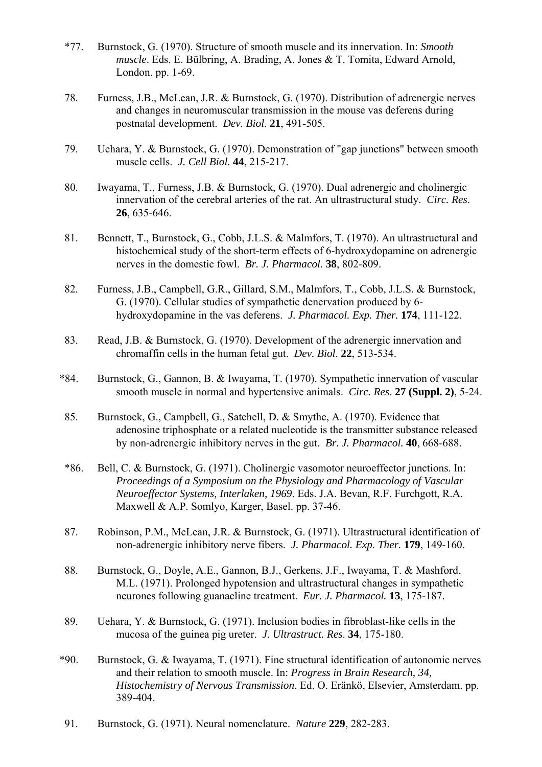- \*77. Burnstock, G. (1970). Structure of smooth muscle and its innervation. In: *Smooth muscle*. Eds. E. Bülbring, A. Brading, A. Jones & T. Tomita, Edward Arnold, London. pp. 1-69.
- 78. Furness, J.B., McLean, J.R. & Burnstock, G. (1970). Distribution of adrenergic nerves and changes in neuromuscular transmission in the mouse vas deferens during postnatal development. *Dev. Biol*. **21**, 491-505.
- 79. Uehara, Y. & Burnstock, G. (1970). Demonstration of "gap junctions" between smooth muscle cells. *J. Cell Biol.* **44**, 215-217.
- 80. Iwayama, T., Furness, J.B. & Burnstock, G. (1970). Dual adrenergic and cholinergic innervation of the cerebral arteries of the rat. An ultrastructural study. *Circ. Res*. **26**, 635-646.
- 81. Bennett, T., Burnstock, G., Cobb, J.L.S. & Malmfors, T. (1970). An ultrastructural and histochemical study of the short-term effects of 6-hydroxydopamine on adrenergic nerves in the domestic fowl. *Br. J. Pharmacol.* **38**, 802-809.
- 82. Furness, J.B., Campbell, G.R., Gillard, S.M., Malmfors, T., Cobb, J.L.S. & Burnstock, G. (1970). Cellular studies of sympathetic denervation produced by 6 hydroxydopamine in the vas deferens. *J. Pharmacol. Exp. Ther.* **174**, 111-122.
- 83. Read, J.B. & Burnstock, G. (1970). Development of the adrenergic innervation and chromaffin cells in the human fetal gut. *Dev. Biol*. **22**, 513-534.
- \*84. Burnstock, G., Gannon, B. & Iwayama, T. (1970). Sympathetic innervation of vascular smooth muscle in normal and hypertensive animals. *Circ. Res*. **27 (Suppl. 2)**, 5-24.
- 85. Burnstock, G., Campbell, G., Satchell, D. & Smythe, A. (1970). Evidence that adenosine triphosphate or a related nucleotide is the transmitter substance released by non-adrenergic inhibitory nerves in the gut. *Br. J. Pharmacol.* **40**, 668-688.
- \*86. Bell, C. & Burnstock, G. (1971). Cholinergic vasomotor neuroeffector junctions. In: *Proceedings of a Symposium on the Physiology and Pharmacology of Vascular Neuroeffector Systems, Interlaken, 1969*. Eds. J.A. Bevan, R.F. Furchgott, R.A. Maxwell & A.P. Somlyo, Karger, Basel. pp. 37-46.
- 87. Robinson, P.M., McLean, J.R. & Burnstock, G. (1971). Ultrastructural identification of non-adrenergic inhibitory nerve fibers. *J. Pharmacol. Exp. Ther.* **179**, 149-160.
- 88. Burnstock, G., Doyle, A.E., Gannon, B.J., Gerkens, J.F., Iwayama, T. & Mashford, M.L. (1971). Prolonged hypotension and ultrastructural changes in sympathetic neurones following guanacline treatment. *Eur. J. Pharmacol.* **13**, 175-187.
- 89. Uehara, Y. & Burnstock, G. (1971). Inclusion bodies in fibroblast-like cells in the mucosa of the guinea pig ureter. *J. Ultrastruct. Res*. **34**, 175-180.
- \*90. Burnstock, G. & Iwayama, T. (1971). Fine structural identification of autonomic nerves and their relation to smooth muscle. In: *Progress in Brain Research, 34, Histochemistry of Nervous Transmission*. Ed. O. Eränkö, Elsevier, Amsterdam. pp. 389-404.
- 91. Burnstock, G. (1971). Neural nomenclature. *Nature* **229**, 282-283.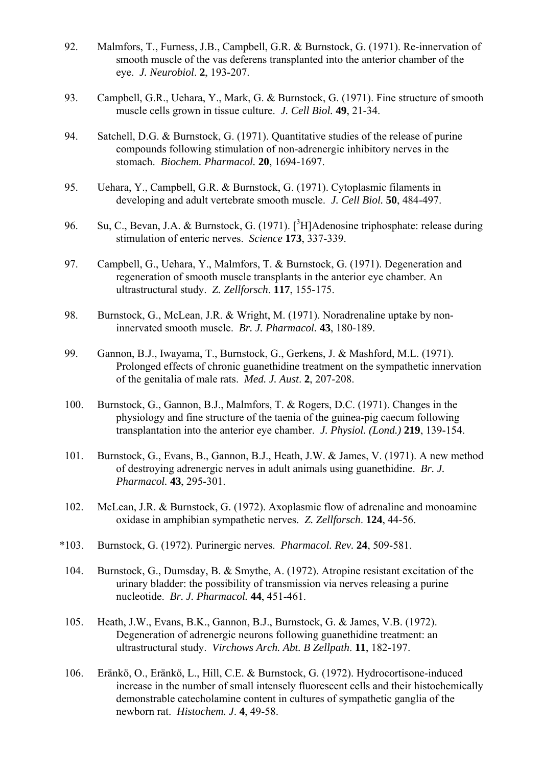- 92. Malmfors, T., Furness, J.B., Campbell, G.R. & Burnstock, G. (1971). Re-innervation of smooth muscle of the vas deferens transplanted into the anterior chamber of the eye. *J. Neurobiol*. **2**, 193-207.
- 93. Campbell, G.R., Uehara, Y., Mark, G. & Burnstock, G. (1971). Fine structure of smooth muscle cells grown in tissue culture. *J. Cell Biol.* **49**, 21-34.
- 94. Satchell, D.G. & Burnstock, G. (1971). Quantitative studies of the release of purine compounds following stimulation of non-adrenergic inhibitory nerves in the stomach. *Biochem. Pharmacol.* **20**, 1694-1697.
- 95. Uehara, Y., Campbell, G.R. & Burnstock, G. (1971). Cytoplasmic filaments in developing and adult vertebrate smooth muscle. *J. Cell Biol.* **50**, 484-497.
- 96. Su, C., Bevan, J.A. & Burnstock, G. (1971). [<sup>3</sup>H]Adenosine triphosphate: release during stimulation of enteric nerves. *Science* **173**, 337-339.
- 97. Campbell, G., Uehara, Y., Malmfors, T. & Burnstock, G. (1971). Degeneration and regeneration of smooth muscle transplants in the anterior eye chamber. An ultrastructural study. *Z. Zellforsch*. **117**, 155-175.
- 98. Burnstock, G., McLean, J.R. & Wright, M. (1971). Noradrenaline uptake by noninnervated smooth muscle. *Br. J. Pharmacol.* **43**, 180-189.
- 99. Gannon, B.J., Iwayama, T., Burnstock, G., Gerkens, J. & Mashford, M.L. (1971). Prolonged effects of chronic guanethidine treatment on the sympathetic innervation of the genitalia of male rats. *Med. J. Aust*. **2**, 207-208.
- 100. Burnstock, G., Gannon, B.J., Malmfors, T. & Rogers, D.C. (1971). Changes in the physiology and fine structure of the taenia of the guinea-pig caecum following transplantation into the anterior eye chamber. *J. Physiol. (Lond.)* **219**, 139-154.
- 101. Burnstock, G., Evans, B., Gannon, B.J., Heath, J.W. & James, V. (1971). A new method of destroying adrenergic nerves in adult animals using guanethidine. *Br. J. Pharmacol.* **43**, 295-301.
- 102. McLean, J.R. & Burnstock, G. (1972). Axoplasmic flow of adrenaline and monoamine oxidase in amphibian sympathetic nerves. *Z. Zellforsch*. **124**, 44-56.
- \*103. Burnstock, G. (1972). Purinergic nerves. *Pharmacol. Rev.* **24**, 509-581.
- 104. Burnstock, G., Dumsday, B. & Smythe, A. (1972). Atropine resistant excitation of the urinary bladder: the possibility of transmission via nerves releasing a purine nucleotide. *Br. J. Pharmacol.* **44**, 451-461.
- 105. Heath, J.W., Evans, B.K., Gannon, B.J., Burnstock, G. & James, V.B. (1972). Degeneration of adrenergic neurons following guanethidine treatment: an ultrastructural study. *Virchows Arch. Abt. B Zellpath*. **11**, 182-197.
- 106. Eränkö, O., Eränkö, L., Hill, C.E. & Burnstock, G. (1972). Hydrocortisone-induced increase in the number of small intensely fluorescent cells and their histochemically demonstrable catecholamine content in cultures of sympathetic ganglia of the newborn rat. *Histochem. J*. **4**, 49-58.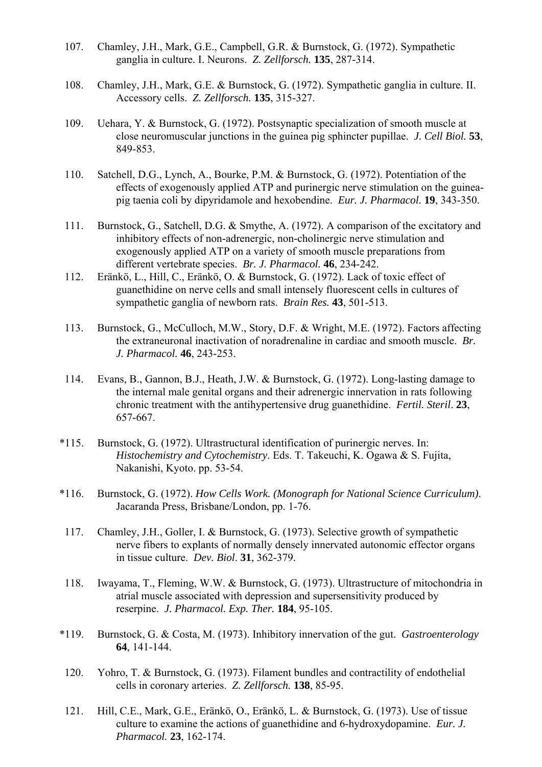- 107. Chamley, J.H., Mark, G.E., Campbell, G.R. & Burnstock, G. (1972). Sympathetic ganglia in culture. I. Neurons. *Z. Zellforsch.* **135**, 287-314.
- 108. Chamley, J.H., Mark, G.E. & Burnstock, G. (1972). Sympathetic ganglia in culture. II. Accessory cells. *Z. Zellforsch.* **135**, 315-327.
- 109. Uehara, Y. & Burnstock, G. (1972). Postsynaptic specialization of smooth muscle at close neuromuscular junctions in the guinea pig sphincter pupillae. *J. Cell Biol.* **53**, 849-853.
- 110. Satchell, D.G., Lynch, A., Bourke, P.M. & Burnstock, G. (1972). Potentiation of the effects of exogenously applied ATP and purinergic nerve stimulation on the guineapig taenia coli by dipyridamole and hexobendine. *Eur. J. Pharmacol.* **19**, 343-350.
- 111. Burnstock, G., Satchell, D.G. & Smythe, A. (1972). A comparison of the excitatory and inhibitory effects of non-adrenergic, non-cholinergic nerve stimulation and exogenously applied ATP on a variety of smooth muscle preparations from different vertebrate species. *Br. J. Pharmacol.* **46**, 234-242.
- 112. Eränkö, L., Hill, C., Eränkö, O. & Burnstock, G. (1972). Lack of toxic effect of guanethidine on nerve cells and small intensely fluorescent cells in cultures of sympathetic ganglia of newborn rats. *Brain Res.* **43**, 501-513.
- 113. Burnstock, G., McCulloch, M.W., Story, D.F. & Wright, M.E. (1972). Factors affecting the extraneuronal inactivation of noradrenaline in cardiac and smooth muscle. *Br. J. Pharmacol.* **46**, 243-253.
- 114. Evans, B., Gannon, B.J., Heath, J.W. & Burnstock, G. (1972). Long-lasting damage to the internal male genital organs and their adrenergic innervation in rats following chronic treatment with the antihypertensive drug guanethidine. *Fertil. Steril*. **23**, 657-667.
- \*115. Burnstock, G. (1972). Ultrastructural identification of purinergic nerves. In: *Histochemistry and Cytochemistry*. Eds. T. Takeuchi, K. Ogawa & S. Fujita, Nakanishi, Kyoto. pp. 53-54.
- \*116. Burnstock, G. (1972). *How Cells Work. (Monograph for National Science Curriculum)*. Jacaranda Press, Brisbane/London, pp. 1-76.
- 117. Chamley, J.H., Goller, I. & Burnstock, G. (1973). Selective growth of sympathetic nerve fibers to explants of normally densely innervated autonomic effector organs in tissue culture. *Dev. Biol*. **31**, 362-379.
- 118. Iwayama, T., Fleming, W.W. & Burnstock, G. (1973). Ultrastructure of mitochondria in atrial muscle associated with depression and supersensitivity produced by reserpine. *J. Pharmacol. Exp. Ther.* **184**, 95-105.
- \*119. Burnstock, G. & Costa, M. (1973). Inhibitory innervation of the gut. *Gastroenterology* **64**, 141-144.
- 120. Yohro, T. & Burnstock, G. (1973). Filament bundles and contractility of endothelial cells in coronary arteries. *Z. Zellforsch.* **138**, 85-95.
- 121. Hill, C.E., Mark, G.E., Eränkö, O., Eränkö, L. & Burnstock, G. (1973). Use of tissue culture to examine the actions of guanethidine and 6-hydroxydopamine. *Eur. J. Pharmacol.* **23**, 162-174.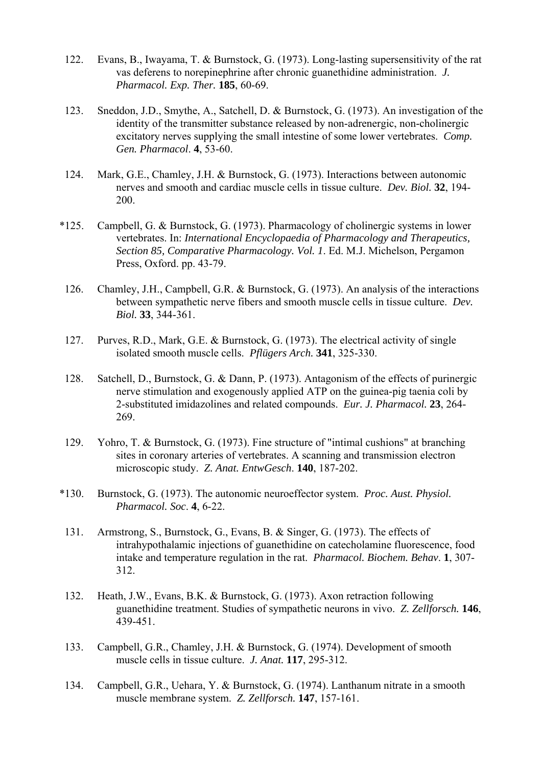- 122. Evans, B., Iwayama, T. & Burnstock, G. (1973). Long-lasting supersensitivity of the rat vas deferens to norepinephrine after chronic guanethidine administration. *J. Pharmacol. Exp. Ther.* **185**, 60-69.
- 123. Sneddon, J.D., Smythe, A., Satchell, D. & Burnstock, G. (1973). An investigation of the identity of the transmitter substance released by non-adrenergic, non-cholinergic excitatory nerves supplying the small intestine of some lower vertebrates. *Comp. Gen. Pharmacol*. **4**, 53-60.
- 124. Mark, G.E., Chamley, J.H. & Burnstock, G. (1973). Interactions between autonomic nerves and smooth and cardiac muscle cells in tissue culture. *Dev. Biol.* **32**, 194- 200.
- \*125. Campbell, G. & Burnstock, G. (1973). Pharmacology of cholinergic systems in lower vertebrates. In: *International Encyclopaedia of Pharmacology and Therapeutics, Section 85, Comparative Pharmacology. Vol. 1*. Ed. M.J. Michelson, Pergamon Press, Oxford. pp. 43-79.
- 126. Chamley, J.H., Campbell, G.R. & Burnstock, G. (1973). An analysis of the interactions between sympathetic nerve fibers and smooth muscle cells in tissue culture. *Dev. Biol.* **33**, 344-361.
- 127. Purves, R.D., Mark, G.E. & Burnstock, G. (1973). The electrical activity of single isolated smooth muscle cells. *Pflügers Arch.* **341**, 325-330.
- 128. Satchell, D., Burnstock, G. & Dann, P. (1973). Antagonism of the effects of purinergic nerve stimulation and exogenously applied ATP on the guinea-pig taenia coli by 2-substituted imidazolines and related compounds. *Eur. J. Pharmacol.* **23**, 264- 269.
- 129. Yohro, T. & Burnstock, G. (1973). Fine structure of "intimal cushions" at branching sites in coronary arteries of vertebrates. A scanning and transmission electron microscopic study. *Z. Anat. EntwGesch*. **140**, 187-202.
- \*130. Burnstock, G. (1973). The autonomic neuroeffector system. *Proc. Aust. Physiol. Pharmacol. Soc*. **4**, 6-22.
- 131. Armstrong, S., Burnstock, G., Evans, B. & Singer, G. (1973). The effects of intrahypothalamic injections of guanethidine on catecholamine fluorescence, food intake and temperature regulation in the rat. *Pharmacol. Biochem. Behav*. **1**, 307- 312.
- 132. Heath, J.W., Evans, B.K. & Burnstock, G. (1973). Axon retraction following guanethidine treatment. Studies of sympathetic neurons in vivo. *Z. Zellforsch.* **146**, 439-451.
- 133. Campbell, G.R., Chamley, J.H. & Burnstock, G. (1974). Development of smooth muscle cells in tissue culture. *J. Anat.* **117**, 295-312.
- 134. Campbell, G.R., Uehara, Y. & Burnstock, G. (1974). Lanthanum nitrate in a smooth muscle membrane system. *Z. Zellforsch.* **147**, 157-161.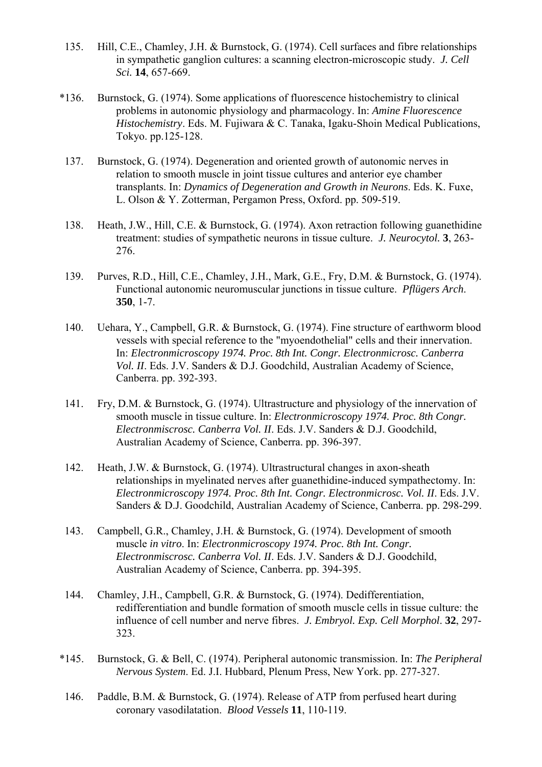- 135. Hill, C.E., Chamley, J.H. & Burnstock, G. (1974). Cell surfaces and fibre relationships in sympathetic ganglion cultures: a scanning electron-microscopic study. *J. Cell Sci.* **14**, 657-669.
- \*136. Burnstock, G. (1974). Some applications of fluorescence histochemistry to clinical problems in autonomic physiology and pharmacology. In: *Amine Fluorescence Histochemistry*. Eds. M. Fujiwara & C. Tanaka, Igaku-Shoin Medical Publications, Tokyo. pp.125-128.
- 137. Burnstock, G. (1974). Degeneration and oriented growth of autonomic nerves in relation to smooth muscle in joint tissue cultures and anterior eye chamber transplants. In: *Dynamics of Degeneration and Growth in Neurons*. Eds. K. Fuxe, L. Olson & Y. Zotterman, Pergamon Press, Oxford. pp. 509-519.
- 138. Heath, J.W., Hill, C.E. & Burnstock, G. (1974). Axon retraction following guanethidine treatment: studies of sympathetic neurons in tissue culture. *J. Neurocytol.* **3**, 263- 276.
- 139. Purves, R.D., Hill, C.E., Chamley, J.H., Mark, G.E., Fry, D.M. & Burnstock, G. (1974). Functional autonomic neuromuscular junctions in tissue culture. *Pflügers Arch*. **350**, 1-7.
- 140. Uehara, Y., Campbell, G.R. & Burnstock, G. (1974). Fine structure of earthworm blood vessels with special reference to the "myoendothelial" cells and their innervation. In: *Electronmicroscopy 1974. Proc. 8th Int. Congr. Electronmicrosc. Canberra Vol. II*. Eds. J.V. Sanders & D.J. Goodchild, Australian Academy of Science, Canberra. pp. 392-393.
- 141. Fry, D.M. & Burnstock, G. (1974). Ultrastructure and physiology of the innervation of smooth muscle in tissue culture. In: *Electronmicroscopy 1974. Proc. 8th Congr. Electronmiscrosc. Canberra Vol. II*. Eds. J.V. Sanders & D.J. Goodchild, Australian Academy of Science, Canberra. pp. 396-397.
- 142. Heath, J.W. & Burnstock, G. (1974). Ultrastructural changes in axon-sheath relationships in myelinated nerves after guanethidine-induced sympathectomy. In: *Electronmicroscopy 1974. Proc. 8th Int. Congr. Electronmicrosc. Vol. II*. Eds. J.V. Sanders & D.J. Goodchild, Australian Academy of Science, Canberra. pp. 298-299.
- 143. Campbell, G.R., Chamley, J.H. & Burnstock, G. (1974). Development of smooth muscle *in vitro*. In: *Electronmicroscopy 1974. Proc. 8th Int. Congr. Electronmiscrosc. Canberra Vol. II*. Eds. J.V. Sanders & D.J. Goodchild, Australian Academy of Science, Canberra. pp. 394-395.
- 144. Chamley, J.H., Campbell, G.R. & Burnstock, G. (1974). Dedifferentiation, redifferentiation and bundle formation of smooth muscle cells in tissue culture: the influence of cell number and nerve fibres. *J. Embryol. Exp. Cell Morphol*. **32**, 297- 323.
- \*145. Burnstock, G. & Bell, C. (1974). Peripheral autonomic transmission. In: *The Peripheral Nervous System*. Ed. J.I. Hubbard, Plenum Press, New York. pp. 277-327.
- 146. Paddle, B.M. & Burnstock, G. (1974). Release of ATP from perfused heart during coronary vasodilatation. *Blood Vessels* **11**, 110-119.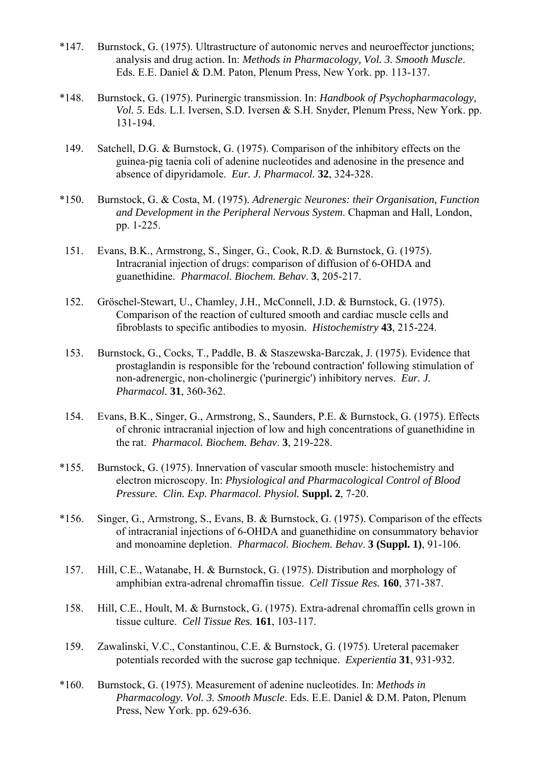- \*147. Burnstock, G. (1975). Ultrastructure of autonomic nerves and neuroeffector junctions; analysis and drug action. In: *Methods in Pharmacology, Vol. 3. Smooth Muscle*. Eds. E.E. Daniel & D.M. Paton, Plenum Press, New York. pp. 113-137.
- \*148. Burnstock, G. (1975). Purinergic transmission. In: *Handbook of Psychopharmacology, Vol. 5*. Eds. L.I. Iversen, S.D. Iversen & S.H. Snyder, Plenum Press, New York. pp. 131-194.
- 149. Satchell, D.G. & Burnstock, G. (1975). Comparison of the inhibitory effects on the guinea-pig taenia coli of adenine nucleotides and adenosine in the presence and absence of dipyridamole. *Eur. J. Pharmacol.* **32**, 324-328.
- \*150. Burnstock, G. & Costa, M. (1975). *Adrenergic Neurones: their Organisation, Function and Development in the Peripheral Nervous System*. Chapman and Hall, London, pp. 1-225.
- 151. Evans, B.K., Armstrong, S., Singer, G., Cook, R.D. & Burnstock, G. (1975). Intracranial injection of drugs: comparison of diffusion of 6-OHDA and guanethidine. *Pharmacol. Biochem. Behav*. **3**, 205-217.
- 152. Gröschel-Stewart, U., Chamley, J.H., McConnell, J.D. & Burnstock, G. (1975). Comparison of the reaction of cultured smooth and cardiac muscle cells and fibroblasts to specific antibodies to myosin. *Histochemistry* **43**, 215-224.
- 153. Burnstock, G., Cocks, T., Paddle, B. & Staszewska-Barczak, J. (1975). Evidence that prostaglandin is responsible for the 'rebound contraction' following stimulation of non-adrenergic, non-cholinergic ('purinergic') inhibitory nerves. *Eur. J. Pharmacol.* **31**, 360-362.
- 154. Evans, B.K., Singer, G., Armstrong, S., Saunders, P.E. & Burnstock, G. (1975). Effects of chronic intracranial injection of low and high concentrations of guanethidine in the rat. *Pharmacol. Biochem. Behav*. **3**, 219-228.
- \*155. Burnstock, G. (1975). Innervation of vascular smooth muscle: histochemistry and electron microscopy. In: *Physiological and Pharmacological Control of Blood Pressure. Clin. Exp. Pharmacol. Physiol.* **Suppl. 2**, 7-20.
- \*156. Singer, G., Armstrong, S., Evans, B. & Burnstock, G. (1975). Comparison of the effects of intracranial injections of 6-OHDA and guanethidine on consummatory behavior and monoamine depletion. *Pharmacol. Biochem. Behav*. **3 (Suppl. 1)**, 91-106.
- 157. Hill, C.E., Watanabe, H. & Burnstock, G. (1975). Distribution and morphology of amphibian extra-adrenal chromaffin tissue. *Cell Tissue Res.* **160**, 371-387.
- 158. Hill, C.E., Hoult, M. & Burnstock, G. (1975). Extra-adrenal chromaffin cells grown in tissue culture. *Cell Tissue Res.* **161**, 103-117.
- 159. Zawalinski, V.C., Constantinou, C.E. & Burnstock, G. (1975). Ureteral pacemaker potentials recorded with the sucrose gap technique. *Experientia* **31**, 931-932.
- \*160. Burnstock, G. (1975). Measurement of adenine nucleotides. In: *Methods in Pharmacology. Vol. 3. Smooth Muscle*. Eds. E.E. Daniel & D.M. Paton, Plenum Press, New York. pp. 629-636.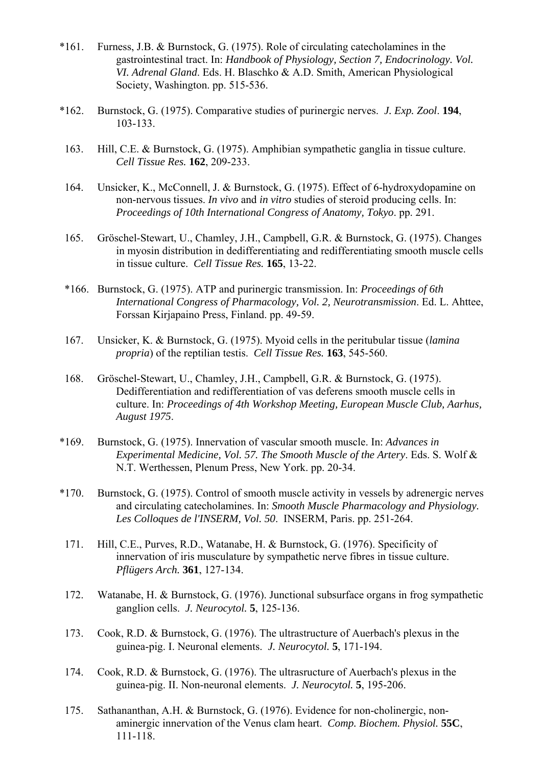- \*161. Furness, J.B. & Burnstock, G. (1975). Role of circulating catecholamines in the gastrointestinal tract. In: *Handbook of Physiology, Section 7, Endocrinology. Vol. VI. Adrenal Gland*. Eds. H. Blaschko & A.D. Smith, American Physiological Society, Washington. pp. 515-536.
- \*162. Burnstock, G. (1975). Comparative studies of purinergic nerves. *J. Exp. Zool*. **194**, 103-133.
- 163. Hill, C.E. & Burnstock, G. (1975). Amphibian sympathetic ganglia in tissue culture. *Cell Tissue Res.* **162**, 209-233.
- 164. Unsicker, K., McConnell, J. & Burnstock, G. (1975). Effect of 6-hydroxydopamine on non-nervous tissues. *In vivo* and *in vitro* studies of steroid producing cells. In: *Proceedings of 10th International Congress of Anatomy, Tokyo*. pp. 291.
- 165. Gröschel-Stewart, U., Chamley, J.H., Campbell, G.R. & Burnstock, G. (1975). Changes in myosin distribution in dedifferentiating and redifferentiating smooth muscle cells in tissue culture. *Cell Tissue Res.* **165**, 13-22.
- \*166. Burnstock, G. (1975). ATP and purinergic transmission. In: *Proceedings of 6th International Congress of Pharmacology, Vol. 2, Neurotransmission*. Ed. L. Ahttee, Forssan Kirjapaino Press, Finland. pp. 49-59.
- 167. Unsicker, K. & Burnstock, G. (1975). Myoid cells in the peritubular tissue (*lamina propria*) of the reptilian testis. *Cell Tissue Res.* **163**, 545-560.
- 168. Gröschel-Stewart, U., Chamley, J.H., Campbell, G.R. & Burnstock, G. (1975). Dedifferentiation and redifferentiation of vas deferens smooth muscle cells in culture. In: *Proceedings of 4th Workshop Meeting, European Muscle Club, Aarhus, August 1975*.
- \*169. Burnstock, G. (1975). Innervation of vascular smooth muscle. In: *Advances in Experimental Medicine, Vol. 57. The Smooth Muscle of the Artery*. Eds. S. Wolf & N.T. Werthessen, Plenum Press, New York. pp. 20-34.
- \*170. Burnstock, G. (1975). Control of smooth muscle activity in vessels by adrenergic nerves and circulating catecholamines. In: *Smooth Muscle Pharmacology and Physiology. Les Colloques de l'INSERM, Vol. 50*. INSERM, Paris. pp. 251-264.
- 171. Hill, C.E., Purves, R.D., Watanabe, H. & Burnstock, G. (1976). Specificity of innervation of iris musculature by sympathetic nerve fibres in tissue culture. *Pflügers Arch.* **361**, 127-134.
- 172. Watanabe, H. & Burnstock, G. (1976). Junctional subsurface organs in frog sympathetic ganglion cells. *J. Neurocytol.* **5**, 125-136.
- 173. Cook, R.D. & Burnstock, G. (1976). The ultrastructure of Auerbach's plexus in the guinea-pig. I. Neuronal elements. *J. Neurocytol.* **5**, 171-194.
- 174. Cook, R.D. & Burnstock, G. (1976). The ultrasructure of Auerbach's plexus in the guinea-pig. II. Non-neuronal elements. *J. Neurocytol.* **5**, 195-206.
- 175. Sathananthan, A.H. & Burnstock, G. (1976). Evidence for non-cholinergic, nonaminergic innervation of the Venus clam heart. *Comp. Biochem. Physiol.* **55C**, 111-118.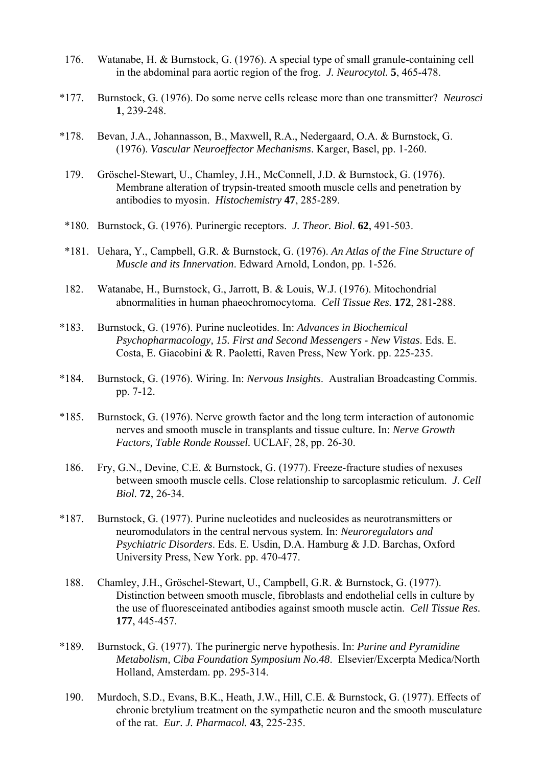- 176. Watanabe, H. & Burnstock, G. (1976). A special type of small granule-containing cell in the abdominal para aortic region of the frog. *J. Neurocytol.* **5**, 465-478.
- \*177. Burnstock, G. (1976). Do some nerve cells release more than one transmitter? *Neurosci* **1**, 239-248.
- \*178. Bevan, J.A., Johannasson, B., Maxwell, R.A., Nedergaard, O.A. & Burnstock, G. (1976). *Vascular Neuroeffector Mechanisms*. Karger, Basel, pp. 1-260.
- 179. Gröschel-Stewart, U., Chamley, J.H., McConnell, J.D. & Burnstock, G. (1976). Membrane alteration of trypsin-treated smooth muscle cells and penetration by antibodies to myosin. *Histochemistry* **47**, 285-289.
- \*180. Burnstock, G. (1976). Purinergic receptors. *J. Theor. Biol*. **62**, 491-503.
- \*181. Uehara, Y., Campbell, G.R. & Burnstock, G. (1976). *An Atlas of the Fine Structure of Muscle and its Innervation*. Edward Arnold, London, pp. 1-526.
- 182. Watanabe, H., Burnstock, G., Jarrott, B. & Louis, W.J. (1976). Mitochondrial abnormalities in human phaeochromocytoma. *Cell Tissue Res.* **172**, 281-288.
- \*183. Burnstock, G. (1976). Purine nucleotides. In: *Advances in Biochemical Psychopharmacology, 15. First and Second Messengers - New Vistas*. Eds. E. Costa, E. Giacobini & R. Paoletti, Raven Press, New York. pp. 225-235.
- \*184. Burnstock, G. (1976). Wiring. In: *Nervous Insights*. Australian Broadcasting Commis. pp. 7-12.
- \*185. Burnstock, G. (1976). Nerve growth factor and the long term interaction of autonomic nerves and smooth muscle in transplants and tissue culture. In: *Nerve Growth Factors, Table Ronde Roussel.* UCLAF, 28, pp. 26-30.
- 186. Fry, G.N., Devine, C.E. & Burnstock, G. (1977). Freeze-fracture studies of nexuses between smooth muscle cells. Close relationship to sarcoplasmic reticulum. *J. Cell Biol.* **72**, 26-34.
- \*187. Burnstock, G. (1977). Purine nucleotides and nucleosides as neurotransmitters or neuromodulators in the central nervous system. In: *Neuroregulators and Psychiatric Disorders*. Eds. E. Usdin, D.A. Hamburg & J.D. Barchas, Oxford University Press, New York. pp. 470-477.
- 188. Chamley, J.H., Gröschel-Stewart, U., Campbell, G.R. & Burnstock, G. (1977). Distinction between smooth muscle, fibroblasts and endothelial cells in culture by the use of fluoresceinated antibodies against smooth muscle actin. *Cell Tissue Res.* **177**, 445-457.
- \*189. Burnstock, G. (1977). The purinergic nerve hypothesis. In: *Purine and Pyramidine Metabolism, Ciba Foundation Symposium No.48*. Elsevier/Excerpta Medica/North Holland, Amsterdam. pp. 295-314.
- 190. Murdoch, S.D., Evans, B.K., Heath, J.W., Hill, C.E. & Burnstock, G. (1977). Effects of chronic bretylium treatment on the sympathetic neuron and the smooth musculature of the rat. *Eur. J. Pharmacol.* **43**, 225-235.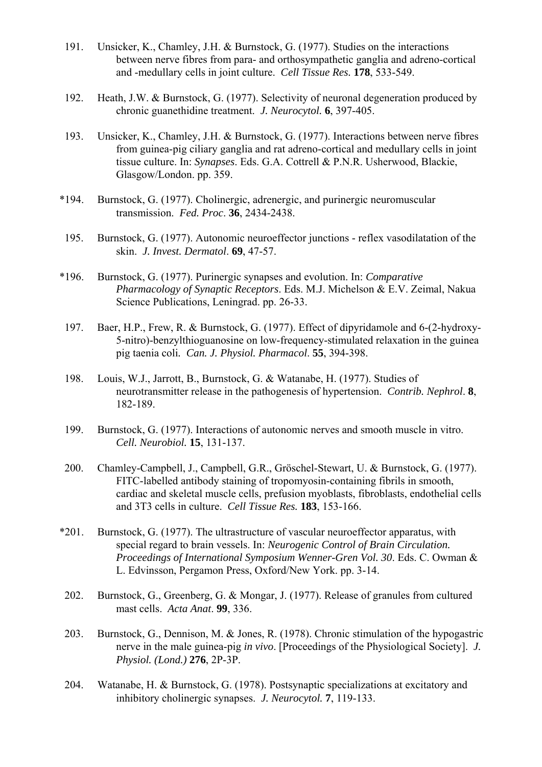- 191. Unsicker, K., Chamley, J.H. & Burnstock, G. (1977). Studies on the interactions between nerve fibres from para- and orthosympathetic ganglia and adreno-cortical and -medullary cells in joint culture. *Cell Tissue Res.* **178**, 533-549.
- 192. Heath, J.W. & Burnstock, G. (1977). Selectivity of neuronal degeneration produced by chronic guanethidine treatment. *J. Neurocytol.* **6**, 397-405.
- 193. Unsicker, K., Chamley, J.H. & Burnstock, G. (1977). Interactions between nerve fibres from guinea-pig ciliary ganglia and rat adreno-cortical and medullary cells in joint tissue culture. In: *Synapses*. Eds. G.A. Cottrell & P.N.R. Usherwood, Blackie, Glasgow/London. pp. 359.
- \*194. Burnstock, G. (1977). Cholinergic, adrenergic, and purinergic neuromuscular transmission. *Fed. Proc*. **36**, 2434-2438.
- 195. Burnstock, G. (1977). Autonomic neuroeffector junctions reflex vasodilatation of the skin. *J. Invest. Dermatol*. **69**, 47-57.
- \*196. Burnstock, G. (1977). Purinergic synapses and evolution. In: *Comparative Pharmacology of Synaptic Receptors*. Eds. M.J. Michelson & E.V. Zeimal, Nakua Science Publications, Leningrad. pp. 26-33.
- 197. Baer, H.P., Frew, R. & Burnstock, G. (1977). Effect of dipyridamole and 6-(2-hydroxy-5-nitro)-benzylthioguanosine on low-frequency-stimulated relaxation in the guinea pig taenia coli*. Can. J. Physiol. Pharmacol*. **55**, 394-398.
- 198. Louis, W.J., Jarrott, B., Burnstock, G. & Watanabe, H. (1977). Studies of neurotransmitter release in the pathogenesis of hypertension. *Contrib. Nephrol*. **8**, 182-189.
- 199. Burnstock, G. (1977). Interactions of autonomic nerves and smooth muscle in vitro. *Cell. Neurobiol.* **15**, 131-137.
- 200. Chamley-Campbell, J., Campbell, G.R., Gröschel-Stewart, U. & Burnstock, G. (1977). FITC-labelled antibody staining of tropomyosin-containing fibrils in smooth, cardiac and skeletal muscle cells, prefusion myoblasts, fibroblasts, endothelial cells and 3T3 cells in culture. *Cell Tissue Res.* **183**, 153-166.
- \*201. Burnstock, G. (1977). The ultrastructure of vascular neuroeffector apparatus, with special regard to brain vessels. In: *Neurogenic Control of Brain Circulation. Proceedings of International Symposium Wenner-Gren Vol. 30*. Eds. C. Owman & L. Edvinsson, Pergamon Press, Oxford/New York. pp. 3-14.
- 202. Burnstock, G., Greenberg, G. & Mongar, J. (1977). Release of granules from cultured mast cells. *Acta Anat*. **99**, 336.
- 203. Burnstock, G., Dennison, M. & Jones, R. (1978). Chronic stimulation of the hypogastric nerve in the male guinea-pig *in vivo*. [Proceedings of the Physiological Society]. *J. Physiol. (Lond.)* **276**, 2P-3P.
- 204. Watanabe, H. & Burnstock, G. (1978). Postsynaptic specializations at excitatory and inhibitory cholinergic synapses. *J. Neurocytol.* **7**, 119-133.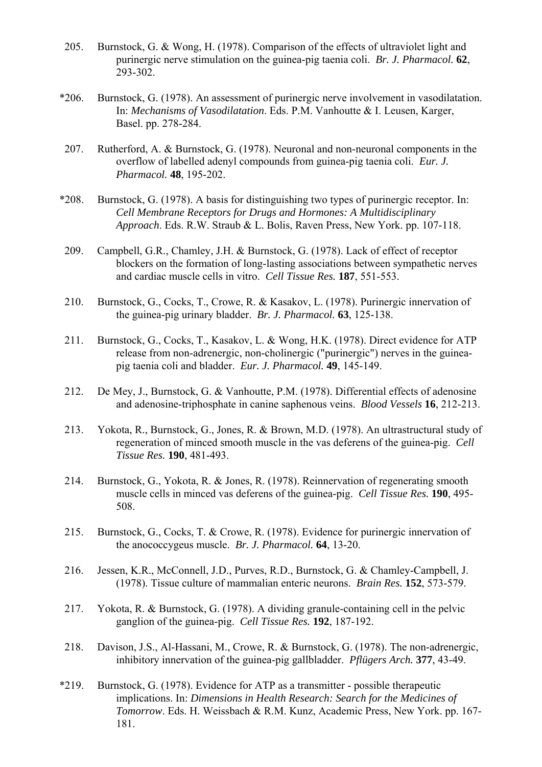- 205. Burnstock, G. & Wong, H. (1978). Comparison of the effects of ultraviolet light and purinergic nerve stimulation on the guinea-pig taenia coli. *Br. J. Pharmacol.* **62**, 293-302.
- \*206. Burnstock, G. (1978). An assessment of purinergic nerve involvement in vasodilatation. In: *Mechanisms of Vasodilatation*. Eds. P.M. Vanhoutte & I. Leusen, Karger, Basel. pp. 278-284.
- 207. Rutherford, A. & Burnstock, G. (1978). Neuronal and non-neuronal components in the overflow of labelled adenyl compounds from guinea-pig taenia coli. *Eur. J. Pharmacol.* **48**, 195-202.
- \*208. Burnstock, G. (1978). A basis for distinguishing two types of purinergic receptor. In: *Cell Membrane Receptors for Drugs and Hormones: A Multidisciplinary Approach*. Eds. R.W. Straub & L. Bolis, Raven Press, New York. pp. 107-118.
- 209. Campbell, G.R., Chamley, J.H. & Burnstock, G. (1978). Lack of effect of receptor blockers on the formation of long-lasting associations between sympathetic nerves and cardiac muscle cells in vitro. *Cell Tissue Res.* **187**, 551-553.
- 210. Burnstock, G., Cocks, T., Crowe, R. & Kasakov, L. (1978). Purinergic innervation of the guinea-pig urinary bladder. *Br. J. Pharmacol.* **63**, 125-138.
- 211. Burnstock, G., Cocks, T., Kasakov, L. & Wong, H.K. (1978). Direct evidence for ATP release from non-adrenergic, non-cholinergic ("purinergic") nerves in the guineapig taenia coli and bladder. *Eur. J. Pharmacol.* **49**, 145-149.
- 212. De Mey, J., Burnstock, G. & Vanhoutte, P.M. (1978). Differential effects of adenosine and adenosine-triphosphate in canine saphenous veins. *Blood Vessels* **16**, 212-213.
- 213. Yokota, R., Burnstock, G., Jones, R. & Brown, M.D. (1978). An ultrastructural study of regeneration of minced smooth muscle in the vas deferens of the guinea-pig. *Cell Tissue Res.* **190**, 481-493.
- 214. Burnstock, G., Yokota, R. & Jones, R. (1978). Reinnervation of regenerating smooth muscle cells in minced vas deferens of the guinea-pig. *Cell Tissue Res.* **190**, 495- 508.
- 215. Burnstock, G., Cocks, T. & Crowe, R. (1978). Evidence for purinergic innervation of the anococcygeus muscle. *Br. J. Pharmacol.* **64**, 13-20.
- 216. Jessen, K.R., McConnell, J.D., Purves, R.D., Burnstock, G. & Chamley-Campbell, J. (1978). Tissue culture of mammalian enteric neurons. *Brain Res.* **152**, 573-579.
- 217. Yokota, R. & Burnstock, G. (1978). A dividing granule-containing cell in the pelvic ganglion of the guinea-pig. *Cell Tissue Res.* **192**, 187-192.
- 218. Davison, J.S., Al-Hassani, M., Crowe, R. & Burnstock, G. (1978). The non-adrenergic, inhibitory innervation of the guinea-pig gallbladder. *Pflügers Arch.* **377**, 43-49.
- \*219. Burnstock, G. (1978). Evidence for ATP as a transmitter possible therapeutic implications. In: *Dimensions in Health Research: Search for the Medicines of Tomorrow*. Eds. H. Weissbach & R.M. Kunz, Academic Press, New York. pp. 167- 181.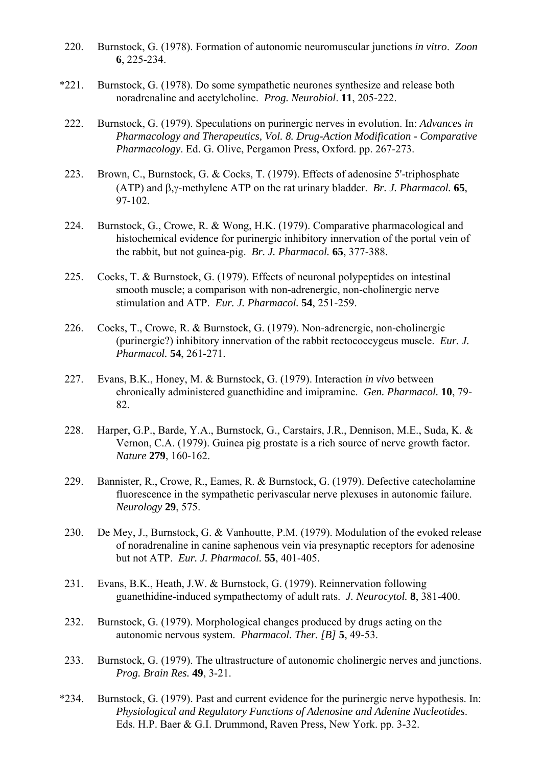- 220. Burnstock, G. (1978). Formation of autonomic neuromuscular junctions *in vitro*. *Zoon* **6**, 225-234.
- \*221. Burnstock, G. (1978). Do some sympathetic neurones synthesize and release both noradrenaline and acetylcholine. *Prog. Neurobiol*. **11**, 205-222.
- 222. Burnstock, G. (1979). Speculations on purinergic nerves in evolution. In: *Advances in Pharmacology and Therapeutics, Vol. 8. Drug-Action Modification - Comparative Pharmacology*. Ed. G. Olive, Pergamon Press, Oxford. pp. 267-273.
- 223. Brown, C., Burnstock, G. & Cocks, T. (1979). Effects of adenosine 5'-triphosphate (ATP) and β,γ-methylene ATP on the rat urinary bladder. *Br. J. Pharmacol.* **65**, 97-102.
- 224. Burnstock, G., Crowe, R. & Wong, H.K. (1979). Comparative pharmacological and histochemical evidence for purinergic inhibitory innervation of the portal vein of the rabbit, but not guinea-pig. *Br. J. Pharmacol.* **65**, 377-388.
- 225. Cocks, T. & Burnstock, G. (1979). Effects of neuronal polypeptides on intestinal smooth muscle; a comparison with non-adrenergic, non-cholinergic nerve stimulation and ATP. *Eur. J. Pharmacol.* **54**, 251-259.
- 226. Cocks, T., Crowe, R. & Burnstock, G. (1979). Non-adrenergic, non-cholinergic (purinergic?) inhibitory innervation of the rabbit rectococcygeus muscle. *Eur. J. Pharmacol.* **54**, 261-271.
- 227. Evans, B.K., Honey, M. & Burnstock, G. (1979). Interaction *in vivo* between chronically administered guanethidine and imipramine. *Gen. Pharmacol.* **10**, 79- 82.
- 228. Harper, G.P., Barde, Y.A., Burnstock, G., Carstairs, J.R., Dennison, M.E., Suda, K. & Vernon, C.A. (1979). Guinea pig prostate is a rich source of nerve growth factor. *Nature* **279**, 160-162.
- 229. Bannister, R., Crowe, R., Eames, R. & Burnstock, G. (1979). Defective catecholamine fluorescence in the sympathetic perivascular nerve plexuses in autonomic failure. *Neurology* **29**, 575.
- 230. De Mey, J., Burnstock, G. & Vanhoutte, P.M. (1979). Modulation of the evoked release of noradrenaline in canine saphenous vein via presynaptic receptors for adenosine but not ATP. *Eur. J. Pharmacol.* **55**, 401-405.
- 231. Evans, B.K., Heath, J.W. & Burnstock, G. (1979). Reinnervation following guanethidine-induced sympathectomy of adult rats. *J. Neurocytol.* **8**, 381-400.
- 232. Burnstock, G. (1979). Morphological changes produced by drugs acting on the autonomic nervous system. *Pharmacol. Ther. [B]* **5**, 49-53.
- 233. Burnstock, G. (1979). The ultrastructure of autonomic cholinergic nerves and junctions. *Prog. Brain Res.* **49**, 3-21.
- \*234. Burnstock, G. (1979). Past and current evidence for the purinergic nerve hypothesis. In: *Physiological and Regulatory Functions of Adenosine and Adenine Nucleotides*. Eds. H.P. Baer & G.I. Drummond, Raven Press, New York. pp. 3-32.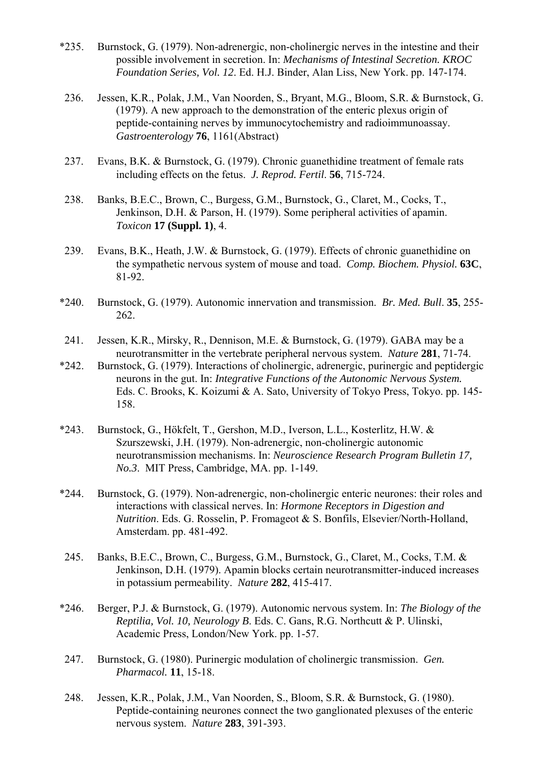- \*235. Burnstock, G. (1979). Non-adrenergic, non-cholinergic nerves in the intestine and their possible involvement in secretion. In: *Mechanisms of Intestinal Secretion. KROC Foundation Series, Vol. 12*. Ed. H.J. Binder, Alan Liss, New York. pp. 147-174.
- 236. Jessen, K.R., Polak, J.M., Van Noorden, S., Bryant, M.G., Bloom, S.R. & Burnstock, G. (1979). A new approach to the demonstration of the enteric plexus origin of peptide-containing nerves by immunocytochemistry and radioimmunoassay. *Gastroenterology* **76**, 1161(Abstract)
- 237. Evans, B.K. & Burnstock, G. (1979). Chronic guanethidine treatment of female rats including effects on the fetus. *J. Reprod. Fertil*. **56**, 715-724.
- 238. Banks, B.E.C., Brown, C., Burgess, G.M., Burnstock, G., Claret, M., Cocks, T., Jenkinson, D.H. & Parson, H. (1979). Some peripheral activities of apamin. *Toxicon* **17 (Suppl. 1)**, 4.
- 239. Evans, B.K., Heath, J.W. & Burnstock, G. (1979). Effects of chronic guanethidine on the sympathetic nervous system of mouse and toad. *Comp. Biochem. Physiol.* **63C**, 81-92.
- \*240. Burnstock, G. (1979). Autonomic innervation and transmission. *Br. Med. Bull*. **35**, 255- 262.
- 241. Jessen, K.R., Mirsky, R., Dennison, M.E. & Burnstock, G. (1979). GABA may be a neurotransmitter in the vertebrate peripheral nervous system. *Nature* **281**, 71-74.
- \*242. Burnstock, G. (1979). Interactions of cholinergic, adrenergic, purinergic and peptidergic neurons in the gut. In: *Integrative Functions of the Autonomic Nervous System.* Eds. C. Brooks, K. Koizumi & A. Sato, University of Tokyo Press, Tokyo. pp. 145- 158.
- \*243. Burnstock, G., Hökfelt, T., Gershon, M.D., Iverson, L.L., Kosterlitz, H.W. & Szurszewski, J.H. (1979). Non-adrenergic, non-cholinergic autonomic neurotransmission mechanisms. In: *Neuroscience Research Program Bulletin 17, No.3*. MIT Press, Cambridge, MA. pp. 1-149.
- \*244. Burnstock, G. (1979). Non-adrenergic, non-cholinergic enteric neurones: their roles and interactions with classical nerves. In: *Hormone Receptors in Digestion and Nutrition*. Eds. G. Rosselin, P. Fromageot & S. Bonfils, Elsevier/North-Holland, Amsterdam. pp. 481-492.
- 245. Banks, B.E.C., Brown, C., Burgess, G.M., Burnstock, G., Claret, M., Cocks, T.M. & Jenkinson, D.H. (1979). Apamin blocks certain neurotransmitter-induced increases in potassium permeability. *Nature* **282**, 415-417.
- \*246. Berger, P.J. & Burnstock, G. (1979). Autonomic nervous system. In: *The Biology of the Reptilia, Vol. 10, Neurology B*. Eds. C. Gans, R.G. Northcutt & P. Ulinski, Academic Press, London/New York. pp. 1-57.
- 247. Burnstock, G. (1980). Purinergic modulation of cholinergic transmission. *Gen. Pharmacol.* **11**, 15-18.
- 248. Jessen, K.R., Polak, J.M., Van Noorden, S., Bloom, S.R. & Burnstock, G. (1980). Peptide-containing neurones connect the two ganglionated plexuses of the enteric nervous system. *Nature* **283**, 391-393.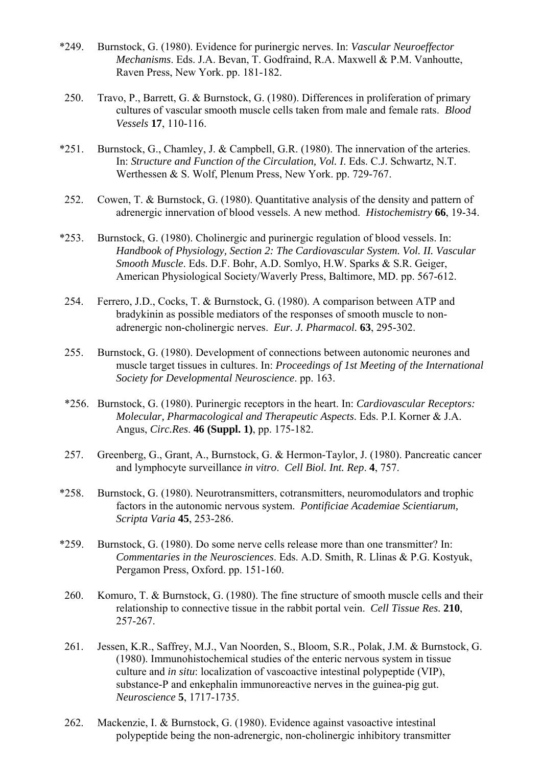- \*249. Burnstock, G. (1980). Evidence for purinergic nerves. In: *Vascular Neuroeffector Mechanisms*. Eds. J.A. Bevan, T. Godfraind, R.A. Maxwell & P.M. Vanhoutte, Raven Press, New York. pp. 181-182.
- 250. Travo, P., Barrett, G. & Burnstock, G. (1980). Differences in proliferation of primary cultures of vascular smooth muscle cells taken from male and female rats. *Blood Vessels* **17**, 110-116.
- \*251. Burnstock, G., Chamley, J. & Campbell, G.R. (1980). The innervation of the arteries. In: *Structure and Function of the Circulation, Vol. I*. Eds. C.J. Schwartz, N.T. Werthessen & S. Wolf, Plenum Press, New York. pp. 729-767.
- 252. Cowen, T. & Burnstock, G. (1980). Quantitative analysis of the density and pattern of adrenergic innervation of blood vessels. A new method. *Histochemistry* **66**, 19-34.
- \*253. Burnstock, G. (1980). Cholinergic and purinergic regulation of blood vessels. In: *Handbook of Physiology, Section 2: The Cardiovascular System. Vol. II. Vascular Smooth Muscle*. Eds. D.F. Bohr, A.D. Somlyo, H.W. Sparks & S.R. Geiger, American Physiological Society/Waverly Press, Baltimore, MD. pp. 567-612.
- 254. Ferrero, J.D., Cocks, T. & Burnstock, G. (1980). A comparison between ATP and bradykinin as possible mediators of the responses of smooth muscle to nonadrenergic non-cholinergic nerves. *Eur. J. Pharmacol.* **63**, 295-302.
- 255. Burnstock, G. (1980). Development of connections between autonomic neurones and muscle target tissues in cultures. In: *Proceedings of 1st Meeting of the International Society for Developmental Neuroscience*. pp. 163.
- \*256. Burnstock, G. (1980). Purinergic receptors in the heart. In: *Cardiovascular Receptors: Molecular, Pharmacological and Therapeutic Aspects*. Eds. P.I. Korner & J.A. Angus, *Circ.Res*. **46 (Suppl. 1)**, pp. 175-182.
- 257. Greenberg, G., Grant, A., Burnstock, G. & Hermon-Taylor, J. (1980). Pancreatic cancer and lymphocyte surveillance *in vitro*. *Cell Biol. Int. Rep*. **4**, 757.
- \*258. Burnstock, G. (1980). Neurotransmitters, cotransmitters, neuromodulators and trophic factors in the autonomic nervous system. *Pontificiae Academiae Scientiarum, Scripta Varia* **45**, 253-286.
- \*259. Burnstock, G. (1980). Do some nerve cells release more than one transmitter? In: *Commentaries in the Neurosciences*. Eds. A.D. Smith, R. Llinas & P.G. Kostyuk, Pergamon Press, Oxford. pp. 151-160.
- 260. Komuro, T. & Burnstock, G. (1980). The fine structure of smooth muscle cells and their relationship to connective tissue in the rabbit portal vein. *Cell Tissue Res.* **210**, 257-267.
- 261. Jessen, K.R., Saffrey, M.J., Van Noorden, S., Bloom, S.R., Polak, J.M. & Burnstock, G. (1980). Immunohistochemical studies of the enteric nervous system in tissue culture and *in situ*: localization of vascoactive intestinal polypeptide (VIP), substance-P and enkephalin immunoreactive nerves in the guinea-pig gut. *Neuroscience* **5**, 1717-1735.
- 262. Mackenzie, I. & Burnstock, G. (1980). Evidence against vasoactive intestinal polypeptide being the non-adrenergic, non-cholinergic inhibitory transmitter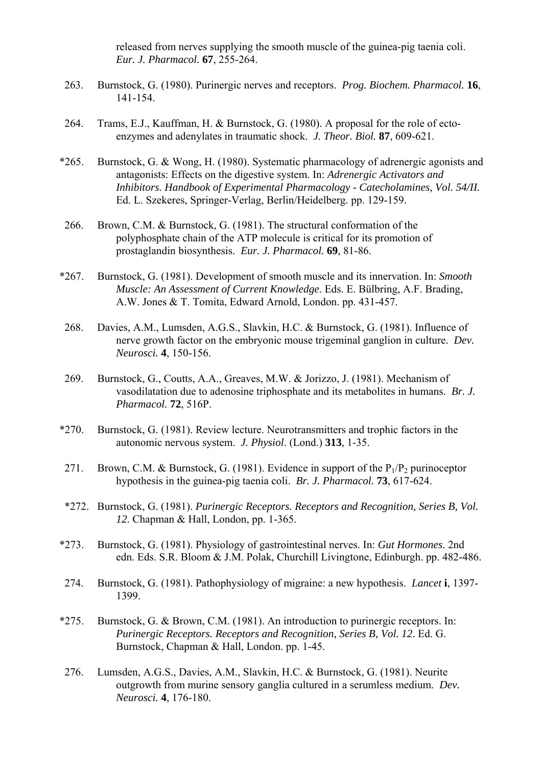released from nerves supplying the smooth muscle of the guinea-pig taenia coli. *Eur. J. Pharmacol.* **67**, 255-264.

- 263. Burnstock, G. (1980). Purinergic nerves and receptors. *Prog. Biochem. Pharmacol.* **16**, 141-154.
- 264. Trams, E.J., Kauffman, H. & Burnstock, G. (1980). A proposal for the role of ectoenzymes and adenylates in traumatic shock. *J. Theor. Biol.* **87**, 609-621.
- \*265. Burnstock, G. & Wong, H. (1980). Systematic pharmacology of adrenergic agonists and antagonists: Effects on the digestive system. In: *Adrenergic Activators and Inhibitors. Handbook of Experimental Pharmacology - Catecholamines, Vol. 54/II.* Ed. L. Szekeres, Springer-Verlag, Berlin/Heidelberg. pp. 129-159.
- 266. Brown, C.M. & Burnstock, G. (1981). The structural conformation of the polyphosphate chain of the ATP molecule is critical for its promotion of prostaglandin biosynthesis. *Eur. J. Pharmacol.* **69**, 81-86.
- \*267. Burnstock, G. (1981). Development of smooth muscle and its innervation. In: *Smooth Muscle: An Assessment of Current Knowledge*. Eds. E. Bülbring, A.F. Brading, A.W. Jones & T. Tomita, Edward Arnold, London. pp. 431-457.
- 268. Davies, A.M., Lumsden, A.G.S., Slavkin, H.C. & Burnstock, G. (1981). Influence of nerve growth factor on the embryonic mouse trigeminal ganglion in culture. *Dev. Neurosci.* **4**, 150-156.
- 269. Burnstock, G., Coutts, A.A., Greaves, M.W. & Jorizzo, J. (1981). Mechanism of vasodilatation due to adenosine triphosphate and its metabolites in humans. *Br. J. Pharmacol.* **72**, 516P.
- \*270. Burnstock, G. (1981). Review lecture. Neurotransmitters and trophic factors in the autonomic nervous system. *J. Physiol*. (Lond.) **313**, 1-35.
- 271. Brown, C.M. & Burnstock, G. (1981). Evidence in support of the  $P_1/P_2$  purinoceptor hypothesis in the guinea-pig taenia coli. *Br. J. Pharmacol.* **73**, 617-624.
- \*272. Burnstock, G. (1981). *Purinergic Receptors. Receptors and Recognition, Series B, Vol. 12*. Chapman & Hall, London, pp. 1-365.
- \*273. Burnstock, G. (1981). Physiology of gastrointestinal nerves. In: *Gut Hormones*. 2nd edn. Eds. S.R. Bloom & J.M. Polak, Churchill Livingtone, Edinburgh. pp. 482-486.
- 274. Burnstock, G. (1981). Pathophysiology of migraine: a new hypothesis. *Lancet* **i**, 1397- 1399.
- \*275. Burnstock, G. & Brown, C.M. (1981). An introduction to purinergic receptors. In: *Purinergic Receptors. Receptors and Recognition, Series B, Vol. 12*. Ed. G. Burnstock, Chapman & Hall, London. pp. 1-45.
- 276. Lumsden, A.G.S., Davies, A.M., Slavkin, H.C. & Burnstock, G. (1981). Neurite outgrowth from murine sensory ganglia cultured in a serumless medium. *Dev. Neurosci.* **4**, 176-180.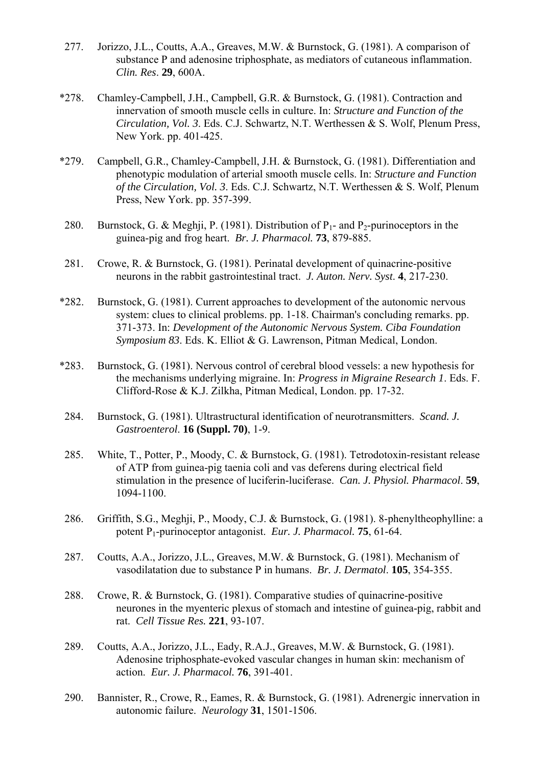- 277. Jorizzo, J.L., Coutts, A.A., Greaves, M.W. & Burnstock, G. (1981). A comparison of substance P and adenosine triphosphate, as mediators of cutaneous inflammation. *Clin. Res*. **29**, 600A.
- \*278. Chamley-Campbell, J.H., Campbell, G.R. & Burnstock, G. (1981). Contraction and innervation of smooth muscle cells in culture. In: *Structure and Function of the Circulation, Vol. 3*. Eds. C.J. Schwartz, N.T. Werthessen & S. Wolf, Plenum Press, New York. pp. 401-425.
- \*279. Campbell, G.R., Chamley-Campbell, J.H. & Burnstock, G. (1981). Differentiation and phenotypic modulation of arterial smooth muscle cells. In: *Structure and Function of the Circulation, Vol. 3*. Eds. C.J. Schwartz, N.T. Werthessen & S. Wolf, Plenum Press, New York. pp. 357-399.
- 280. Burnstock, G. & Meghii, P. (1981). Distribution of  $P_1$  and  $P_2$ -purinoceptors in the guinea-pig and frog heart. *Br. J. Pharmacol.* **73**, 879-885.
- 281. Crowe, R. & Burnstock, G. (1981). Perinatal development of quinacrine-positive neurons in the rabbit gastrointestinal tract. *J. Auton. Nerv. Syst*. **4**, 217-230.
- \*282. Burnstock, G. (1981). Current approaches to development of the autonomic nervous system: clues to clinical problems. pp. 1-18. Chairman's concluding remarks. pp. 371-373. In: *Development of the Autonomic Nervous System. Ciba Foundation Symposium 83*. Eds. K. Elliot & G. Lawrenson, Pitman Medical, London.
- \*283. Burnstock, G. (1981). Nervous control of cerebral blood vessels: a new hypothesis for the mechanisms underlying migraine. In: *Progress in Migraine Research 1*. Eds. F. Clifford-Rose & K.J. Zilkha, Pitman Medical, London. pp. 17-32.
- 284. Burnstock, G. (1981). Ultrastructural identification of neurotransmitters. *Scand. J. Gastroenterol*. **16 (Suppl. 70)**, 1-9.
- 285. White, T., Potter, P., Moody, C. & Burnstock, G. (1981). Tetrodotoxin-resistant release of ATP from guinea-pig taenia coli and vas deferens during electrical field stimulation in the presence of luciferin-luciferase. *Can. J. Physiol. Pharmacol*. **59**, 1094-1100.
- 286. Griffith, S.G., Meghji, P., Moody, C.J. & Burnstock, G. (1981). 8-phenyltheophylline: a potent P1-purinoceptor antagonist. *Eur. J. Pharmacol.* **75**, 61-64.
- 287. Coutts, A.A., Jorizzo, J.L., Greaves, M.W. & Burnstock, G. (1981). Mechanism of vasodilatation due to substance P in humans. *Br. J. Dermatol*. **105**, 354-355.
- 288. Crowe, R. & Burnstock, G. (1981). Comparative studies of quinacrine-positive neurones in the myenteric plexus of stomach and intestine of guinea-pig, rabbit and rat. *Cell Tissue Res.* **221**, 93-107.
- 289. Coutts, A.A., Jorizzo, J.L., Eady, R.A.J., Greaves, M.W. & Burnstock, G. (1981). Adenosine triphosphate-evoked vascular changes in human skin: mechanism of action. *Eur. J. Pharmacol.* **76**, 391-401.
- 290. Bannister, R., Crowe, R., Eames, R. & Burnstock, G. (1981). Adrenergic innervation in autonomic failure. *Neurology* **31**, 1501-1506.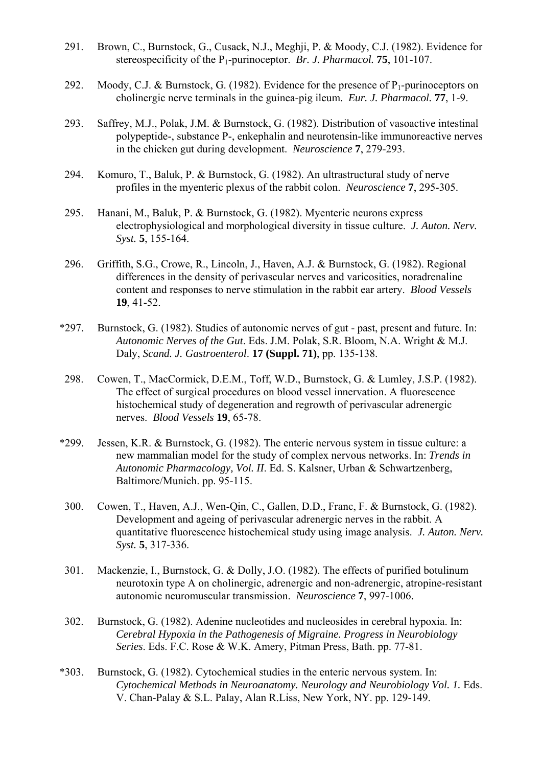- 291. Brown, C., Burnstock, G., Cusack, N.J., Meghji, P. & Moody, C.J. (1982). Evidence for stereospecificity of the P<sub>1</sub>-purinoceptor. *Br. J. Pharmacol.* **75**, 101-107.
- 292. Moody, C.J. & Burnstock, G. (1982). Evidence for the presence of  $P_1$ -purinoceptors on cholinergic nerve terminals in the guinea-pig ileum. *Eur. J. Pharmacol.* **77**, 1-9.
- 293. Saffrey, M.J., Polak, J.M. & Burnstock, G. (1982). Distribution of vasoactive intestinal polypeptide-, substance P-, enkephalin and neurotensin-like immunoreactive nerves in the chicken gut during development. *Neuroscience* **7**, 279-293.
- 294. Komuro, T., Baluk, P. & Burnstock, G. (1982). An ultrastructural study of nerve profiles in the myenteric plexus of the rabbit colon. *Neuroscience* **7**, 295-305.
- 295. Hanani, M., Baluk, P. & Burnstock, G. (1982). Myenteric neurons express electrophysiological and morphological diversity in tissue culture. *J. Auton. Nerv. Syst.* **5**, 155-164.
- 296. Griffith, S.G., Crowe, R., Lincoln, J., Haven, A.J. & Burnstock, G. (1982). Regional differences in the density of perivascular nerves and varicosities, noradrenaline content and responses to nerve stimulation in the rabbit ear artery. *Blood Vessels* **19**, 41-52.
- \*297. Burnstock, G. (1982). Studies of autonomic nerves of gut past, present and future. In: *Autonomic Nerves of the Gut*. Eds. J.M. Polak, S.R. Bloom, N.A. Wright & M.J. Daly, *Scand. J. Gastroenterol*. **17 (Suppl. 71)**, pp. 135-138.
- 298. Cowen, T., MacCormick, D.E.M., Toff, W.D., Burnstock, G. & Lumley, J.S.P. (1982). The effect of surgical procedures on blood vessel innervation. A fluorescence histochemical study of degeneration and regrowth of perivascular adrenergic nerves. *Blood Vessels* **19**, 65-78.
- \*299. Jessen, K.R. & Burnstock, G. (1982). The enteric nervous system in tissue culture: a new mammalian model for the study of complex nervous networks. In: *Trends in Autonomic Pharmacology, Vol. II*. Ed. S. Kalsner, Urban & Schwartzenberg, Baltimore/Munich. pp. 95-115.
- 300. Cowen, T., Haven, A.J., Wen-Qin, C., Gallen, D.D., Franc, F. & Burnstock, G. (1982). Development and ageing of perivascular adrenergic nerves in the rabbit. A quantitative fluorescence histochemical study using image analysis. *J. Auton. Nerv. Syst.* **5**, 317-336.
- 301. Mackenzie, I., Burnstock, G. & Dolly, J.O. (1982). The effects of purified botulinum neurotoxin type A on cholinergic, adrenergic and non-adrenergic, atropine-resistant autonomic neuromuscular transmission. *Neuroscience* **7**, 997-1006.
- 302. Burnstock, G. (1982). Adenine nucleotides and nucleosides in cerebral hypoxia. In: *Cerebral Hypoxia in the Pathogenesis of Migraine. Progress in Neurobiology Series*. Eds. F.C. Rose & W.K. Amery, Pitman Press, Bath. pp. 77-81.
- \*303. Burnstock, G. (1982). Cytochemical studies in the enteric nervous system. In: *Cytochemical Methods in Neuroanatomy. Neurology and Neurobiology Vol. 1.* Eds. V. Chan-Palay & S.L. Palay, Alan R.Liss, New York, NY. pp. 129-149.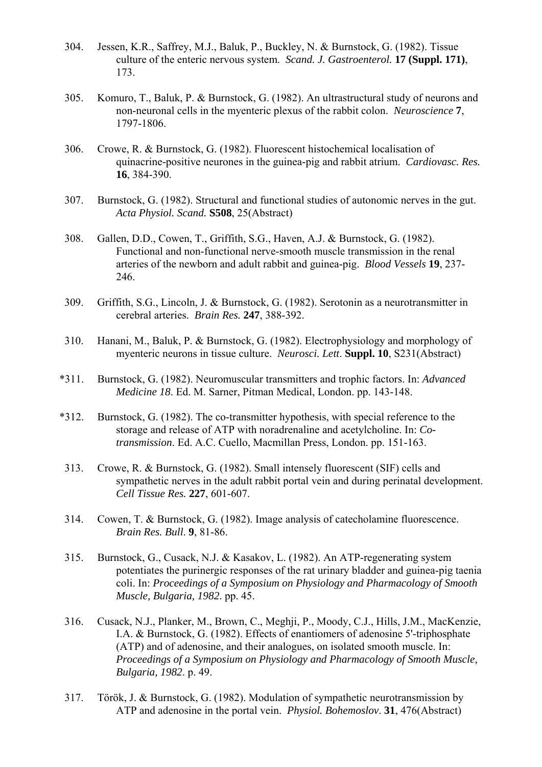- 304. Jessen, K.R., Saffrey, M.J., Baluk, P., Buckley, N. & Burnstock, G. (1982). Tissue culture of the enteric nervous system. *Scand. J. Gastroenterol.* **17 (Suppl. 171)**, 173.
- 305. Komuro, T., Baluk, P. & Burnstock, G. (1982). An ultrastructural study of neurons and non-neuronal cells in the myenteric plexus of the rabbit colon. *Neuroscience* **7**, 1797-1806.
- 306. Crowe, R. & Burnstock, G. (1982). Fluorescent histochemical localisation of quinacrine-positive neurones in the guinea-pig and rabbit atrium. *Cardiovasc. Res.* **16**, 384-390.
- 307. Burnstock, G. (1982). Structural and functional studies of autonomic nerves in the gut. *Acta Physiol. Scand.* **S508**, 25(Abstract)
- 308. Gallen, D.D., Cowen, T., Griffith, S.G., Haven, A.J. & Burnstock, G. (1982). Functional and non-functional nerve-smooth muscle transmission in the renal arteries of the newborn and adult rabbit and guinea-pig. *Blood Vessels* **19**, 237- 246.
- 309. Griffith, S.G., Lincoln, J. & Burnstock, G. (1982). Serotonin as a neurotransmitter in cerebral arteries. *Brain Res.* **247**, 388-392.
- 310. Hanani, M., Baluk, P. & Burnstock, G. (1982). Electrophysiology and morphology of myenteric neurons in tissue culture. *Neurosci. Lett*. **Suppl. 10**, S231(Abstract)
- \*311. Burnstock, G. (1982). Neuromuscular transmitters and trophic factors. In: *Advanced Medicine 18*. Ed. M. Sarner, Pitman Medical, London. pp. 143-148.
- \*312. Burnstock, G. (1982). The co-transmitter hypothesis, with special reference to the storage and release of ATP with noradrenaline and acetylcholine. In: *Cotransmission*. Ed. A.C. Cuello, Macmillan Press, London. pp. 151-163.
- 313. Crowe, R. & Burnstock, G. (1982). Small intensely fluorescent (SIF) cells and sympathetic nerves in the adult rabbit portal vein and during perinatal development. *Cell Tissue Res.* **227**, 601-607.
- 314. Cowen, T. & Burnstock, G. (1982). Image analysis of catecholamine fluorescence. *Brain Res. Bull*. **9**, 81-86.
- 315. Burnstock, G., Cusack, N.J. & Kasakov, L. (1982). An ATP-regenerating system potentiates the purinergic responses of the rat urinary bladder and guinea-pig taenia coli. In: *Proceedings of a Symposium on Physiology and Pharmacology of Smooth Muscle, Bulgaria, 1982*. pp. 45.
- 316. Cusack, N.J., Planker, M., Brown, C., Meghji, P., Moody, C.J., Hills, J.M., MacKenzie, I.A. & Burnstock, G. (1982). Effects of enantiomers of adenosine 5'-triphosphate (ATP) and of adenosine, and their analogues, on isolated smooth muscle. In: *Proceedings of a Symposium on Physiology and Pharmacology of Smooth Muscle, Bulgaria, 1982*. p. 49.
- 317. Török, J. & Burnstock, G. (1982). Modulation of sympathetic neurotransmission by ATP and adenosine in the portal vein. *Physiol. Bohemoslov*. **31**, 476(Abstract)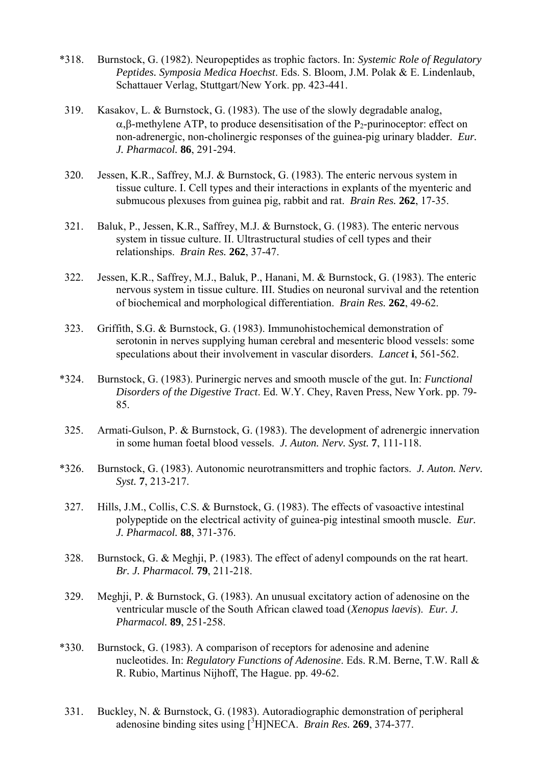- \*318. Burnstock, G. (1982). Neuropeptides as trophic factors. In: *Systemic Role of Regulatory Peptides. Symposia Medica Hoechst*. Eds. S. Bloom, J.M. Polak & E. Lindenlaub, Schattauer Verlag, Stuttgart/New York. pp. 423-441.
- 319. Kasakov, L. & Burnstock, G. (1983). The use of the slowly degradable analog,  $\alpha$ ,β-methylene ATP, to produce desensitisation of the P<sub>2</sub>-purinoceptor: effect on non-adrenergic, non-cholinergic responses of the guinea-pig urinary bladder. *Eur. J. Pharmacol.* **86**, 291-294.
- 320. Jessen, K.R., Saffrey, M.J. & Burnstock, G. (1983). The enteric nervous system in tissue culture. I. Cell types and their interactions in explants of the myenteric and submucous plexuses from guinea pig, rabbit and rat. *Brain Res.* **262**, 17-35.
- 321. Baluk, P., Jessen, K.R., Saffrey, M.J. & Burnstock, G. (1983). The enteric nervous system in tissue culture. II. Ultrastructural studies of cell types and their relationships. *Brain Res.* **262**, 37-47.
- 322. Jessen, K.R., Saffrey, M.J., Baluk, P., Hanani, M. & Burnstock, G. (1983). The enteric nervous system in tissue culture. III. Studies on neuronal survival and the retention of biochemical and morphological differentiation. *Brain Res.* **262**, 49-62.
- 323. Griffith, S.G. & Burnstock, G. (1983). Immunohistochemical demonstration of serotonin in nerves supplying human cerebral and mesenteric blood vessels: some speculations about their involvement in vascular disorders. *Lancet* **i**, 561-562.
- \*324. Burnstock, G. (1983). Purinergic nerves and smooth muscle of the gut. In: *Functional Disorders of the Digestive Tract*. Ed. W.Y. Chey, Raven Press, New York. pp. 79- 85.
- 325. Armati-Gulson, P. & Burnstock, G. (1983). The development of adrenergic innervation in some human foetal blood vessels. *J. Auton. Nerv. Syst.* **7**, 111-118.
- \*326. Burnstock, G. (1983). Autonomic neurotransmitters and trophic factors. *J. Auton. Nerv. Syst.* **7**, 213-217.
- 327. Hills, J.M., Collis, C.S. & Burnstock, G. (1983). The effects of vasoactive intestinal polypeptide on the electrical activity of guinea-pig intestinal smooth muscle. *Eur. J. Pharmacol.* **88**, 371-376.
- 328. Burnstock, G. & Meghji, P. (1983). The effect of adenyl compounds on the rat heart. *Br. J. Pharmacol.* **79**, 211-218.
- 329. Meghji, P. & Burnstock, G. (1983). An unusual excitatory action of adenosine on the ventricular muscle of the South African clawed toad (*Xenopus laevis*). *Eur. J. Pharmacol.* **89**, 251-258.
- \*330. Burnstock, G. (1983). A comparison of receptors for adenosine and adenine nucleotides. In: *Regulatory Functions of Adenosine*. Eds. R.M. Berne, T.W. Rall & R. Rubio, Martinus Nijhoff, The Hague. pp. 49-62.
- 331. Buckley, N. & Burnstock, G. (1983). Autoradiographic demonstration of peripheral adenosine binding sites using [<sup>3</sup>H]NECA. *Brain Res.* **269**, 374-377.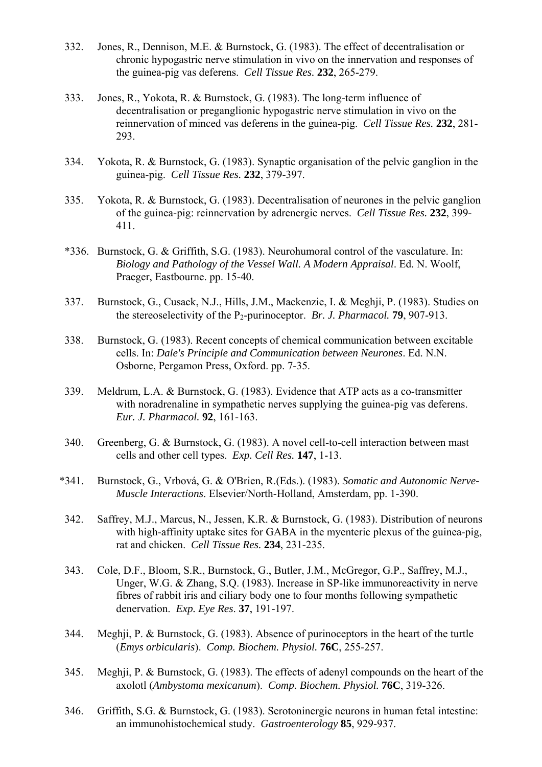- 332. Jones, R., Dennison, M.E. & Burnstock, G. (1983). The effect of decentralisation or chronic hypogastric nerve stimulation in vivo on the innervation and responses of the guinea-pig vas deferens. *Cell Tissue Res.* **232**, 265-279.
- 333. Jones, R., Yokota, R. & Burnstock, G. (1983). The long-term influence of decentralisation or preganglionic hypogastric nerve stimulation in vivo on the reinnervation of minced vas deferens in the guinea-pig. *Cell Tissue Res.* **232**, 281- 293.
- 334. Yokota, R. & Burnstock, G. (1983). Synaptic organisation of the pelvic ganglion in the guinea-pig. *Cell Tissue Res.* **232**, 379-397.
- 335. Yokota, R. & Burnstock, G. (1983). Decentralisation of neurones in the pelvic ganglion of the guinea-pig: reinnervation by adrenergic nerves. *Cell Tissue Res.* **232**, 399- 411.
- \*336. Burnstock, G. & Griffith, S.G. (1983). Neurohumoral control of the vasculature. In: *Biology and Pathology of the Vessel Wall. A Modern Appraisal*. Ed. N. Woolf, Praeger, Eastbourne. pp. 15-40.
- 337. Burnstock, G., Cusack, N.J., Hills, J.M., Mackenzie, I. & Meghji, P. (1983). Studies on the stereoselectivity of the  $P_2$ -purinoceptor. *Br. J. Pharmacol.* **79**, 907-913.
- 338. Burnstock, G. (1983). Recent concepts of chemical communication between excitable cells. In: *Dale's Principle and Communication between Neurones*. Ed. N.N. Osborne, Pergamon Press, Oxford. pp. 7-35.
- 339. Meldrum, L.A. & Burnstock, G. (1983). Evidence that ATP acts as a co-transmitter with noradrenaline in sympathetic nerves supplying the guinea-pig vas deferens. *Eur. J. Pharmacol.* **92**, 161-163.
- 340. Greenberg, G. & Burnstock, G. (1983). A novel cell-to-cell interaction between mast cells and other cell types. *Exp. Cell Res.* **147**, 1-13.
- \*341. Burnstock, G., Vrbová, G. & O'Brien, R.(Eds.). (1983). *Somatic and Autonomic Nerve-Muscle Interactions*. Elsevier/North-Holland, Amsterdam, pp. 1-390.
- 342. Saffrey, M.J., Marcus, N., Jessen, K.R. & Burnstock, G. (1983). Distribution of neurons with high-affinity uptake sites for GABA in the myenteric plexus of the guinea-pig, rat and chicken. *Cell Tissue Res.* **234**, 231-235.
- 343. Cole, D.F., Bloom, S.R., Burnstock, G., Butler, J.M., McGregor, G.P., Saffrey, M.J., Unger, W.G. & Zhang, S.Q. (1983). Increase in SP-like immunoreactivity in nerve fibres of rabbit iris and ciliary body one to four months following sympathetic denervation. *Exp. Eye Res*. **37**, 191-197.
- 344. Meghji, P. & Burnstock, G. (1983). Absence of purinoceptors in the heart of the turtle (*Emys orbicularis*). *Comp. Biochem. Physiol.* **76C**, 255-257.
- 345. Meghji, P. & Burnstock, G. (1983). The effects of adenyl compounds on the heart of the axolotl (*Ambystoma mexicanum*). *Comp. Biochem. Physiol.* **76C**, 319-326.
- 346. Griffith, S.G. & Burnstock, G. (1983). Serotoninergic neurons in human fetal intestine: an immunohistochemical study. *Gastroenterology* **85**, 929-937.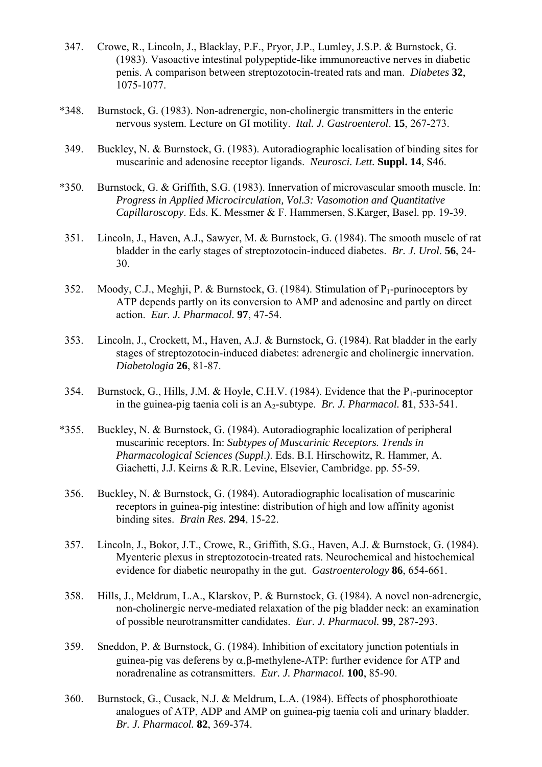- 347. Crowe, R., Lincoln, J., Blacklay, P.F., Pryor, J.P., Lumley, J.S.P. & Burnstock, G. (1983). Vasoactive intestinal polypeptide-like immunoreactive nerves in diabetic penis. A comparison between streptozotocin-treated rats and man. *Diabetes* **32**, 1075-1077.
- \*348. Burnstock, G. (1983). Non-adrenergic, non-cholinergic transmitters in the enteric nervous system. Lecture on GI motility. *Ital. J. Gastroenterol*. **15**, 267-273.
- 349. Buckley, N. & Burnstock, G. (1983). Autoradiographic localisation of binding sites for muscarinic and adenosine receptor ligands. *Neurosci. Lett.* **Suppl. 14**, S46.
- \*350. Burnstock, G. & Griffith, S.G. (1983). Innervation of microvascular smooth muscle. In: *Progress in Applied Microcirculation, Vol.3: Vasomotion and Quantitative Capillaroscopy*. Eds. K. Messmer & F. Hammersen, S.Karger, Basel. pp. 19-39.
- 351. Lincoln, J., Haven, A.J., Sawyer, M. & Burnstock, G. (1984). The smooth muscle of rat bladder in the early stages of streptozotocin-induced diabetes. *Br. J. Urol*. **56**, 24- 30.
- 352. Moody, C.J., Meghii, P. & Burnstock, G. (1984). Stimulation of  $P_1$ -purinoceptors by ATP depends partly on its conversion to AMP and adenosine and partly on direct action. *Eur. J. Pharmacol.* **97**, 47-54.
- 353. Lincoln, J., Crockett, M., Haven, A.J. & Burnstock, G. (1984). Rat bladder in the early stages of streptozotocin-induced diabetes: adrenergic and cholinergic innervation. *Diabetologia* **26**, 81-87.
- 354. Burnstock, G., Hills, J.M. & Hoyle, C.H.V. (1984). Evidence that the P1-purinoceptor in the guinea-pig taenia coli is an  $A_2$ -subtype. *Br. J. Pharmacol.* **81**, 533-541.
- \*355. Buckley, N. & Burnstock, G. (1984). Autoradiographic localization of peripheral muscarinic receptors. In: *Subtypes of Muscarinic Receptors. Trends in Pharmacological Sciences (Suppl*.*)*. Eds. B.I. Hirschowitz, R. Hammer, A. Giachetti, J.J. Keirns & R.R. Levine, Elsevier, Cambridge. pp. 55-59.
- 356. Buckley, N. & Burnstock, G. (1984). Autoradiographic localisation of muscarinic receptors in guinea-pig intestine: distribution of high and low affinity agonist binding sites. *Brain Res.* **294**, 15-22.
- 357. Lincoln, J., Bokor, J.T., Crowe, R., Griffith, S.G., Haven, A.J. & Burnstock, G. (1984). Myenteric plexus in streptozotocin-treated rats. Neurochemical and histochemical evidence for diabetic neuropathy in the gut. *Gastroenterology* **86**, 654-661.
- 358. Hills, J., Meldrum, L.A., Klarskov, P. & Burnstock, G. (1984). A novel non-adrenergic, non-cholinergic nerve-mediated relaxation of the pig bladder neck: an examination of possible neurotransmitter candidates. *Eur. J. Pharmacol.* **99**, 287-293.
- 359. Sneddon, P. & Burnstock, G. (1984). Inhibition of excitatory junction potentials in guinea-pig vas deferens by α,β-methylene-ATP: further evidence for ATP and noradrenaline as cotransmitters. *Eur. J. Pharmacol.* **100**, 85-90.
- 360. Burnstock, G., Cusack, N.J. & Meldrum, L.A. (1984). Effects of phosphorothioate analogues of ATP, ADP and AMP on guinea-pig taenia coli and urinary bladder. *Br. J. Pharmacol.* **82**, 369-374.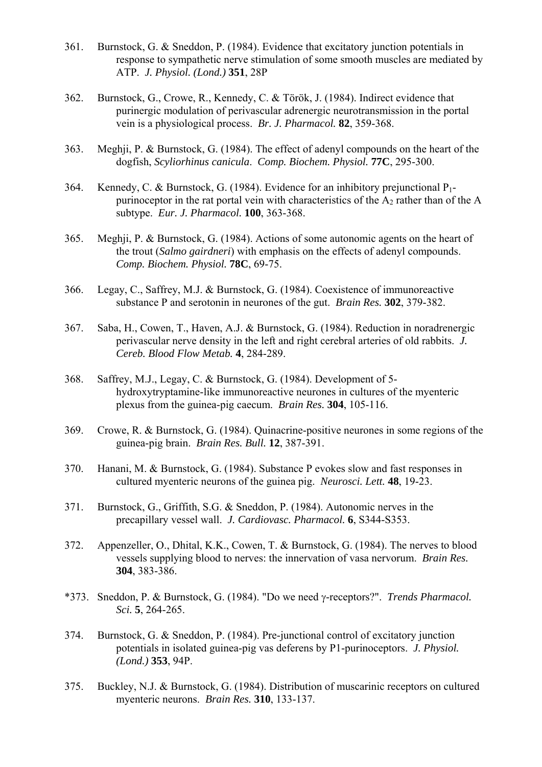- 361. Burnstock, G. & Sneddon, P. (1984). Evidence that excitatory junction potentials in response to sympathetic nerve stimulation of some smooth muscles are mediated by ATP. *J. Physiol. (Lond.)* **351**, 28P
- 362. Burnstock, G., Crowe, R., Kennedy, C. & Török, J. (1984). Indirect evidence that purinergic modulation of perivascular adrenergic neurotransmission in the portal vein is a physiological process. *Br. J. Pharmacol.* **82**, 359-368.
- 363. Meghji, P. & Burnstock, G. (1984). The effect of adenyl compounds on the heart of the dogfish, *Scyliorhinus canicula*. *Comp. Biochem. Physiol.* **77C**, 295-300.
- 364. Kennedy, C. & Burnstock, G. (1984). Evidence for an inhibitory prejunctional P1 purinoceptor in the rat portal vein with characteristics of the  $A_2$  rather than of the A subtype. *Eur. J. Pharmacol.* **100**, 363-368.
- 365. Meghji, P. & Burnstock, G. (1984). Actions of some autonomic agents on the heart of the trout (*Salmo gairdneri*) with emphasis on the effects of adenyl compounds. *Comp. Biochem. Physiol.* **78C**, 69-75.
- 366. Legay, C., Saffrey, M.J. & Burnstock, G. (1984). Coexistence of immunoreactive substance P and serotonin in neurones of the gut. *Brain Res.* **302**, 379-382.
- 367. Saba, H., Cowen, T., Haven, A.J. & Burnstock, G. (1984). Reduction in noradrenergic perivascular nerve density in the left and right cerebral arteries of old rabbits. *J. Cereb. Blood Flow Metab.* **4**, 284-289.
- 368. Saffrey, M.J., Legay, C. & Burnstock, G. (1984). Development of 5 hydroxytryptamine-like immunoreactive neurones in cultures of the myenteric plexus from the guinea-pig caecum. *Brain Res.* **304**, 105-116.
- 369. Crowe, R. & Burnstock, G. (1984). Quinacrine-positive neurones in some regions of the guinea-pig brain. *Brain Res. Bull.* **12**, 387-391.
- 370. Hanani, M. & Burnstock, G. (1984). Substance P evokes slow and fast responses in cultured myenteric neurons of the guinea pig. *Neurosci. Lett.* **48**, 19-23.
- 371. Burnstock, G., Griffith, S.G. & Sneddon, P. (1984). Autonomic nerves in the precapillary vessel wall. *J. Cardiovasc. Pharmacol.* **6**, S344-S353.
- 372. Appenzeller, O., Dhital, K.K., Cowen, T. & Burnstock, G. (1984). The nerves to blood vessels supplying blood to nerves: the innervation of vasa nervorum. *Brain Res.* **304**, 383-386.
- \*373. Sneddon, P. & Burnstock, G. (1984). "Do we need γ-receptors?". *Trends Pharmacol. Sci.* **5**, 264-265.
- 374. Burnstock, G. & Sneddon, P. (1984). Pre-junctional control of excitatory junction potentials in isolated guinea-pig vas deferens by P1-purinoceptors. *J. Physiol. (Lond.)* **353**, 94P.
- 375. Buckley, N.J. & Burnstock, G. (1984). Distribution of muscarinic receptors on cultured myenteric neurons. *Brain Res.* **310**, 133-137.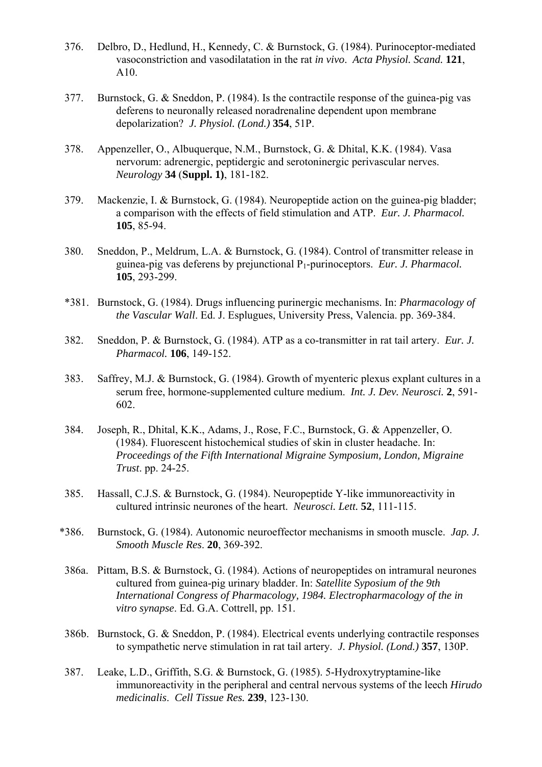- 376. Delbro, D., Hedlund, H., Kennedy, C. & Burnstock, G. (1984). Purinoceptor-mediated vasoconstriction and vasodilatation in the rat *in vivo*. *Acta Physiol. Scand.* **121**, A10.
- 377. Burnstock, G. & Sneddon, P. (1984). Is the contractile response of the guinea-pig vas deferens to neuronally released noradrenaline dependent upon membrane depolarization? *J. Physiol. (Lond.)* **354**, 51P.
- 378. Appenzeller, O., Albuquerque, N.M., Burnstock, G. & Dhital, K.K. (1984). Vasa nervorum: adrenergic, peptidergic and serotoninergic perivascular nerves. *Neurology* **34** (**Suppl. 1)**, 181-182.
- 379. Mackenzie, I. & Burnstock, G. (1984). Neuropeptide action on the guinea-pig bladder; a comparison with the effects of field stimulation and ATP. *Eur. J. Pharmacol.* **105**, 85-94.
- 380. Sneddon, P., Meldrum, L.A. & Burnstock, G. (1984). Control of transmitter release in guinea-pig vas deferens by prejunctional P1-purinoceptors. *Eur. J. Pharmacol.* **105**, 293-299.
- \*381. Burnstock, G. (1984). Drugs influencing purinergic mechanisms. In: *Pharmacology of the Vascular Wall*. Ed. J. Esplugues, University Press, Valencia. pp. 369-384.
- 382. Sneddon, P. & Burnstock, G. (1984). ATP as a co-transmitter in rat tail artery. *Eur. J. Pharmacol.* **106**, 149-152.
- 383. Saffrey, M.J. & Burnstock, G. (1984). Growth of myenteric plexus explant cultures in a serum free, hormone-supplemented culture medium. *Int. J. Dev. Neurosci.* **2**, 591- 602.
- 384. Joseph, R., Dhital, K.K., Adams, J., Rose, F.C., Burnstock, G. & Appenzeller, O. (1984). Fluorescent histochemical studies of skin in cluster headache. In: *Proceedings of the Fifth International Migraine Symposium, London, Migraine Trust*. pp. 24-25.
- 385. Hassall, C.J.S. & Burnstock, G. (1984). Neuropeptide Y-like immunoreactivity in cultured intrinsic neurones of the heart. *Neurosci. Lett.* **52**, 111-115.
- \*386. Burnstock, G. (1984). Autonomic neuroeffector mechanisms in smooth muscle. *Jap. J. Smooth Muscle Res*. **20**, 369-392.
- 386a. Pittam, B.S. & Burnstock, G. (1984). Actions of neuropeptides on intramural neurones cultured from guinea-pig urinary bladder. In: *Satellite Syposium of the 9th International Congress of Pharmacology, 1984. Electropharmacology of the in vitro synapse*. Ed. G.A. Cottrell, pp. 151.
- 386b. Burnstock, G. & Sneddon, P. (1984). Electrical events underlying contractile responses to sympathetic nerve stimulation in rat tail artery. *J. Physiol. (Lond.)* **357**, 130P.
- 387. Leake, L.D., Griffith, S.G. & Burnstock, G. (1985). 5-Hydroxytryptamine-like immunoreactivity in the peripheral and central nervous systems of the leech *Hirudo medicinalis*. *Cell Tissue Res.* **239**, 123-130.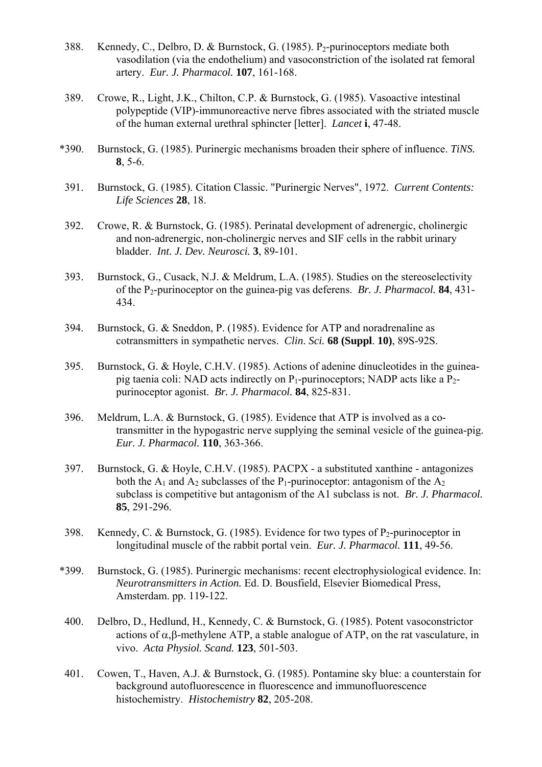- 388. Kennedy, C., Delbro, D. & Burnstock, G. (1985). P<sub>2</sub>-purinoceptors mediate both vasodilation (via the endothelium) and vasoconstriction of the isolated rat femoral artery. *Eur. J. Pharmacol.* **107**, 161-168.
- 389. Crowe, R., Light, J.K., Chilton, C.P. & Burnstock, G. (1985). Vasoactive intestinal polypeptide (VIP)-immunoreactive nerve fibres associated with the striated muscle of the human external urethral sphincter [letter]. *Lancet* **i**, 47-48.
- \*390. Burnstock, G. (1985). Purinergic mechanisms broaden their sphere of influence. *TiNS.* **8**, 5-6.
- 391. Burnstock, G. (1985). Citation Classic. "Purinergic Nerves", 1972. *Current Contents: Life Sciences* **28**, 18.
- 392. Crowe, R. & Burnstock, G. (1985). Perinatal development of adrenergic, cholinergic and non-adrenergic, non-cholinergic nerves and SIF cells in the rabbit urinary bladder. *Int. J. Dev. Neurosci.* **3**, 89-101.
- 393. Burnstock, G., Cusack, N.J. & Meldrum, L.A. (1985). Studies on the stereoselectivity of the P2-purinoceptor on the guinea-pig vas deferens. *Br. J. Pharmacol.* **84**, 431- 434.
- 394. Burnstock, G. & Sneddon, P. (1985). Evidence for ATP and noradrenaline as cotransmitters in sympathetic nerves. *Clin*. *Sci.* **68 (Suppl**. **10)**, 89S-92S.
- 395. Burnstock, G. & Hoyle, C.H.V. (1985). Actions of adenine dinucleotides in the guineapig taenia coli: NAD acts indirectly on  $P_1$ -purinoceptors; NADP acts like a  $P_2$ purinoceptor agonist. *Br. J. Pharmacol.* **84**, 825-831.
- 396. Meldrum, L.A. & Burnstock, G. (1985). Evidence that ATP is involved as a cotransmitter in the hypogastric nerve supplying the seminal vesicle of the guinea-pig. *Eur. J. Pharmacol.* **110**, 363-366.
- 397. Burnstock, G. & Hoyle, C.H.V. (1985). PACPX a substituted xanthine antagonizes both the  $A_1$  and  $A_2$  subclasses of the P<sub>1</sub>-purinoceptor: antagonism of the  $A_2$ subclass is competitive but antagonism of the A1 subclass is not. *Br. J. Pharmacol.* **85**, 291-296.
- 398. Kennedy, C. & Burnstock, G. (1985). Evidence for two types of  $P_2$ -purinoceptor in longitudinal muscle of the rabbit portal vein. *Eur. J. Pharmacol.* **111**, 49-56.
- \*399. Burnstock, G. (1985). Purinergic mechanisms: recent electrophysiological evidence. In: *Neurotransmitters in Action.* Ed. D. Bousfield, Elsevier Biomedical Press, Amsterdam. pp. 119-122.
- 400. Delbro, D., Hedlund, H., Kennedy, C. & Burnstock, G. (1985). Potent vasoconstrictor actions of  $\alpha$ ,  $\beta$ -methylene ATP, a stable analogue of ATP, on the rat vasculature, in vivo. *Acta Physiol. Scand.* **123**, 501-503.
- 401. Cowen, T., Haven, A.J. & Burnstock, G. (1985). Pontamine sky blue: a counterstain for background autofluorescence in fluorescence and immunofluorescence histochemistry. *Histochemistry* **82**, 205-208.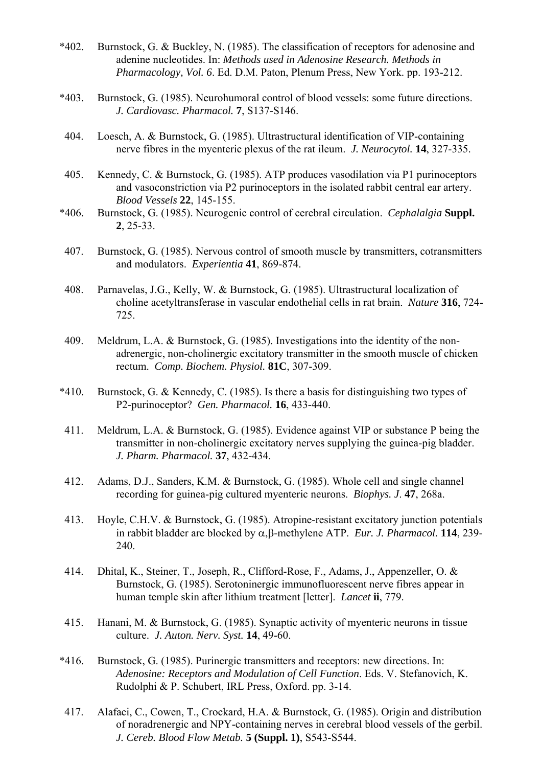- \*402. Burnstock, G. & Buckley, N. (1985). The classification of receptors for adenosine and adenine nucleotides. In: *Methods used in Adenosine Research. Methods in Pharmacology, Vol. 6*. Ed. D.M. Paton, Plenum Press, New York. pp. 193-212.
- \*403. Burnstock, G. (1985). Neurohumoral control of blood vessels: some future directions. *J. Cardiovasc. Pharmacol.* **7**, S137-S146.
- 404. Loesch, A. & Burnstock, G. (1985). Ultrastructural identification of VIP-containing nerve fibres in the myenteric plexus of the rat ileum. *J. Neurocytol.* **14**, 327-335.
- 405. Kennedy, C. & Burnstock, G. (1985). ATP produces vasodilation via P1 purinoceptors and vasoconstriction via P2 purinoceptors in the isolated rabbit central ear artery. *Blood Vessels* **22**, 145-155.
- \*406. Burnstock, G. (1985). Neurogenic control of cerebral circulation. *Cephalalgia* **Suppl. 2**, 25-33.
- 407. Burnstock, G. (1985). Nervous control of smooth muscle by transmitters, cotransmitters and modulators. *Experientia* **41**, 869-874.
- 408. Parnavelas, J.G., Kelly, W. & Burnstock, G. (1985). Ultrastructural localization of choline acetyltransferase in vascular endothelial cells in rat brain. *Nature* **316**, 724- 725.
- 409. Meldrum, L.A. & Burnstock, G. (1985). Investigations into the identity of the nonadrenergic, non-cholinergic excitatory transmitter in the smooth muscle of chicken rectum. *Comp. Biochem. Physiol.* **81C**, 307-309.
- \*410. Burnstock, G. & Kennedy, C. (1985). Is there a basis for distinguishing two types of P2-purinoceptor? *Gen. Pharmacol.* **16**, 433-440.
- 411. Meldrum, L.A. & Burnstock, G. (1985). Evidence against VIP or substance P being the transmitter in non-cholinergic excitatory nerves supplying the guinea-pig bladder. *J. Pharm. Pharmacol.* **37**, 432-434.
- 412. Adams, D.J., Sanders, K.M. & Burnstock, G. (1985). Whole cell and single channel recording for guinea-pig cultured myenteric neurons. *Biophys. J*. **47**, 268a.
- 413. Hoyle, C.H.V. & Burnstock, G. (1985). Atropine-resistant excitatory junction potentials in rabbit bladder are blocked by α,β-methylene ATP. *Eur. J. Pharmacol.* **114**, 239- 240.
- 414. Dhital, K., Steiner, T., Joseph, R., Clifford-Rose, F., Adams, J., Appenzeller, O. & Burnstock, G. (1985). Serotoninergic immunofluorescent nerve fibres appear in human temple skin after lithium treatment [letter]. *Lancet* **ii**, 779.
- 415. Hanani, M. & Burnstock, G. (1985). Synaptic activity of myenteric neurons in tissue culture. *J. Auton. Nerv. Syst.* **14**, 49-60.
- \*416. Burnstock, G. (1985). Purinergic transmitters and receptors: new directions. In: *Adenosine: Receptors and Modulation of Cell Function*. Eds. V. Stefanovich, K. Rudolphi & P. Schubert, IRL Press, Oxford. pp. 3-14.
- 417. Alafaci, C., Cowen, T., Crockard, H.A. & Burnstock, G. (1985). Origin and distribution of noradrenergic and NPY-containing nerves in cerebral blood vessels of the gerbil. *J. Cereb. Blood Flow Metab.* **5 (Suppl. 1)**, S543-S544.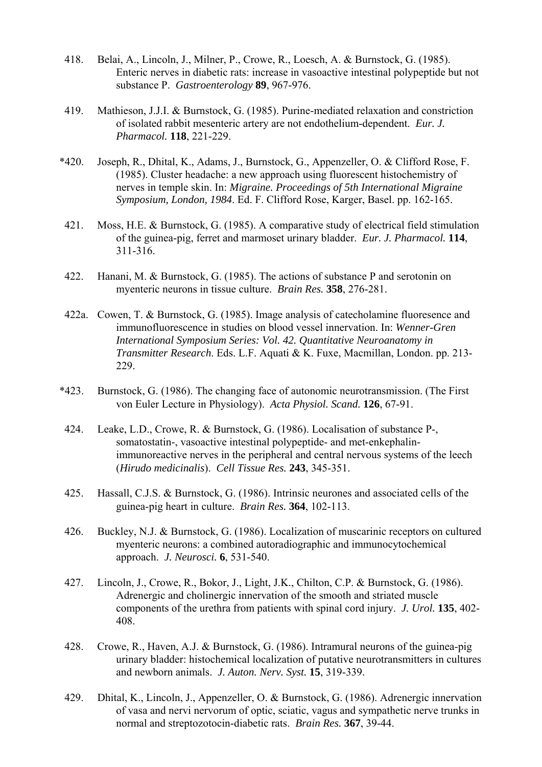- 418. Belai, A., Lincoln, J., Milner, P., Crowe, R., Loesch, A. & Burnstock, G. (1985). Enteric nerves in diabetic rats: increase in vasoactive intestinal polypeptide but not substance P. *Gastroenterology* **89**, 967-976.
- 419. Mathieson, J.J.I. & Burnstock, G. (1985). Purine-mediated relaxation and constriction of isolated rabbit mesenteric artery are not endothelium-dependent. *Eur. J. Pharmacol.* **118**, 221-229.
- \*420. Joseph, R., Dhital, K., Adams, J., Burnstock, G., Appenzeller, O. & Clifford Rose, F. (1985). Cluster headache: a new approach using fluorescent histochemistry of nerves in temple skin. In: *Migraine. Proceedings of 5th International Migraine Symposium, London, 1984*. Ed. F. Clifford Rose, Karger, Basel. pp. 162-165.
- 421. Moss, H.E. & Burnstock, G. (1985). A comparative study of electrical field stimulation of the guinea-pig, ferret and marmoset urinary bladder. *Eur. J. Pharmacol.* **114**, 311-316.
- 422. Hanani, M. & Burnstock, G. (1985). The actions of substance P and serotonin on myenteric neurons in tissue culture. *Brain Res.* **358**, 276-281.
- 422a. Cowen, T. & Burnstock, G. (1985). Image analysis of catecholamine fluoresence and immunofluorescence in studies on blood vessel innervation. In: *Wenner-Gren International Symposium Series: Vol. 42. Quantitative Neuroanatomy in Transmitter Research*. Eds. L.F. Aquati & K. Fuxe, Macmillan, London. pp. 213- 229.
- \*423. Burnstock, G. (1986). The changing face of autonomic neurotransmission. (The First von Euler Lecture in Physiology). *Acta Physiol. Scand.* **126**, 67-91.
- 424. Leake, L.D., Crowe, R. & Burnstock, G. (1986). Localisation of substance P-, somatostatin-, vasoactive intestinal polypeptide- and met-enkephalinimmunoreactive nerves in the peripheral and central nervous systems of the leech (*Hirudo medicinalis*). *Cell Tissue Res.* **243**, 345-351.
- 425. Hassall, C.J.S. & Burnstock, G. (1986). Intrinsic neurones and associated cells of the guinea-pig heart in culture. *Brain Res.* **364**, 102-113.
- 426. Buckley, N.J. & Burnstock, G. (1986). Localization of muscarinic receptors on cultured myenteric neurons: a combined autoradiographic and immunocytochemical approach. *J. Neurosci.* **6**, 531-540.
- 427. Lincoln, J., Crowe, R., Bokor, J., Light, J.K., Chilton, C.P. & Burnstock, G. (1986). Adrenergic and cholinergic innervation of the smooth and striated muscle components of the urethra from patients with spinal cord injury. *J. Urol.* **135**, 402- 408.
- 428. Crowe, R., Haven, A.J. & Burnstock, G. (1986). Intramural neurons of the guinea-pig urinary bladder: histochemical localization of putative neurotransmitters in cultures and newborn animals. *J. Auton. Nerv. Syst.* **15**, 319-339.
- 429. Dhital, K., Lincoln, J., Appenzeller, O. & Burnstock, G. (1986). Adrenergic innervation of vasa and nervi nervorum of optic, sciatic, vagus and sympathetic nerve trunks in normal and streptozotocin-diabetic rats. *Brain Res.* **367**, 39-44.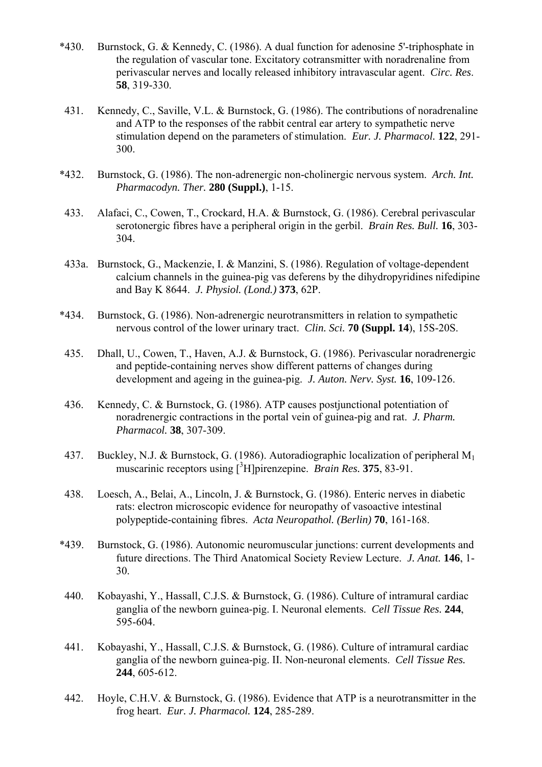- \*430. Burnstock, G. & Kennedy, C. (1986). A dual function for adenosine 5'-triphosphate in the regulation of vascular tone. Excitatory cotransmitter with noradrenaline from perivascular nerves and locally released inhibitory intravascular agent. *Circ. Res*. **58**, 319-330.
- 431. Kennedy, C., Saville, V.L. & Burnstock, G. (1986). The contributions of noradrenaline and ATP to the responses of the rabbit central ear artery to sympathetic nerve stimulation depend on the parameters of stimulation. *Eur. J. Pharmacol.* **122**, 291- 300.
- \*432. Burnstock, G. (1986). The non-adrenergic non-cholinergic nervous system. *Arch. Int. Pharmacodyn. Ther.* **280 (Suppl.)**, 1-15.
- 433. Alafaci, C., Cowen, T., Crockard, H.A. & Burnstock, G. (1986). Cerebral perivascular serotonergic fibres have a peripheral origin in the gerbil. *Brain Res. Bull.* **16**, 303- 304.
- 433a. Burnstock, G., Mackenzie, I. & Manzini, S. (1986). Regulation of voltage-dependent calcium channels in the guinea-pig vas deferens by the dihydropyridines nifedipine and Bay K 8644. *J. Physiol. (Lond.)* **373**, 62P.
- \*434. Burnstock, G. (1986). Non-adrenergic neurotransmitters in relation to sympathetic nervous control of the lower urinary tract. *Clin. Sci.* **70 (Suppl. 14**), 15S-20S.
- 435. Dhall, U., Cowen, T., Haven, A.J. & Burnstock, G. (1986). Perivascular noradrenergic and peptide-containing nerves show different patterns of changes during development and ageing in the guinea-pig. *J. Auton. Nerv. Syst.* **16**, 109-126.
- 436. Kennedy, C. & Burnstock, G. (1986). ATP causes postjunctional potentiation of noradrenergic contractions in the portal vein of guinea-pig and rat. *J. Pharm. Pharmacol.* **38**, 307-309.
- 437. Buckley, N.J. & Burnstock, G. (1986). Autoradiographic localization of peripheral M1 muscarinic receptors using [3 H]pirenzepine. *Brain Res.* **375**, 83-91.
- 438. Loesch, A., Belai, A., Lincoln, J. & Burnstock, G. (1986). Enteric nerves in diabetic rats: electron microscopic evidence for neuropathy of vasoactive intestinal polypeptide-containing fibres. *Acta Neuropathol. (Berlin)* **70**, 161-168.
- \*439. Burnstock, G. (1986). Autonomic neuromuscular junctions: current developments and future directions. The Third Anatomical Society Review Lecture. *J. Anat.* **146**, 1- 30.
- 440. Kobayashi, Y., Hassall, C.J.S. & Burnstock, G. (1986). Culture of intramural cardiac ganglia of the newborn guinea-pig. I. Neuronal elements. *Cell Tissue Res.* **244**, 595-604.
- 441. Kobayashi, Y., Hassall, C.J.S. & Burnstock, G. (1986). Culture of intramural cardiac ganglia of the newborn guinea-pig. II. Non-neuronal elements. *Cell Tissue Res.* **244**, 605-612.
- 442. Hoyle, C.H.V. & Burnstock, G. (1986). Evidence that ATP is a neurotransmitter in the frog heart. *Eur. J. Pharmacol.* **124**, 285-289.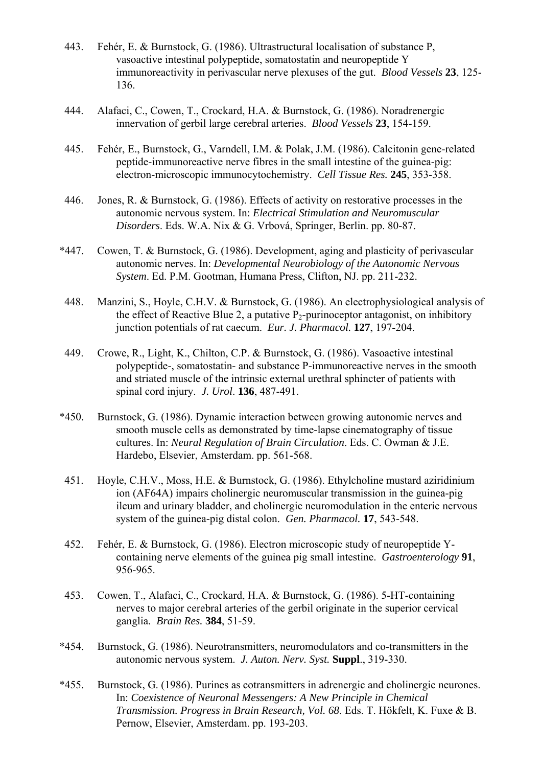- 443. Fehér, E. & Burnstock, G. (1986). Ultrastructural localisation of substance P, vasoactive intestinal polypeptide, somatostatin and neuropeptide Y immunoreactivity in perivascular nerve plexuses of the gut. *Blood Vessels* **23**, 125- 136.
- 444. Alafaci, C., Cowen, T., Crockard, H.A. & Burnstock, G. (1986). Noradrenergic innervation of gerbil large cerebral arteries. *Blood Vessels* **23**, 154-159.
- 445. Fehér, E., Burnstock, G., Varndell, I.M. & Polak, J.M. (1986). Calcitonin gene-related peptide-immunoreactive nerve fibres in the small intestine of the guinea-pig: electron-microscopic immunocytochemistry. *Cell Tissue Res.* **245**, 353-358.
- 446. Jones, R. & Burnstock, G. (1986). Effects of activity on restorative processes in the autonomic nervous system. In: *Electrical Stimulation and Neuromuscular Disorders*. Eds. W.A. Nix & G. Vrbová, Springer, Berlin. pp. 80-87.
- \*447. Cowen, T. & Burnstock, G. (1986). Development, aging and plasticity of perivascular autonomic nerves. In: *Developmental Neurobiology of the Autonomic Nervous System*. Ed. P.M. Gootman, Humana Press, Clifton, NJ. pp. 211-232.
- 448. Manzini, S., Hoyle, C.H.V. & Burnstock, G. (1986). An electrophysiological analysis of the effect of Reactive Blue 2, a putative  $P_2$ -purinoceptor antagonist, on inhibitory junction potentials of rat caecum. *Eur. J. Pharmacol.* **127**, 197-204.
- 449. Crowe, R., Light, K., Chilton, C.P. & Burnstock, G. (1986). Vasoactive intestinal polypeptide-, somatostatin- and substance P-immunoreactive nerves in the smooth and striated muscle of the intrinsic external urethral sphincter of patients with spinal cord injury. *J. Urol*. **136**, 487-491.
- \*450. Burnstock, G. (1986). Dynamic interaction between growing autonomic nerves and smooth muscle cells as demonstrated by time-lapse cinematography of tissue cultures. In: *Neural Regulation of Brain Circulation*. Eds. C. Owman & J.E. Hardebo, Elsevier, Amsterdam. pp. 561-568.
- 451. Hoyle, C.H.V., Moss, H.E. & Burnstock, G. (1986). Ethylcholine mustard aziridinium ion (AF64A) impairs cholinergic neuromuscular transmission in the guinea-pig ileum and urinary bladder, and cholinergic neuromodulation in the enteric nervous system of the guinea-pig distal colon. *Gen. Pharmacol.* **17**, 543-548.
- 452. Fehér, E. & Burnstock, G. (1986). Electron microscopic study of neuropeptide Ycontaining nerve elements of the guinea pig small intestine. *Gastroenterology* **91**, 956-965.
- 453. Cowen, T., Alafaci, C., Crockard, H.A. & Burnstock, G. (1986). 5-HT-containing nerves to major cerebral arteries of the gerbil originate in the superior cervical ganglia. *Brain Res.* **384**, 51-59.
- \*454. Burnstock, G. (1986). Neurotransmitters, neuromodulators and co-transmitters in the autonomic nervous system. *J. Auton. Nerv. Syst.* **Suppl**., 319-330.
- \*455. Burnstock, G. (1986). Purines as cotransmitters in adrenergic and cholinergic neurones. In: *Coexistence of Neuronal Messengers: A New Principle in Chemical Transmission. Progress in Brain Research, Vol. 68*. Eds. T. Hökfelt, K. Fuxe & B. Pernow, Elsevier, Amsterdam. pp. 193-203.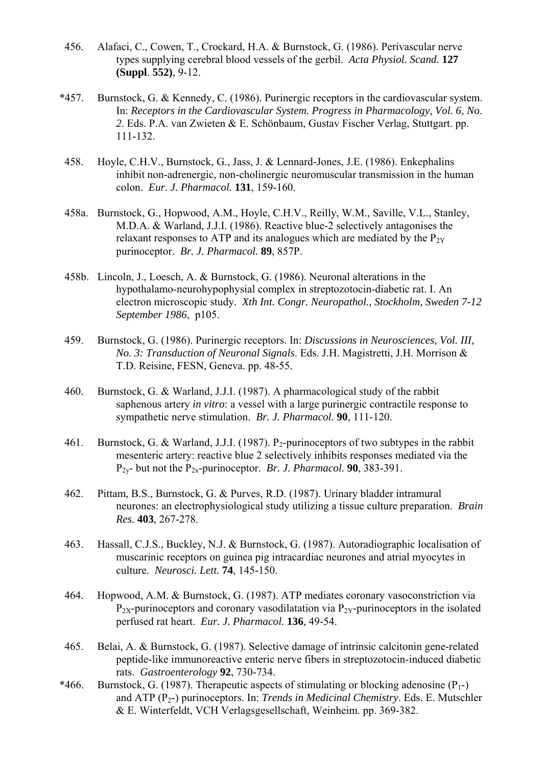- 456. Alafaci, C., Cowen, T., Crockard, H.A. & Burnstock, G. (1986). Perivascular nerve types supplying cerebral blood vessels of the gerbil. *Acta Physiol. Scand.* **127 (Suppl**. **552)**, 9-12.
- \*457. Burnstock, G. & Kennedy, C. (1986). Purinergic receptors in the cardiovascular system. In: *Receptors in the Cardiovascular System. Progress in Pharmacology, Vol. 6, No*. *2*. Eds. P.A. van Zwieten & E. Schönbaum, Gustav Fischer Verlag, Stuttgart. pp. 111-132.
- 458. Hoyle, C.H.V., Burnstock, G., Jass, J. & Lennard-Jones, J.E. (1986). Enkephalins inhibit non-adrenergic, non-cholinergic neuromuscular transmission in the human colon. *Eur. J. Pharmacol.* **131**, 159-160.
- 458a. Burnstock, G., Hopwood, A.M., Hoyle, C.H.V., Reilly, W.M., Saville, V.L., Stanley, M.D.A. & Warland, J.J.I. (1986). Reactive blue-2 selectively antagonises the relaxant responses to ATP and its analogues which are mediated by the  $P_{2Y}$ purinoceptor. *Br. J. Pharmacol.* **89**, 857P.
- 458b. Lincoln, J., Loesch, A. & Burnstock, G. (1986). Neuronal alterations in the hypothalamo-neurohypophysial complex in streptozotocin-diabetic rat. I. An electron microscopic study. *Xth Int. Congr. Neuropathol., Stockholm, Sweden 7-12 September 1986*, p105.
- 459. Burnstock, G. (1986). Purinergic receptors. In: *Discussions in Neurosciences, Vol. III, No. 3: Transduction of Neuronal Signals*. Eds. J.H. Magistretti, J.H. Morrison & T.D. Reisine, FESN, Geneva. pp. 48-55.
- 460. Burnstock, G. & Warland, J.J.I. (1987). A pharmacological study of the rabbit saphenous artery *in vitro*: a vessel with a large purinergic contractile response to sympathetic nerve stimulation. *Br. J. Pharmacol.* **90**, 111-120.
- 461. Burnstock, G. & Warland, J.J.I. (1987). P<sub>2</sub>-purinoceptors of two subtypes in the rabbit mesenteric artery: reactive blue 2 selectively inhibits responses mediated via the  $P_{2v}$ - but not the  $P_{2x}$ -purinoceptor. *Br. J. Pharmacol.* **90**, 383-391.
- 462. Pittam, B.S., Burnstock, G. & Purves, R.D. (1987). Urinary bladder intramural neurones: an electrophysiological study utilizing a tissue culture preparation. *Brain Res.* **403**, 267-278.
- 463. Hassall, C.J.S., Buckley, N.J. & Burnstock, G. (1987). Autoradiographic localisation of muscarinic receptors on guinea pig intracardiac neurones and atrial myocytes in culture. *Neurosci. Lett.* **74**, 145-150.
- 464. Hopwood, A.M. & Burnstock, G. (1987). ATP mediates coronary vasoconstriction via  $P_{2X}$ -purinoceptors and coronary vasodilatation via  $P_{2Y}$ -purinoceptors in the isolated perfused rat heart. *Eur. J. Pharmacol.* **136**, 49-54.
- 465. Belai, A. & Burnstock, G. (1987). Selective damage of intrinsic calcitonin gene-related peptide-like immunoreactive enteric nerve fibers in streptozotocin-induced diabetic rats. *Gastroenterology* **92**, 730-734.
- \*466. Burnstock, G. (1987). Therapeutic aspects of stimulating or blocking adenosine  $(P_1-)$ and ATP (P2-) purinoceptors. In: *Trends in Medicinal Chemistry*. Eds. E. Mutschler & E. Winterfeldt, VCH Verlagsgesellschaft, Weinheim. pp. 369-382.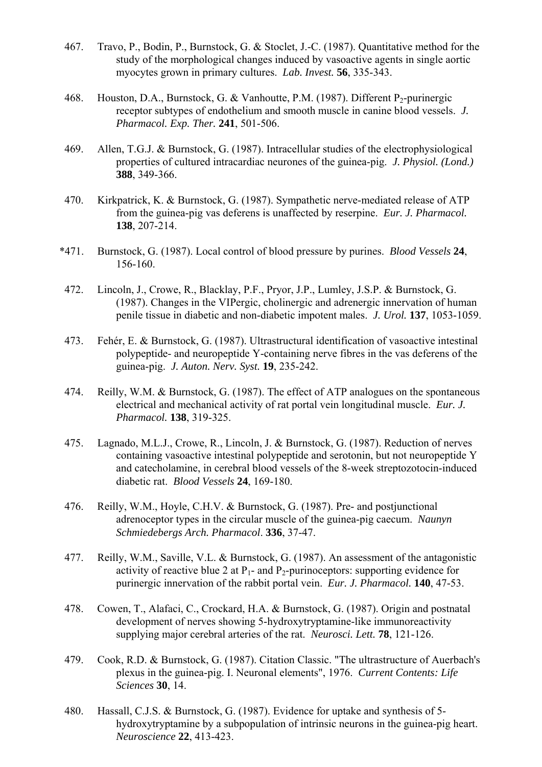- 467. Travo, P., Bodin, P., Burnstock, G. & Stoclet, J.-C. (1987). Quantitative method for the study of the morphological changes induced by vasoactive agents in single aortic myocytes grown in primary cultures. *Lab. Invest.* **56**, 335-343.
- 468. Houston, D.A., Burnstock, G. & Vanhoutte, P.M. (1987). Different P<sub>2</sub>-purinergic receptor subtypes of endothelium and smooth muscle in canine blood vessels. *J. Pharmacol. Exp. Ther.* **241**, 501-506.
- 469. Allen, T.G.J. & Burnstock, G. (1987). Intracellular studies of the electrophysiological properties of cultured intracardiac neurones of the guinea-pig. *J. Physiol. (Lond.)* **388**, 349-366.
- 470. Kirkpatrick, K. & Burnstock, G. (1987). Sympathetic nerve-mediated release of ATP from the guinea-pig vas deferens is unaffected by reserpine. *Eur. J. Pharmacol.* **138**, 207-214.
- \*471. Burnstock, G. (1987). Local control of blood pressure by purines. *Blood Vessels* **24**, 156-160.
- 472. Lincoln, J., Crowe, R., Blacklay, P.F., Pryor, J.P., Lumley, J.S.P. & Burnstock, G. (1987). Changes in the VIPergic, cholinergic and adrenergic innervation of human penile tissue in diabetic and non-diabetic impotent males. *J. Urol.* **137**, 1053-1059.
- 473. Fehér, E. & Burnstock, G. (1987). Ultrastructural identification of vasoactive intestinal polypeptide- and neuropeptide Y-containing nerve fibres in the vas deferens of the guinea-pig. *J. Auton. Nerv. Syst.* **19**, 235-242.
- 474. Reilly, W.M. & Burnstock, G. (1987). The effect of ATP analogues on the spontaneous electrical and mechanical activity of rat portal vein longitudinal muscle. *Eur. J. Pharmacol.* **138**, 319-325.
- 475. Lagnado, M.L.J., Crowe, R., Lincoln, J. & Burnstock, G. (1987). Reduction of nerves containing vasoactive intestinal polypeptide and serotonin, but not neuropeptide Y and catecholamine, in cerebral blood vessels of the 8-week streptozotocin-induced diabetic rat. *Blood Vessels* **24**, 169-180.
- 476. Reilly, W.M., Hoyle, C.H.V. & Burnstock, G. (1987). Pre- and postjunctional adrenoceptor types in the circular muscle of the guinea-pig caecum. *Naunyn Schmiedebergs Arch. Pharmacol*. **336**, 37-47.
- 477. Reilly, W.M., Saville, V.L. & Burnstock, G. (1987). An assessment of the antagonistic activity of reactive blue 2 at  $P_1$ - and  $P_2$ -purinoceptors: supporting evidence for purinergic innervation of the rabbit portal vein. *Eur. J. Pharmacol.* **140**, 47-53.
- 478. Cowen, T., Alafaci, C., Crockard, H.A. & Burnstock, G. (1987). Origin and postnatal development of nerves showing 5-hydroxytryptamine-like immunoreactivity supplying major cerebral arteries of the rat. *Neurosci. Lett.* **78**, 121-126.
- 479. Cook, R.D. & Burnstock, G. (1987). Citation Classic. "The ultrastructure of Auerbach's plexus in the guinea-pig. I. Neuronal elements", 1976. *Current Contents: Life Sciences* **30**, 14.
- 480. Hassall, C.J.S. & Burnstock, G. (1987). Evidence for uptake and synthesis of 5 hydroxytryptamine by a subpopulation of intrinsic neurons in the guinea-pig heart. *Neuroscience* **22**, 413-423.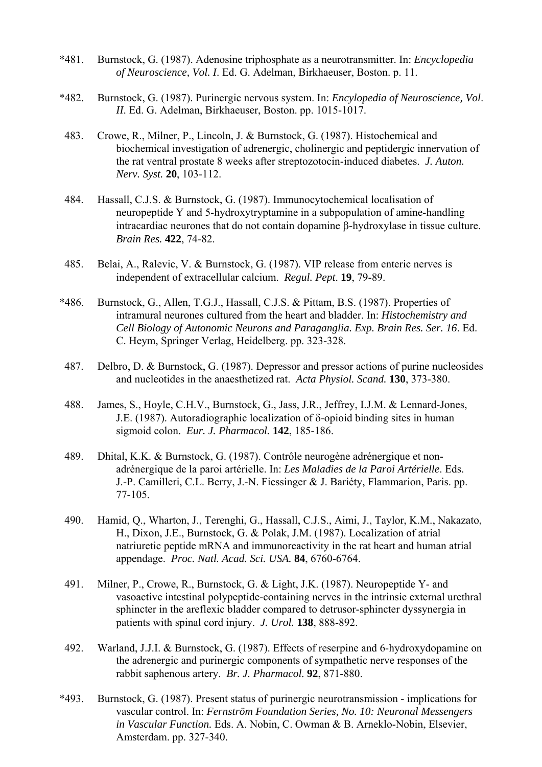- \*481. Burnstock, G. (1987). Adenosine triphosphate as a neurotransmitter. In: *Encyclopedia of Neuroscience, Vol. I*. Ed. G. Adelman, Birkhaeuser, Boston. p. 11.
- \*482. Burnstock, G. (1987). Purinergic nervous system. In: *Encylopedia of Neuroscience, Vol*. *II*. Ed. G. Adelman, Birkhaeuser, Boston. pp. 1015-1017.
- 483. Crowe, R., Milner, P., Lincoln, J. & Burnstock, G. (1987). Histochemical and biochemical investigation of adrenergic, cholinergic and peptidergic innervation of the rat ventral prostate 8 weeks after streptozotocin-induced diabetes. *J. Auton. Nerv. Syst.* **20**, 103-112.
- 484. Hassall, C.J.S. & Burnstock, G. (1987). Immunocytochemical localisation of neuropeptide Y and 5-hydroxytryptamine in a subpopulation of amine-handling intracardiac neurones that do not contain dopamine β-hydroxylase in tissue culture. *Brain Res.* **422**, 74-82.
- 485. Belai, A., Ralevic, V. & Burnstock, G. (1987). VIP release from enteric nerves is independent of extracellular calcium. *Regul. Pept*. **19**, 79-89.
- \*486. Burnstock, G., Allen, T.G.J., Hassall, C.J.S. & Pittam, B.S. (1987). Properties of intramural neurones cultured from the heart and bladder. In: *Histochemistry and Cell Biology of Autonomic Neurons and Paraganglia. Exp. Brain Res. Ser. 16*. Ed. C. Heym, Springer Verlag, Heidelberg. pp. 323-328.
- 487. Delbro, D. & Burnstock, G. (1987). Depressor and pressor actions of purine nucleosides and nucleotides in the anaesthetized rat. *Acta Physiol. Scand.* **130**, 373-380.
- 488. James, S., Hoyle, C.H.V., Burnstock, G., Jass, J.R., Jeffrey, I.J.M. & Lennard-Jones, J.E. (1987). Autoradiographic localization of δ-opioid binding sites in human sigmoid colon. *Eur. J. Pharmacol.* **142**, 185-186.
- 489. Dhital, K.K. & Burnstock, G. (1987). Contrôle neurogène adrénergique et nonadrénergique de la paroi artérielle. In: *Les Maladies de la Paroi Artérielle*. Eds. J.-P. Camilleri, C.L. Berry, J.-N. Fiessinger & J. Bariéty, Flammarion, Paris. pp. 77-105.
- 490. Hamid, Q., Wharton, J., Terenghi, G., Hassall, C.J.S., Aimi, J., Taylor, K.M., Nakazato, H., Dixon, J.E., Burnstock, G. & Polak, J.M. (1987). Localization of atrial natriuretic peptide mRNA and immunoreactivity in the rat heart and human atrial appendage. *Proc. Natl. Acad. Sci. USA.* **84**, 6760-6764.
- 491. Milner, P., Crowe, R., Burnstock, G. & Light, J.K. (1987). Neuropeptide Y- and vasoactive intestinal polypeptide-containing nerves in the intrinsic external urethral sphincter in the areflexic bladder compared to detrusor-sphincter dyssynergia in patients with spinal cord injury. *J. Urol.* **138**, 888-892.
- 492. Warland, J.J.I. & Burnstock, G. (1987). Effects of reserpine and 6-hydroxydopamine on the adrenergic and purinergic components of sympathetic nerve responses of the rabbit saphenous artery. *Br. J. Pharmacol.* **92**, 871-880.
- \*493. Burnstock, G. (1987). Present status of purinergic neurotransmission implications for vascular control. In: *Fernström Foundation Series, No. 10: Neuronal Messengers in Vascular Function.* Eds. A. Nobin, C. Owman & B. Arneklo-Nobin, Elsevier, Amsterdam. pp. 327-340.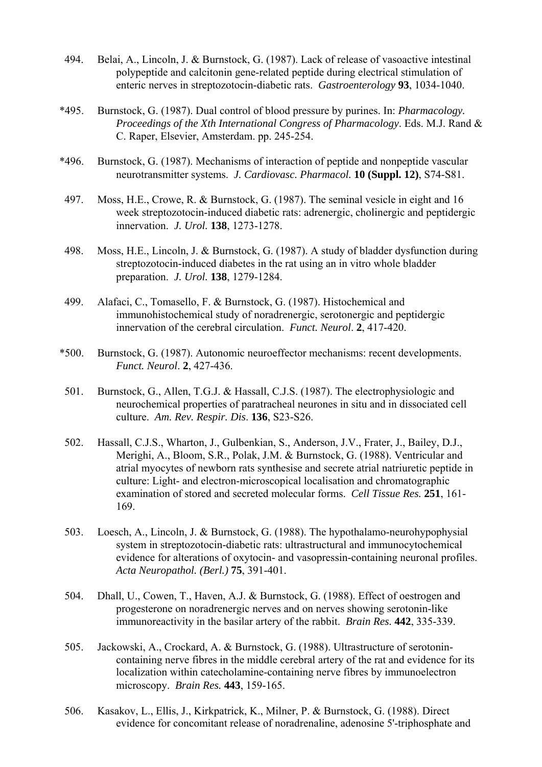- 494. Belai, A., Lincoln, J. & Burnstock, G. (1987). Lack of release of vasoactive intestinal polypeptide and calcitonin gene-related peptide during electrical stimulation of enteric nerves in streptozotocin-diabetic rats. *Gastroenterology* **93**, 1034-1040.
- \*495. Burnstock, G. (1987). Dual control of blood pressure by purines. In: *Pharmacology. Proceedings of the Xth International Congress of Pharmacology*. Eds. M.J. Rand & C. Raper, Elsevier, Amsterdam. pp. 245-254.
- \*496. Burnstock, G. (1987). Mechanisms of interaction of peptide and nonpeptide vascular neurotransmitter systems. *J. Cardiovasc. Pharmacol.* **10 (Suppl. 12)**, S74-S81.
- 497. Moss, H.E., Crowe, R. & Burnstock, G. (1987). The seminal vesicle in eight and 16 week streptozotocin-induced diabetic rats: adrenergic, cholinergic and peptidergic innervation. *J. Urol.* **138**, 1273-1278.
- 498. Moss, H.E., Lincoln, J. & Burnstock, G. (1987). A study of bladder dysfunction during streptozotocin-induced diabetes in the rat using an in vitro whole bladder preparation. *J. Urol.* **138**, 1279-1284.
- 499. Alafaci, C., Tomasello, F. & Burnstock, G. (1987). Histochemical and immunohistochemical study of noradrenergic, serotonergic and peptidergic innervation of the cerebral circulation. *Funct. Neurol*. **2**, 417-420.
- \*500. Burnstock, G. (1987). Autonomic neuroeffector mechanisms: recent developments. *Funct. Neurol*. **2**, 427-436.
- 501. Burnstock, G., Allen, T.G.J. & Hassall, C.J.S. (1987). The electrophysiologic and neurochemical properties of paratracheal neurones in situ and in dissociated cell culture. *Am. Rev. Respir. Dis*. **136**, S23-S26.
- 502. Hassall, C.J.S., Wharton, J., Gulbenkian, S., Anderson, J.V., Frater, J., Bailey, D.J., Merighi, A., Bloom, S.R., Polak, J.M. & Burnstock, G. (1988). Ventricular and atrial myocytes of newborn rats synthesise and secrete atrial natriuretic peptide in culture: Light- and electron-microscopical localisation and chromatographic examination of stored and secreted molecular forms. *Cell Tissue Res.* **251**, 161- 169.
- 503. Loesch, A., Lincoln, J. & Burnstock, G. (1988). The hypothalamo-neurohypophysial system in streptozotocin-diabetic rats: ultrastructural and immunocytochemical evidence for alterations of oxytocin- and vasopressin-containing neuronal profiles. *Acta Neuropathol. (Berl.)* **75**, 391-401.
- 504. Dhall, U., Cowen, T., Haven, A.J. & Burnstock, G. (1988). Effect of oestrogen and progesterone on noradrenergic nerves and on nerves showing serotonin-like immunoreactivity in the basilar artery of the rabbit. *Brain Res.* **442**, 335-339.
- 505. Jackowski, A., Crockard, A. & Burnstock, G. (1988). Ultrastructure of serotonincontaining nerve fibres in the middle cerebral artery of the rat and evidence for its localization within catecholamine-containing nerve fibres by immunoelectron microscopy. *Brain Res.* **443**, 159-165.
- 506. Kasakov, L., Ellis, J., Kirkpatrick, K., Milner, P. & Burnstock, G. (1988). Direct evidence for concomitant release of noradrenaline, adenosine 5'-triphosphate and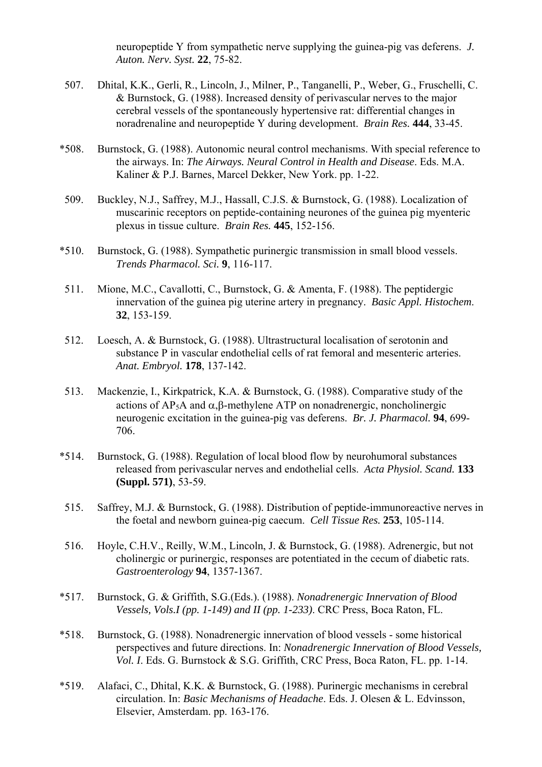neuropeptide Y from sympathetic nerve supplying the guinea-pig vas deferens. *J. Auton. Nerv. Syst.* **22**, 75-82.

- 507. Dhital, K.K., Gerli, R., Lincoln, J., Milner, P., Tanganelli, P., Weber, G., Fruschelli, C. & Burnstock, G. (1988). Increased density of perivascular nerves to the major cerebral vessels of the spontaneously hypertensive rat: differential changes in noradrenaline and neuropeptide Y during development. *Brain Res.* **444**, 33-45.
- \*508. Burnstock, G. (1988). Autonomic neural control mechanisms. With special reference to the airways. In: *The Airways. Neural Control in Health and Disease*. Eds. M.A. Kaliner & P.J. Barnes, Marcel Dekker, New York. pp. 1-22.
- 509. Buckley, N.J., Saffrey, M.J., Hassall, C.J.S. & Burnstock, G. (1988). Localization of muscarinic receptors on peptide-containing neurones of the guinea pig myenteric plexus in tissue culture. *Brain Res.* **445**, 152-156.
- \*510. Burnstock, G. (1988). Sympathetic purinergic transmission in small blood vessels. *Trends Pharmacol. Sci.* **9**, 116-117.
- 511. Mione, M.C., Cavallotti, C., Burnstock, G. & Amenta, F. (1988). The peptidergic innervation of the guinea pig uterine artery in pregnancy. *Basic Appl. Histochem*. **32**, 153-159.
- 512. Loesch, A. & Burnstock, G. (1988). Ultrastructural localisation of serotonin and substance P in vascular endothelial cells of rat femoral and mesenteric arteries. *Anat. Embryol.* **178**, 137-142.
- 513. Mackenzie, I., Kirkpatrick, K.A. & Burnstock, G. (1988). Comparative study of the actions of  $AP_5A$  and  $\alpha$ ,  $\beta$ -methylene ATP on nonadrenergic, noncholinergic neurogenic excitation in the guinea-pig vas deferens. *Br. J. Pharmacol.* **94**, 699- 706.
- \*514. Burnstock, G. (1988). Regulation of local blood flow by neurohumoral substances released from perivascular nerves and endothelial cells. *Acta Physiol. Scand.* **133 (Suppl. 571)**, 53-59.
- 515. Saffrey, M.J. & Burnstock, G. (1988). Distribution of peptide-immunoreactive nerves in the foetal and newborn guinea-pig caecum. *Cell Tissue Res.* **253**, 105-114.
- 516. Hoyle, C.H.V., Reilly, W.M., Lincoln, J. & Burnstock, G. (1988). Adrenergic, but not cholinergic or purinergic, responses are potentiated in the cecum of diabetic rats. *Gastroenterology* **94**, 1357-1367.
- \*517. Burnstock, G. & Griffith, S.G.(Eds.). (1988). *Nonadrenergic Innervation of Blood Vessels, Vols.I (pp. 1-149) and II (pp. 1-233)*. CRC Press, Boca Raton, FL.
- \*518. Burnstock, G. (1988). Nonadrenergic innervation of blood vessels some historical perspectives and future directions. In: *Nonadrenergic Innervation of Blood Vessels, Vol. I*. Eds. G. Burnstock & S.G. Griffith, CRC Press, Boca Raton, FL. pp. 1-14.
- \*519. Alafaci, C., Dhital, K.K. & Burnstock, G. (1988). Purinergic mechanisms in cerebral circulation. In: *Basic Mechanisms of Headache*. Eds. J. Olesen & L. Edvinsson, Elsevier, Amsterdam. pp. 163-176.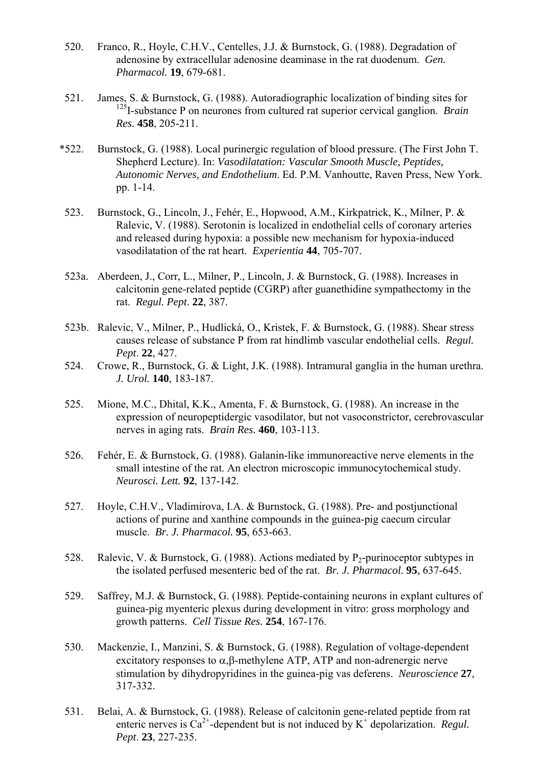- 520. Franco, R., Hoyle, C.H.V., Centelles, J.J. & Burnstock, G. (1988). Degradation of adenosine by extracellular adenosine deaminase in the rat duodenum. *Gen. Pharmacol.* **19**, 679-681.
- 521. James, S. & Burnstock, G. (1988). Autoradiographic localization of binding sites for 125I-substance P on neurones from cultured rat superior cervical ganglion. *Brain Res.* **458**, 205-211.
- \*522. Burnstock, G. (1988). Local purinergic regulation of blood pressure. (The First John T. Shepherd Lecture). In: *Vasodilatation: Vascular Smooth Muscle, Peptides, Autonomic Nerves, and Endothelium*. Ed. P.M. Vanhoutte, Raven Press, New York. pp. 1-14.
- 523. Burnstock, G., Lincoln, J., Fehér, E., Hopwood, A.M., Kirkpatrick, K., Milner, P. & Ralevic, V. (1988). Serotonin is localized in endothelial cells of coronary arteries and released during hypoxia: a possible new mechanism for hypoxia-induced vasodilatation of the rat heart. *Experientia* **44**, 705-707.
- 523a. Aberdeen, J., Corr, L., Milner, P., Lincoln, J. & Burnstock, G. (1988). Increases in calcitonin gene-related peptide (CGRP) after guanethidine sympathectomy in the rat. *Regul. Pept*. **22**, 387.
- 523b. Ralevic, V., Milner, P., Hudlická, O., Kristek, F. & Burnstock, G. (1988). Shear stress causes release of substance P from rat hindlimb vascular endothelial cells. *Regul. Pept*. **22**, 427.
- 524. Crowe, R., Burnstock, G. & Light, J.K. (1988). Intramural ganglia in the human urethra. *J. Urol.* **140**, 183-187.
- 525. Mione, M.C., Dhital, K.K., Amenta, F. & Burnstock, G. (1988). An increase in the expression of neuropeptidergic vasodilator, but not vasoconstrictor, cerebrovascular nerves in aging rats. *Brain Res.* **460**, 103-113.
- 526. Fehér, E. & Burnstock, G. (1988). Galanin-like immunoreactive nerve elements in the small intestine of the rat. An electron microscopic immunocytochemical study. *Neurosci. Lett.* **92**, 137-142.
- 527. Hoyle, C.H.V., Vladimirova, I.A. & Burnstock, G. (1988). Pre- and postjunctional actions of purine and xanthine compounds in the guinea-pig caecum circular muscle. *Br. J. Pharmacol.* **95**, 653-663.
- 528. Ralevic, V. & Burnstock, G. (1988). Actions mediated by  $P_2$ -purinoceptor subtypes in the isolated perfused mesenteric bed of the rat. *Br. J. Pharmacol.* **95**, 637-645.
- 529. Saffrey, M.J. & Burnstock, G. (1988). Peptide-containing neurons in explant cultures of guinea-pig myenteric plexus during development in vitro: gross morphology and growth patterns. *Cell Tissue Res.* **254**, 167-176.
- 530. Mackenzie, I., Manzini, S. & Burnstock, G. (1988). Regulation of voltage-dependent excitatory responses to  $\alpha$ ,  $\beta$ -methylene ATP, ATP and non-adrenergic nerve stimulation by dihydropyridines in the guinea-pig vas deferens. *Neuroscience* **27**, 317-332.
- 531. Belai, A. & Burnstock, G. (1988). Release of calcitonin gene-related peptide from rat enteric nerves is  $Ca^{2+}$ -dependent but is not induced by  $K^+$  depolarization. *Regul. Pept*. **23**, 227-235.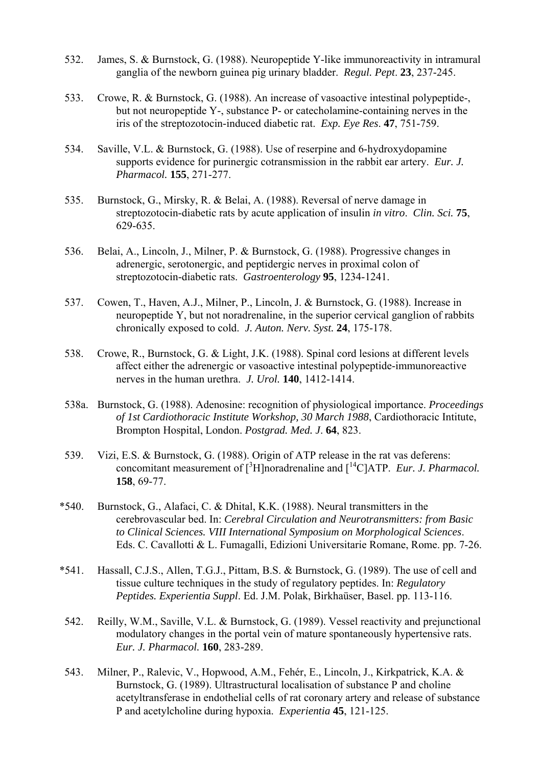- 532. James, S. & Burnstock, G. (1988). Neuropeptide Y-like immunoreactivity in intramural ganglia of the newborn guinea pig urinary bladder. *Regul. Pept*. **23**, 237-245.
- 533. Crowe, R. & Burnstock, G. (1988). An increase of vasoactive intestinal polypeptide-, but not neuropeptide Y-, substance P- or catecholamine-containing nerves in the iris of the streptozotocin-induced diabetic rat. *Exp. Eye Res*. **47**, 751-759.
- 534. Saville, V.L. & Burnstock, G. (1988). Use of reserpine and 6-hydroxydopamine supports evidence for purinergic cotransmission in the rabbit ear artery. *Eur. J. Pharmacol.* **155**, 271-277.
- 535. Burnstock, G., Mirsky, R. & Belai, A. (1988). Reversal of nerve damage in streptozotocin-diabetic rats by acute application of insulin *in vitro*. *Clin. Sci.* **75**, 629-635.
- 536. Belai, A., Lincoln, J., Milner, P. & Burnstock, G. (1988). Progressive changes in adrenergic, serotonergic, and peptidergic nerves in proximal colon of streptozotocin-diabetic rats. *Gastroenterology* **95**, 1234-1241.
- 537. Cowen, T., Haven, A.J., Milner, P., Lincoln, J. & Burnstock, G. (1988). Increase in neuropeptide Y, but not noradrenaline, in the superior cervical ganglion of rabbits chronically exposed to cold. *J. Auton. Nerv. Syst.* **24**, 175-178.
- 538. Crowe, R., Burnstock, G. & Light, J.K. (1988). Spinal cord lesions at different levels affect either the adrenergic or vasoactive intestinal polypeptide-immunoreactive nerves in the human urethra. *J. Urol.* **140**, 1412-1414.
- 538a. Burnstock, G. (1988). Adenosine: recognition of physiological importance. *Proceedings of 1st Cardiothoracic Institute Workshop, 30 March 1988*, Cardiothoracic Intitute, Brompton Hospital, London. *Postgrad. Med. J*. **64**, 823.
- 539. Vizi, E.S. & Burnstock, G. (1988). Origin of ATP release in the rat vas deferens: concomitant measurement of  $[{}^3H]$ noradrenaline and  $[{}^{14}C]ATP$ . *Eur. J. Pharmacol.* **158**, 69-77.
- \*540. Burnstock, G., Alafaci, C. & Dhital, K.K. (1988). Neural transmitters in the cerebrovascular bed. In: *Cerebral Circulation and Neurotransmitters: from Basic to Clinical Sciences. VIII International Symposium on Morphological Sciences*. Eds. C. Cavallotti & L. Fumagalli, Edizioni Universitarie Romane, Rome. pp. 7-26.
- \*541. Hassall, C.J.S., Allen, T.G.J., Pittam, B.S. & Burnstock, G. (1989). The use of cell and tissue culture techniques in the study of regulatory peptides. In: *Regulatory Peptides. Experientia Suppl*. Ed. J.M. Polak, Birkhaüser, Basel. pp. 113-116.
- 542. Reilly, W.M., Saville, V.L. & Burnstock, G. (1989). Vessel reactivity and prejunctional modulatory changes in the portal vein of mature spontaneously hypertensive rats. *Eur. J. Pharmacol.* **160**, 283-289.
- 543. Milner, P., Ralevic, V., Hopwood, A.M., Fehér, E., Lincoln, J., Kirkpatrick, K.A. & Burnstock, G. (1989). Ultrastructural localisation of substance P and choline acetyltransferase in endothelial cells of rat coronary artery and release of substance P and acetylcholine during hypoxia. *Experientia* **45**, 121-125.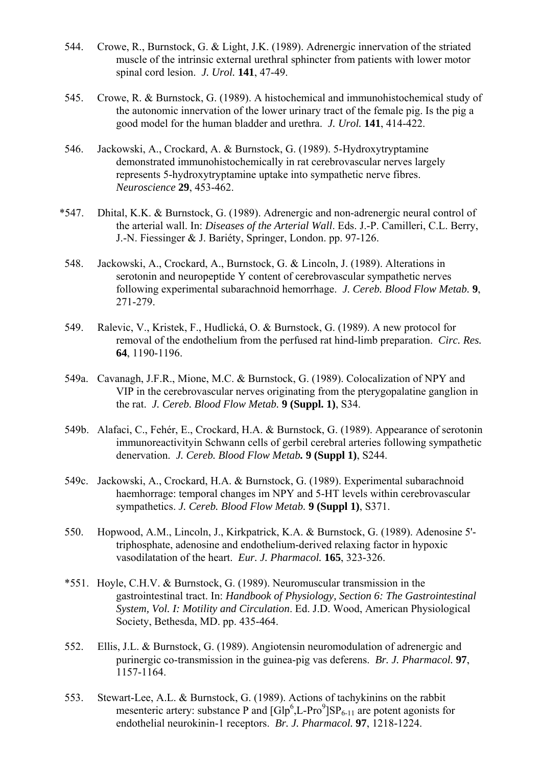- 544. Crowe, R., Burnstock, G. & Light, J.K. (1989). Adrenergic innervation of the striated muscle of the intrinsic external urethral sphincter from patients with lower motor spinal cord lesion. *J. Urol.* **141**, 47-49.
- 545. Crowe, R. & Burnstock, G. (1989). A histochemical and immunohistochemical study of the autonomic innervation of the lower urinary tract of the female pig. Is the pig a good model for the human bladder and urethra. *J. Urol.* **141**, 414-422.
- 546. Jackowski, A., Crockard, A. & Burnstock, G. (1989). 5-Hydroxytryptamine demonstrated immunohistochemically in rat cerebrovascular nerves largely represents 5-hydroxytryptamine uptake into sympathetic nerve fibres. *Neuroscience* **29**, 453-462.
- \*547. Dhital, K.K. & Burnstock, G. (1989). Adrenergic and non-adrenergic neural control of the arterial wall. In: *Diseases of the Arterial Wall*. Eds. J.-P. Camilleri, C.L. Berry, J.-N. Fiessinger & J. Bariéty, Springer, London. pp. 97-126.
- 548. Jackowski, A., Crockard, A., Burnstock, G. & Lincoln, J. (1989). Alterations in serotonin and neuropeptide Y content of cerebrovascular sympathetic nerves following experimental subarachnoid hemorrhage. *J. Cereb. Blood Flow Metab.* **9**, 271-279.
- 549. Ralevic, V., Kristek, F., Hudlická, O. & Burnstock, G. (1989). A new protocol for removal of the endothelium from the perfused rat hind-limb preparation. *Circ. Res.* **64**, 1190-1196.
- 549a. Cavanagh, J.F.R., Mione, M.C. & Burnstock, G. (1989). Colocalization of NPY and VIP in the cerebrovascular nerves originating from the pterygopalatine ganglion in the rat. *J. Cereb. Blood Flow Metab.* **9 (Suppl. 1)**, S34.
- 549b. Alafaci, C., Fehér, E., Crockard, H.A. & Burnstock, G. (1989). Appearance of serotonin immunoreactivityin Schwann cells of gerbil cerebral arteries following sympathetic denervation. *J. Cereb. Blood Flow Metab.* **9 (Suppl 1)**, S244.
- 549c. Jackowski, A., Crockard, H.A. & Burnstock, G. (1989). Experimental subarachnoid haemhorrage: temporal changes im NPY and 5-HT levels within cerebrovascular sympathetics. *J. Cereb. Blood Flow Metab.* **9 (Suppl 1)**, S371.
- 550. Hopwood, A.M., Lincoln, J., Kirkpatrick, K.A. & Burnstock, G. (1989). Adenosine 5' triphosphate, adenosine and endothelium-derived relaxing factor in hypoxic vasodilatation of the heart. *Eur. J. Pharmacol.* **165**, 323-326.
- \*551. Hoyle, C.H.V. & Burnstock, G. (1989). Neuromuscular transmission in the gastrointestinal tract. In: *Handbook of Physiology, Section 6: The Gastrointestinal System, Vol. I: Motility and Circulation*. Ed. J.D. Wood, American Physiological Society, Bethesda, MD. pp. 435-464.
- 552. Ellis, J.L. & Burnstock, G. (1989). Angiotensin neuromodulation of adrenergic and purinergic co-transmission in the guinea-pig vas deferens. *Br. J. Pharmacol.* **97**, 1157-1164.
- 553. Stewart-Lee, A.L. & Burnstock, G. (1989). Actions of tachykinins on the rabbit mesenteric artery: substance P and  $\left[\text{Glp}^6,\text{L-Pro}^9\right]\text{SP}_{6-11}$  are potent agonists for endothelial neurokinin-1 receptors. *Br. J. Pharmacol.* **97**, 1218-1224.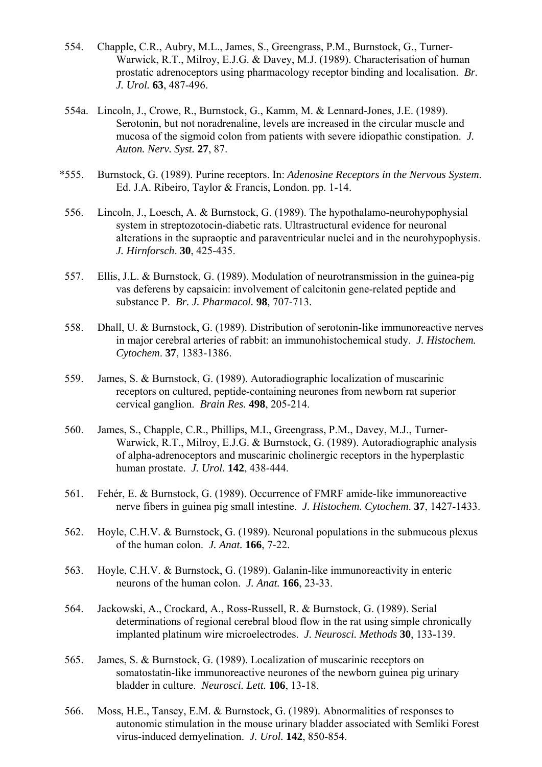- 554. Chapple, C.R., Aubry, M.L., James, S., Greengrass, P.M., Burnstock, G., Turner-Warwick, R.T., Milroy, E.J.G. & Davey, M.J. (1989). Characterisation of human prostatic adrenoceptors using pharmacology receptor binding and localisation. *Br. J. Urol.* **63**, 487-496.
- 554a. Lincoln, J., Crowe, R., Burnstock, G., Kamm, M. & Lennard-Jones, J.E. (1989). Serotonin, but not noradrenaline, levels are increased in the circular muscle and mucosa of the sigmoid colon from patients with severe idiopathic constipation. *J. Auton. Nerv. Syst.* **27**, 87.
- \*555. Burnstock, G. (1989). Purine receptors. In: *Adenosine Receptors in the Nervous System*. Ed. J.A. Ribeiro, Taylor & Francis, London. pp. 1-14.
- 556. Lincoln, J., Loesch, A. & Burnstock, G. (1989). The hypothalamo-neurohypophysial system in streptozotocin-diabetic rats. Ultrastructural evidence for neuronal alterations in the supraoptic and paraventricular nuclei and in the neurohypophysis. *J. Hirnforsch*. **30**, 425-435.
- 557. Ellis, J.L. & Burnstock, G. (1989). Modulation of neurotransmission in the guinea-pig vas deferens by capsaicin: involvement of calcitonin gene-related peptide and substance P. *Br. J. Pharmacol.* **98**, 707-713.
- 558. Dhall, U. & Burnstock, G. (1989). Distribution of serotonin-like immunoreactive nerves in major cerebral arteries of rabbit: an immunohistochemical study. *J. Histochem. Cytochem*. **37**, 1383-1386.
- 559. James, S. & Burnstock, G. (1989). Autoradiographic localization of muscarinic receptors on cultured, peptide-containing neurones from newborn rat superior cervical ganglion. *Brain Res.* **498**, 205-214.
- 560. James, S., Chapple, C.R., Phillips, M.I., Greengrass, P.M., Davey, M.J., Turner-Warwick, R.T., Milroy, E.J.G. & Burnstock, G. (1989). Autoradiographic analysis of alpha-adrenoceptors and muscarinic cholinergic receptors in the hyperplastic human prostate. *J. Urol.* **142**, 438-444.
- 561. Fehér, E. & Burnstock, G. (1989). Occurrence of FMRF amide-like immunoreactive nerve fibers in guinea pig small intestine. *J. Histochem. Cytochem*. **37**, 1427-1433.
- 562. Hoyle, C.H.V. & Burnstock, G. (1989). Neuronal populations in the submucous plexus of the human colon. *J. Anat.* **166**, 7-22.
- 563. Hoyle, C.H.V. & Burnstock, G. (1989). Galanin-like immunoreactivity in enteric neurons of the human colon. *J. Anat.* **166**, 23-33.
- 564. Jackowski, A., Crockard, A., Ross-Russell, R. & Burnstock, G. (1989). Serial determinations of regional cerebral blood flow in the rat using simple chronically implanted platinum wire microelectrodes. *J. Neurosci. Methods* **30**, 133-139.
- 565. James, S. & Burnstock, G. (1989). Localization of muscarinic receptors on somatostatin-like immunoreactive neurones of the newborn guinea pig urinary bladder in culture. *Neurosci. Lett.* **106**, 13-18.
- 566. Moss, H.E., Tansey, E.M. & Burnstock, G. (1989). Abnormalities of responses to autonomic stimulation in the mouse urinary bladder associated with Semliki Forest virus-induced demyelination. *J. Urol.* **142**, 850-854.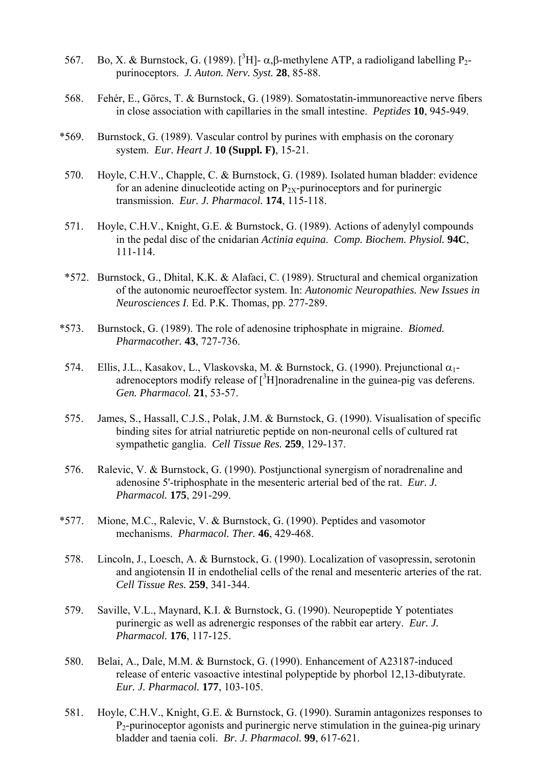- 567. Bo, X. & Burnstock, G. (1989). [<sup>3</sup>H]- α, β-methylene ATP, a radioligand labelling P<sub>2</sub>purinoceptors. *J. Auton. Nerv. Syst.* **28**, 85-88.
- 568. Fehér, E., Görcs, T. & Burnstock, G. (1989). Somatostatin-immunoreactive nerve fibers in close association with capillaries in the small intestine. *Peptides* **10**, 945-949.
- \*569. Burnstock, G. (1989). Vascular control by purines with emphasis on the coronary system. *Eur. Heart J*. **10 (Suppl. F)**, 15-21.
- 570. Hoyle, C.H.V., Chapple, C. & Burnstock, G. (1989). Isolated human bladder: evidence for an adenine dinucleotide acting on  $P_{2X}$ -purinoceptors and for purinergic transmission. *Eur. J. Pharmacol.* **174**, 115-118.
- 571. Hoyle, C.H.V., Knight, G.E. & Burnstock, G. (1989). Actions of adenylyl compounds in the pedal disc of the cnidarian *Actinia equina*. *Comp. Biochem. Physiol.* **94C**, 111-114.
- \*572. Burnstock, G., Dhital, K.K. & Alafaci, C. (1989). Structural and chemical organization of the autonomic neuroeffector system. In: *Autonomic Neuropathies. New Issues in Neurosciences I*. Ed. P.K. Thomas, pp. 277-289.
- \*573. Burnstock, G. (1989). The role of adenosine triphosphate in migraine. *Biomed. Pharmacother.* **43**, 727-736.
- 574. Ellis, J.L., Kasakov, L., Vlaskovska, M. & Burnstock, G. (1990). Prejunctional  $\alpha_1$ adrenoceptors modify release of  $[{}^{3}H]$ noradrenaline in the guinea-pig vas deferens. *Gen. Pharmacol.* **21**, 53-57.
- 575. James, S., Hassall, C.J.S., Polak, J.M. & Burnstock, G. (1990). Visualisation of specific binding sites for atrial natriuretic peptide on non-neuronal cells of cultured rat sympathetic ganglia. *Cell Tissue Res.* **259**, 129-137.
- 576. Ralevic, V. & Burnstock, G. (1990). Postjunctional synergism of noradrenaline and adenosine 5'-triphosphate in the mesenteric arterial bed of the rat. *Eur. J. Pharmacol.* **175**, 291-299.
- \*577. Mione, M.C., Ralevic, V. & Burnstock, G. (1990). Peptides and vasomotor mechanisms. *Pharmacol. Ther.* **46**, 429-468.
- 578. Lincoln, J., Loesch, A. & Burnstock, G. (1990). Localization of vasopressin, serotonin and angiotensin II in endothelial cells of the renal and mesenteric arteries of the rat. *Cell Tissue Res.* **259**, 341-344.
- 579. Saville, V.L., Maynard, K.I. & Burnstock, G. (1990). Neuropeptide Y potentiates purinergic as well as adrenergic responses of the rabbit ear artery. *Eur. J. Pharmacol.* **176**, 117-125.
- 580. Belai, A., Dale, M.M. & Burnstock, G. (1990). Enhancement of A23187-induced release of enteric vasoactive intestinal polypeptide by phorbol 12,13-dibutyrate. *Eur. J. Pharmacol.* **177**, 103-105.
- 581. Hoyle, C.H.V., Knight, G.E. & Burnstock, G. (1990). Suramin antagonizes responses to P2-purinoceptor agonists and purinergic nerve stimulation in the guinea-pig urinary bladder and taenia coli. *Br. J. Pharmacol.* **99**, 617-621.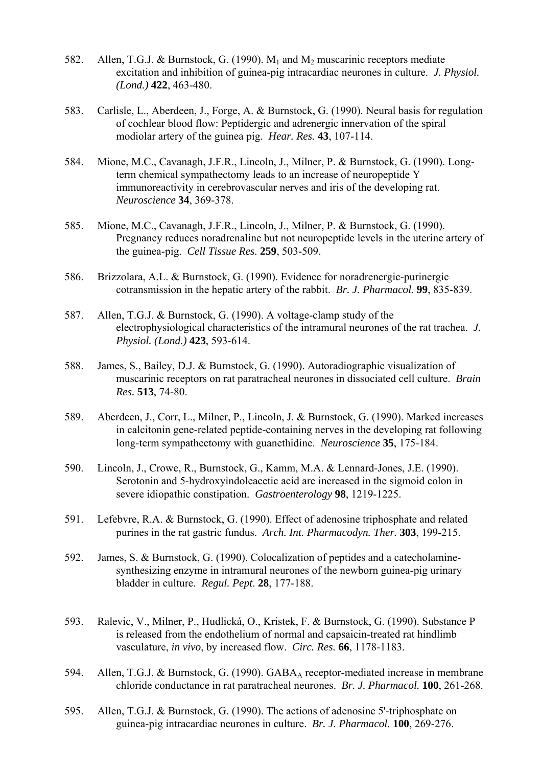- 582. Allen, T.G.J. & Burnstock, G. (1990).  $M_1$  and  $M_2$  muscarinic receptors mediate excitation and inhibition of guinea-pig intracardiac neurones in culture. *J. Physiol. (Lond.)* **422**, 463-480.
- 583. Carlisle, L., Aberdeen, J., Forge, A. & Burnstock, G. (1990). Neural basis for regulation of cochlear blood flow: Peptidergic and adrenergic innervation of the spiral modiolar artery of the guinea pig. *Hear. Res.* **43**, 107-114.
- 584. Mione, M.C., Cavanagh, J.F.R., Lincoln, J., Milner, P. & Burnstock, G. (1990). Longterm chemical sympathectomy leads to an increase of neuropeptide Y immunoreactivity in cerebrovascular nerves and iris of the developing rat. *Neuroscience* **34**, 369-378.
- 585. Mione, M.C., Cavanagh, J.F.R., Lincoln, J., Milner, P. & Burnstock, G. (1990). Pregnancy reduces noradrenaline but not neuropeptide levels in the uterine artery of the guinea-pig. *Cell Tissue Res.* **259**, 503-509.
- 586. Brizzolara, A.L. & Burnstock, G. (1990). Evidence for noradrenergic-purinergic cotransmission in the hepatic artery of the rabbit. *Br. J. Pharmacol.* **99**, 835-839.
- 587. Allen, T.G.J. & Burnstock, G. (1990). A voltage-clamp study of the electrophysiological characteristics of the intramural neurones of the rat trachea. *J. Physiol. (Lond.)* **423**, 593-614.
- 588. James, S., Bailey, D.J. & Burnstock, G. (1990). Autoradiographic visualization of muscarinic receptors on rat paratracheal neurones in dissociated cell culture. *Brain Res.* **513**, 74-80.
- 589. Aberdeen, J., Corr, L., Milner, P., Lincoln, J. & Burnstock, G. (1990). Marked increases in calcitonin gene-related peptide-containing nerves in the developing rat following long-term sympathectomy with guanethidine. *Neuroscience* **35**, 175-184.
- 590. Lincoln, J., Crowe, R., Burnstock, G., Kamm, M.A. & Lennard-Jones, J.E. (1990). Serotonin and 5-hydroxyindoleacetic acid are increased in the sigmoid colon in severe idiopathic constipation. *Gastroenterology* **98**, 1219-1225.
- 591. Lefebvre, R.A. & Burnstock, G. (1990). Effect of adenosine triphosphate and related purines in the rat gastric fundus. *Arch. Int. Pharmacodyn. Ther.* **303**, 199-215.
- 592. James, S. & Burnstock, G. (1990). Colocalization of peptides and a catecholaminesynthesizing enzyme in intramural neurones of the newborn guinea-pig urinary bladder in culture. *Regul. Pept*. **28**, 177-188.
- 593. Ralevic, V., Milner, P., Hudlická, O., Kristek, F. & Burnstock, G. (1990). Substance P is released from the endothelium of normal and capsaicin-treated rat hindlimb vasculature, *in vivo*, by increased flow. *Circ. Res.* **66**, 1178-1183.
- 594. Allen, T.G.J. & Burnstock, G. (1990). GABAA receptor-mediated increase in membrane chloride conductance in rat paratracheal neurones. *Br. J. Pharmacol.* **100**, 261-268.
- 595. Allen, T.G.J. & Burnstock, G. (1990). The actions of adenosine 5'-triphosphate on guinea-pig intracardiac neurones in culture. *Br. J. Pharmacol.* **100**, 269-276.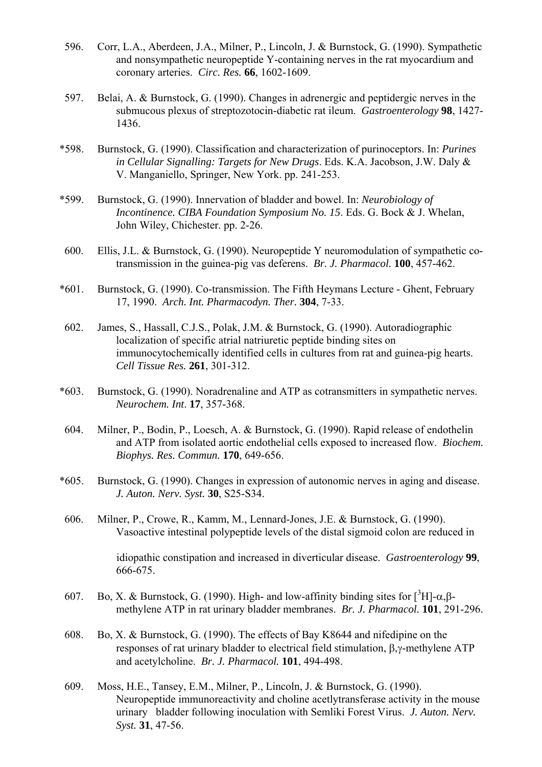- 596. Corr, L.A., Aberdeen, J.A., Milner, P., Lincoln, J. & Burnstock, G. (1990). Sympathetic and nonsympathetic neuropeptide Y-containing nerves in the rat myocardium and coronary arteries. *Circ. Res.* **66**, 1602-1609.
- 597. Belai, A. & Burnstock, G. (1990). Changes in adrenergic and peptidergic nerves in the submucous plexus of streptozotocin-diabetic rat ileum. *Gastroenterology* **98**, 1427- 1436.
- \*598. Burnstock, G. (1990). Classification and characterization of purinoceptors. In: *Purines in Cellular Signalling: Targets for New Drugs*. Eds. K.A. Jacobson, J.W. Daly & V. Manganiello, Springer, New York. pp. 241-253.
- \*599. Burnstock, G. (1990). Innervation of bladder and bowel. In: *Neurobiology of Incontinence. CIBA Foundation Symposium No. 15*. Eds. G. Bock & J. Whelan, John Wiley, Chichester. pp. 2-26.
- 600. Ellis, J.L. & Burnstock, G. (1990). Neuropeptide Y neuromodulation of sympathetic cotransmission in the guinea-pig vas deferens. *Br. J. Pharmacol.* **100**, 457-462.
- \*601. Burnstock, G. (1990). Co-transmission. The Fifth Heymans Lecture Ghent, February 17, 1990. *Arch. Int. Pharmacodyn. Ther.* **304**, 7-33.
- 602. James, S., Hassall, C.J.S., Polak, J.M. & Burnstock, G. (1990). Autoradiographic localization of specific atrial natriuretic peptide binding sites on immunocytochemically identified cells in cultures from rat and guinea-pig hearts. *Cell Tissue Res.* **261**, 301-312.
- \*603. Burnstock, G. (1990). Noradrenaline and ATP as cotransmitters in sympathetic nerves. *Neurochem. Int*. **17**, 357-368.
- 604. Milner, P., Bodin, P., Loesch, A. & Burnstock, G. (1990). Rapid release of endothelin and ATP from isolated aortic endothelial cells exposed to increased flow. *Biochem. Biophys. Res. Commun.* **170**, 649-656.
- \*605. Burnstock, G. (1990). Changes in expression of autonomic nerves in aging and disease. *J. Auton. Nerv. Syst.* **30**, S25-S34.
- 606. Milner, P., Crowe, R., Kamm, M., Lennard-Jones, J.E. & Burnstock, G. (1990). Vasoactive intestinal polypeptide levels of the distal sigmoid colon are reduced in

 idiopathic constipation and increased in diverticular disease. *Gastroenterology* **99**, 666-675.

- 607. Bo, X. & Burnstock, G. (1990). High- and low-affinity binding sites for [ ${}^{3}$ H]-α,βmethylene ATP in rat urinary bladder membranes. *Br. J. Pharmacol.* **101**, 291-296.
- 608. Bo, X. & Burnstock, G. (1990). The effects of Bay K8644 and nifedipine on the responses of rat urinary bladder to electrical field stimulation, β,γ-methylene ATP and acetylcholine. *Br. J. Pharmacol.* **101**, 494-498.
- 609. Moss, H.E., Tansey, E.M., Milner, P., Lincoln, J. & Burnstock, G. (1990). Neuropeptide immunoreactivity and choline acetlytransferase activity in the mouse urinary bladder following inoculation with Semliki Forest Virus. *J. Auton. Nerv. Syst.* **31**, 47-56.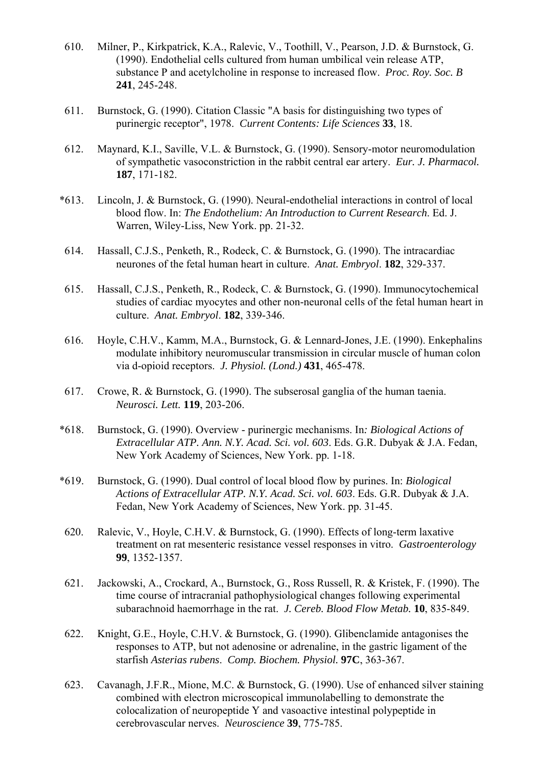- 610. Milner, P., Kirkpatrick, K.A., Ralevic, V., Toothill, V., Pearson, J.D. & Burnstock, G. (1990). Endothelial cells cultured from human umbilical vein release ATP, substance P and acetylcholine in response to increased flow. *Proc. Roy. Soc. B* **241**, 245-248.
- 611. Burnstock, G. (1990). Citation Classic "A basis for distinguishing two types of purinergic receptor", 1978. *Current Contents: Life Sciences* **33**, 18.
- 612. Maynard, K.I., Saville, V.L. & Burnstock, G. (1990). Sensory-motor neuromodulation of sympathetic vasoconstriction in the rabbit central ear artery. *Eur. J. Pharmacol.* **187**, 171-182.
- \*613. Lincoln, J. & Burnstock, G. (1990). Neural-endothelial interactions in control of local blood flow. In: *The Endothelium: An Introduction to Current Research*. Ed. J. Warren, Wiley-Liss, New York. pp. 21-32.
- 614. Hassall, C.J.S., Penketh, R., Rodeck, C. & Burnstock, G. (1990). The intracardiac neurones of the fetal human heart in culture. *Anat. Embryol*. **182**, 329-337.
- 615. Hassall, C.J.S., Penketh, R., Rodeck, C. & Burnstock, G. (1990). Immunocytochemical studies of cardiac myocytes and other non-neuronal cells of the fetal human heart in culture. *Anat. Embryol*. **182**, 339-346.
- 616. Hoyle, C.H.V., Kamm, M.A., Burnstock, G. & Lennard-Jones, J.E. (1990). Enkephalins modulate inhibitory neuromuscular transmission in circular muscle of human colon via d-opioid receptors. *J. Physiol. (Lond.)* **431**, 465-478.
- 617. Crowe, R. & Burnstock, G. (1990). The subserosal ganglia of the human taenia. *Neurosci. Lett.* **119**, 203-206.
- \*618. Burnstock, G. (1990). Overview purinergic mechanisms. In*: Biological Actions of Extracellular ATP. Ann. N.Y. Acad. Sci. vol. 603*. Eds. G.R. Dubyak & J.A. Fedan, New York Academy of Sciences, New York. pp. 1-18.
- \*619. Burnstock, G. (1990). Dual control of local blood flow by purines. In: *Biological Actions of Extracellular ATP. N.Y. Acad. Sci. vol. 603*. Eds. G.R. Dubyak & J.A. Fedan, New York Academy of Sciences, New York. pp. 31-45.
- 620. Ralevic, V., Hoyle, C.H.V. & Burnstock, G. (1990). Effects of long-term laxative treatment on rat mesenteric resistance vessel responses in vitro. *Gastroenterology* **99**, 1352-1357.
- 621. Jackowski, A., Crockard, A., Burnstock, G., Ross Russell, R. & Kristek, F. (1990). The time course of intracranial pathophysiological changes following experimental subarachnoid haemorrhage in the rat. *J. Cereb. Blood Flow Metab.* **10**, 835-849.
- 622. Knight, G.E., Hoyle, C.H.V. & Burnstock, G. (1990). Glibenclamide antagonises the responses to ATP, but not adenosine or adrenaline, in the gastric ligament of the starfish *Asterias rubens*. *Comp. Biochem. Physiol.* **97C**, 363-367.
- 623. Cavanagh, J.F.R., Mione, M.C. & Burnstock, G. (1990). Use of enhanced silver staining combined with electron microscopical immunolabelling to demonstrate the colocalization of neuropeptide Y and vasoactive intestinal polypeptide in cerebrovascular nerves. *Neuroscience* **39**, 775-785.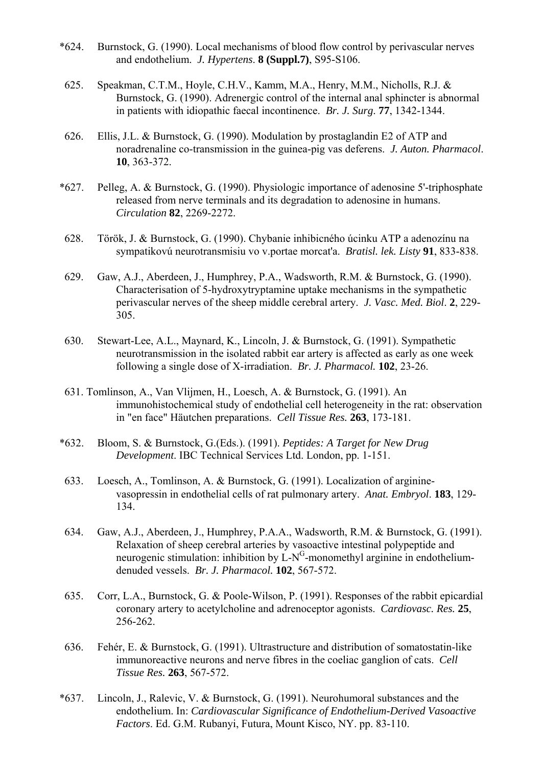- \*624. Burnstock, G. (1990). Local mechanisms of blood flow control by perivascular nerves and endothelium. *J. Hypertens*. **8 (Suppl.7)**, S95-S106.
- 625. Speakman, C.T.M., Hoyle, C.H.V., Kamm, M.A., Henry, M.M., Nicholls, R.J. & Burnstock, G. (1990). Adrenergic control of the internal anal sphincter is abnormal in patients with idiopathic faecal incontinence. *Br. J. Surg*. **77**, 1342-1344.
- 626. Ellis, J.L. & Burnstock, G. (1990). Modulation by prostaglandin E2 of ATP and noradrenaline co-transmission in the guinea-pig vas deferens. *J. Auton. Pharmacol*. **10**, 363-372.
- \*627. Pelleg, A. & Burnstock, G. (1990). Physiologic importance of adenosine 5'-triphosphate released from nerve terminals and its degradation to adenosine in humans. *Circulation* **82**, 2269-2272.
- 628. Török, J. & Burnstock, G. (1990). Chybanie inhibicného úcinku ATP a adenozínu na sympatikovú neurotransmisiu vo v.portae morcat'a. *Bratisl. lek. Listy* **91**, 833-838.
- 629. Gaw, A.J., Aberdeen, J., Humphrey, P.A., Wadsworth, R.M. & Burnstock, G. (1990). Characterisation of 5-hydroxytryptamine uptake mechanisms in the sympathetic perivascular nerves of the sheep middle cerebral artery. *J. Vasc. Med. Biol*. **2**, 229- 305.
- 630. Stewart-Lee, A.L., Maynard, K., Lincoln, J. & Burnstock, G. (1991). Sympathetic neurotransmission in the isolated rabbit ear artery is affected as early as one week following a single dose of X-irradiation. *Br. J. Pharmacol.* **102**, 23-26.
- 631. Tomlinson, A., Van Vlijmen, H., Loesch, A. & Burnstock, G. (1991). An immunohistochemical study of endothelial cell heterogeneity in the rat: observation in "en face" Häutchen preparations. *Cell Tissue Res.* **263**, 173-181.
- \*632. Bloom, S. & Burnstock, G.(Eds.). (1991). *Peptides: A Target for New Drug Development*. IBC Technical Services Ltd. London, pp. 1-151.
- 633. Loesch, A., Tomlinson, A. & Burnstock, G. (1991). Localization of argininevasopressin in endothelial cells of rat pulmonary artery. *Anat. Embryol*. **183**, 129- 134.
- 634. Gaw, A.J., Aberdeen, J., Humphrey, P.A.A., Wadsworth, R.M. & Burnstock, G. (1991). Relaxation of sheep cerebral arteries by vasoactive intestinal polypeptide and neurogenic stimulation: inhibition by  $L-N<sup>G</sup>$ -monomethyl arginine in endotheliumdenuded vessels. *Br. J. Pharmacol.* **102**, 567-572.
- 635. Corr, L.A., Burnstock, G. & Poole-Wilson, P. (1991). Responses of the rabbit epicardial coronary artery to acetylcholine and adrenoceptor agonists. *Cardiovasc. Res.* **25**, 256-262.
- 636. Fehér, E. & Burnstock, G. (1991). Ultrastructure and distribution of somatostatin-like immunoreactive neurons and nerve fibres in the coeliac ganglion of cats. *Cell Tissue Res.* **263**, 567-572.
- \*637. Lincoln, J., Ralevic, V. & Burnstock, G. (1991). Neurohumoral substances and the endothelium. In: *Cardiovascular Significance of Endothelium-Derived Vasoactive Factors*. Ed. G.M. Rubanyi, Futura, Mount Kisco, NY. pp. 83-110.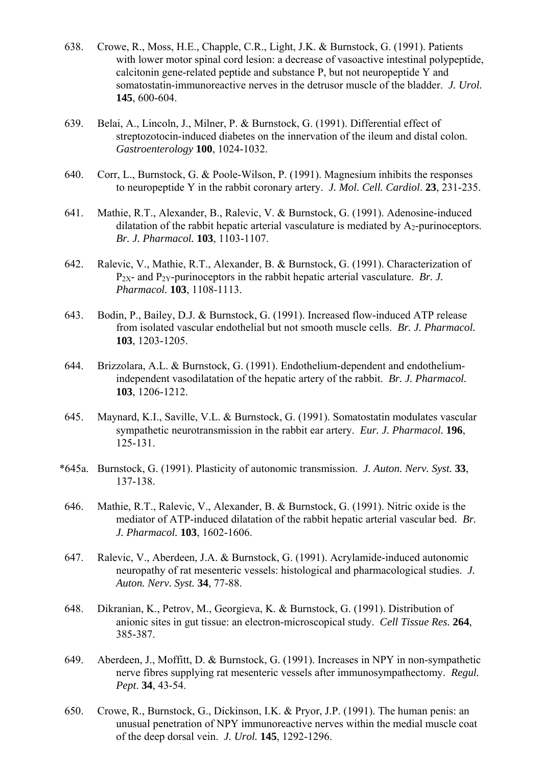- 638. Crowe, R., Moss, H.E., Chapple, C.R., Light, J.K. & Burnstock, G. (1991). Patients with lower motor spinal cord lesion: a decrease of vasoactive intestinal polypeptide, calcitonin gene-related peptide and substance P, but not neuropeptide Y and somatostatin-immunoreactive nerves in the detrusor muscle of the bladder. *J. Urol.* **145**, 600-604.
- 639. Belai, A., Lincoln, J., Milner, P. & Burnstock, G. (1991). Differential effect of streptozotocin-induced diabetes on the innervation of the ileum and distal colon. *Gastroenterology* **100**, 1024-1032.
- 640. Corr, L., Burnstock, G. & Poole-Wilson, P. (1991). Magnesium inhibits the responses to neuropeptide Y in the rabbit coronary artery. *J. Mol. Cell. Cardiol*. **23**, 231-235.
- 641. Mathie, R.T., Alexander, B., Ralevic, V. & Burnstock, G. (1991). Adenosine-induced dilatation of the rabbit hepatic arterial vasculature is mediated by  $A_2$ -purinoceptors. *Br. J. Pharmacol.* **103**, 1103-1107.
- 642. Ralevic, V., Mathie, R.T., Alexander, B. & Burnstock, G. (1991). Characterization of P2X- and P2Y-purinoceptors in the rabbit hepatic arterial vasculature. *Br. J. Pharmacol.* **103**, 1108-1113.
- 643. Bodin, P., Bailey, D.J. & Burnstock, G. (1991). Increased flow-induced ATP release from isolated vascular endothelial but not smooth muscle cells. *Br. J. Pharmacol.* **103**, 1203-1205.
- 644. Brizzolara, A.L. & Burnstock, G. (1991). Endothelium-dependent and endotheliumindependent vasodilatation of the hepatic artery of the rabbit. *Br. J. Pharmacol.* **103**, 1206-1212.
- 645. Maynard, K.I., Saville, V.L. & Burnstock, G. (1991). Somatostatin modulates vascular sympathetic neurotransmission in the rabbit ear artery. *Eur. J. Pharmacol.* **196**, 125-131.
- \*645a. Burnstock, G. (1991). Plasticity of autonomic transmission. *J. Auton. Nerv. Syst.* **33**, 137-138.
- 646. Mathie, R.T., Ralevic, V., Alexander, B. & Burnstock, G. (1991). Nitric oxide is the mediator of ATP-induced dilatation of the rabbit hepatic arterial vascular bed. *Br. J. Pharmacol.* **103**, 1602-1606.
- 647. Ralevic, V., Aberdeen, J.A. & Burnstock, G. (1991). Acrylamide-induced autonomic neuropathy of rat mesenteric vessels: histological and pharmacological studies. *J. Auton. Nerv. Syst.* **34**, 77-88.
- 648. Dikranian, K., Petrov, M., Georgieva, K. & Burnstock, G. (1991). Distribution of anionic sites in gut tissue: an electron-microscopical study. *Cell Tissue Res.* **264**, 385-387.
- 649. Aberdeen, J., Moffitt, D. & Burnstock, G. (1991). Increases in NPY in non-sympathetic nerve fibres supplying rat mesenteric vessels after immunosympathectomy. *Regul. Pept*. **34**, 43-54.
- 650. Crowe, R., Burnstock, G., Dickinson, I.K. & Pryor, J.P. (1991). The human penis: an unusual penetration of NPY immunoreactive nerves within the medial muscle coat of the deep dorsal vein. *J. Urol.* **145**, 1292-1296.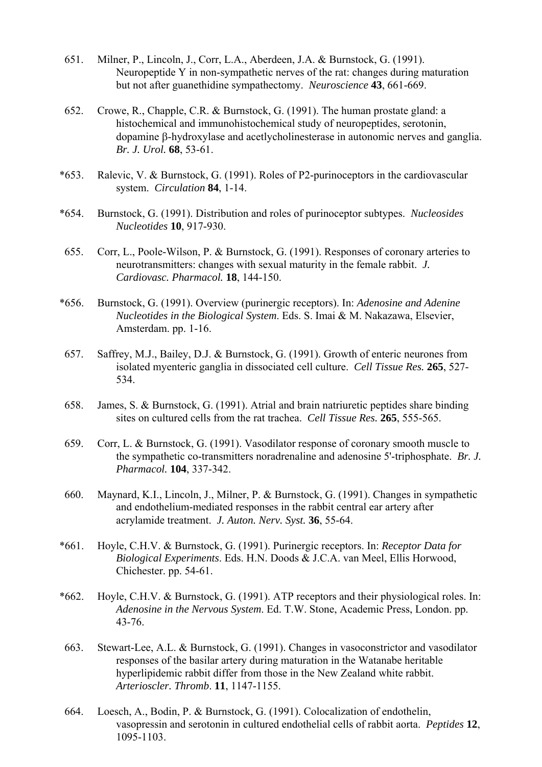- 651. Milner, P., Lincoln, J., Corr, L.A., Aberdeen, J.A. & Burnstock, G. (1991). Neuropeptide Y in non-sympathetic nerves of the rat: changes during maturation but not after guanethidine sympathectomy. *Neuroscience* **43**, 661-669.
- 652. Crowe, R., Chapple, C.R. & Burnstock, G. (1991). The human prostate gland: a histochemical and immunohistochemical study of neuropeptides, serotonin, dopamine β-hydroxylase and acetlycholinesterase in autonomic nerves and ganglia. *Br. J. Urol.* **68**, 53-61.
- \*653. Ralevic, V. & Burnstock, G. (1991). Roles of P2-purinoceptors in the cardiovascular system. *Circulation* **84**, 1-14.
- \*654. Burnstock, G. (1991). Distribution and roles of purinoceptor subtypes. *Nucleosides Nucleotides* **10**, 917-930.
- 655. Corr, L., Poole-Wilson, P. & Burnstock, G. (1991). Responses of coronary arteries to neurotransmitters: changes with sexual maturity in the female rabbit. *J. Cardiovasc. Pharmacol.* **18**, 144-150.
- \*656. Burnstock, G. (1991). Overview (purinergic receptors). In: *Adenosine and Adenine Nucleotides in the Biological System*. Eds. S. Imai & M. Nakazawa, Elsevier, Amsterdam. pp. 1-16.
- 657. Saffrey, M.J., Bailey, D.J. & Burnstock, G. (1991). Growth of enteric neurones from isolated myenteric ganglia in dissociated cell culture. *Cell Tissue Res.* **265**, 527- 534.
- 658. James, S. & Burnstock, G. (1991). Atrial and brain natriuretic peptides share binding sites on cultured cells from the rat trachea. *Cell Tissue Res.* **265**, 555-565.
- 659. Corr, L. & Burnstock, G. (1991). Vasodilator response of coronary smooth muscle to the sympathetic co-transmitters noradrenaline and adenosine 5'-triphosphate. *Br. J. Pharmacol.* **104**, 337-342.
- 660. Maynard, K.I., Lincoln, J., Milner, P. & Burnstock, G. (1991). Changes in sympathetic and endothelium-mediated responses in the rabbit central ear artery after acrylamide treatment. *J. Auton. Nerv. Syst.* **36**, 55-64.
- \*661. Hoyle, C.H.V. & Burnstock, G. (1991). Purinergic receptors. In: *Receptor Data for Biological Experiments*. Eds. H.N. Doods & J.C.A. van Meel, Ellis Horwood, Chichester. pp. 54-61.
- \*662. Hoyle, C.H.V. & Burnstock, G. (1991). ATP receptors and their physiological roles. In: *Adenosine in the Nervous System*. Ed. T.W. Stone, Academic Press, London. pp. 43-76.
- 663. Stewart-Lee, A.L. & Burnstock, G. (1991). Changes in vasoconstrictor and vasodilator responses of the basilar artery during maturation in the Watanabe heritable hyperlipidemic rabbit differ from those in the New Zealand white rabbit. *Arterioscler. Thromb*. **11**, 1147-1155.
- 664. Loesch, A., Bodin, P. & Burnstock, G. (1991). Colocalization of endothelin, vasopressin and serotonin in cultured endothelial cells of rabbit aorta. *Peptides* **12**, 1095-1103.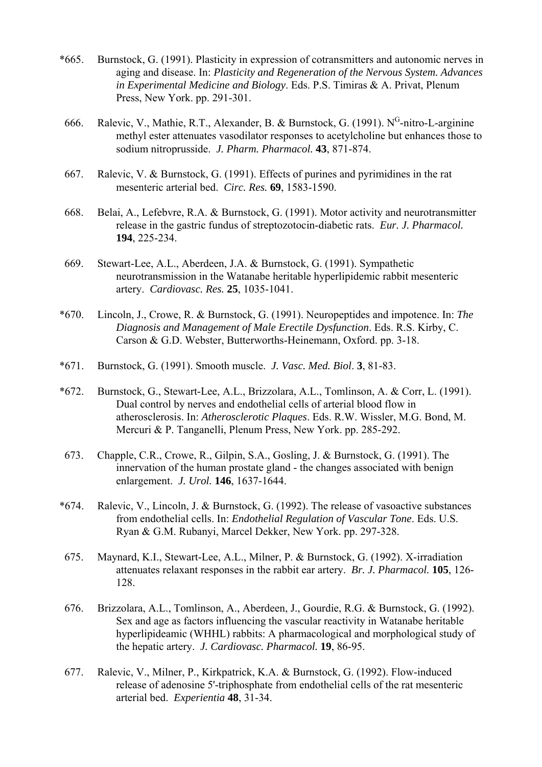- \*665. Burnstock, G. (1991). Plasticity in expression of cotransmitters and autonomic nerves in aging and disease. In: *Plasticity and Regeneration of the Nervous System. Advances in Experimental Medicine and Biology*. Eds. P.S. Timiras & A. Privat, Plenum Press, New York. pp. 291-301.
- 666. Ralevic, V., Mathie, R.T., Alexander, B. & Burnstock, G. (1991). N<sup>G</sup>-nitro-L-arginine methyl ester attenuates vasodilator responses to acetylcholine but enhances those to sodium nitroprusside. *J. Pharm. Pharmacol.* **43**, 871-874.
- 667. Ralevic, V. & Burnstock, G. (1991). Effects of purines and pyrimidines in the rat mesenteric arterial bed. *Circ. Res.* **69**, 1583-1590.
- 668. Belai, A., Lefebvre, R.A. & Burnstock, G. (1991). Motor activity and neurotransmitter release in the gastric fundus of streptozotocin-diabetic rats. *Eur. J. Pharmacol.* **194**, 225-234.
- 669. Stewart-Lee, A.L., Aberdeen, J.A. & Burnstock, G. (1991). Sympathetic neurotransmission in the Watanabe heritable hyperlipidemic rabbit mesenteric artery. *Cardiovasc. Res.* **25**, 1035-1041.
- \*670. Lincoln, J., Crowe, R. & Burnstock, G. (1991). Neuropeptides and impotence. In: *The Diagnosis and Management of Male Erectile Dysfunction*. Eds. R.S. Kirby, C. Carson & G.D. Webster, Butterworths-Heinemann, Oxford. pp. 3-18.
- \*671. Burnstock, G. (1991). Smooth muscle. *J. Vasc. Med. Biol*. **3**, 81-83.
- \*672. Burnstock, G., Stewart-Lee, A.L., Brizzolara, A.L., Tomlinson, A. & Corr, L. (1991). Dual control by nerves and endothelial cells of arterial blood flow in atherosclerosis. In: *Atherosclerotic Plaques*. Eds. R.W. Wissler, M.G. Bond, M. Mercuri & P. Tanganelli, Plenum Press, New York. pp. 285-292.
- 673. Chapple, C.R., Crowe, R., Gilpin, S.A., Gosling, J. & Burnstock, G. (1991). The innervation of the human prostate gland - the changes associated with benign enlargement. *J. Urol.* **146**, 1637-1644.
- \*674. Ralevic, V., Lincoln, J. & Burnstock, G. (1992). The release of vasoactive substances from endothelial cells. In: *Endothelial Regulation of Vascular Tone*. Eds. U.S. Ryan & G.M. Rubanyi, Marcel Dekker, New York. pp. 297-328.
- 675. Maynard, K.I., Stewart-Lee, A.L., Milner, P. & Burnstock, G. (1992). X-irradiation attenuates relaxant responses in the rabbit ear artery. *Br. J. Pharmacol.* **105**, 126- 128.
- 676. Brizzolara, A.L., Tomlinson, A., Aberdeen, J., Gourdie, R.G. & Burnstock, G. (1992). Sex and age as factors influencing the vascular reactivity in Watanabe heritable hyperlipideamic (WHHL) rabbits: A pharmacological and morphological study of the hepatic artery. *J. Cardiovasc. Pharmacol.* **19**, 86-95.
- 677. Ralevic, V., Milner, P., Kirkpatrick, K.A. & Burnstock, G. (1992). Flow-induced release of adenosine 5'-triphosphate from endothelial cells of the rat mesenteric arterial bed. *Experientia* **48**, 31-34.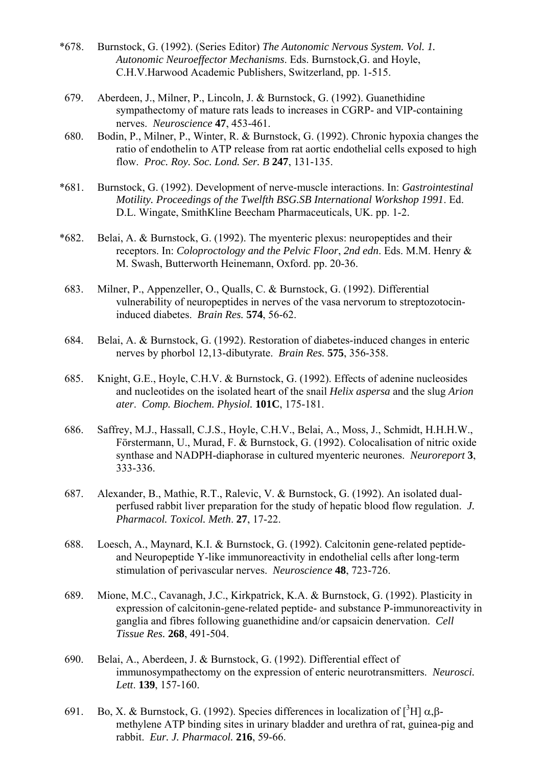- \*678. Burnstock, G. (1992). (Series Editor) *The Autonomic Nervous System. Vol. 1. Autonomic Neuroeffector Mechanisms*. Eds. Burnstock,G. and Hoyle, C.H.V.Harwood Academic Publishers, Switzerland, pp. 1-515.
- 679. Aberdeen, J., Milner, P., Lincoln, J. & Burnstock, G. (1992). Guanethidine sympathectomy of mature rats leads to increases in CGRP- and VIP-containing nerves. *Neuroscience* **47**, 453-461.
- 680. Bodin, P., Milner, P., Winter, R. & Burnstock, G. (1992). Chronic hypoxia changes the ratio of endothelin to ATP release from rat aortic endothelial cells exposed to high flow. *Proc. Roy. Soc. Lond. Ser. B* **247**, 131-135.
- \*681. Burnstock, G. (1992). Development of nerve-muscle interactions. In: *Gastrointestinal Motility. Proceedings of the Twelfth BSG.SB International Workshop 1991*. Ed. D.L. Wingate, SmithKline Beecham Pharmaceuticals, UK. pp. 1-2.
- \*682. Belai, A. & Burnstock, G. (1992). The myenteric plexus: neuropeptides and their receptors. In: *Coloproctology and the Pelvic Floor*, *2nd edn*. Eds. M.M. Henry & M. Swash, Butterworth Heinemann, Oxford. pp. 20-36.
- 683. Milner, P., Appenzeller, O., Qualls, C. & Burnstock, G. (1992). Differential vulnerability of neuropeptides in nerves of the vasa nervorum to streptozotocininduced diabetes. *Brain Res.* **574**, 56-62.
- 684. Belai, A. & Burnstock, G. (1992). Restoration of diabetes-induced changes in enteric nerves by phorbol 12,13-dibutyrate. *Brain Res.* **575**, 356-358.
- 685. Knight, G.E., Hoyle, C.H.V. & Burnstock, G. (1992). Effects of adenine nucleosides and nucleotides on the isolated heart of the snail *Helix aspersa* and the slug *Arion ater*. *Comp. Biochem. Physiol.* **101C**, 175-181.
- 686. Saffrey, M.J., Hassall, C.J.S., Hoyle, C.H.V., Belai, A., Moss, J., Schmidt, H.H.H.W., Förstermann, U., Murad, F. & Burnstock, G. (1992). Colocalisation of nitric oxide synthase and NADPH-diaphorase in cultured myenteric neurones. *Neuroreport* **3**, 333-336.
- 687. Alexander, B., Mathie, R.T., Ralevic, V. & Burnstock, G. (1992). An isolated dualperfused rabbit liver preparation for the study of hepatic blood flow regulation. *J. Pharmacol. Toxicol. Meth*. **27**, 17-22.
- 688. Loesch, A., Maynard, K.I. & Burnstock, G. (1992). Calcitonin gene-related peptideand Neuropeptide Y-like immunoreactivity in endothelial cells after long-term stimulation of perivascular nerves. *Neuroscience* **48**, 723-726.
- 689. Mione, M.C., Cavanagh, J.C., Kirkpatrick, K.A. & Burnstock, G. (1992). Plasticity in expression of calcitonin-gene-related peptide- and substance P-immunoreactivity in ganglia and fibres following guanethidine and/or capsaicin denervation. *Cell Tissue Res.* **268**, 491-504.
- 690. Belai, A., Aberdeen, J. & Burnstock, G. (1992). Differential effect of immunosympathectomy on the expression of enteric neurotransmitters. *Neurosci. Lett*. **139**, 157-160.
- 691. Bo, X. & Burnstock, G. (1992). Species differences in localization of [ $^3$ H] α,βmethylene ATP binding sites in urinary bladder and urethra of rat, guinea-pig and rabbit. *Eur. J. Pharmacol.* **216**, 59-66.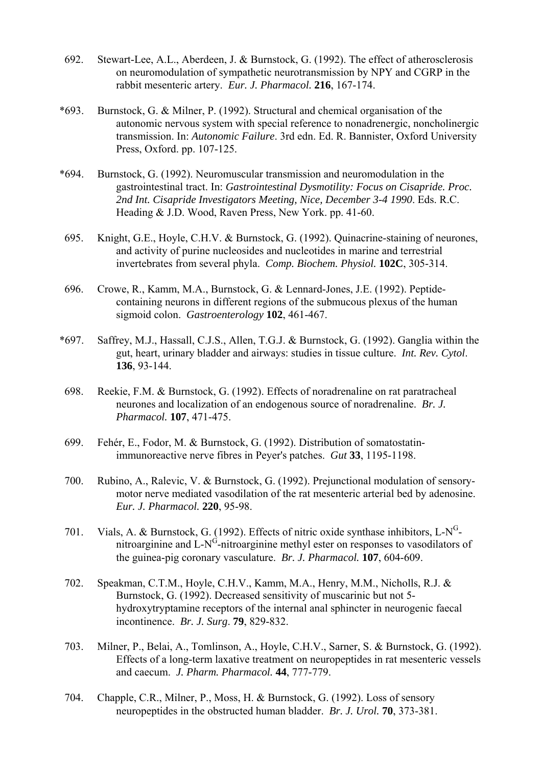- 692. Stewart-Lee, A.L., Aberdeen, J. & Burnstock, G. (1992). The effect of atherosclerosis on neuromodulation of sympathetic neurotransmission by NPY and CGRP in the rabbit mesenteric artery. *Eur. J. Pharmacol.* **216**, 167-174.
- \*693. Burnstock, G. & Milner, P. (1992). Structural and chemical organisation of the autonomic nervous system with special reference to nonadrenergic, noncholinergic transmission. In: *Autonomic Failure*. 3rd edn. Ed. R. Bannister, Oxford University Press, Oxford. pp. 107-125.
- \*694. Burnstock, G. (1992). Neuromuscular transmission and neuromodulation in the gastrointestinal tract. In: *Gastrointestinal Dysmotility: Focus on Cisapride. Proc. 2nd Int. Cisapride Investigators Meeting, Nice, December 3-4 1990*. Eds. R.C. Heading & J.D. Wood, Raven Press, New York. pp. 41-60.
- 695. Knight, G.E., Hoyle, C.H.V. & Burnstock, G. (1992). Quinacrine-staining of neurones, and activity of purine nucleosides and nucleotides in marine and terrestrial invertebrates from several phyla. *Comp. Biochem. Physiol.* **102C**, 305-314.
- 696. Crowe, R., Kamm, M.A., Burnstock, G. & Lennard-Jones, J.E. (1992). Peptidecontaining neurons in different regions of the submucous plexus of the human sigmoid colon. *Gastroenterology* **102**, 461-467.
- \*697. Saffrey, M.J., Hassall, C.J.S., Allen, T.G.J. & Burnstock, G. (1992). Ganglia within the gut, heart, urinary bladder and airways: studies in tissue culture. *Int. Rev. Cytol*. **136**, 93-144.
- 698. Reekie, F.M. & Burnstock, G. (1992). Effects of noradrenaline on rat paratracheal neurones and localization of an endogenous source of noradrenaline. *Br. J. Pharmacol.* **107**, 471-475.
- 699. Fehér, E., Fodor, M. & Burnstock, G. (1992). Distribution of somatostatinimmunoreactive nerve fibres in Peyer's patches. *Gut* **33**, 1195-1198.
- 700. Rubino, A., Ralevic, V. & Burnstock, G. (1992). Prejunctional modulation of sensorymotor nerve mediated vasodilation of the rat mesenteric arterial bed by adenosine. *Eur. J. Pharmacol.* **220**, 95-98.
- 701. Vials, A. & Burnstock, G. (1992). Effects of nitric oxide synthase inhibitors,  $L-N<sup>G</sup>$ nitroarginine and  $L-N<sup>G</sup>$ -nitroarginine methyl ester on responses to vasodilators of the guinea-pig coronary vasculature. *Br. J. Pharmacol.* **107**, 604-609.
- 702. Speakman, C.T.M., Hoyle, C.H.V., Kamm, M.A., Henry, M.M., Nicholls, R.J. & Burnstock, G. (1992). Decreased sensitivity of muscarinic but not 5 hydroxytryptamine receptors of the internal anal sphincter in neurogenic faecal incontinence. *Br. J. Surg*. **79**, 829-832.
- 703. Milner, P., Belai, A., Tomlinson, A., Hoyle, C.H.V., Sarner, S. & Burnstock, G. (1992). Effects of a long-term laxative treatment on neuropeptides in rat mesenteric vessels and caecum. *J. Pharm. Pharmacol.* **44**, 777-779.
- 704. Chapple, C.R., Milner, P., Moss, H. & Burnstock, G. (1992). Loss of sensory neuropeptides in the obstructed human bladder. *Br. J. Urol.* **70**, 373-381.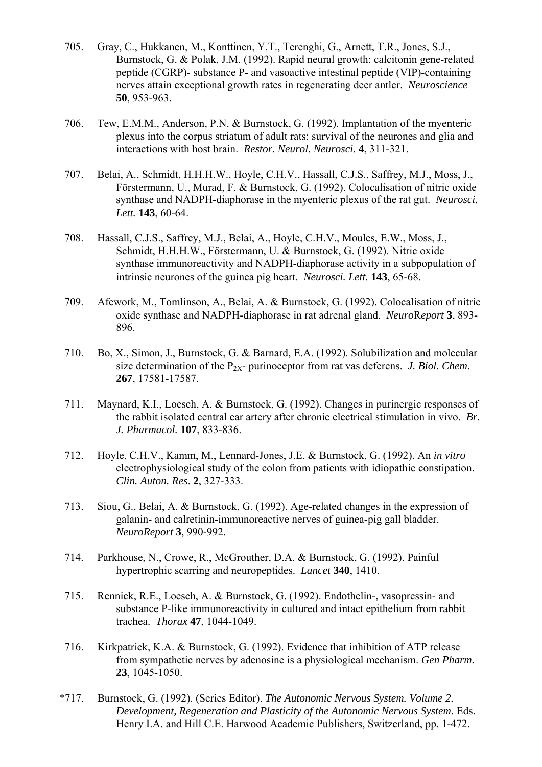- 705. Gray, C., Hukkanen, M., Konttinen, Y.T., Terenghi, G., Arnett, T.R., Jones, S.J., Burnstock, G. & Polak, J.M. (1992). Rapid neural growth: calcitonin gene-related peptide (CGRP)- substance P- and vasoactive intestinal peptide (VIP)-containing nerves attain exceptional growth rates in regenerating deer antler. *Neuroscience* **50**, 953-963.
- 706. Tew, E.M.M., Anderson, P.N. & Burnstock, G. (1992). Implantation of the myenteric plexus into the corpus striatum of adult rats: survival of the neurones and glia and interactions with host brain. *Restor. Neurol. Neurosci*. **4**, 311-321.
- 707. Belai, A., Schmidt, H.H.H.W., Hoyle, C.H.V., Hassall, C.J.S., Saffrey, M.J., Moss, J., Förstermann, U., Murad, F. & Burnstock, G. (1992). Colocalisation of nitric oxide synthase and NADPH-diaphorase in the myenteric plexus of the rat gut. *Neurosci. Lett.* **143**, 60-64.
- 708. Hassall, C.J.S., Saffrey, M.J., Belai, A., Hoyle, C.H.V., Moules, E.W., Moss, J., Schmidt, H.H.H.W., Förstermann, U. & Burnstock, G. (1992). Nitric oxide synthase immunoreactivity and NADPH-diaphorase activity in a subpopulation of intrinsic neurones of the guinea pig heart. *Neurosci. Lett.* **143**, 65-68.
- 709. Afework, M., Tomlinson, A., Belai, A. & Burnstock, G. (1992). Colocalisation of nitric oxide synthase and NADPH-diaphorase in rat adrenal gland. *Neuro*R*eport* **3**, 893- 896.
- 710. Bo, X., Simon, J., Burnstock, G. & Barnard, E.A. (1992). Solubilization and molecular size determination of the  $P_{2X}$ - purinoceptor from rat vas deferens. *J. Biol. Chem.* **267**, 17581-17587.
- 711. Maynard, K.I., Loesch, A. & Burnstock, G. (1992). Changes in purinergic responses of the rabbit isolated central ear artery after chronic electrical stimulation in vivo. *Br. J. Pharmacol.* **107**, 833-836.
- 712. Hoyle, C.H.V., Kamm, M., Lennard-Jones, J.E. & Burnstock, G. (1992). An *in vitro* electrophysiological study of the colon from patients with idiopathic constipation. *Clin. Auton. Res*. **2**, 327-333.
- 713. Siou, G., Belai, A. & Burnstock, G. (1992). Age-related changes in the expression of galanin- and calretinin-immunoreactive nerves of guinea-pig gall bladder. *NeuroReport* **3**, 990-992.
- 714. Parkhouse, N., Crowe, R., McGrouther, D.A. & Burnstock, G. (1992). Painful hypertrophic scarring and neuropeptides. *Lancet* **340**, 1410.
- 715. Rennick, R.E., Loesch, A. & Burnstock, G. (1992). Endothelin-, vasopressin- and substance P-like immunoreactivity in cultured and intact epithelium from rabbit trachea. *Thorax* **47**, 1044-1049.
- 716. Kirkpatrick, K.A. & Burnstock, G. (1992). Evidence that inhibition of ATP release from sympathetic nerves by adenosine is a physiological mechanism. *Gen Pharm.* **23**, 1045-1050.
- \*717. Burnstock, G. (1992). (Series Editor). *The Autonomic Nervous System. Volume 2. Development, Regeneration and Plasticity of the Autonomic Nervous System*. Eds. Henry I.A. and Hill C.E. Harwood Academic Publishers, Switzerland, pp. 1-472.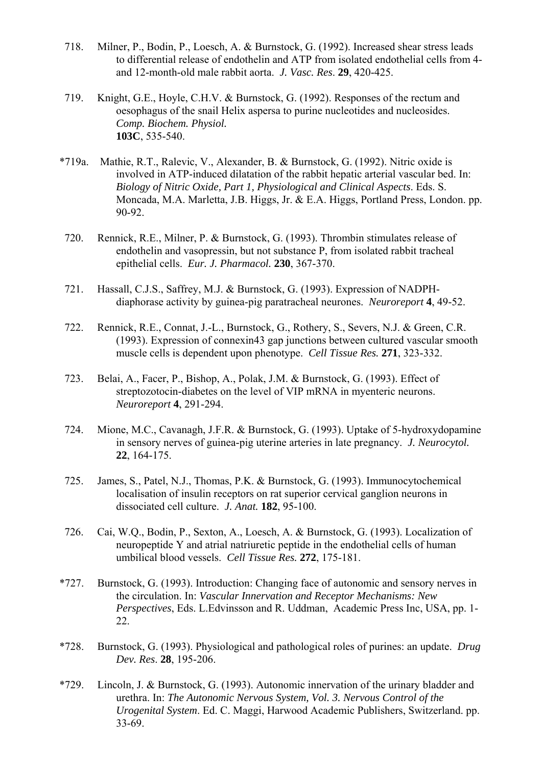- 718. Milner, P., Bodin, P., Loesch, A. & Burnstock, G. (1992). Increased shear stress leads to differential release of endothelin and ATP from isolated endothelial cells from 4 and 12-month-old male rabbit aorta. *J. Vasc. Res*. **29**, 420-425.
- 719. Knight, G.E., Hoyle, C.H.V. & Burnstock, G. (1992). Responses of the rectum and oesophagus of the snail Helix aspersa to purine nucleotides and nucleosides. *Comp. Biochem. Physiol.*  **103C**, 535-540.
- \*719a. Mathie, R.T., Ralevic, V., Alexander, B. & Burnstock, G. (1992). Nitric oxide is involved in ATP-induced dilatation of the rabbit hepatic arterial vascular bed. In: *Biology of Nitric Oxide, Part 1, Physiological and Clinical Aspects*. Eds. S. Moncada, M.A. Marletta, J.B. Higgs, Jr. & E.A. Higgs, Portland Press, London. pp. 90-92.
- 720. Rennick, R.E., Milner, P. & Burnstock, G. (1993). Thrombin stimulates release of endothelin and vasopressin, but not substance P, from isolated rabbit tracheal epithelial cells. *Eur. J. Pharmacol.* **230**, 367-370.
- 721. Hassall, C.J.S., Saffrey, M.J. & Burnstock, G. (1993). Expression of NADPHdiaphorase activity by guinea-pig paratracheal neurones. *Neuroreport* **4**, 49-52.
- 722. Rennick, R.E., Connat, J.-L., Burnstock, G., Rothery, S., Severs, N.J. & Green, C.R. (1993). Expression of connexin43 gap junctions between cultured vascular smooth muscle cells is dependent upon phenotype. *Cell Tissue Res.* **271**, 323-332.
- 723. Belai, A., Facer, P., Bishop, A., Polak, J.M. & Burnstock, G. (1993). Effect of streptozotocin-diabetes on the level of VIP mRNA in myenteric neurons. *Neuroreport* **4**, 291-294.
- 724. Mione, M.C., Cavanagh, J.F.R. & Burnstock, G. (1993). Uptake of 5-hydroxydopamine in sensory nerves of guinea-pig uterine arteries in late pregnancy. *J. Neurocytol.* **22**, 164-175.
- 725. James, S., Patel, N.J., Thomas, P.K. & Burnstock, G. (1993). Immunocytochemical localisation of insulin receptors on rat superior cervical ganglion neurons in dissociated cell culture. *J. Anat.* **182**, 95-100.
- 726. Cai, W.Q., Bodin, P., Sexton, A., Loesch, A. & Burnstock, G. (1993). Localization of neuropeptide Y and atrial natriuretic peptide in the endothelial cells of human umbilical blood vessels. *Cell Tissue Res.* **272**, 175-181.
- \*727. Burnstock, G. (1993). Introduction: Changing face of autonomic and sensory nerves in the circulation. In: *Vascular Innervation and Receptor Mechanisms: New Perspectives*, Eds. L.Edvinsson and R. Uddman, Academic Press Inc, USA, pp. 1- 22.
- \*728. Burnstock, G. (1993). Physiological and pathological roles of purines: an update. *Drug Dev. Res*. **28**, 195-206.
- \*729. Lincoln, J. & Burnstock, G. (1993). Autonomic innervation of the urinary bladder and urethra. In: *The Autonomic Nervous System, Vol. 3. Nervous Control of the Urogenital System*. Ed. C. Maggi, Harwood Academic Publishers, Switzerland. pp. 33-69.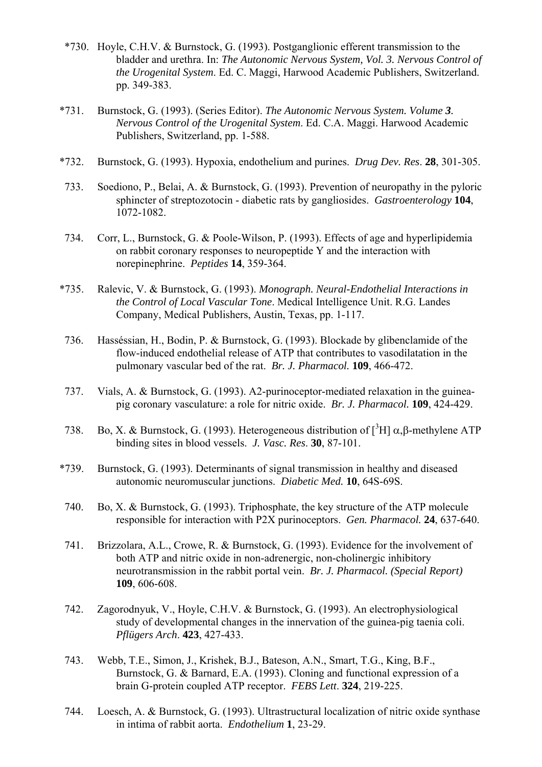- \*730. Hoyle, C.H.V. & Burnstock, G. (1993). Postganglionic efferent transmission to the bladder and urethra. In: *The Autonomic Nervous System, Vol. 3. Nervous Control of the Urogenital System*. Ed. C. Maggi, Harwood Academic Publishers, Switzerland. pp. 349-383.
- \*731. Burnstock, G. (1993). (Series Editor). *The Autonomic Nervous System. Volume 3. Nervous Control of the Urogenital System*. Ed. C.A. Maggi. Harwood Academic Publishers, Switzerland, pp. 1-588.
- \*732. Burnstock, G. (1993). Hypoxia, endothelium and purines. *Drug Dev. Res*. **28**, 301-305.
- 733. Soediono, P., Belai, A. & Burnstock, G. (1993). Prevention of neuropathy in the pyloric sphincter of streptozotocin - diabetic rats by gangliosides. *Gastroenterology* **104**, 1072-1082.
- 734. Corr, L., Burnstock, G. & Poole-Wilson, P. (1993). Effects of age and hyperlipidemia on rabbit coronary responses to neuropeptide Y and the interaction with norepinephrine. *Peptides* **14**, 359-364.
- \*735. Ralevic, V. & Burnstock, G. (1993). *Monograph. Neural-Endothelial Interactions in the Control of Local Vascular Tone*. Medical Intelligence Unit. R.G. Landes Company, Medical Publishers, Austin, Texas, pp. 1-117.
- 736. Hasséssian, H., Bodin, P. & Burnstock, G. (1993). Blockade by glibenclamide of the flow-induced endothelial release of ATP that contributes to vasodilatation in the pulmonary vascular bed of the rat. *Br. J. Pharmacol.* **109**, 466-472.
- 737. Vials, A. & Burnstock, G. (1993). A2-purinoceptor-mediated relaxation in the guineapig coronary vasculature: a role for nitric oxide. *Br. J. Pharmacol.* **109**, 424-429.
- 738. Bo, X. & Burnstock, G. (1993). Heterogeneous distribution of [<sup>3</sup>H] α, β-methylene ATP binding sites in blood vessels. *J. Vasc. Res*. **30**, 87-101.
- \*739. Burnstock, G. (1993). Determinants of signal transmission in healthy and diseased autonomic neuromuscular junctions. *Diabetic Med.* **10**, 64S-69S.
- 740. Bo, X. & Burnstock, G. (1993). Triphosphate, the key structure of the ATP molecule responsible for interaction with P2X purinoceptors. *Gen. Pharmacol.* **24**, 637-640.
- 741. Brizzolara, A.L., Crowe, R. & Burnstock, G. (1993). Evidence for the involvement of both ATP and nitric oxide in non-adrenergic, non-cholinergic inhibitory neurotransmission in the rabbit portal vein. *Br. J. Pharmacol. (Special Report)* **109**, 606-608.
- 742. Zagorodnyuk, V., Hoyle, C.H.V. & Burnstock, G. (1993). An electrophysiological study of developmental changes in the innervation of the guinea-pig taenia coli. *Pflügers Arch*. **423**, 427-433.
- 743. Webb, T.E., Simon, J., Krishek, B.J., Bateson, A.N., Smart, T.G., King, B.F., Burnstock, G. & Barnard, E.A. (1993). Cloning and functional expression of a brain G-protein coupled ATP receptor. *FEBS Lett*. **324**, 219-225.
- 744. Loesch, A. & Burnstock, G. (1993). Ultrastructural localization of nitric oxide synthase in intima of rabbit aorta. *Endothelium* **1**, 23-29.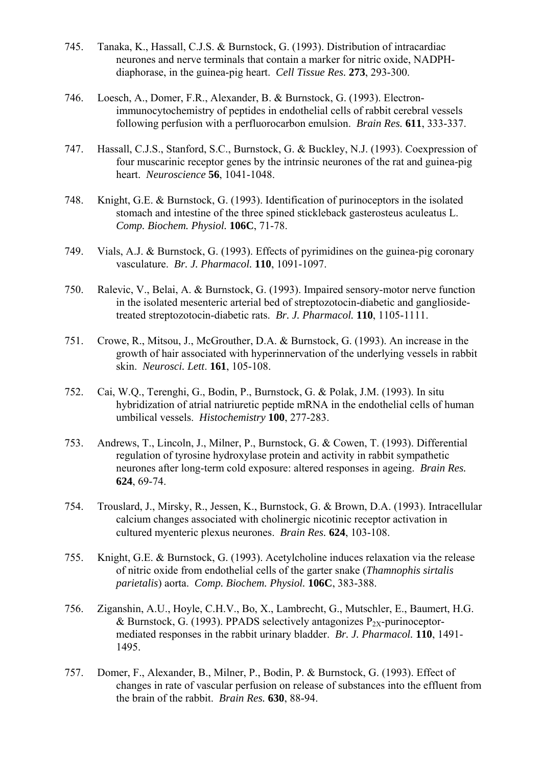- 745. Tanaka, K., Hassall, C.J.S. & Burnstock, G. (1993). Distribution of intracardiac neurones and nerve terminals that contain a marker for nitric oxide, NADPHdiaphorase, in the guinea-pig heart. *Cell Tissue Res.* **273**, 293-300.
- 746. Loesch, A., Domer, F.R., Alexander, B. & Burnstock, G. (1993). Electronimmunocytochemistry of peptides in endothelial cells of rabbit cerebral vessels following perfusion with a perfluorocarbon emulsion. *Brain Res.* **611**, 333-337.
- 747. Hassall, C.J.S., Stanford, S.C., Burnstock, G. & Buckley, N.J. (1993). Coexpression of four muscarinic receptor genes by the intrinsic neurones of the rat and guinea-pig heart. *Neuroscience* **56**, 1041-1048.
- 748. Knight, G.E. & Burnstock, G. (1993). Identification of purinoceptors in the isolated stomach and intestine of the three spined stickleback gasterosteus aculeatus L. *Comp. Biochem. Physiol.* **106C**, 71-78.
- 749. Vials, A.J. & Burnstock, G. (1993). Effects of pyrimidines on the guinea-pig coronary vasculature. *Br. J. Pharmacol.* **110**, 1091-1097.
- 750. Ralevic, V., Belai, A. & Burnstock, G. (1993). Impaired sensory-motor nerve function in the isolated mesenteric arterial bed of streptozotocin-diabetic and gangliosidetreated streptozotocin-diabetic rats. *Br. J. Pharmacol.* **110**, 1105-1111.
- 751. Crowe, R., Mitsou, J., McGrouther, D.A. & Burnstock, G. (1993). An increase in the growth of hair associated with hyperinnervation of the underlying vessels in rabbit skin. *Neurosci. Lett*. **161**, 105-108.
- 752. Cai, W.Q., Terenghi, G., Bodin, P., Burnstock, G. & Polak, J.M. (1993). In situ hybridization of atrial natriuretic peptide mRNA in the endothelial cells of human umbilical vessels. *Histochemistry* **100**, 277-283.
- 753. Andrews, T., Lincoln, J., Milner, P., Burnstock, G. & Cowen, T. (1993). Differential regulation of tyrosine hydroxylase protein and activity in rabbit sympathetic neurones after long-term cold exposure: altered responses in ageing. *Brain Res.* **624**, 69-74.
- 754. Trouslard, J., Mirsky, R., Jessen, K., Burnstock, G. & Brown, D.A. (1993). Intracellular calcium changes associated with cholinergic nicotinic receptor activation in cultured myenteric plexus neurones. *Brain Res.* **624**, 103-108.
- 755. Knight, G.E. & Burnstock, G. (1993). Acetylcholine induces relaxation via the release of nitric oxide from endothelial cells of the garter snake (*Thamnophis sirtalis parietalis*) aorta. *Comp. Biochem. Physiol.* **106C**, 383-388.
- 756. Ziganshin, A.U., Hoyle, C.H.V., Bo, X., Lambrecht, G., Mutschler, E., Baumert, H.G. & Burnstock, G. (1993). PPADS selectively antagonizes  $P_{2X}$ -purinoceptormediated responses in the rabbit urinary bladder. *Br. J. Pharmacol.* **110**, 1491- 1495.
- 757. Domer, F., Alexander, B., Milner, P., Bodin, P. & Burnstock, G. (1993). Effect of changes in rate of vascular perfusion on release of substances into the effluent from the brain of the rabbit. *Brain Res.* **630**, 88-94.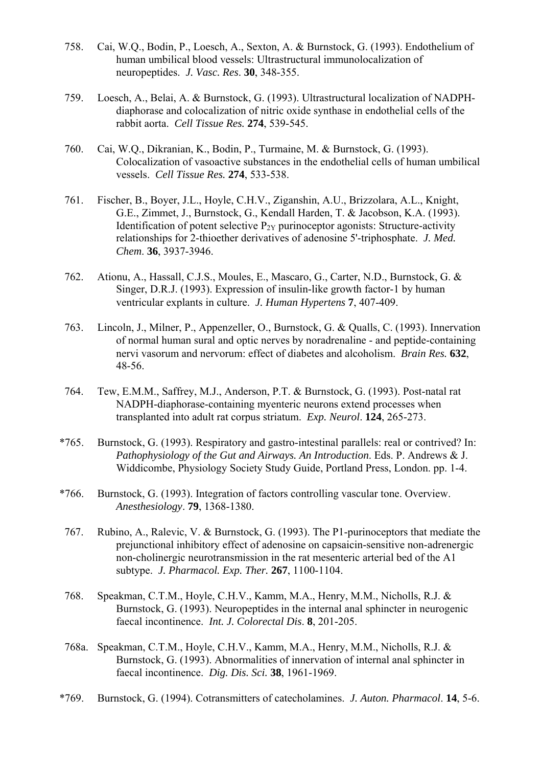- 758. Cai, W.Q., Bodin, P., Loesch, A., Sexton, A. & Burnstock, G. (1993). Endothelium of human umbilical blood vessels: Ultrastructural immunolocalization of neuropeptides. *J. Vasc. Res*. **30**, 348-355.
- 759. Loesch, A., Belai, A. & Burnstock, G. (1993). Ultrastructural localization of NADPHdiaphorase and colocalization of nitric oxide synthase in endothelial cells of the rabbit aorta. *Cell Tissue Res.* **274**, 539-545.
- 760. Cai, W.Q., Dikranian, K., Bodin, P., Turmaine, M. & Burnstock, G. (1993). Colocalization of vasoactive substances in the endothelial cells of human umbilical vessels. *Cell Tissue Res.* **274**, 533-538.
- 761. Fischer, B., Boyer, J.L., Hoyle, C.H.V., Ziganshin, A.U., Brizzolara, A.L., Knight, G.E., Zimmet, J., Burnstock, G., Kendall Harden, T. & Jacobson, K.A. (1993). Identification of potent selective  $P_{2Y}$  purinoceptor agonists: Structure-activity relationships for 2-thioether derivatives of adenosine 5'-triphosphate. *J. Med. Chem*. **36**, 3937-3946.
- 762. Ationu, A., Hassall, C.J.S., Moules, E., Mascaro, G., Carter, N.D., Burnstock, G. & Singer, D.R.J. (1993). Expression of insulin-like growth factor-1 by human ventricular explants in culture. *J. Human Hypertens* **7**, 407-409.
- 763. Lincoln, J., Milner, P., Appenzeller, O., Burnstock, G. & Qualls, C. (1993). Innervation of normal human sural and optic nerves by noradrenaline - and peptide-containing nervi vasorum and nervorum: effect of diabetes and alcoholism. *Brain Res.* **632**, 48-56.
- 764. Tew, E.M.M., Saffrey, M.J., Anderson, P.T. & Burnstock, G. (1993). Post-natal rat NADPH-diaphorase-containing myenteric neurons extend processes when transplanted into adult rat corpus striatum. *Exp. Neurol*. **124**, 265-273.
- \*765. Burnstock, G. (1993). Respiratory and gastro-intestinal parallels: real or contrived? In: *Pathophysiology of the Gut and Airways. An Introduction*. Eds. P. Andrews & J. Widdicombe, Physiology Society Study Guide, Portland Press, London. pp. 1-4.
- \*766. Burnstock, G. (1993). Integration of factors controlling vascular tone. Overview. *Anesthesiology*. **79**, 1368-1380.
- 767. Rubino, A., Ralevic, V. & Burnstock, G. (1993). The P1-purinoceptors that mediate the prejunctional inhibitory effect of adenosine on capsaicin-sensitive non-adrenergic non-cholinergic neurotransmission in the rat mesenteric arterial bed of the A1 subtype. *J. Pharmacol. Exp. Ther.* **267**, 1100-1104.
- 768. Speakman, C.T.M., Hoyle, C.H.V., Kamm, M.A., Henry, M.M., Nicholls, R.J. & Burnstock, G. (1993). Neuropeptides in the internal anal sphincter in neurogenic faecal incontinence. *Int. J. Colorectal Dis*. **8**, 201-205.
- 768a. Speakman, C.T.M., Hoyle, C.H.V., Kamm, M.A., Henry, M.M., Nicholls, R.J. & Burnstock, G. (1993). Abnormalities of innervation of internal anal sphincter in faecal incontinence. *Dig. Dis. Sci.* **38**, 1961-1969.
- \*769. Burnstock, G. (1994). Cotransmitters of catecholamines. *J. Auton. Pharmacol*. **14**, 5-6.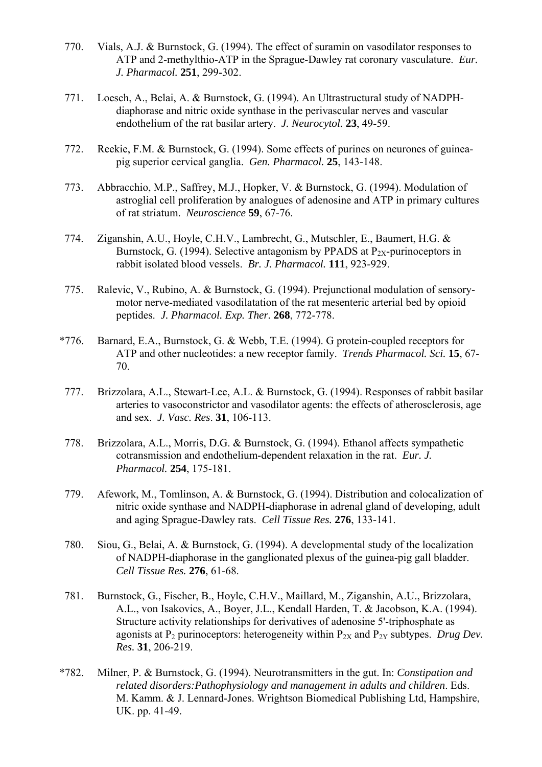- 770. Vials, A.J. & Burnstock, G. (1994). The effect of suramin on vasodilator responses to ATP and 2-methylthio-ATP in the Sprague-Dawley rat coronary vasculature. *Eur. J. Pharmacol.* **251**, 299-302.
- 771. Loesch, A., Belai, A. & Burnstock, G. (1994). An Ultrastructural study of NADPHdiaphorase and nitric oxide synthase in the perivascular nerves and vascular endothelium of the rat basilar artery. *J. Neurocytol.* **23**, 49-59.
- 772. Reekie, F.M. & Burnstock, G. (1994). Some effects of purines on neurones of guineapig superior cervical ganglia. *Gen. Pharmacol.* **25**, 143-148.
- 773. Abbracchio, M.P., Saffrey, M.J., Hopker, V. & Burnstock, G. (1994). Modulation of astroglial cell proliferation by analogues of adenosine and ATP in primary cultures of rat striatum. *Neuroscience* **59**, 67-76.
- 774. Ziganshin, A.U., Hoyle, C.H.V., Lambrecht, G., Mutschler, E., Baumert, H.G. & Burnstock, G. (1994). Selective antagonism by PPADS at  $P_{2X}$ -purinoceptors in rabbit isolated blood vessels. *Br. J. Pharmacol.* **111**, 923-929.
- 775. Ralevic, V., Rubino, A. & Burnstock, G. (1994). Prejunctional modulation of sensorymotor nerve-mediated vasodilatation of the rat mesenteric arterial bed by opioid peptides. *J. Pharmacol. Exp. Ther.* **268**, 772-778.
- \*776. Barnard, E.A., Burnstock, G. & Webb, T.E. (1994). G protein-coupled receptors for ATP and other nucleotides: a new receptor family. *Trends Pharmacol. Sci.* **15**, 67- 70.
- 777. Brizzolara, A.L., Stewart-Lee, A.L. & Burnstock, G. (1994). Responses of rabbit basilar arteries to vasoconstrictor and vasodilator agents: the effects of atherosclerosis, age and sex. *J. Vasc. Res*. **31**, 106-113.
- 778. Brizzolara, A.L., Morris, D.G. & Burnstock, G. (1994). Ethanol affects sympathetic cotransmission and endothelium-dependent relaxation in the rat. *Eur. J. Pharmacol.* **254**, 175-181.
- 779. Afework, M., Tomlinson, A. & Burnstock, G. (1994). Distribution and colocalization of nitric oxide synthase and NADPH-diaphorase in adrenal gland of developing, adult and aging Sprague-Dawley rats. *Cell Tissue Res.* **276**, 133-141.
- 780. Siou, G., Belai, A. & Burnstock, G. (1994). A developmental study of the localization of NADPH-diaphorase in the ganglionated plexus of the guinea-pig gall bladder. *Cell Tissue Res.* **276**, 61-68.
- 781. Burnstock, G., Fischer, B., Hoyle, C.H.V., Maillard, M., Ziganshin, A.U., Brizzolara, A.L., von Isakovics, A., Boyer, J.L., Kendall Harden, T. & Jacobson, K.A. (1994). Structure activity relationships for derivatives of adenosine 5'-triphosphate as agonists at  $P_2$  purinoceptors: heterogeneity within  $P_{2X}$  and  $P_{2Y}$  subtypes. *Drug Dev. Res.* **31**, 206-219.
- \*782. Milner, P. & Burnstock, G. (1994). Neurotransmitters in the gut. In: *Constipation and related disorders:Pathophysiology and management in adults and children*. Eds. M. Kamm. & J. Lennard-Jones. Wrightson Biomedical Publishing Ltd, Hampshire, UK. pp. 41-49.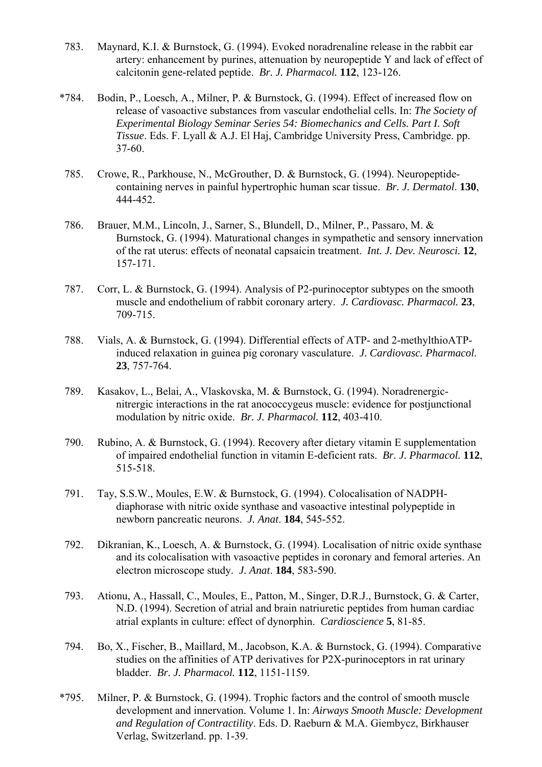- 783. Maynard, K.I. & Burnstock, G. (1994). Evoked noradrenaline release in the rabbit ear artery: enhancement by purines, attenuation by neuropeptide Y and lack of effect of calcitonin gene-related peptide. *Br. J. Pharmacol.* **112**, 123-126.
- \*784. Bodin, P., Loesch, A., Milner, P. & Burnstock, G. (1994). Effect of increased flow on release of vasoactive substances from vascular endothelial cells. In: *The Society of Experimental Biology Seminar Series 54: Biomechanics and Cells. Part I. Soft Tissue*. Eds. F. Lyall & A.J. El Haj, Cambridge University Press, Cambridge. pp. 37-60.
- 785. Crowe, R., Parkhouse, N., McGrouther, D. & Burnstock, G. (1994). Neuropeptidecontaining nerves in painful hypertrophic human scar tissue. *Br. J. Dermatol*. **130**, 444-452.
- 786. Brauer, M.M., Lincoln, J., Sarner, S., Blundell, D., Milner, P., Passaro, M. & Burnstock, G. (1994). Maturational changes in sympathetic and sensory innervation of the rat uterus: effects of neonatal capsaicin treatment. *Int. J. Dev. Neurosci.* **12**, 157-171.
- 787. Corr, L. & Burnstock, G. (1994). Analysis of P2-purinoceptor subtypes on the smooth muscle and endothelium of rabbit coronary artery. *J. Cardiovasc. Pharmacol.* **23**, 709-715.
- 788. Vials, A. & Burnstock, G. (1994). Differential effects of ATP- and 2-methylthioATPinduced relaxation in guinea pig coronary vasculature. *J. Cardiovasc. Pharmacol.* **23**, 757-764.
- 789. Kasakov, L., Belai, A., Vlaskovska, M. & Burnstock, G. (1994). Noradrenergicnitrergic interactions in the rat anococcygeus muscle: evidence for postjunctional modulation by nitric oxide. *Br. J. Pharmacol.* **112**, 403-410.
- 790. Rubino, A. & Burnstock, G. (1994). Recovery after dietary vitamin E supplementation of impaired endothelial function in vitamin E-deficient rats. *Br. J. Pharmacol.* **112**, 515-518.
- 791. Tay, S.S.W., Moules, E.W. & Burnstock, G. (1994). Colocalisation of NADPHdiaphorase with nitric oxide synthase and vasoactive intestinal polypeptide in newborn pancreatic neurons. *J. Anat*. **184**, 545-552.
- 792. Dikranian, K., Loesch, A. & Burnstock, G. (1994). Localisation of nitric oxide synthase and its colocalisation with vasoactive peptides in coronary and femoral arteries. An electron microscope study. *J. Anat*. **184**, 583-590.
- 793. Ationu, A., Hassall, C., Moules, E., Patton, M., Singer, D.R.J., Burnstock, G. & Carter, N.D. (1994). Secretion of atrial and brain natriuretic peptides from human cardiac atrial explants in culture: effect of dynorphin. *Cardioscience* **5**, 81-85.
- 794. Bo, X., Fischer, B., Maillard, M., Jacobson, K.A. & Burnstock, G. (1994). Comparative studies on the affinities of ATP derivatives for P2X-purinoceptors in rat urinary bladder. *Br. J. Pharmacol.* **112**, 1151-1159.
- \*795. Milner, P. & Burnstock, G. (1994). Trophic factors and the control of smooth muscle development and innervation. Volume 1. In: *Airways Smooth Muscle: Development and Regulation of Contractility*. Eds. D. Raeburn & M.A. Giembycz, Birkhauser Verlag, Switzerland. pp. 1-39.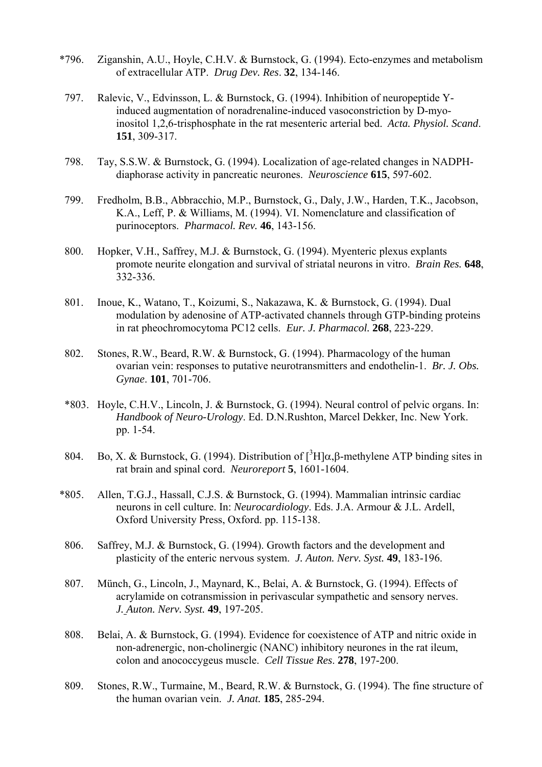- \*796. Ziganshin, A.U., Hoyle, C.H.V. & Burnstock, G. (1994). Ecto-enzymes and metabolism of extracellular ATP. *Drug Dev. Res*. **32**, 134-146.
- 797. Ralevic, V., Edvinsson, L. & Burnstock, G. (1994). Inhibition of neuropeptide Yinduced augmentation of noradrenaline-induced vasoconstriction by D-myoinositol 1,2,6-trisphosphate in the rat mesenteric arterial bed. *Acta. Physiol. Scand*. **151**, 309-317.
- 798. Tay, S.S.W. & Burnstock, G. (1994). Localization of age-related changes in NADPHdiaphorase activity in pancreatic neurones. *Neuroscience* **615**, 597-602.
- 799. Fredholm, B.B., Abbracchio, M.P., Burnstock, G., Daly, J.W., Harden, T.K., Jacobson, K.A., Leff, P. & Williams, M. (1994). VI. Nomenclature and classification of purinoceptors. *Pharmacol. Rev.* **46**, 143-156.
- 800. Hopker, V.H., Saffrey, M.J. & Burnstock, G. (1994). Myenteric plexus explants promote neurite elongation and survival of striatal neurons in vitro. *Brain Res.* **648**, 332-336.
- 801. Inoue, K., Watano, T., Koizumi, S., Nakazawa, K. & Burnstock, G. (1994). Dual modulation by adenosine of ATP-activated channels through GTP-binding proteins in rat pheochromocytoma PC12 cells. *Eur. J. Pharmacol.* **268**, 223-229.
- 802. Stones, R.W., Beard, R.W. & Burnstock, G. (1994). Pharmacology of the human ovarian vein: responses to putative neurotransmitters and endothelin-1. *Br. J. Obs. Gynae*. **101**, 701-706.
- \*803. Hoyle, C.H.V., Lincoln, J. & Burnstock, G. (1994). Neural control of pelvic organs. In: *Handbook of Neuro-Urology*. Ed. D.N.Rushton, Marcel Dekker, Inc. New York. pp. 1-54.
- 804. Bo, X. & Burnstock, G. (1994). Distribution of  $[^{3}H]\alpha, \beta$ -methylene ATP binding sites in rat brain and spinal cord. *Neuroreport* **5**, 1601-1604.
- \*805. Allen, T.G.J., Hassall, C.J.S. & Burnstock, G. (1994). Mammalian intrinsic cardiac neurons in cell culture. In: *Neurocardiology*. Eds. J.A. Armour & J.L. Ardell, Oxford University Press, Oxford. pp. 115-138.
- 806. Saffrey, M.J. & Burnstock, G. (1994). Growth factors and the development and plasticity of the enteric nervous system. *J. Auton. Nerv. Syst.* **49**, 183-196.
- 807. Münch, G., Lincoln, J., Maynard, K., Belai, A. & Burnstock, G. (1994). Effects of acrylamide on cotransmission in perivascular sympathetic and sensory nerves. *J. Auton. Nerv. Syst.* **49**, 197-205.
- 808. Belai, A. & Burnstock, G. (1994). Evidence for coexistence of ATP and nitric oxide in non-adrenergic, non-cholinergic (NANC) inhibitory neurones in the rat ileum, colon and anococcygeus muscle. *Cell Tissue Res*. **278**, 197-200.
- 809. Stones, R.W., Turmaine, M., Beard, R.W. & Burnstock, G. (1994). The fine structure of the human ovarian vein. *J. Anat.* **185**, 285-294.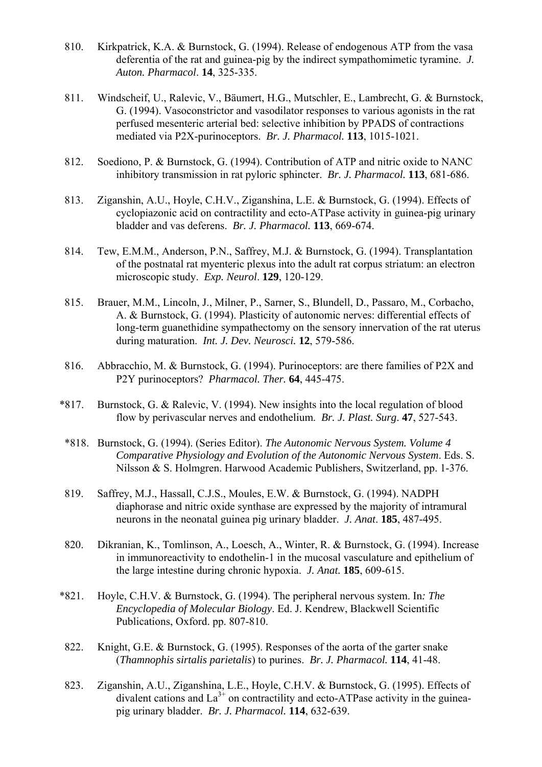- 810. Kirkpatrick, K.A. & Burnstock, G. (1994). Release of endogenous ATP from the vasa deferentia of the rat and guinea-pig by the indirect sympathomimetic tyramine. *J. Auton. Pharmacol*. **14**, 325-335.
- 811. Windscheif, U., Ralevic, V., Bäumert, H.G., Mutschler, E., Lambrecht, G. & Burnstock, G. (1994). Vasoconstrictor and vasodilator responses to various agonists in the rat perfused mesenteric arterial bed: selective inhibition by PPADS of contractions mediated via P2X-purinoceptors. *Br. J. Pharmacol.* **113**, 1015-1021.
- 812. Soediono, P. & Burnstock, G. (1994). Contribution of ATP and nitric oxide to NANC inhibitory transmission in rat pyloric sphincter. *Br. J. Pharmacol.* **113**, 681-686.
- 813. Ziganshin, A.U., Hoyle, C.H.V., Ziganshina, L.E. & Burnstock, G. (1994). Effects of cyclopiazonic acid on contractility and ecto-ATPase activity in guinea-pig urinary bladder and vas deferens. *Br. J. Pharmacol.* **113**, 669-674.
- 814. Tew, E.M.M., Anderson, P.N., Saffrey, M.J. & Burnstock, G. (1994). Transplantation of the postnatal rat myenteric plexus into the adult rat corpus striatum: an electron microscopic study. *Exp. Neurol*. **129**, 120-129.
- 815. Brauer, M.M., Lincoln, J., Milner, P., Sarner, S., Blundell, D., Passaro, M., Corbacho, A. & Burnstock, G. (1994). Plasticity of autonomic nerves: differential effects of long-term guanethidine sympathectomy on the sensory innervation of the rat uterus during maturation. *Int. J. Dev. Neurosci.* **12**, 579-586.
- 816. Abbracchio, M. & Burnstock, G. (1994). Purinoceptors: are there families of P2X and P2Y purinoceptors? *Pharmacol. Ther.* **64**, 445-475.
- \*817. Burnstock, G. & Ralevic, V. (1994). New insights into the local regulation of blood flow by perivascular nerves and endothelium. *Br. J. Plast. Surg*. **47**, 527-543.
- \*818. Burnstock, G. (1994). (Series Editor). *The Autonomic Nervous System. Volume 4 Comparative Physiology and Evolution of the Autonomic Nervous System*. Eds. S. Nilsson & S. Holmgren. Harwood Academic Publishers, Switzerland, pp. 1-376.
- 819. Saffrey, M.J., Hassall, C.J.S., Moules, E.W. & Burnstock, G. (1994). NADPH diaphorase and nitric oxide synthase are expressed by the majority of intramural neurons in the neonatal guinea pig urinary bladder. *J. Anat*. **185**, 487-495.
- 820. Dikranian, K., Tomlinson, A., Loesch, A., Winter, R. & Burnstock, G. (1994). Increase in immunoreactivity to endothelin-1 in the mucosal vasculature and epithelium of the large intestine during chronic hypoxia. *J. Anat.* **185**, 609-615.
- \*821. Hoyle, C.H.V. & Burnstock, G. (1994). The peripheral nervous system. In*: The Encyclopedia of Molecular Biology*. Ed. J. Kendrew, Blackwell Scientific Publications, Oxford. pp. 807-810.
- 822. Knight, G.E. & Burnstock, G. (1995). Responses of the aorta of the garter snake (*Thamnophis sirtalis parietalis*) to purines. *Br. J. Pharmacol.* **114**, 41-48.
- 823. Ziganshin, A.U., Ziganshina, L.E., Hoyle, C.H.V. & Burnstock, G. (1995). Effects of divalent cations and  $La^{3+}$  on contractility and ecto-ATPase activity in the guineapig urinary bladder. *Br. J. Pharmacol.* **114**, 632-639.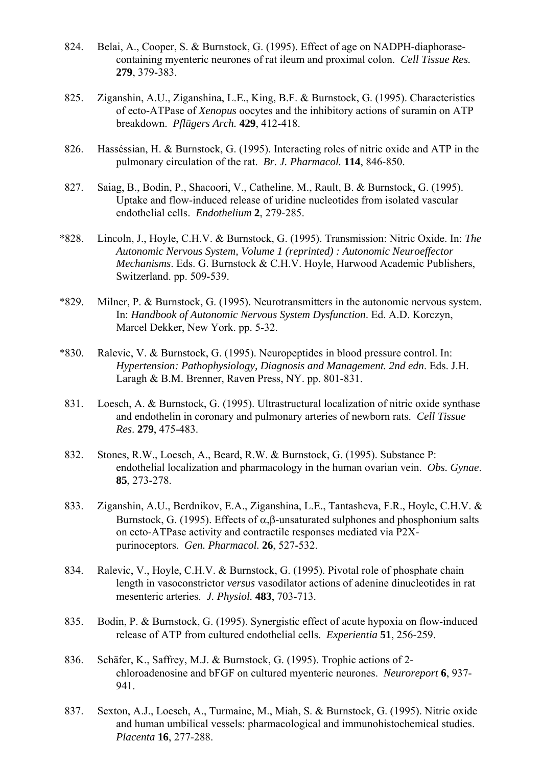- 824. Belai, A., Cooper, S. & Burnstock, G. (1995). Effect of age on NADPH-diaphorasecontaining myenteric neurones of rat ileum and proximal colon. *Cell Tissue Res.* **279**, 379-383.
- 825. Ziganshin, A.U., Ziganshina, L.E., King, B.F. & Burnstock, G. (1995). Characteristics of ecto-ATPase of *Xenopus* oocytes and the inhibitory actions of suramin on ATP breakdown. *Pflügers Arch.* **429**, 412-418.
- 826. Hasséssian, H. & Burnstock, G. (1995). Interacting roles of nitric oxide and ATP in the pulmonary circulation of the rat. *Br. J. Pharmacol.* **114**, 846-850.
- 827. Saiag, B., Bodin, P., Shacoori, V., Catheline, M., Rault, B. & Burnstock, G. (1995). Uptake and flow-induced release of uridine nucleotides from isolated vascular endothelial cells. *Endothelium* **2**, 279-285.
- \*828. Lincoln, J., Hoyle, C.H.V. & Burnstock, G. (1995). Transmission: Nitric Oxide. In: *The Autonomic Nervous System, Volume 1 (reprinted) : Autonomic Neuroeffector Mechanisms*. Eds. G. Burnstock & C.H.V. Hoyle, Harwood Academic Publishers, Switzerland. pp. 509-539.
- \*829. Milner, P. & Burnstock, G. (1995). Neurotransmitters in the autonomic nervous system. In: *Handbook of Autonomic Nervous System Dysfunction*. Ed. A.D. Korczyn, Marcel Dekker, New York. pp. 5-32.
- \*830. Ralevic, V. & Burnstock, G. (1995). Neuropeptides in blood pressure control. In: *Hypertension: Pathophysiology, Diagnosis and Management. 2nd edn*. Eds. J.H. Laragh & B.M. Brenner, Raven Press, NY. pp. 801-831.
- 831. Loesch, A. & Burnstock, G. (1995). Ultrastructural localization of nitric oxide synthase and endothelin in coronary and pulmonary arteries of newborn rats. *Cell Tissue Res*. **279**, 475-483.
- 832. Stones, R.W., Loesch, A., Beard, R.W. & Burnstock, G. (1995). Substance P: endothelial localization and pharmacology in the human ovarian vein. *Obs. Gynae*. **85**, 273-278.
- 833. Ziganshin, A.U., Berdnikov, E.A., Ziganshina, L.E., Tantasheva, F.R., Hoyle, C.H.V. & Burnstock, G. (1995). Effects of  $\alpha$ ,  $\beta$ -unsaturated sulphones and phosphonium salts on ecto-ATPase activity and contractile responses mediated via P2Xpurinoceptors. *Gen. Pharmacol.* **26**, 527-532.
- 834. Ralevic, V., Hoyle, C.H.V. & Burnstock, G. (1995). Pivotal role of phosphate chain length in vasoconstrictor *versus* vasodilator actions of adenine dinucleotides in rat mesenteric arteries. *J. Physiol.* **483**, 703-713.
- 835. Bodin, P. & Burnstock, G. (1995). Synergistic effect of acute hypoxia on flow-induced release of ATP from cultured endothelial cells. *Experientia* **51**, 256-259.
- 836. Schäfer, K., Saffrey, M.J. & Burnstock, G. (1995). Trophic actions of 2 chloroadenosine and bFGF on cultured myenteric neurones. *Neuroreport* **6**, 937- 941.
- 837. Sexton, A.J., Loesch, A., Turmaine, M., Miah, S. & Burnstock, G. (1995). Nitric oxide and human umbilical vessels: pharmacological and immunohistochemical studies. *Placenta* **16**, 277-288.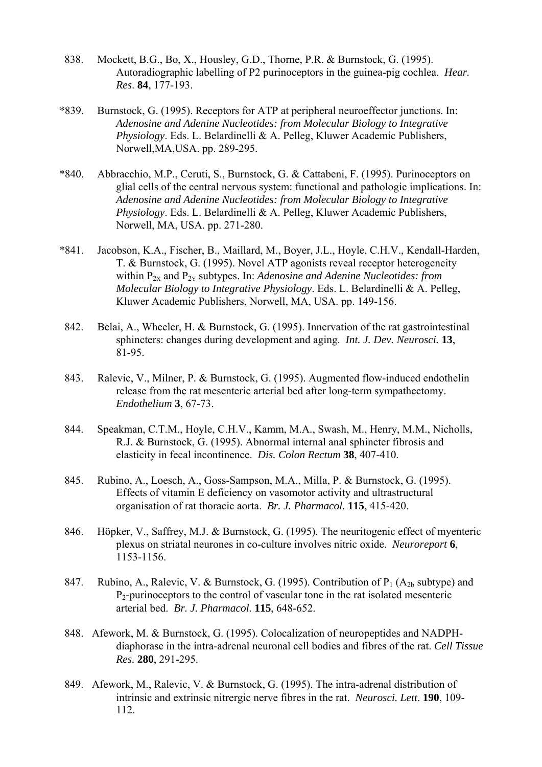- 838. Mockett, B.G., Bo, X., Housley, G.D., Thorne, P.R. & Burnstock, G. (1995). Autoradiographic labelling of P2 purinoceptors in the guinea-pig cochlea. *Hear. Res*. **84**, 177-193.
- \*839. Burnstock, G. (1995). Receptors for ATP at peripheral neuroeffector junctions. In: *Adenosine and Adenine Nucleotides: from Molecular Biology to Integrative Physiology*. Eds. L. Belardinelli & A. Pelleg, Kluwer Academic Publishers, Norwell,MA,USA. pp. 289-295.
- \*840. Abbracchio, M.P., Ceruti, S., Burnstock, G. & Cattabeni, F. (1995). Purinoceptors on glial cells of the central nervous system: functional and pathologic implications. In: *Adenosine and Adenine Nucleotides: from Molecular Biology to Integrative Physiology*. Eds. L. Belardinelli & A. Pelleg, Kluwer Academic Publishers, Norwell, MA, USA. pp. 271-280.
- \*841. Jacobson, K.A., Fischer, B., Maillard, M., Boyer, J.L., Hoyle, C.H.V., Kendall-Harden, T. & Burnstock, G. (1995). Novel ATP agonists reveal receptor heterogeneity within P<sub>2X</sub> and P<sub>2Y</sub> subtypes. In: *Adenosine and Adenine Nucleotides: from Molecular Biology to Integrative Physiology*. Eds. L. Belardinelli & A. Pelleg, Kluwer Academic Publishers, Norwell, MA, USA. pp. 149-156.
- 842. Belai, A., Wheeler, H. & Burnstock, G. (1995). Innervation of the rat gastrointestinal sphincters: changes during development and aging. *Int. J. Dev. Neurosci.* **13**, 81-95.
- 843. Ralevic, V., Milner, P. & Burnstock, G. (1995). Augmented flow-induced endothelin release from the rat mesenteric arterial bed after long-term sympathectomy. *Endothelium* **3**, 67-73.
- 844. Speakman, C.T.M., Hoyle, C.H.V., Kamm, M.A., Swash, M., Henry, M.M., Nicholls, R.J. & Burnstock, G. (1995). Abnormal internal anal sphincter fibrosis and elasticity in fecal incontinence. *Dis. Colon Rectum* **38**, 407-410.
- 845. Rubino, A., Loesch, A., Goss-Sampson, M.A., Milla, P. & Burnstock, G. (1995). Effects of vitamin E deficiency on vasomotor activity and ultrastructural organisation of rat thoracic aorta. *Br. J. Pharmacol.* **115**, 415-420.
- 846. Höpker, V., Saffrey, M.J. & Burnstock, G. (1995). The neuritogenic effect of myenteric plexus on striatal neurones in co-culture involves nitric oxide. *Neuroreport* **6**, 1153-1156.
- 847. Rubino, A., Ralevic, V. & Burnstock, G. (1995). Contribution of  $P_1$  (A<sub>2b</sub> subtype) and P2-purinoceptors to the control of vascular tone in the rat isolated mesenteric arterial bed. *Br. J. Pharmacol.* **115**, 648-652.
- 848. Afework, M. & Burnstock, G. (1995). Colocalization of neuropeptides and NADPHdiaphorase in the intra-adrenal neuronal cell bodies and fibres of the rat. *Cell Tissue Res.* **280**, 291-295.
- 849. Afework, M., Ralevic, V. & Burnstock, G. (1995). The intra-adrenal distribution of intrinsic and extrinsic nitrergic nerve fibres in the rat. *Neurosci. Lett*. **190**, 109- 112.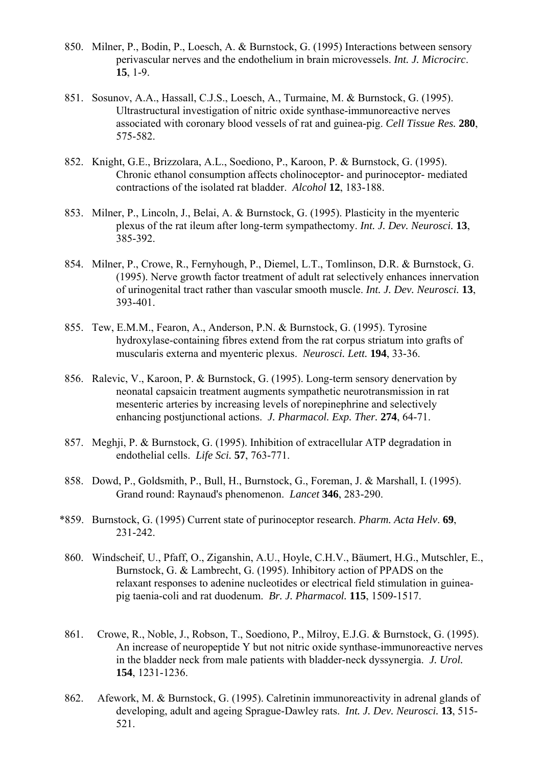- 850. Milner, P., Bodin, P., Loesch, A. & Burnstock, G. (1995) Interactions between sensory perivascular nerves and the endothelium in brain microvessels. *Int. J. Microcirc*. **15**, 1-9.
- 851. Sosunov, A.A., Hassall, C.J.S., Loesch, A., Turmaine, M. & Burnstock, G. (1995). Ultrastructural investigation of nitric oxide synthase-immunoreactive nerves associated with coronary blood vessels of rat and guinea-pig. *Cell Tissue Res.* **280**, 575-582.
- 852. Knight, G.E., Brizzolara, A.L., Soediono, P., Karoon, P. & Burnstock, G. (1995). Chronic ethanol consumption affects cholinoceptor- and purinoceptor- mediated contractions of the isolated rat bladder. *Alcohol* **12**, 183-188.
- 853. Milner, P., Lincoln, J., Belai, A. & Burnstock, G. (1995). Plasticity in the myenteric plexus of the rat ileum after long-term sympathectomy. *Int. J. Dev. Neurosci.* **13**, 385-392.
- 854. Milner, P., Crowe, R., Fernyhough, P., Diemel, L.T., Tomlinson, D.R. & Burnstock, G. (1995). Nerve growth factor treatment of adult rat selectively enhances innervation of urinogenital tract rather than vascular smooth muscle. *Int. J. Dev. Neurosci.* **13**, 393-401.
- 855. Tew, E.M.M., Fearon, A., Anderson, P.N. & Burnstock, G. (1995). Tyrosine hydroxylase-containing fibres extend from the rat corpus striatum into grafts of muscularis externa and myenteric plexus. *Neurosci. Lett.* **194**, 33-36.
- 856. Ralevic, V., Karoon, P. & Burnstock, G. (1995). Long-term sensory denervation by neonatal capsaicin treatment augments sympathetic neurotransmission in rat mesenteric arteries by increasing levels of norepinephrine and selectively enhancing postjunctional actions. *J. Pharmacol. Exp. Ther.* **274**, 64-71.
- 857. Meghji, P. & Burnstock, G. (1995). Inhibition of extracellular ATP degradation in endothelial cells. *Life Sci.* **57**, 763-771.
- 858. Dowd, P., Goldsmith, P., Bull, H., Burnstock, G., Foreman, J. & Marshall, I. (1995). Grand round: Raynaud's phenomenon. *Lancet* **346**, 283-290.
- \*859. Burnstock, G. (1995) Current state of purinoceptor research. *Pharm. Acta Helv*. **69**, 231-242.
- 860. Windscheif, U., Pfaff, O., Ziganshin, A.U., Hoyle, C.H.V., Bäumert, H.G., Mutschler, E., Burnstock, G. & Lambrecht, G. (1995). Inhibitory action of PPADS on the relaxant responses to adenine nucleotides or electrical field stimulation in guineapig taenia-coli and rat duodenum. *Br. J. Pharmacol.* **115**, 1509-1517.
- 861. Crowe, R., Noble, J., Robson, T., Soediono, P., Milroy, E.J.G. & Burnstock, G. (1995). An increase of neuropeptide Y but not nitric oxide synthase-immunoreactive nerves in the bladder neck from male patients with bladder-neck dyssynergia. *J. Urol.* **154**, 1231-1236.
- 862. Afework, M. & Burnstock, G. (1995). Calretinin immunoreactivity in adrenal glands of developing, adult and ageing Sprague-Dawley rats. *Int. J. Dev. Neurosci.* **13**, 515- 521.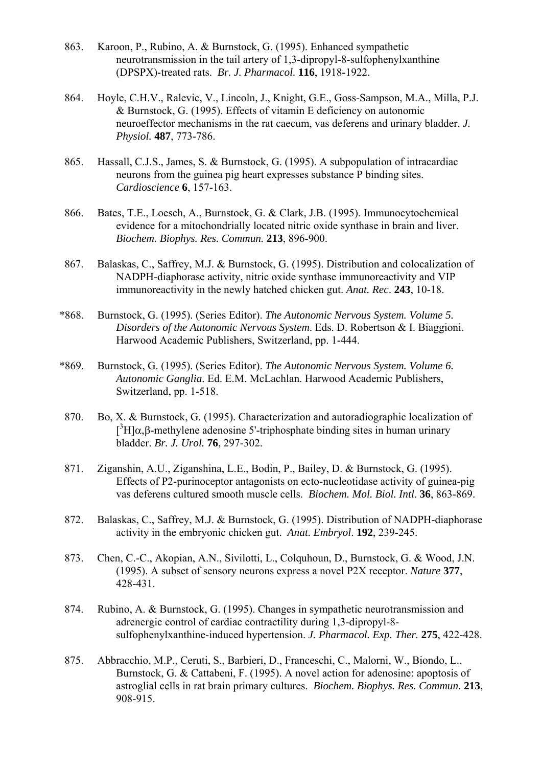- 863. Karoon, P., Rubino, A. & Burnstock, G. (1995). Enhanced sympathetic neurotransmission in the tail artery of 1,3-dipropyl-8-sulfophenylxanthine (DPSPX)-treated rats. *Br. J. Pharmacol.* **116**, 1918-1922.
- 864. Hoyle, C.H.V., Ralevic, V., Lincoln, J., Knight, G.E., Goss-Sampson, M.A., Milla, P.J. & Burnstock, G. (1995). Effects of vitamin E deficiency on autonomic neuroeffector mechanisms in the rat caecum, vas deferens and urinary bladder. *J. Physiol.* **487**, 773-786.
- 865. Hassall, C.J.S., James, S. & Burnstock, G. (1995). A subpopulation of intracardiac neurons from the guinea pig heart expresses substance P binding sites. *Cardioscience* **6**, 157-163.
- 866. Bates, T.E., Loesch, A., Burnstock, G. & Clark, J.B. (1995). Immunocytochemical evidence for a mitochondrially located nitric oxide synthase in brain and liver. *Biochem. Biophys. Res. Commun.* **213**, 896-900.
- 867. Balaskas, C., Saffrey, M.J. & Burnstock, G. (1995). Distribution and colocalization of NADPH-diaphorase activity, nitric oxide synthase immunoreactivity and VIP immunoreactivity in the newly hatched chicken gut. *Anat. Rec*. **243**, 10-18.
- \*868. Burnstock, G. (1995). (Series Editor). *The Autonomic Nervous System. Volume 5. Disorders of the Autonomic Nervous System*. Eds. D. Robertson & I. Biaggioni. Harwood Academic Publishers, Switzerland, pp. 1-444.
- \*869. Burnstock, G. (1995). (Series Editor). *The Autonomic Nervous System. Volume 6. Autonomic Ganglia*. Ed. E.M. McLachlan. Harwood Academic Publishers, Switzerland, pp. 1-518.
- 870. Bo, X. & Burnstock, G. (1995). Characterization and autoradiographic localization of <sup>3</sup>H | α, β-methylene adenosine 5'-triphosphate binding sites in human urinary bladder. *Br. J. Urol.* **76**, 297-302.
- 871. Ziganshin, A.U., Ziganshina, L.E., Bodin, P., Bailey, D. & Burnstock, G. (1995). Effects of P2-purinoceptor antagonists on ecto-nucleotidase activity of guinea-pig vas deferens cultured smooth muscle cells. *Biochem. Mol. Biol. Intl*. **36**, 863-869.
- 872. Balaskas, C., Saffrey, M.J. & Burnstock, G. (1995). Distribution of NADPH-diaphorase activity in the embryonic chicken gut. *Anat. Embryol*. **192**, 239-245.
- 873. Chen, C.-C., Akopian, A.N., Sivilotti, L., Colquhoun, D., Burnstock, G. & Wood, J.N. (1995). A subset of sensory neurons express a novel P2X receptor. *Nature* **377**, 428-431.
- 874. Rubino, A. & Burnstock, G. (1995). Changes in sympathetic neurotransmission and adrenergic control of cardiac contractility during 1,3-dipropyl-8 sulfophenylxanthine-induced hypertension. *J. Pharmacol. Exp. Ther.* **275**, 422-428.
- 875. Abbracchio, M.P., Ceruti, S., Barbieri, D., Franceschi, C., Malorni, W., Biondo, L., Burnstock, G. & Cattabeni, F. (1995). A novel action for adenosine: apoptosis of astroglial cells in rat brain primary cultures. *Biochem. Biophys. Res. Commun.* **213**, 908-915.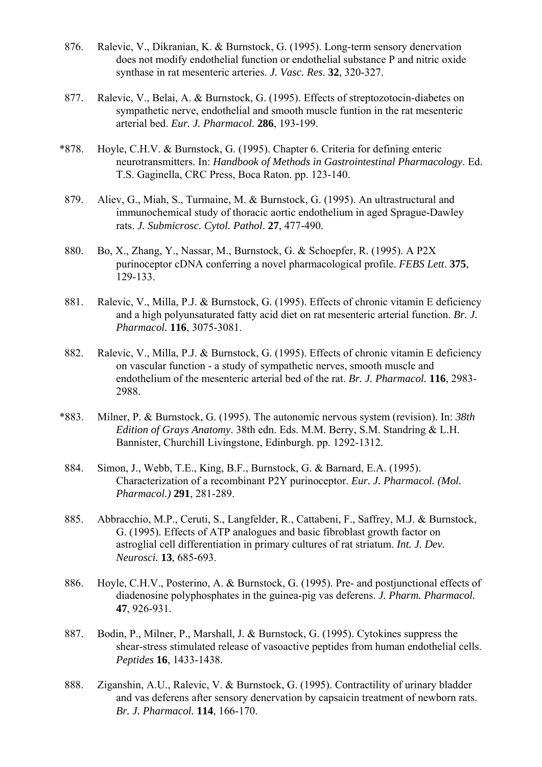- 876. Ralevic, V., Dikranian, K. & Burnstock, G. (1995). Long-term sensory denervation does not modify endothelial function or endothelial substance P and nitric oxide synthase in rat mesenteric arteries. *J. Vasc. Res*. **32**, 320-327.
- 877. Ralevic, V., Belai, A. & Burnstock, G. (1995). Effects of streptozotocin-diabetes on sympathetic nerve, endothelial and smooth muscle funtion in the rat mesenteric arterial bed. *Eur. J. Pharmacol.* **286**, 193-199.
- \*878. Hoyle, C.H.V. & Burnstock, G. (1995). Chapter 6. Criteria for defining enteric neurotransmitters. In: *Handbook of Methods in Gastrointestinal Pharmacology*. Ed. T.S. Gaginella, CRC Press, Boca Raton. pp. 123-140.
- 879. Aliev, G., Miah, S., Turmaine, M. & Burnstock, G. (1995). An ultrastructural and immunochemical study of thoracic aortic endothelium in aged Sprague-Dawley rats. *J. Submicrosc. Cytol. Pathol*. **27**, 477-490.
- 880. Bo, X., Zhang, Y., Nassar, M., Burnstock, G. & Schoepfer, R. (1995). A P2X purinoceptor cDNA conferring a novel pharmacological profile. *FEBS Lett*. **375**, 129-133.
- 881. Ralevic, V., Milla, P.J. & Burnstock, G. (1995). Effects of chronic vitamin E deficiency and a high polyunsaturated fatty acid diet on rat mesenteric arterial function. *Br. J. Pharmacol.* **116**, 3075-3081.
- 882. Ralevic, V., Milla, P.J. & Burnstock, G. (1995). Effects of chronic vitamin E deficiency on vascular function - a study of sympathetic nerves, smooth muscle and endothelium of the mesenteric arterial bed of the rat. *Br. J. Pharmacol.* **116**, 2983- 2988.
- \*883. Milner, P. & Burnstock, G. (1995). The autonomic nervous system (revision). In: *38th Edition of Grays Anatomy*. 38th edn. Eds. M.M. Berry, S.M. Standring & L.H. Bannister, Churchill Livingstone, Edinburgh. pp. 1292-1312.
- 884. Simon, J., Webb, T.E., King, B.F., Burnstock, G. & Barnard, E.A. (1995). Characterization of a recombinant P2Y purinoceptor. *Eur. J. Pharmacol. (Mol. Pharmacol.)* **291**, 281-289.
- 885. Abbracchio, M.P., Ceruti, S., Langfelder, R., Cattabeni, F., Saffrey, M.J. & Burnstock, G. (1995). Effects of ATP analogues and basic fibroblast growth factor on astroglial cell differentiation in primary cultures of rat striatum. *Int. J. Dev. Neurosci.* **13**, 685-693.
- 886. Hoyle, C.H.V., Posterino, A. & Burnstock, G. (1995). Pre- and postjunctional effects of diadenosine polyphosphates in the guinea-pig vas deferens. *J. Pharm. Pharmacol.* **47**, 926-931.
- 887. Bodin, P., Milner, P., Marshall, J. & Burnstock, G. (1995). Cytokines suppress the shear-stress stimulated release of vasoactive peptides from human endothelial cells. *Peptides* **16**, 1433-1438.
- 888. Ziganshin, A.U., Ralevic, V. & Burnstock, G. (1995). Contractility of urinary bladder and vas deferens after sensory denervation by capsaicin treatment of newborn rats. *Br. J. Pharmacol.* **114**, 166-170.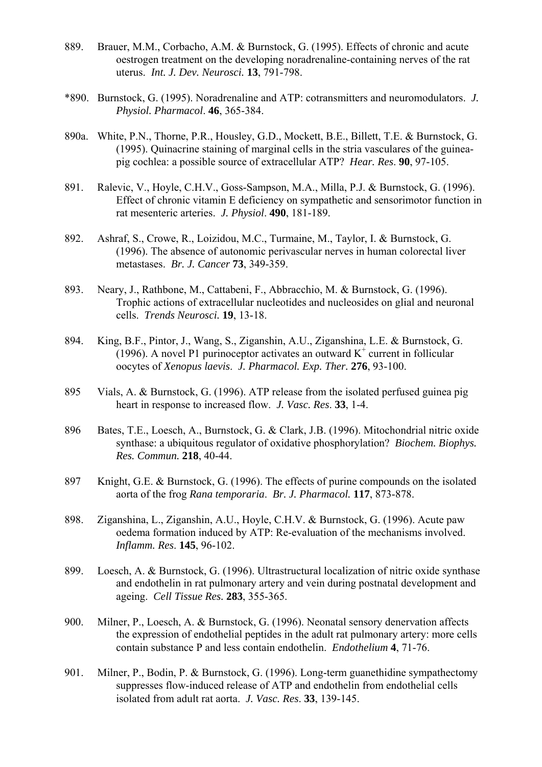- 889. Brauer, M.M., Corbacho, A.M. & Burnstock, G. (1995). Effects of chronic and acute oestrogen treatment on the developing noradrenaline-containing nerves of the rat uterus. *Int. J. Dev. Neurosci.* **13**, 791-798.
- \*890. Burnstock, G. (1995). Noradrenaline and ATP: cotransmitters and neuromodulators. *J. Physiol. Pharmacol*. **46**, 365-384.
- 890a. White, P.N., Thorne, P.R., Housley, G.D., Mockett, B.E., Billett, T.E. & Burnstock, G. (1995). Quinacrine staining of marginal cells in the stria vasculares of the guineapig cochlea: a possible source of extracellular ATP? *Hear. Res*. **90**, 97-105.
- 891. Ralevic, V., Hoyle, C.H.V., Goss-Sampson, M.A., Milla, P.J. & Burnstock, G. (1996). Effect of chronic vitamin E deficiency on sympathetic and sensorimotor function in rat mesenteric arteries. *J. Physiol*. **490**, 181-189.
- 892. Ashraf, S., Crowe, R., Loizidou, M.C., Turmaine, M., Taylor, I. & Burnstock, G. (1996). The absence of autonomic perivascular nerves in human colorectal liver metastases. *Br. J. Cancer* **73**, 349-359.
- 893. Neary, J., Rathbone, M., Cattabeni, F., Abbracchio, M. & Burnstock, G. (1996). Trophic actions of extracellular nucleotides and nucleosides on glial and neuronal cells. *Trends Neurosci.* **19**, 13-18.
- 894. King, B.F., Pintor, J., Wang, S., Ziganshin, A.U., Ziganshina, L.E. & Burnstock, G. (1996). A novel P1 purinoceptor activates an outward  $K^+$  current in follicular oocytes of *Xenopus laevis*. *J. Pharmacol. Exp. Ther.* **276**, 93-100.
- 895 Vials, A. & Burnstock, G. (1996). ATP release from the isolated perfused guinea pig heart in response to increased flow. *J. Vasc. Res*. **33**, 1-4.
- 896 Bates, T.E., Loesch, A., Burnstock, G. & Clark, J.B. (1996). Mitochondrial nitric oxide synthase: a ubiquitous regulator of oxidative phosphorylation? *Biochem. Biophys. Res. Commun.* **218**, 40-44.
- 897 Knight, G.E. & Burnstock, G. (1996). The effects of purine compounds on the isolated aorta of the frog *Rana temporaria*. *Br. J. Pharmacol.* **117**, 873-878.
- 898. Ziganshina, L., Ziganshin, A.U., Hoyle, C.H.V. & Burnstock, G. (1996). Acute paw oedema formation induced by ATP: Re-evaluation of the mechanisms involved. *Inflamm. Res*. **145**, 96-102.
- 899. Loesch, A. & Burnstock, G. (1996). Ultrastructural localization of nitric oxide synthase and endothelin in rat pulmonary artery and vein during postnatal development and ageing. *Cell Tissue Res.* **283**, 355-365.
- 900. Milner, P., Loesch, A. & Burnstock, G. (1996). Neonatal sensory denervation affects the expression of endothelial peptides in the adult rat pulmonary artery: more cells contain substance P and less contain endothelin. *Endothelium* **4**, 71-76.
- 901. Milner, P., Bodin, P. & Burnstock, G. (1996). Long-term guanethidine sympathectomy suppresses flow-induced release of ATP and endothelin from endothelial cells isolated from adult rat aorta. *J. Vasc. Res*. **33**, 139-145.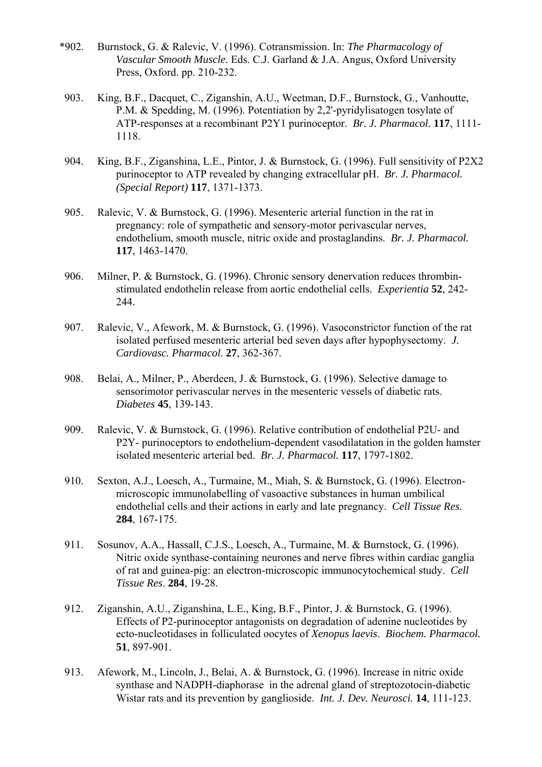- \*902. Burnstock, G. & Ralevic, V. (1996). Cotransmission. In: *The Pharmacology of Vascular Smooth Muscle*. Eds. C.J. Garland & J.A. Angus, Oxford University Press, Oxford. pp. 210-232.
- 903. King, B.F., Dacquet, C., Ziganshin, A.U., Weetman, D.F., Burnstock, G., Vanhoutte, P.M. & Spedding, M. (1996). Potentiation by 2,2'-pyridylisatogen tosylate of ATP-responses at a recombinant P2Y1 purinoceptor. *Br. J. Pharmacol.* **117**, 1111- 1118.
- 904. King, B.F., Ziganshina, L.E., Pintor, J. & Burnstock, G. (1996). Full sensitivity of P2X2 purinoceptor to ATP revealed by changing extracellular pH. *Br. J. Pharmacol. (Special Report)* **117**, 1371-1373.
- 905. Ralevic, V. & Burnstock, G. (1996). Mesenteric arterial function in the rat in pregnancy: role of sympathetic and sensory-motor perivascular nerves, endothelium, smooth muscle, nitric oxide and prostaglandins. *Br. J. Pharmacol.* **117**, 1463-1470.
- 906. Milner, P. & Burnstock, G. (1996). Chronic sensory denervation reduces thrombinstimulated endothelin release from aortic endothelial cells. *Experientia* **52**, 242- 244.
- 907. Ralevic, V., Afework, M. & Burnstock, G. (1996). Vasoconstrictor function of the rat isolated perfused mesenteric arterial bed seven days after hypophysectomy. *J. Cardiovasc. Pharmacol.* **27**, 362-367.
- 908. Belai, A., Milner, P., Aberdeen, J. & Burnstock, G. (1996). Selective damage to sensorimotor perivascular nerves in the mesenteric vessels of diabetic rats. *Diabetes* **45**, 139-143.
- 909. Ralevic, V. & Burnstock, G. (1996). Relative contribution of endothelial P2U- and P2Y- purinoceptors to endothelium-dependent vasodilatation in the golden hamster isolated mesenteric arterial bed. *Br. J. Pharmacol.* **117**, 1797-1802.
- 910. Sexton, A.J., Loesch, A., Turmaine, M., Miah, S. & Burnstock, G. (1996). Electronmicroscopic immunolabelling of vasoactive substances in human umbilical endothelial cells and their actions in early and late pregnancy. *Cell Tissue Res.* **284**, 167-175.
- 911. Sosunov, A.A., Hassall, C.J.S., Loesch, A., Turmaine, M. & Burnstock, G. (1996). Nitric oxide synthase-containing neurones and nerve fibres within cardiac ganglia of rat and guinea-pig: an electron-microscopic immunocytochemical study. *Cell Tissue Res*. **284**, 19-28.
- 912. Ziganshin, A.U., Ziganshina, L.E., King, B.F., Pintor, J. & Burnstock, G. (1996). Effects of P2-purinoceptor antagonists on degradation of adenine nucleotides by ecto-nucleotidases in folliculated oocytes of *Xenopus laevis*. *Biochem. Pharmacol.* **51**, 897-901.
- 913. Afework, M., Lincoln, J., Belai, A. & Burnstock, G. (1996). Increase in nitric oxide synthase and NADPH-diaphorase in the adrenal gland of streptozotocin-diabetic Wistar rats and its prevention by ganglioside. *Int. J. Dev. Neurosci.* **14**, 111-123.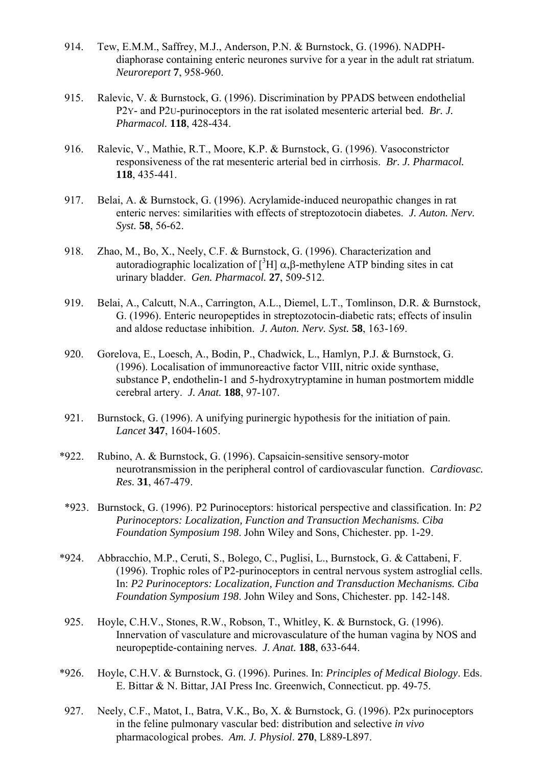- 914. Tew, E.M.M., Saffrey, M.J., Anderson, P.N. & Burnstock, G. (1996). NADPHdiaphorase containing enteric neurones survive for a year in the adult rat striatum. *Neuroreport* **7**, 958-960.
- 915. Ralevic, V. & Burnstock, G. (1996). Discrimination by PPADS between endothelial P2Y- and P2U-purinoceptors in the rat isolated mesenteric arterial bed. *Br. J. Pharmacol.* **118**, 428-434.
- 916. Ralevic, V., Mathie, R.T., Moore, K.P. & Burnstock, G. (1996). Vasoconstrictor responsiveness of the rat mesenteric arterial bed in cirrhosis. *Br. J. Pharmacol.* **118**, 435-441.
- 917. Belai, A. & Burnstock, G. (1996). Acrylamide-induced neuropathic changes in rat enteric nerves: similarities with effects of streptozotocin diabetes. *J. Auton. Nerv. Syst.* **58**, 56-62.
- 918. Zhao, M., Bo, X., Neely, C.F. & Burnstock, G. (1996). Characterization and autoradiographic localization of  $[{}^{3}H]$  α, β-methylene ATP binding sites in cat urinary bladder. *Gen. Pharmacol.* **27**, 509-512.
- 919. Belai, A., Calcutt, N.A., Carrington, A.L., Diemel, L.T., Tomlinson, D.R. & Burnstock, G. (1996). Enteric neuropeptides in streptozotocin-diabetic rats; effects of insulin and aldose reductase inhibition. *J. Auton. Nerv. Syst.* **58**, 163-169.
- 920. Gorelova, E., Loesch, A., Bodin, P., Chadwick, L., Hamlyn, P.J. & Burnstock, G. (1996). Localisation of immunoreactive factor VIII, nitric oxide synthase, substance P, endothelin-1 and 5-hydroxytryptamine in human postmortem middle cerebral artery. *J. Anat.* **188**, 97-107.
- 921. Burnstock, G. (1996). A unifying purinergic hypothesis for the initiation of pain. *Lancet* **347**, 1604-1605.
- \*922. Rubino, A. & Burnstock, G. (1996). Capsaicin-sensitive sensory-motor neurotransmission in the peripheral control of cardiovascular function. *Cardiovasc. Res.* **31**, 467-479.
- \*923. Burnstock, G. (1996). P2 Purinoceptors: historical perspective and classification. In: *P2 Purinoceptors: Localization, Function and Transuction Mechanisms. Ciba Foundation Symposium 198*. John Wiley and Sons, Chichester. pp. 1-29.
- \*924. Abbracchio, M.P., Ceruti, S., Bolego, C., Puglisi, L., Burnstock, G. & Cattabeni, F. (1996). Trophic roles of P2-purinoceptors in central nervous system astroglial cells. In: *P2 Purinoceptors: Localization, Function and Transduction Mechanisms. Ciba Foundation Symposium 198*. John Wiley and Sons, Chichester. pp. 142-148.
- 925. Hoyle, C.H.V., Stones, R.W., Robson, T., Whitley, K. & Burnstock, G. (1996). Innervation of vasculature and microvasculature of the human vagina by NOS and neuropeptide-containing nerves. *J. Anat.* **188**, 633-644.
- \*926. Hoyle, C.H.V. & Burnstock, G. (1996). Purines. In: *Principles of Medical Biology*. Eds. E. Bittar & N. Bittar, JAI Press Inc. Greenwich, Connecticut. pp. 49-75.
- 927. Neely, C.F., Matot, I., Batra, V.K., Bo, X. & Burnstock, G. (1996). P2x purinoceptors in the feline pulmonary vascular bed: distribution and selective *in vivo* pharmacological probes. *Am. J. Physiol*. **270**, L889-L897.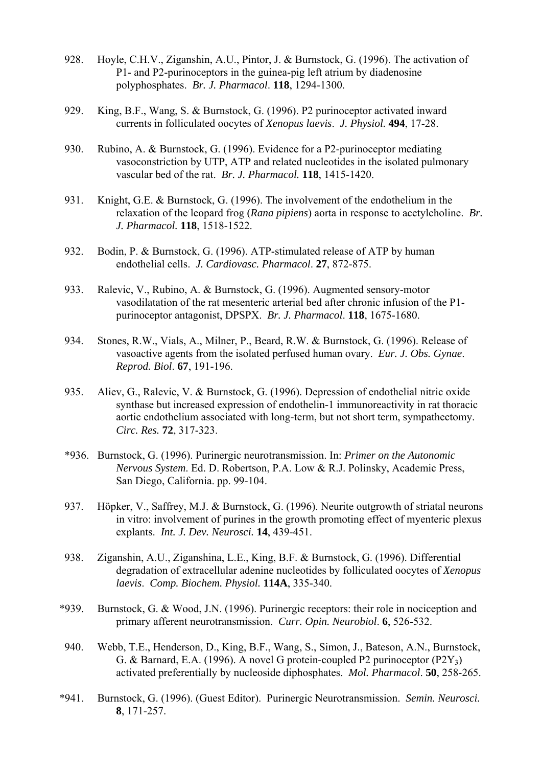- 928. Hoyle, C.H.V., Ziganshin, A.U., Pintor, J. & Burnstock, G. (1996). The activation of P1- and P2-purinoceptors in the guinea-pig left atrium by diadenosine polyphosphates. *Br. J. Pharmacol*. **118**, 1294-1300.
- 929. King, B.F., Wang, S. & Burnstock, G. (1996). P2 purinoceptor activated inward currents in folliculated oocytes of *Xenopus laevis*. *J. Physiol.* **494**, 17-28.
- 930. Rubino, A. & Burnstock, G. (1996). Evidence for a P2-purinoceptor mediating vasoconstriction by UTP, ATP and related nucleotides in the isolated pulmonary vascular bed of the rat. *Br. J. Pharmacol.* **118**, 1415-1420.
- 931. Knight, G.E. & Burnstock, G. (1996). The involvement of the endothelium in the relaxation of the leopard frog (*Rana pipiens*) aorta in response to acetylcholine. *Br. J. Pharmacol.* **118**, 1518-1522.
- 932. Bodin, P. & Burnstock, G. (1996). ATP-stimulated release of ATP by human endothelial cells. *J. Cardiovasc. Pharmacol*. **27**, 872-875.
- 933. Ralevic, V., Rubino, A. & Burnstock, G. (1996). Augmented sensory-motor vasodilatation of the rat mesenteric arterial bed after chronic infusion of the P1 purinoceptor antagonist, DPSPX. *Br. J. Pharmacol*. **118**, 1675-1680.
- 934. Stones, R.W., Vials, A., Milner, P., Beard, R.W. & Burnstock, G. (1996). Release of vasoactive agents from the isolated perfused human ovary. *Eur. J. Obs. Gynae*. *Reprod. Biol*. **67**, 191-196.
- 935. Aliev, G., Ralevic, V. & Burnstock, G. (1996). Depression of endothelial nitric oxide synthase but increased expression of endothelin-1 immunoreactivity in rat thoracic aortic endothelium associated with long-term, but not short term, sympathectomy. *Circ. Res.* **72**, 317-323.
- \*936. Burnstock, G. (1996). Purinergic neurotransmission. In: *Primer on the Autonomic Nervous System*. Ed. D. Robertson, P.A. Low & R.J. Polinsky, Academic Press, San Diego, California. pp. 99-104.
- 937. Höpker, V., Saffrey, M.J. & Burnstock, G. (1996). Neurite outgrowth of striatal neurons in vitro: involvement of purines in the growth promoting effect of myenteric plexus explants. *Int. J. Dev. Neurosci.* **14**, 439-451.
- 938. Ziganshin, A.U., Ziganshina, L.E., King, B.F. & Burnstock, G. (1996). Differential degradation of extracellular adenine nucleotides by folliculated oocytes of *Xenopus laevis*. *Comp. Biochem. Physiol.* **114A**, 335-340.
- \*939. Burnstock, G. & Wood, J.N. (1996). Purinergic receptors: their role in nociception and primary afferent neurotransmission. *Curr. Opin. Neurobiol*. **6**, 526-532.
- 940. Webb, T.E., Henderson, D., King, B.F., Wang, S., Simon, J., Bateson, A.N., Burnstock, G. & Barnard, E.A. (1996). A novel G protein-coupled P2 purinoceptor  $(P2Y_3)$ activated preferentially by nucleoside diphosphates. *Mol. Pharmacol*. **50**, 258-265.
- \*941. Burnstock, G. (1996). (Guest Editor). Purinergic Neurotransmission. *Semin. Neurosci.* **8**, 171-257.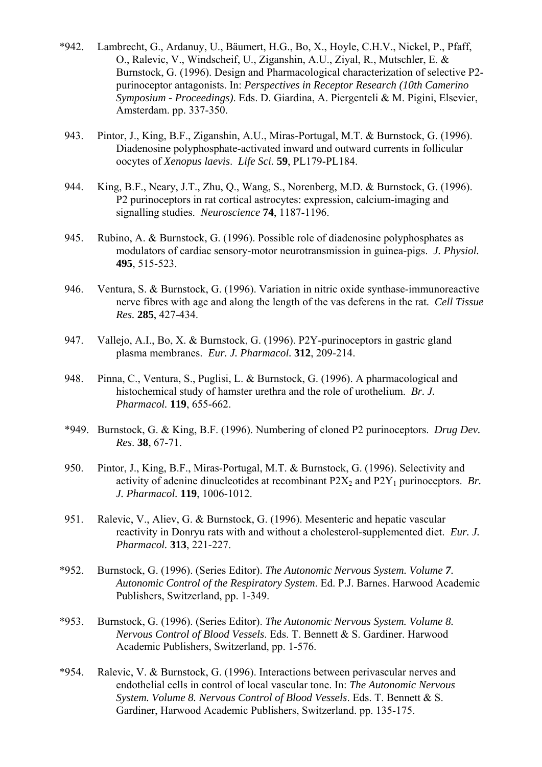- \*942. Lambrecht, G., Ardanuy, U., Bäumert, H.G., Bo, X., Hoyle, C.H.V., Nickel, P., Pfaff, O., Ralevic, V., Windscheif, U., Ziganshin, A.U., Ziyal, R., Mutschler, E. & Burnstock, G. (1996). Design and Pharmacological characterization of selective P2 purinoceptor antagonists. In: *Perspectives in Receptor Research (10th Camerino Symposium - Proceedings)*. Eds. D. Giardina, A. Piergenteli & M. Pigini, Elsevier, Amsterdam. pp. 337-350.
- 943. Pintor, J., King, B.F., Ziganshin, A.U., Miras-Portugal, M.T. & Burnstock, G. (1996). Diadenosine polyphosphate-activated inward and outward currents in follicular oocytes of *Xenopus laevis*. *Life Sci.* **59**, PL179-PL184.
- 944. King, B.F., Neary, J.T., Zhu, Q., Wang, S., Norenberg, M.D. & Burnstock, G. (1996). P2 purinoceptors in rat cortical astrocytes: expression, calcium-imaging and signalling studies. *Neuroscience* **74**, 1187-1196.
- 945. Rubino, A. & Burnstock, G. (1996). Possible role of diadenosine polyphosphates as modulators of cardiac sensory-motor neurotransmission in guinea-pigs. *J. Physiol.* **495**, 515-523.
- 946. Ventura, S. & Burnstock, G. (1996). Variation in nitric oxide synthase-immunoreactive nerve fibres with age and along the length of the vas deferens in the rat. *Cell Tissue Res.* **285**, 427-434.
- 947. Vallejo, A.I., Bo, X. & Burnstock, G. (1996). P2Y-purinoceptors in gastric gland plasma membranes. *Eur. J. Pharmacol.* **312**, 209-214.
- 948. Pinna, C., Ventura, S., Puglisi, L. & Burnstock, G. (1996). A pharmacological and histochemical study of hamster urethra and the role of urothelium. *Br. J. Pharmacol.* **119**, 655-662.
- \*949. Burnstock, G. & King, B.F. (1996). Numbering of cloned P2 purinoceptors. *Drug Dev. Res*. **38**, 67-71.
- 950. Pintor, J., King, B.F., Miras-Portugal, M.T. & Burnstock, G. (1996). Selectivity and activity of adenine dinucleotides at recombinant P2X<sub>2</sub> and P2Y<sub>1</sub> purinoceptors. *Br. J. Pharmacol.* **119**, 1006-1012.
- 951. Ralevic, V., Aliev, G. & Burnstock, G. (1996). Mesenteric and hepatic vascular reactivity in Donryu rats with and without a cholesterol-supplemented diet. *Eur. J. Pharmacol.* **313**, 221-227.
- \*952. Burnstock, G. (1996). (Series Editor). *The Autonomic Nervous System. Volume 7. Autonomic Control of the Respiratory System*. Ed. P.J. Barnes. Harwood Academic Publishers, Switzerland, pp. 1-349.
- \*953. Burnstock, G. (1996). (Series Editor). *The Autonomic Nervous System. Volume 8. Nervous Control of Blood Vessels*. Eds. T. Bennett & S. Gardiner. Harwood Academic Publishers, Switzerland, pp. 1-576.
- \*954. Ralevic, V. & Burnstock, G. (1996). Interactions between perivascular nerves and endothelial cells in control of local vascular tone. In: *The Autonomic Nervous System. Volume 8. Nervous Control of Blood Vessels*. Eds. T. Bennett & S. Gardiner, Harwood Academic Publishers, Switzerland. pp. 135-175.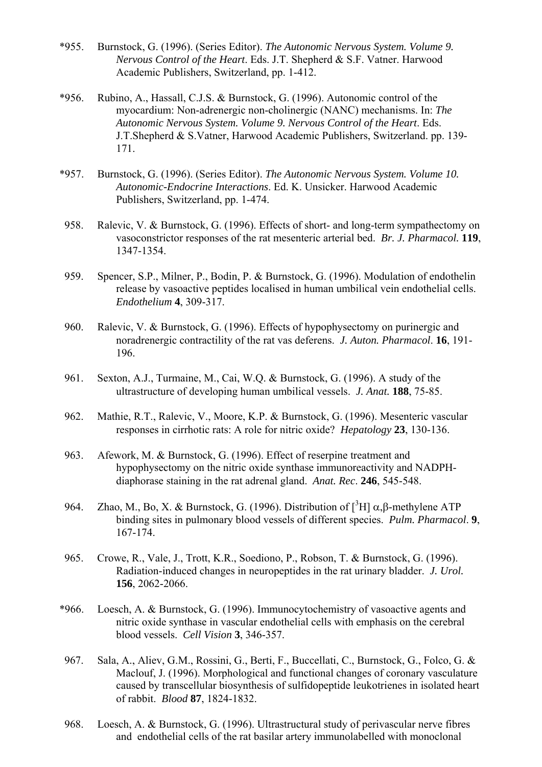- \*955. Burnstock, G. (1996). (Series Editor). *The Autonomic Nervous System. Volume 9. Nervous Control of the Heart*. Eds. J.T. Shepherd & S.F. Vatner. Harwood Academic Publishers, Switzerland, pp. 1-412.
- \*956. Rubino, A., Hassall, C.J.S. & Burnstock, G. (1996). Autonomic control of the myocardium: Non-adrenergic non-cholinergic (NANC) mechanisms. In: *The Autonomic Nervous System. Volume 9. Nervous Control of the Heart*. Eds. J.T.Shepherd & S.Vatner, Harwood Academic Publishers, Switzerland. pp. 139- 171.
- \*957. Burnstock, G. (1996). (Series Editor). *The Autonomic Nervous System. Volume 10. Autonomic-Endocrine Interactions*. Ed. K. Unsicker. Harwood Academic Publishers, Switzerland, pp. 1-474.
- 958. Ralevic, V. & Burnstock, G. (1996). Effects of short- and long-term sympathectomy on vasoconstrictor responses of the rat mesenteric arterial bed. *Br. J. Pharmacol.* **119**, 1347-1354.
- 959. Spencer, S.P., Milner, P., Bodin, P. & Burnstock, G. (1996). Modulation of endothelin release by vasoactive peptides localised in human umbilical vein endothelial cells. *Endothelium* **4**, 309-317.
- 960. Ralevic, V. & Burnstock, G. (1996). Effects of hypophysectomy on purinergic and noradrenergic contractility of the rat vas deferens. *J. Auton. Pharmacol*. **16**, 191- 196.
- 961. Sexton, A.J., Turmaine, M., Cai, W.Q. & Burnstock, G. (1996). A study of the ultrastructure of developing human umbilical vessels. *J. Anat.* **188**, 75-85.
- 962. Mathie, R.T., Ralevic, V., Moore, K.P. & Burnstock, G. (1996). Mesenteric vascular responses in cirrhotic rats: A role for nitric oxide? *Hepatology* **23**, 130-136.
- 963. Afework, M. & Burnstock, G. (1996). Effect of reserpine treatment and hypophysectomy on the nitric oxide synthase immunoreactivity and NADPHdiaphorase staining in the rat adrenal gland. *Anat. Rec*. **246**, 545-548.
- 964. Zhao, M., Bo, X. & Burnstock, G. (1996). Distribution of  $[{}^{3}H]$  α, β-methylene ATP binding sites in pulmonary blood vessels of different species. *Pulm. Pharmacol*. **9**, 167-174.
- 965. Crowe, R., Vale, J., Trott, K.R., Soediono, P., Robson, T. & Burnstock, G. (1996). Radiation-induced changes in neuropeptides in the rat urinary bladder. *J. Urol.* **156**, 2062-2066.
- \*966. Loesch, A. & Burnstock, G. (1996). Immunocytochemistry of vasoactive agents and nitric oxide synthase in vascular endothelial cells with emphasis on the cerebral blood vessels. *Cell Vision* **3**, 346-357.
- 967. Sala, A., Aliev, G.M., Rossini, G., Berti, F., Buccellati, C., Burnstock, G., Folco, G. & Maclouf, J. (1996). Morphological and functional changes of coronary vasculature caused by transcellular biosynthesis of sulfidopeptide leukotrienes in isolated heart of rabbit. *Blood* **87**, 1824-1832.
- 968. Loesch, A. & Burnstock, G. (1996). Ultrastructural study of perivascular nerve fibres and endothelial cells of the rat basilar artery immunolabelled with monoclonal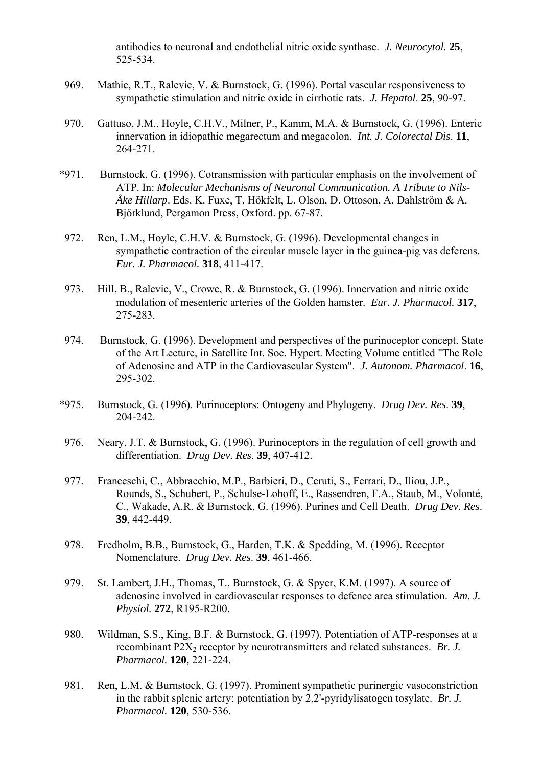antibodies to neuronal and endothelial nitric oxide synthase. *J. Neurocytol.* **25**, 525-534.

- 969. Mathie, R.T., Ralevic, V. & Burnstock, G. (1996). Portal vascular responsiveness to sympathetic stimulation and nitric oxide in cirrhotic rats. *J. Hepatol*. **25**, 90-97.
- 970. Gattuso, J.M., Hoyle, C.H.V., Milner, P., Kamm, M.A. & Burnstock, G. (1996). Enteric innervation in idiopathic megarectum and megacolon. *Int. J. Colorectal Dis*. **11**, 264-271.
- \*971. Burnstock, G. (1996). Cotransmission with particular emphasis on the involvement of ATP. In: *Molecular Mechanisms of Neuronal Communication. A Tribute to Nils-Åke Hillarp*. Eds. K. Fuxe, T. Hökfelt, L. Olson, D. Ottoson, A. Dahlström & A. Björklund, Pergamon Press, Oxford. pp. 67-87.
- 972. Ren, L.M., Hoyle, C.H.V. & Burnstock, G. (1996). Developmental changes in sympathetic contraction of the circular muscle layer in the guinea-pig vas deferens. *Eur. J. Pharmacol.* **318**, 411-417.
- 973. Hill, B., Ralevic, V., Crowe, R. & Burnstock, G. (1996). Innervation and nitric oxide modulation of mesenteric arteries of the Golden hamster. *Eur. J. Pharmacol.* **317**, 275-283.
- 974. Burnstock, G. (1996). Development and perspectives of the purinoceptor concept. State of the Art Lecture, in Satellite Int. Soc. Hypert. Meeting Volume entitled "The Role of Adenosine and ATP in the Cardiovascular System". *J. Autonom. Pharmacol*. **16**, 295-302.
- \*975. Burnstock, G. (1996). Purinoceptors: Ontogeny and Phylogeny. *Drug Dev. Res*. **39**, 204-242.
- 976. Neary, J.T. & Burnstock, G. (1996). Purinoceptors in the regulation of cell growth and differentiation. *Drug Dev. Res*. **39**, 407-412.
- 977. Franceschi, C., Abbracchio, M.P., Barbieri, D., Ceruti, S., Ferrari, D., Iliou, J.P., Rounds, S., Schubert, P., Schulse-Lohoff, E., Rassendren, F.A., Staub, M., Volonté, C., Wakade, A.R. & Burnstock, G. (1996). Purines and Cell Death. *Drug Dev. Res*. **39**, 442-449.
- 978. Fredholm, B.B., Burnstock, G., Harden, T.K. & Spedding, M. (1996). Receptor Nomenclature. *Drug Dev. Res*. **39**, 461-466.
- 979. St. Lambert, J.H., Thomas, T., Burnstock, G. & Spyer, K.M. (1997). A source of adenosine involved in cardiovascular responses to defence area stimulation. *Am. J. Physiol.* **272**, R195-R200.
- 980. Wildman, S.S., King, B.F. & Burnstock, G. (1997). Potentiation of ATP-responses at a recombinant P2X<sub>2</sub> receptor by neurotransmitters and related substances. *Br. J. Pharmacol.* **120**, 221-224.
- 981. Ren, L.M. & Burnstock, G. (1997). Prominent sympathetic purinergic vasoconstriction in the rabbit splenic artery: potentiation by 2,2'-pyridylisatogen tosylate. *Br. J. Pharmacol.* **120**, 530-536.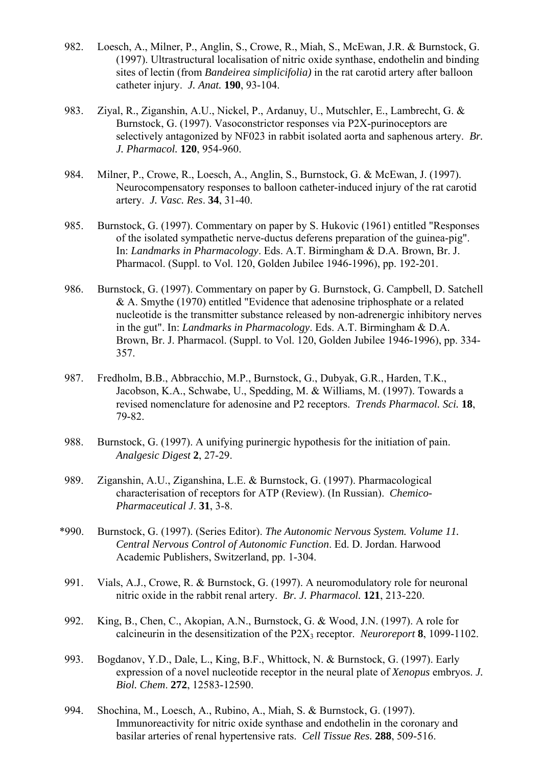- 982. Loesch, A., Milner, P., Anglin, S., Crowe, R., Miah, S., McEwan, J.R. & Burnstock, G. (1997). Ultrastructural localisation of nitric oxide synthase, endothelin and binding sites of lectin (from *Bandeirea simplicifolia)* in the rat carotid artery after balloon catheter injury. *J. Anat.* **190**, 93-104.
- 983. Ziyal, R., Ziganshin, A.U., Nickel, P., Ardanuy, U., Mutschler, E., Lambrecht, G. & Burnstock, G. (1997). Vasoconstrictor responses via P2X-purinoceptors are selectively antagonized by NF023 in rabbit isolated aorta and saphenous artery. *Br. J. Pharmacol.* **120**, 954-960.
- 984. Milner, P., Crowe, R., Loesch, A., Anglin, S., Burnstock, G. & McEwan, J. (1997). Neurocompensatory responses to balloon catheter-induced injury of the rat carotid artery. *J. Vasc. Res*. **34**, 31-40.
- 985. Burnstock, G. (1997). Commentary on paper by S. Hukovic (1961) entitled "Responses of the isolated sympathetic nerve-ductus deferens preparation of the guinea-pig". In: *Landmarks in Pharmacology*. Eds. A.T. Birmingham & D.A. Brown, Br. J. Pharmacol. (Suppl. to Vol. 120, Golden Jubilee 1946-1996), pp. 192-201.
- 986. Burnstock, G. (1997). Commentary on paper by G. Burnstock, G. Campbell, D. Satchell & A. Smythe (1970) entitled "Evidence that adenosine triphosphate or a related nucleotide is the transmitter substance released by non-adrenergic inhibitory nerves in the gut". In: *Landmarks in Pharmacology*. Eds. A.T. Birmingham & D.A. Brown, Br. J. Pharmacol. (Suppl. to Vol. 120, Golden Jubilee 1946-1996), pp. 334- 357.
- 987. Fredholm, B.B., Abbracchio, M.P., Burnstock, G., Dubyak, G.R., Harden, T.K., Jacobson, K.A., Schwabe, U., Spedding, M. & Williams, M. (1997). Towards a revised nomenclature for adenosine and P2 receptors. *Trends Pharmacol. Sci.* **18**, 79-82.
- 988. Burnstock, G. (1997). A unifying purinergic hypothesis for the initiation of pain. *Analgesic Digest* **2**, 27-29.
- 989. Ziganshin, A.U., Ziganshina, L.E. & Burnstock, G. (1997). Pharmacological characterisation of receptors for ATP (Review). (In Russian). *Chemico-Pharmaceutical J*. **31**, 3-8.
- \*990. Burnstock, G. (1997). (Series Editor). *The Autonomic Nervous System. Volume 11. Central Nervous Control of Autonomic Function*. Ed. D. Jordan. Harwood Academic Publishers, Switzerland, pp. 1-304.
- 991. Vials, A.J., Crowe, R. & Burnstock, G. (1997). A neuromodulatory role for neuronal nitric oxide in the rabbit renal artery. *Br. J. Pharmacol.* **121**, 213-220.
- 992. King, B., Chen, C., Akopian, A.N., Burnstock, G. & Wood, J.N. (1997). A role for calcineurin in the desensitization of the P2X3 receptor. *Neuroreport* **8**, 1099-1102.
- 993. Bogdanov, Y.D., Dale, L., King, B.F., Whittock, N. & Burnstock, G. (1997). Early expression of a novel nucleotide receptor in the neural plate of *Xenopus* embryos. *J. Biol. Chem*. **272**, 12583-12590.
- 994. Shochina, M., Loesch, A., Rubino, A., Miah, S. & Burnstock, G. (1997). Immunoreactivity for nitric oxide synthase and endothelin in the coronary and basilar arteries of renal hypertensive rats. *Cell Tissue Res.* **288**, 509-516.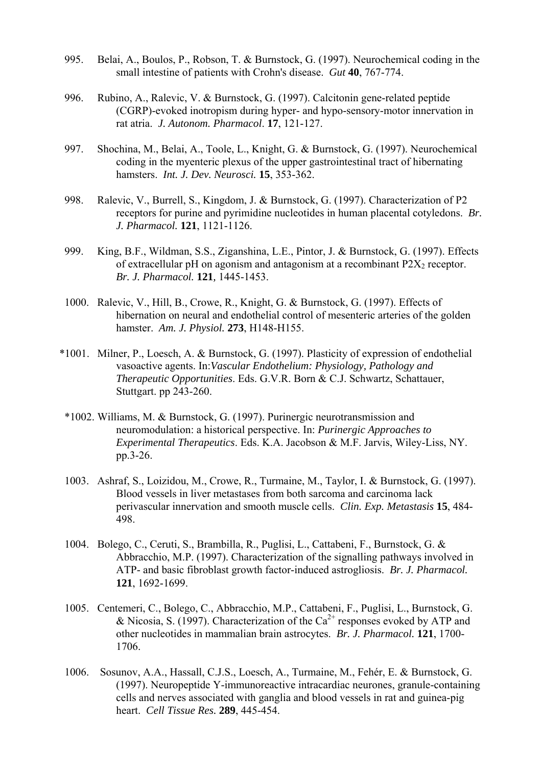- 995. Belai, A., Boulos, P., Robson, T. & Burnstock, G. (1997). Neurochemical coding in the small intestine of patients with Crohn's disease. *Gut* **40**, 767-774.
- 996. Rubino, A., Ralevic, V. & Burnstock, G. (1997). Calcitonin gene-related peptide (CGRP)-evoked inotropism during hyper- and hypo-sensory-motor innervation in rat atria. *J. Autonom. Pharmacol*. **17**, 121-127.
- 997. Shochina, M., Belai, A., Toole, L., Knight, G. & Burnstock, G. (1997). Neurochemical coding in the myenteric plexus of the upper gastrointestinal tract of hibernating hamsters. *Int. J. Dev. Neurosci.* **15**, 353-362.
- 998. Ralevic, V., Burrell, S., Kingdom, J. & Burnstock, G. (1997). Characterization of P2 receptors for purine and pyrimidine nucleotides in human placental cotyledons. *Br. J. Pharmacol.* **121**, 1121-1126.
- 999. King, B.F., Wildman, S.S., Ziganshina, L.E., Pintor, J. & Burnstock, G. (1997). Effects of extracellular pH on agonism and antagonism at a recombinant  $P2X_2$  receptor. *Br. J. Pharmacol.* **121***,* 1445-1453.
- 1000. Ralevic, V., Hill, B., Crowe, R., Knight, G. & Burnstock, G. (1997). Effects of hibernation on neural and endothelial control of mesenteric arteries of the golden hamster. *Am. J. Physiol.* **273**, H148-H155.
- \*1001. Milner, P., Loesch, A. & Burnstock, G. (1997). Plasticity of expression of endothelial vasoactive agents. In:*Vascular Endothelium: Physiology, Pathology and Therapeutic Opportunities*. Eds. G.V.R. Born & C.J. Schwartz, Schattauer, Stuttgart. pp 243-260.
- \*1002. Williams, M. & Burnstock, G. (1997). Purinergic neurotransmission and neuromodulation: a historical perspective. In: *Purinergic Approaches to Experimental Therapeutics*. Eds. K.A. Jacobson & M.F. Jarvis, Wiley-Liss, NY. pp.3-26.
- 1003. Ashraf, S., Loizidou, M., Crowe, R., Turmaine, M., Taylor, I. & Burnstock, G. (1997). Blood vessels in liver metastases from both sarcoma and carcinoma lack perivascular innervation and smooth muscle cells. *Clin. Exp. Metastasis* **15**, 484- 498.
- 1004. Bolego, C., Ceruti, S., Brambilla, R., Puglisi, L., Cattabeni, F., Burnstock, G. & Abbracchio, M.P. (1997). Characterization of the signalling pathways involved in ATP- and basic fibroblast growth factor-induced astrogliosis. *Br. J. Pharmacol.* **121**, 1692-1699.
- 1005. Centemeri, C., Bolego, C., Abbracchio, M.P., Cattabeni, F., Puglisi, L., Burnstock, G. & Nicosia, S. (1997). Characterization of the  $Ca^{2+}$  responses evoked by ATP and other nucleotides in mammalian brain astrocytes. *Br. J. Pharmacol.* **121**, 1700- 1706.
- 1006. Sosunov, A.A., Hassall, C.J.S., Loesch, A., Turmaine, M., Fehér, E. & Burnstock, G. (1997). Neuropeptide Y-immunoreactive intracardiac neurones, granule-containing cells and nerves associated with ganglia and blood vessels in rat and guinea-pig heart. *Cell Tissue Res.* **289**, 445-454.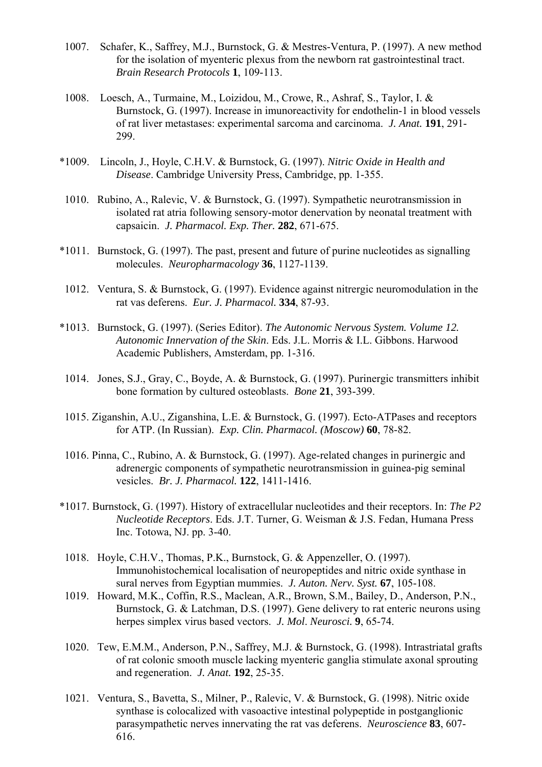- 1007. Schafer, K., Saffrey, M.J., Burnstock, G. & Mestres-Ventura, P. (1997). A new method for the isolation of myenteric plexus from the newborn rat gastrointestinal tract. *Brain Research Protocols* **1**, 109-113.
- 1008. Loesch, A., Turmaine, M., Loizidou, M., Crowe, R., Ashraf, S., Taylor, I. & Burnstock, G. (1997). Increase in imunoreactivity for endothelin-1 in blood vessels of rat liver metastases: experimental sarcoma and carcinoma. *J. Anat.* **191**, 291- 299.
- \*1009. Lincoln, J., Hoyle, C.H.V. & Burnstock, G. (1997). *Nitric Oxide in Health and Disease*. Cambridge University Press, Cambridge, pp. 1-355.
- 1010. Rubino, A., Ralevic, V. & Burnstock, G. (1997). Sympathetic neurotransmission in isolated rat atria following sensory-motor denervation by neonatal treatment with capsaicin. *J. Pharmacol. Exp. Ther.* **282**, 671-675.
- \*1011. Burnstock, G. (1997). The past, present and future of purine nucleotides as signalling molecules. *Neuropharmacology* **36**, 1127-1139.
- 1012. Ventura, S. & Burnstock, G. (1997). Evidence against nitrergic neuromodulation in the rat vas deferens. *Eur. J. Pharmacol.* **334**, 87-93.
- \*1013. Burnstock, G. (1997). (Series Editor). *The Autonomic Nervous System. Volume 12. Autonomic Innervation of the Skin*. Eds. J.L. Morris & I.L. Gibbons. Harwood Academic Publishers, Amsterdam, pp. 1-316.
- 1014. Jones, S.J., Gray, C., Boyde, A. & Burnstock, G. (1997). Purinergic transmitters inhibit bone formation by cultured osteoblasts. *Bone* **21**, 393-399.
- 1015. Ziganshin, A.U., Ziganshina, L.E. & Burnstock, G. (1997). Ecto-ATPases and receptors for ATP. (In Russian). *Exp. Clin. Pharmacol. (Moscow)* **60**, 78-82.
- 1016. Pinna, C., Rubino, A. & Burnstock, G. (1997). Age-related changes in purinergic and adrenergic components of sympathetic neurotransmission in guinea-pig seminal vesicles. *Br. J. Pharmacol.* **122**, 1411-1416.
- \*1017. Burnstock, G. (1997). History of extracellular nucleotides and their receptors. In: *The P2 Nucleotide Receptors*. Eds. J.T. Turner, G. Weisman & J.S. Fedan, Humana Press Inc. Totowa, NJ. pp. 3-40.
- 1018. Hoyle, C.H.V., Thomas, P.K., Burnstock, G. & Appenzeller, O. (1997). Immunohistochemical localisation of neuropeptides and nitric oxide synthase in sural nerves from Egyptian mummies. *J. Auton. Nerv. Syst.* **67**, 105-108.
- 1019. Howard, M.K., Coffin, R.S., Maclean, A.R., Brown, S.M., Bailey, D., Anderson, P.N., Burnstock, G. & Latchman, D.S. (1997). Gene delivery to rat enteric neurons using herpes simplex virus based vectors. *J. Mol*. *Neurosci.* **9**, 65-74.
- 1020. Tew, E.M.M., Anderson, P.N., Saffrey, M.J. & Burnstock, G. (1998). Intrastriatal grafts of rat colonic smooth muscle lacking myenteric ganglia stimulate axonal sprouting and regeneration. *J. Anat.* **192**, 25-35.
- 1021. Ventura, S., Bavetta, S., Milner, P., Ralevic, V. & Burnstock, G. (1998). Nitric oxide synthase is colocalized with vasoactive intestinal polypeptide in postganglionic parasympathetic nerves innervating the rat vas deferens. *Neuroscience* **83**, 607- 616.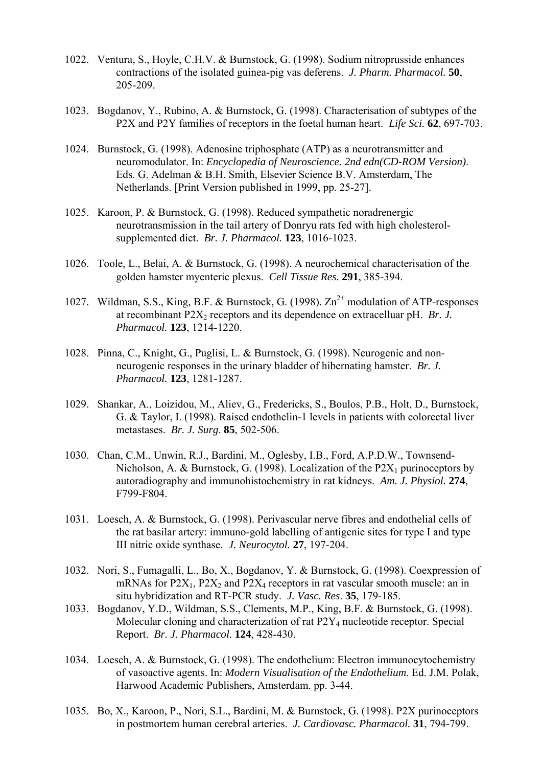- 1022. Ventura, S., Hoyle, C.H.V. & Burnstock, G. (1998). Sodium nitroprusside enhances contractions of the isolated guinea-pig vas deferens. *J. Pharm. Pharmacol.* **50**, 205-209.
- 1023. Bogdanov, Y., Rubino, A. & Burnstock, G. (1998). Characterisation of subtypes of the P2X and P2Y families of receptors in the foetal human heart. *Life Sci.* **62**, 697-703.
- 1024. Burnstock, G. (1998). Adenosine triphosphate (ATP) as a neurotransmitter and neuromodulator. In: *Encyclopedia of Neuroscience. 2nd edn(CD-ROM Version)*. Eds. G. Adelman & B.H. Smith, Elsevier Science B.V. Amsterdam, The Netherlands. [Print Version published in 1999, pp. 25-27].
- 1025. Karoon, P. & Burnstock, G. (1998). Reduced sympathetic noradrenergic neurotransmission in the tail artery of Donryu rats fed with high cholesterolsupplemented diet. *Br. J. Pharmacol.* **123**, 1016-1023.
- 1026. Toole, L., Belai, A. & Burnstock, G. (1998). A neurochemical characterisation of the golden hamster myenteric plexus. *Cell Tissue Res.* **291**, 385-394.
- 1027. Wildman, S.S., King, B.F. & Burnstock, G. (1998).  $\text{Zn}^{2+}$  modulation of ATP-responses at recombinant  $P2X_2$  receptors and its dependence on extracelluar pH. *Br. J. Pharmacol.* **123**, 1214-1220.
- 1028. Pinna, C., Knight, G., Puglisi, L. & Burnstock, G. (1998). Neurogenic and nonneurogenic responses in the urinary bladder of hibernating hamster. *Br. J. Pharmacol.* **123**, 1281-1287.
- 1029. Shankar, A., Loizidou, M., Aliev, G., Fredericks, S., Boulos, P.B., Holt, D., Burnstock, G. & Taylor, I. (1998). Raised endothelin-1 levels in patients with colorectal liver metastases. *Br. J. Surg*. **85**, 502-506.
- 1030. Chan, C.M., Unwin, R.J., Bardini, M., Oglesby, I.B., Ford, A.P.D.W., Townsend-Nicholson, A. & Burnstock, G. (1998). Localization of the  $P2X_1$  purinoceptors by autoradiography and immunohistochemistry in rat kidneys. *Am. J. Physiol.* **274**, F799-F804.
- 1031. Loesch, A. & Burnstock, G. (1998). Perivascular nerve fibres and endothelial cells of the rat basilar artery: immuno-gold labelling of antigenic sites for type I and type III nitric oxide synthase. *J. Neurocytol.* **27**, 197-204.
- 1032. Nori, S., Fumagalli, L., Bo, X., Bogdanov, Y. & Burnstock, G. (1998). Coexpression of mRNAs for  $P2X_1$ ,  $P2X_2$  and  $P2X_4$  receptors in rat vascular smooth muscle: an in situ hybridization and RT-PCR study. *J. Vasc. Res*. **35**, 179-185.
- 1033. Bogdanov, Y.D., Wildman, S.S., Clements, M.P., King, B.F. & Burnstock, G. (1998). Molecular cloning and characterization of rat P2Y<sub>4</sub> nucleotide receptor. Special Report. *Br. J. Pharmacol.* **124**, 428-430.
- 1034. Loesch, A. & Burnstock, G. (1998). The endothelium: Electron immunocytochemistry of vasoactive agents. In: *Modern Visualisation of the Endothelium*. Ed. J.M. Polak, Harwood Academic Publishers, Amsterdam. pp. 3-44.
- 1035. Bo, X., Karoon, P., Nori, S.L., Bardini, M. & Burnstock, G. (1998). P2X purinoceptors in postmortem human cerebral arteries. *J. Cardiovasc. Pharmacol.* **31**, 794-799.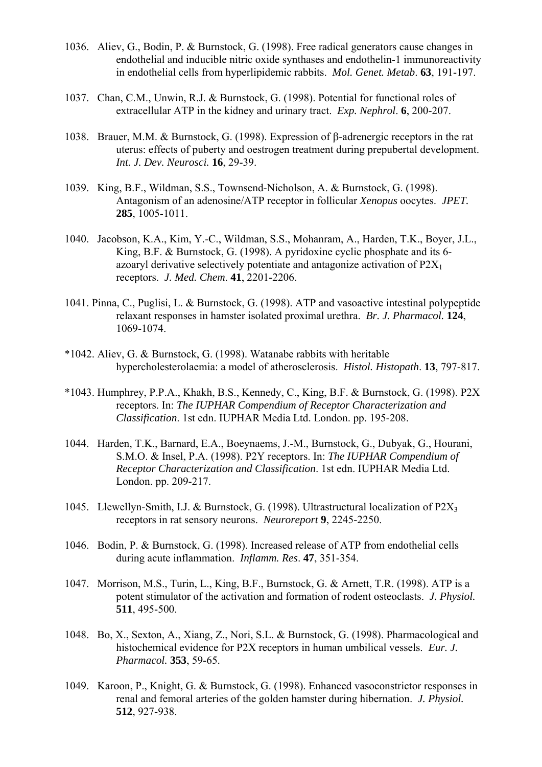- 1036. Aliev, G., Bodin, P. & Burnstock, G. (1998). Free radical generators cause changes in endothelial and inducible nitric oxide synthases and endothelin-1 immunoreactivity in endothelial cells from hyperlipidemic rabbits. *Mol. Genet. Metab*. **63**, 191-197.
- 1037. Chan, C.M., Unwin, R.J. & Burnstock, G. (1998). Potential for functional roles of extracellular ATP in the kidney and urinary tract. *Exp. Nephrol*. **6**, 200-207.
- 1038. Brauer, M.M. & Burnstock, G. (1998). Expression of β-adrenergic receptors in the rat uterus: effects of puberty and oestrogen treatment during prepubertal development. *Int. J. Dev. Neurosci.* **16**, 29-39.
- 1039. King, B.F., Wildman, S.S., Townsend-Nicholson, A. & Burnstock, G. (1998). Antagonism of an adenosine/ATP receptor in follicular *Xenopus* oocytes. *JPET.* **285**, 1005-1011.
- 1040. Jacobson, K.A., Kim, Y.-C., Wildman, S.S., Mohanram, A., Harden, T.K., Boyer, J.L., King, B.F. & Burnstock, G. (1998). A pyridoxine cyclic phosphate and its 6 azoaryl derivative selectively potentiate and antagonize activation of  $P2X_1$ receptors. *J. Med. Chem*. **41**, 2201-2206.
- 1041. Pinna, C., Puglisi, L. & Burnstock, G. (1998). ATP and vasoactive intestinal polypeptide relaxant responses in hamster isolated proximal urethra. *Br. J. Pharmacol.* **124**, 1069-1074.
- \*1042. Aliev, G. & Burnstock, G. (1998). Watanabe rabbits with heritable hypercholesterolaemia: a model of atherosclerosis. *Histol. Histopath*. **13**, 797-817.
- \*1043. Humphrey, P.P.A., Khakh, B.S., Kennedy, C., King, B.F. & Burnstock, G. (1998). P2X receptors. In: *The IUPHAR Compendium of Receptor Characterization and Classification*. 1st edn. IUPHAR Media Ltd. London. pp. 195-208.
- 1044. Harden, T.K., Barnard, E.A., Boeynaems, J.-M., Burnstock, G., Dubyak, G., Hourani, S.M.O. & Insel, P.A. (1998). P2Y receptors. In: *The IUPHAR Compendium of Receptor Characterization and Classification*. 1st edn. IUPHAR Media Ltd. London. pp. 209-217.
- 1045. Llewellyn-Smith, I.J. & Burnstock, G. (1998). Ultrastructural localization of P2X3 receptors in rat sensory neurons. *Neuroreport* **9**, 2245-2250.
- 1046. Bodin, P. & Burnstock, G. (1998). Increased release of ATP from endothelial cells during acute inflammation. *Inflamm. Res*. **47**, 351-354.
- 1047. Morrison, M.S., Turin, L., King, B.F., Burnstock, G. & Arnett, T.R. (1998). ATP is a potent stimulator of the activation and formation of rodent osteoclasts. *J. Physiol.* **511**, 495-500.
- 1048. Bo, X., Sexton, A., Xiang, Z., Nori, S.L. & Burnstock, G. (1998). Pharmacological and histochemical evidence for P2X receptors in human umbilical vessels. *Eur. J. Pharmacol.* **353**, 59-65.
- 1049. Karoon, P., Knight, G. & Burnstock, G. (1998). Enhanced vasoconstrictor responses in renal and femoral arteries of the golden hamster during hibernation. *J. Physiol.* **512**, 927-938.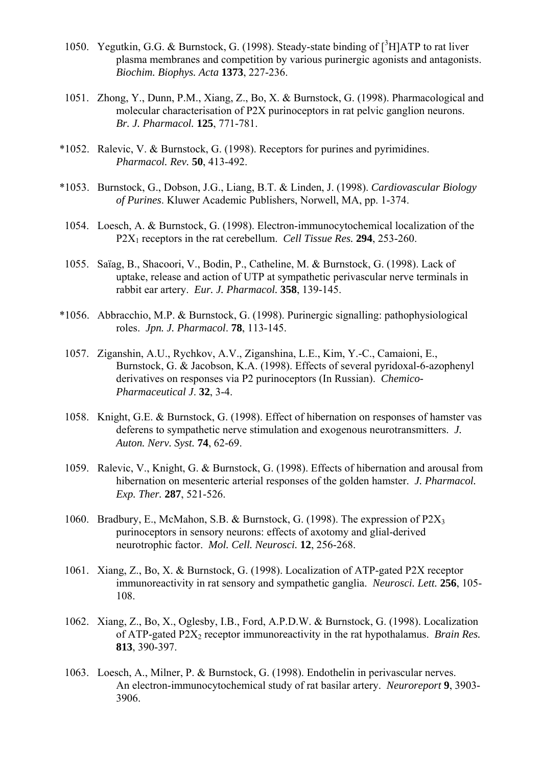- 1050. Yegutkin, G.G. & Burnstock, G. (1998). Steady-state binding of [<sup>3</sup>H]ATP to rat liver plasma membranes and competition by various purinergic agonists and antagonists. *Biochim. Biophys. Acta* **1373**, 227-236.
- 1051. Zhong, Y., Dunn, P.M., Xiang, Z., Bo, X. & Burnstock, G. (1998). Pharmacological and molecular characterisation of P2X purinoceptors in rat pelvic ganglion neurons. *Br. J. Pharmacol.* **125**, 771-781.
- \*1052. Ralevic, V. & Burnstock, G. (1998). Receptors for purines and pyrimidines. *Pharmacol. Rev.* **50**, 413-492.
- \*1053. Burnstock, G., Dobson, J.G., Liang, B.T. & Linden, J. (1998). *Cardiovascular Biology of Purines*. Kluwer Academic Publishers, Norwell, MA, pp. 1-374.
- 1054. Loesch, A. & Burnstock, G. (1998). Electron-immunocytochemical localization of the P2X1 receptors in the rat cerebellum. *Cell Tissue Res.* **294**, 253-260.
- 1055. Saïag, B., Shacoori, V., Bodin, P., Catheline, M. & Burnstock, G. (1998). Lack of uptake, release and action of UTP at sympathetic perivascular nerve terminals in rabbit ear artery. *Eur. J. Pharmacol.* **358**, 139-145.
- \*1056. Abbracchio, M.P. & Burnstock, G. (1998). Purinergic signalling: pathophysiological roles. *Jpn. J. Pharmacol*. **78**, 113-145.
- 1057. Ziganshin, A.U., Rychkov, A.V., Ziganshina, L.E., Kim, Y.-C., Camaioni, E., Burnstock, G. & Jacobson, K.A. (1998). Effects of several pyridoxal-6-azophenyl derivatives on responses via P2 purinoceptors (In Russian). *Chemico-Pharmaceutical J*. **32**, 3-4.
- 1058. Knight, G.E. & Burnstock, G. (1998). Effect of hibernation on responses of hamster vas deferens to sympathetic nerve stimulation and exogenous neurotransmitters. *J. Auton. Nerv. Syst.* **74**, 62-69.
- 1059. Ralevic, V., Knight, G. & Burnstock, G. (1998). Effects of hibernation and arousal from hibernation on mesenteric arterial responses of the golden hamster. *J. Pharmacol. Exp. Ther.* **287**, 521-526.
- 1060. Bradbury, E., McMahon, S.B. & Burnstock, G. (1998). The expression of P2X3 purinoceptors in sensory neurons: effects of axotomy and glial-derived neurotrophic factor. *Mol. Cell. Neurosci.* **12**, 256-268.
- 1061. Xiang, Z., Bo, X. & Burnstock, G. (1998). Localization of ATP-gated P2X receptor immunoreactivity in rat sensory and sympathetic ganglia. *Neurosci. Lett.* **256**, 105- 108.
- 1062. Xiang, Z., Bo, X., Oglesby, I.B., Ford, A.P.D.W. & Burnstock, G. (1998). Localization of ATP-gated P2X<sub>2</sub> receptor immunoreactivity in the rat hypothalamus. *Brain Res.* **813**, 390-397.
- 1063. Loesch, A., Milner, P. & Burnstock, G. (1998). Endothelin in perivascular nerves. An electron-immunocytochemical study of rat basilar artery. *Neuroreport* **9**, 3903- 3906.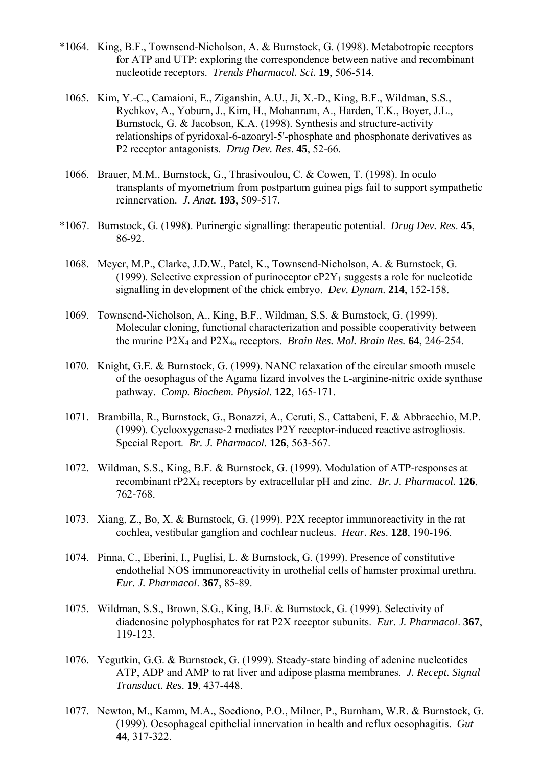- \*1064. King, B.F., Townsend-Nicholson, A. & Burnstock, G. (1998). Metabotropic receptors for ATP and UTP: exploring the correspondence between native and recombinant nucleotide receptors. *Trends Pharmacol. Sci.* **19**, 506-514.
	- 1065. Kim, Y.-C., Camaioni, E., Ziganshin, A.U., Ji, X.-D., King, B.F., Wildman, S.S., Rychkov, A., Yoburn, J., Kim, H., Mohanram, A., Harden, T.K., Boyer, J.L., Burnstock, G. & Jacobson, K.A. (1998). Synthesis and structure-activity relationships of pyridoxal-6-azoaryl-5'-phosphate and phosphonate derivatives as P2 receptor antagonists. *Drug Dev. Res*. **45**, 52-66.
	- 1066. Brauer, M.M., Burnstock, G., Thrasivoulou, C. & Cowen, T. (1998). In oculo transplants of myometrium from postpartum guinea pigs fail to support sympathetic reinnervation. *J. Anat.* **193**, 509-517.
- \*1067. Burnstock, G. (1998). Purinergic signalling: therapeutic potential. *Drug Dev. Res*. **45**, 86-92.
- 1068. Meyer, M.P., Clarke, J.D.W., Patel, K., Townsend-Nicholson, A. & Burnstock, G. (1999). Selective expression of purinoceptor  $cP2Y_1$  suggests a role for nucleotide signalling in development of the chick embryo. *Dev. Dynam*. **214**, 152-158.
- 1069. Townsend-Nicholson, A., King, B.F., Wildman, S.S. & Burnstock, G. (1999). Molecular cloning, functional characterization and possible cooperativity between the murine  $P2X_4$  and  $P2X_{4a}$  receptors. *Brain Res. Mol. Brain Res.* **64**, 246-254.
- 1070. Knight, G.E. & Burnstock, G. (1999). NANC relaxation of the circular smooth muscle of the oesophagus of the Agama lizard involves the L-arginine-nitric oxide synthase pathway. *Comp. Biochem. Physiol.* **122**, 165-171.
- 1071. Brambilla, R., Burnstock, G., Bonazzi, A., Ceruti, S., Cattabeni, F. & Abbracchio, M.P. (1999). Cyclooxygenase-2 mediates P2Y receptor-induced reactive astrogliosis. Special Report. *Br. J. Pharmacol.* **126**, 563-567.
- 1072. Wildman, S.S., King, B.F. & Burnstock, G. (1999). Modulation of ATP-responses at recombinant rP2X4 receptors by extracellular pH and zinc. *Br. J. Pharmacol.* **126**, 762-768.
- 1073. Xiang, Z., Bo, X. & Burnstock, G. (1999). P2X receptor immunoreactivity in the rat cochlea, vestibular ganglion and cochlear nucleus. *Hear. Res*. **128**, 190-196.
- 1074. Pinna, C., Eberini, I., Puglisi, L. & Burnstock, G. (1999). Presence of constitutive endothelial NOS immunoreactivity in urothelial cells of hamster proximal urethra. *Eur. J. Pharmacol*. **367**, 85-89.
- 1075. Wildman, S.S., Brown, S.G., King, B.F. & Burnstock, G. (1999). Selectivity of diadenosine polyphosphates for rat P2X receptor subunits. *Eur. J. Pharmacol*. **367**, 119-123.
- 1076. Yegutkin, G.G. & Burnstock, G. (1999). Steady-state binding of adenine nucleotides ATP, ADP and AMP to rat liver and adipose plasma membranes. *J. Recept. Signal Transduct. Res*. **19**, 437-448.
- 1077. Newton, M., Kamm, M.A., Soediono, P.O., Milner, P., Burnham, W.R. & Burnstock, G. (1999). Oesophageal epithelial innervation in health and reflux oesophagitis. *Gut* **44**, 317-322.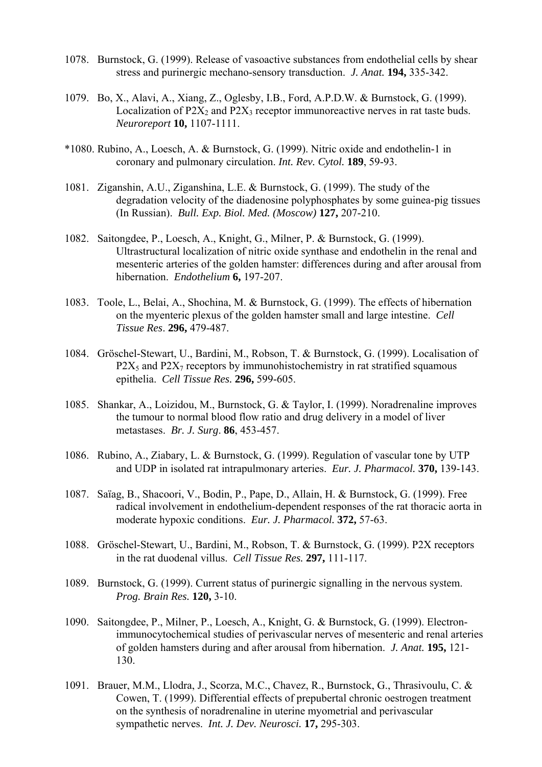- 1078. Burnstock, G. (1999). Release of vasoactive substances from endothelial cells by shear stress and purinergic mechano-sensory transduction. *J. Anat.* **194,** 335-342.
- 1079. Bo, X., Alavi, A., Xiang, Z., Oglesby, I.B., Ford, A.P.D.W. & Burnstock, G. (1999). Localization of  $P2X_2$  and  $P2X_3$  receptor immunoreactive nerves in rat taste buds. *Neuroreport* **10,** 1107-1111.
- \*1080. Rubino, A., Loesch, A. & Burnstock, G. (1999). Nitric oxide and endothelin-1 in coronary and pulmonary circulation. *Int. Rev. Cytol.* **189**, 59-93.
- 1081. Ziganshin, A.U., Ziganshina, L.E. & Burnstock, G. (1999). The study of the degradation velocity of the diadenosine polyphosphates by some guinea-pig tissues (In Russian). *Bull. Exp. Biol. Med. (Moscow)* **127,** 207-210.
- 1082. Saitongdee, P., Loesch, A., Knight, G., Milner, P. & Burnstock, G. (1999). Ultrastructural localization of nitric oxide synthase and endothelin in the renal and mesenteric arteries of the golden hamster: differences during and after arousal from hibernation. *Endothelium* **6,** 197-207.
- 1083. Toole, L., Belai, A., Shochina, M. & Burnstock, G. (1999). The effects of hibernation on the myenteric plexus of the golden hamster small and large intestine. *Cell Tissue Res*. **296,** 479-487.
- 1084. Gröschel-Stewart, U., Bardini, M., Robson, T. & Burnstock, G. (1999). Localisation of  $P2X_5$  and  $P2X_7$  receptors by immunohistochemistry in rat stratified squamous epithelia. *Cell Tissue Res.* **296,** 599-605.
- 1085. Shankar, A., Loizidou, M., Burnstock, G. & Taylor, I. (1999). Noradrenaline improves the tumour to normal blood flow ratio and drug delivery in a model of liver metastases. *Br. J. Surg*. **86**, 453-457.
- 1086. Rubino, A., Ziabary, L. & Burnstock, G. (1999). Regulation of vascular tone by UTP and UDP in isolated rat intrapulmonary arteries. *Eur. J. Pharmacol.* **370,** 139-143.
- 1087. Saïag, B., Shacoori, V., Bodin, P., Pape, D., Allain, H. & Burnstock, G. (1999). Free radical involvement in endothelium-dependent responses of the rat thoracic aorta in moderate hypoxic conditions. *Eur. J. Pharmacol.* **372,** 57-63.
- 1088. Gröschel-Stewart, U., Bardini, M., Robson, T. & Burnstock, G. (1999). P2X receptors in the rat duodenal villus. *Cell Tissue Res.* **297,** 111-117.
- 1089. Burnstock, G. (1999). Current status of purinergic signalling in the nervous system. *Prog. Brain Res.* **120,** 3-10.
- 1090. Saitongdee, P., Milner, P., Loesch, A., Knight, G. & Burnstock, G. (1999). Electronimmunocytochemical studies of perivascular nerves of mesenteric and renal arteries of golden hamsters during and after arousal from hibernation. *J. Anat.* **195,** 121- 130.
- 1091. Brauer, M.M., Llodra, J., Scorza, M.C., Chavez, R., Burnstock, G., Thrasivoulu, C. & Cowen, T. (1999). Differential effects of prepubertal chronic oestrogen treatment on the synthesis of noradrenaline in uterine myometrial and perivascular sympathetic nerves. *Int. J. Dev. Neurosci.* **17,** 295-303.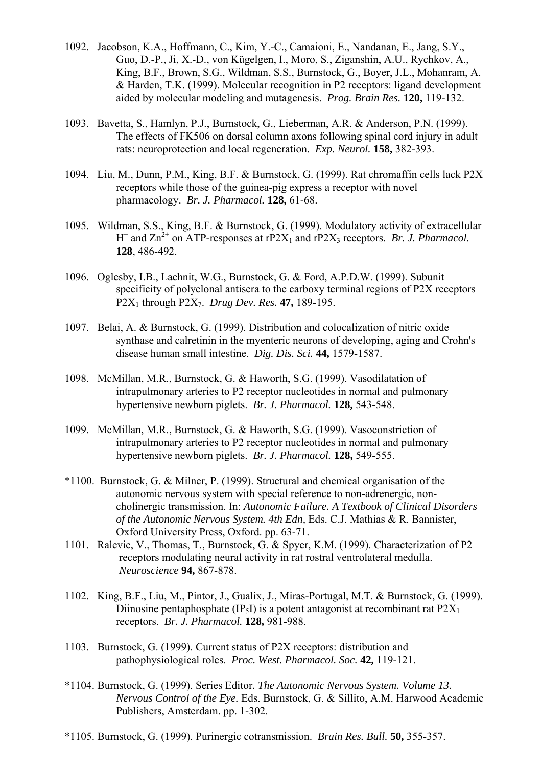- 1092. Jacobson, K.A., Hoffmann, C., Kim, Y.-C., Camaioni, E., Nandanan, E., Jang, S.Y., Guo, D.-P., Ji, X.-D., von Kügelgen, I., Moro, S., Ziganshin, A.U., Rychkov, A., King, B.F., Brown, S.G., Wildman, S.S., Burnstock, G., Boyer, J.L., Mohanram, A. & Harden, T.K. (1999). Molecular recognition in P2 receptors: ligand development aided by molecular modeling and mutagenesis. *Prog. Brain Res.* **120,** 119-132.
- 1093. Bavetta, S., Hamlyn, P.J., Burnstock, G., Lieberman, A.R. & Anderson, P.N. (1999). The effects of FK506 on dorsal column axons following spinal cord injury in adult rats: neuroprotection and local regeneration. *Exp. Neurol.* **158,** 382-393.
- 1094. Liu, M., Dunn, P.M., King, B.F. & Burnstock, G. (1999). Rat chromaffin cells lack P2X receptors while those of the guinea-pig express a receptor with novel pharmacology. *Br. J. Pharmacol.* **128,** 61-68.
- 1095. Wildman, S.S., King, B.F. & Burnstock, G. (1999). Modulatory activity of extracellular  $H^+$  and  $Zn^{2+}$  on ATP-responses at rP2 $X_1$  and rP2 $X_3$  receptors. *Br. J. Pharmacol.* **128**, 486-492.
- 1096. Oglesby, I.B., Lachnit, W.G., Burnstock, G. & Ford, A.P.D.W. (1999). Subunit specificity of polyclonal antisera to the carboxy terminal regions of P2X receptors P2X1 through P2X7. *Drug Dev. Res.* **47,** 189-195.
- 1097. Belai, A. & Burnstock, G. (1999). Distribution and colocalization of nitric oxide synthase and calretinin in the myenteric neurons of developing, aging and Crohn's disease human small intestine. *Dig. Dis. Sci.* **44,** 1579-1587.
- 1098. McMillan, M.R., Burnstock, G. & Haworth, S.G. (1999). Vasodilatation of intrapulmonary arteries to P2 receptor nucleotides in normal and pulmonary hypertensive newborn piglets. *Br. J. Pharmacol.* **128,** 543-548.
- 1099. McMillan, M.R., Burnstock, G. & Haworth, S.G. (1999). Vasoconstriction of intrapulmonary arteries to P2 receptor nucleotides in normal and pulmonary hypertensive newborn piglets. *Br. J. Pharmacol.* **128,** 549-555.
- \*1100. Burnstock, G. & Milner, P. (1999). Structural and chemical organisation of the autonomic nervous system with special reference to non-adrenergic, noncholinergic transmission. In: *Autonomic Failure. A Textbook of Clinical Disorders of the Autonomic Nervous System. 4th Edn,* Eds. C.J. Mathias & R. Bannister, Oxford University Press, Oxford. pp. 63-71.
- 1101. Ralevic, V., Thomas, T., Burnstock, G. & Spyer, K.M. (1999). Characterization of P2 receptors modulating neural activity in rat rostral ventrolateral medulla. *Neuroscience* **94,** 867-878.
- 1102. King, B.F., Liu, M., Pintor, J., Gualix, J., Miras-Portugal, M.T. & Burnstock, G. (1999). Diinosine pentaphosphate (IP<sub>5</sub>I) is a potent antagonist at recombinant rat  $P2X_1$ receptors. *Br. J. Pharmacol.* **128,** 981-988.
- 1103. Burnstock, G. (1999). Current status of P2X receptors: distribution and pathophysiological roles. *Proc. West. Pharmacol. Soc.* **42,** 119-121.
- \*1104. Burnstock, G. (1999). Series Editor*. The Autonomic Nervous System. Volume 13. Nervous Control of the Eye.* Eds. Burnstock, G. & Sillito, A.M. Harwood Academic Publishers, Amsterdam. pp. 1-302.
- \*1105. Burnstock, G. (1999). Purinergic cotransmission. *Brain Res. Bull.* **50,** 355-357.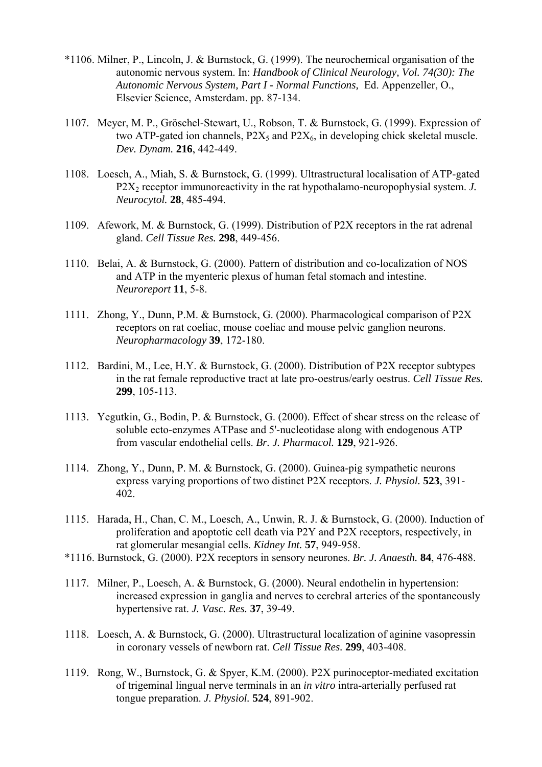- \*1106. Milner, P., Lincoln, J. & Burnstock, G. (1999). The neurochemical organisation of the autonomic nervous system. In: *Handbook of Clinical Neurology, Vol. 74(30): The Autonomic Nervous System, Part I - Normal Functions,* Ed. Appenzeller, O., Elsevier Science, Amsterdam. pp. 87-134.
- 1107. Meyer, M. P., Gröschel-Stewart, U., Robson, T. & Burnstock, G. (1999). Expression of two ATP-gated ion channels,  $P2X_5$  and  $P2X_6$ , in developing chick skeletal muscle. *Dev. Dynam.* **216**, 442-449.
- 1108. Loesch, A., Miah, S. & Burnstock, G. (1999). Ultrastructural localisation of ATP-gated P2X<sub>2</sub> receptor immunoreactivity in the rat hypothalamo-neuropophysial system. *J. Neurocytol.* **28**, 485-494.
- 1109. Afework, M. & Burnstock, G. (1999). Distribution of P2X receptors in the rat adrenal gland. *Cell Tissue Res.* **298**, 449-456.
- 1110. Belai, A. & Burnstock, G. (2000). Pattern of distribution and co-localization of NOS and ATP in the myenteric plexus of human fetal stomach and intestine. *Neuroreport* **11**, 5-8.
- 1111. Zhong, Y., Dunn, P.M. & Burnstock, G. (2000). Pharmacological comparison of P2X receptors on rat coeliac, mouse coeliac and mouse pelvic ganglion neurons. *Neuropharmacology* **39**, 172-180.
- 1112. Bardini, M., Lee, H.Y. & Burnstock, G. (2000). Distribution of P2X receptor subtypes in the rat female reproductive tract at late pro-oestrus/early oestrus. *Cell Tissue Res.* **299**, 105-113.
- 1113. Yegutkin, G., Bodin, P. & Burnstock, G. (2000). Effect of shear stress on the release of soluble ecto-enzymes ATPase and 5'-nucleotidase along with endogenous ATP from vascular endothelial cells. *Br. J. Pharmacol.* **129**, 921-926.
- 1114. Zhong, Y., Dunn, P. M. & Burnstock, G. (2000). Guinea-pig sympathetic neurons express varying proportions of two distinct P2X receptors. *J. Physiol.* **523**, 391- 402.
- 1115. Harada, H., Chan, C. M., Loesch, A., Unwin, R. J. & Burnstock, G. (2000). Induction of proliferation and apoptotic cell death via P2Y and P2X receptors, respectively, in rat glomerular mesangial cells. *Kidney Int.* **57**, 949-958.
- \*1116. Burnstock, G. (2000). P2X receptors in sensory neurones. *Br. J. Anaesth.* **84**, 476-488.
- 1117. Milner, P., Loesch, A. & Burnstock, G. (2000). Neural endothelin in hypertension: increased expression in ganglia and nerves to cerebral arteries of the spontaneously hypertensive rat. *J. Vasc. Res.* **37**, 39-49.
- 1118. Loesch, A. & Burnstock, G. (2000). Ultrastructural localization of aginine vasopressin in coronary vessels of newborn rat. *Cell Tissue Res.* **299**, 403-408.
- 1119. Rong, W., Burnstock, G. & Spyer, K.M. (2000). P2X purinoceptor-mediated excitation of trigeminal lingual nerve terminals in an *in vitro* intra-arterially perfused rat tongue preparation. *J. Physiol.* **524**, 891-902.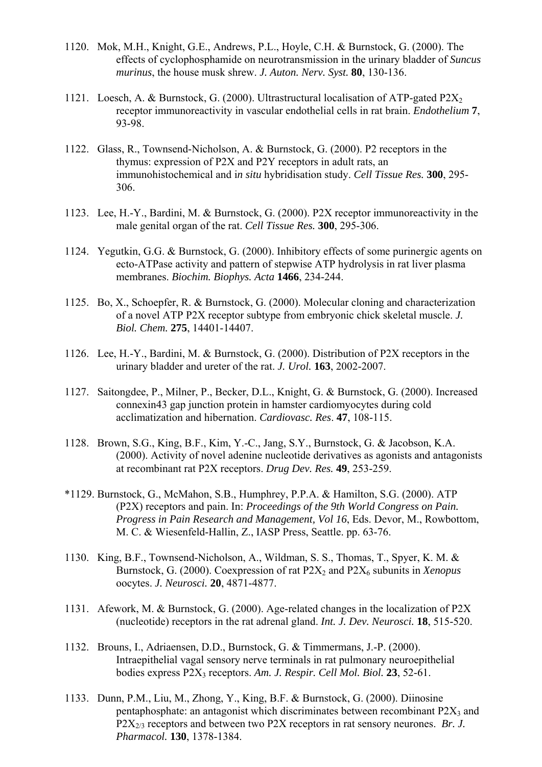- 1120. Mok, M.H., Knight, G.E., Andrews, P.L., Hoyle, C.H. & Burnstock, G. (2000). The effects of cyclophosphamide on neurotransmission in the urinary bladder of *Suncus murinus*, the house musk shrew. *J. Auton. Nerv. Syst.* **80**, 130-136.
- 1121. Loesch, A. & Burnstock, G. (2000). Ultrastructural localisation of ATP-gated  $P2X_2$ receptor immunoreactivity in vascular endothelial cells in rat brain. *Endothelium* **7**, 93-98.
- 1122. Glass, R., Townsend-Nicholson, A. & Burnstock, G. (2000). P2 receptors in the thymus: expression of P2X and P2Y receptors in adult rats, an immunohistochemical and i*n situ* hybridisation study. *Cell Tissue Res.* **300**, 295- 306.
- 1123. Lee, H.-Y., Bardini, M. & Burnstock, G. (2000). P2X receptor immunoreactivity in the male genital organ of the rat. *Cell Tissue Res.* **300**, 295-306.
- 1124. Yegutkin, G.G. & Burnstock, G. (2000). Inhibitory effects of some purinergic agents on ecto-ATPase activity and pattern of stepwise ATP hydrolysis in rat liver plasma membranes. *Biochim. Biophys. Acta* **1466**, 234-244.
- 1125. Bo, X., Schoepfer, R. & Burnstock, G. (2000). Molecular cloning and characterization of a novel ATP P2X receptor subtype from embryonic chick skeletal muscle. *J. Biol. Chem.* **275**, 14401-14407.
- 1126. Lee, H.-Y., Bardini, M. & Burnstock, G. (2000). Distribution of P2X receptors in the urinary bladder and ureter of the rat. *J. Urol.* **163**, 2002-2007.
- 1127. Saitongdee, P., Milner, P., Becker, D.L., Knight, G. & Burnstock, G. (2000). Increased connexin43 gap junction protein in hamster cardiomyocytes during cold acclimatization and hibernation. *Cardiovasc. Res*. **47**, 108-115.
- 1128. Brown, S.G., King, B.F., Kim, Y.-C., Jang, S.Y., Burnstock, G. & Jacobson, K.A. (2000). Activity of novel adenine nucleotide derivatives as agonists and antagonists at recombinant rat P2X receptors. *Drug Dev. Res.* **49**, 253-259.
- \*1129. Burnstock, G., McMahon, S.B., Humphrey, P.P.A. & Hamilton, S.G. (2000). ATP (P2X) receptors and pain. In: *Proceedings of the 9th World Congress on Pain. Progress in Pain Research and Management, Vol 16*, Eds. Devor, M., Rowbottom, M. C. & Wiesenfeld-Hallin, Z., IASP Press, Seattle. pp. 63-76.
- 1130. King, B.F., Townsend-Nicholson, A., Wildman, S. S., Thomas, T., Spyer, K. M. & Burnstock, G. (2000). Coexpression of rat P2X<sub>2</sub> and P2X<sub>6</sub> subunits in *Xenopus* oocytes. *J. Neurosci.* **20**, 4871-4877.
- 1131. Afework, M. & Burnstock, G. (2000). Age-related changes in the localization of P2X (nucleotide) receptors in the rat adrenal gland. *Int. J. Dev. Neurosci.* **18**, 515-520.
- 1132. Brouns, I., Adriaensen, D.D., Burnstock, G. & Timmermans, J.-P. (2000). Intraepithelial vagal sensory nerve terminals in rat pulmonary neuroepithelial bodies express P2X3 receptors. *Am. J. Respir. Cell Mol. Biol.* **23**, 52-61.
- 1133. Dunn, P.M., Liu, M., Zhong, Y., King, B.F. & Burnstock, G. (2000). Diinosine pentaphosphate: an antagonist which discriminates between recombinant  $P2X_3$  and P2X<sub>2/3</sub> receptors and between two P2X receptors in rat sensory neurones. *Br. J. Pharmacol.* **130**, 1378-1384.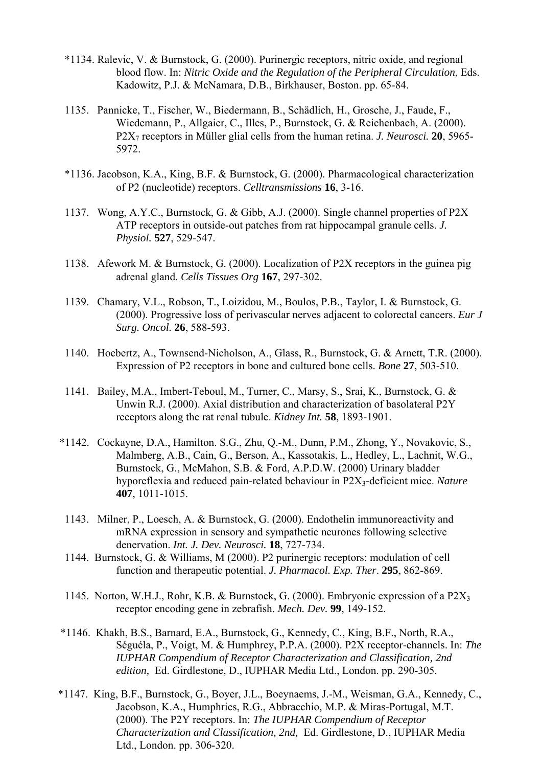- \*1134. Ralevic, V. & Burnstock, G. (2000). Purinergic receptors, nitric oxide, and regional blood flow. In: *Nitric Oxide and the Regulation of the Peripheral Circulation*, Eds. Kadowitz, P.J. & McNamara, D.B., Birkhauser, Boston. pp. 65-84.
- 1135. Pannicke, T., Fischer, W., Biedermann, B., Schädlich, H., Grosche, J., Faude, F., Wiedemann, P., Allgaier, C., Illes, P., Burnstock, G. & Reichenbach, A. (2000). P2X7 receptors in Müller glial cells from the human retina. *J. Neurosci.* **20**, 5965- 5972.
- \*1136. Jacobson, K.A., King, B.F. & Burnstock, G. (2000). Pharmacological characterization of P2 (nucleotide) receptors. *Celltransmissions* **16**, 3-16.
- 1137. Wong, A.Y.C., Burnstock, G. & Gibb, A.J. (2000). Single channel properties of P2X ATP receptors in outside-out patches from rat hippocampal granule cells. *J. Physiol.* **527**, 529-547.
- 1138. Afework M. & Burnstock, G. (2000). Localization of P2X receptors in the guinea pig adrenal gland. *Cells Tissues Org* **167**, 297-302.
- 1139. Chamary, V.L., Robson, T., Loizidou, M., Boulos, P.B., Taylor, I. & Burnstock, G. (2000). Progressive loss of perivascular nerves adjacent to colorectal cancers. *Eur J Surg. Oncol.* **26**, 588-593.
- 1140. Hoebertz, A., Townsend-Nicholson, A., Glass, R., Burnstock, G. & Arnett, T.R. (2000). Expression of P2 receptors in bone and cultured bone cells. *Bone* 27, 503-510.
- 1141. Bailey, M.A., Imbert-Teboul, M., Turner, C., Marsy, S., Srai, K., Burnstock, G. & Unwin R.J. (2000). Axial distribution and characterization of basolateral P2Y receptors along the rat renal tubule. *Kidney Int.* **58**, 1893-1901.
- \*1142. Cockayne, D.A., Hamilton. S.G., Zhu, Q.-M., Dunn, P.M., Zhong, Y., Novakovic, S., Malmberg, A.B., Cain, G., Berson, A., Kassotakis, L., Hedley, L., Lachnit, W.G., Burnstock, G., McMahon, S.B. & Ford, A.P.D.W. (2000) Urinary bladder hyporeflexia and reduced pain-related behaviour in P2X3-deficient mice. *Nature* **407**, 1011-1015.
- 1143. Milner, P., Loesch, A. & Burnstock, G. (2000). Endothelin immunoreactivity and mRNA expression in sensory and sympathetic neurones following selective denervation. *Int. J. Dev. Neurosci.* **18**, 727-734.
- 1144. Burnstock, G. & Williams, M (2000). P2 purinergic receptors: modulation of cell function and therapeutic potential. *J. Pharmacol. Exp. Ther*. **295**, 862-869.
- 1145. Norton, W.H.J., Rohr, K.B. & Burnstock, G. (2000). Embryonic expression of a P2X3 receptor encoding gene in zebrafish. *Mech. Dev.* **99**, 149-152.
- \*1146. Khakh, B.S., Barnard, E.A., Burnstock, G., Kennedy, C., King, B.F., North, R.A., Séguéla, P., Voigt, M. & Humphrey, P.P.A. (2000). P2X receptor-channels. In: *The IUPHAR Compendium of Receptor Characterization and Classification, 2nd edition,* Ed. Girdlestone, D., IUPHAR Media Ltd., London. pp. 290-305.
- \*1147. King, B.F., Burnstock, G., Boyer, J.L., Boeynaems, J.-M., Weisman, G.A., Kennedy, C., Jacobson, K.A., Humphries, R.G., Abbracchio, M.P. & Miras-Portugal, M.T. (2000). The P2Y receptors. In: *The IUPHAR Compendium of Receptor Characterization and Classification, 2nd,* Ed. Girdlestone, D., IUPHAR Media Ltd., London. pp. 306-320.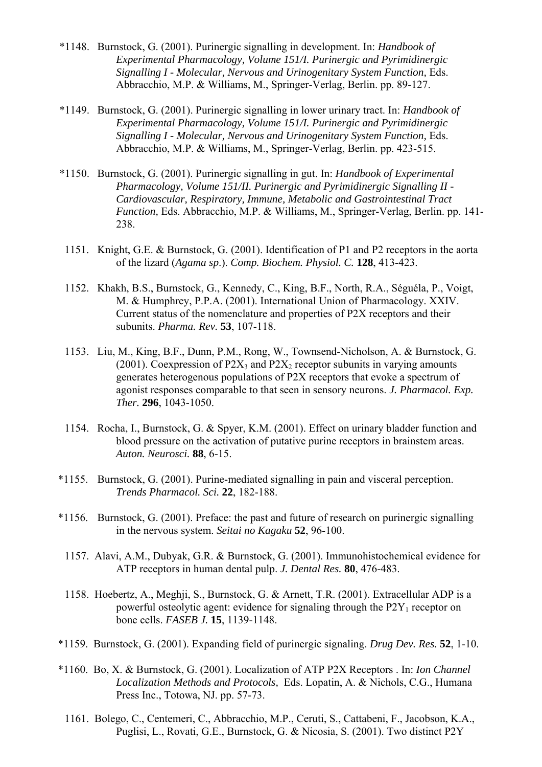- \*1148. Burnstock, G. (2001). Purinergic signalling in development. In: *Handbook of Experimental Pharmacology, Volume 151/I. Purinergic and Pyrimidinergic Signalling I - Molecular, Nervous and Urinogenitary System Function, Eds.* Abbracchio, M.P. & Williams, M., Springer-Verlag, Berlin. pp. 89-127.
- \*1149. Burnstock, G. (2001). Purinergic signalling in lower urinary tract. In: *Handbook of Experimental Pharmacology, Volume 151/I. Purinergic and Pyrimidinergic Signalling I - Molecular, Nervous and Urinogenitary System Function,* Eds. Abbracchio, M.P. & Williams, M., Springer-Verlag, Berlin. pp. 423-515.
- \*1150. Burnstock, G. (2001). Purinergic signalling in gut. In: *Handbook of Experimental Pharmacology, Volume 151/II. Purinergic and Pyrimidinergic Signalling II - Cardiovascular, Respiratory, Immune, Metabolic and Gastrointestinal Tract Function,* Eds. Abbracchio, M.P. & Williams, M., Springer-Verlag, Berlin. pp. 141- 238.
- 1151. Knight, G.E. & Burnstock, G. (2001). Identification of P1 and P2 receptors in the aorta of the lizard (*Agama sp*.). *Comp. Biochem. Physiol. C.* **128**, 413-423.
- 1152. Khakh, B.S., Burnstock, G., Kennedy, C., King, B.F., North, R.A., Séguéla, P., Voigt, M. & Humphrey, P.P.A. (2001). International Union of Pharmacology. XXIV. Current status of the nomenclature and properties of P2X receptors and their subunits. *Pharma. Rev.* **53**, 107-118.
- 1153. Liu, M., King, B.F., Dunn, P.M., Rong, W., Townsend-Nicholson, A. & Burnstock, G. (2001). Coexpression of P2 $X_3$  and P2 $X_2$  receptor subunits in varying amounts generates heterogenous populations of P2X receptors that evoke a spectrum of agonist responses comparable to that seen in sensory neurons. *J. Pharmacol. Exp. Ther.* **296**, 1043-1050.
- 1154. Rocha, I., Burnstock, G. & Spyer, K.M. (2001). Effect on urinary bladder function and blood pressure on the activation of putative purine receptors in brainstem areas. *Auton. Neurosci.* **88**, 6-15.
- \*1155. Burnstock, G. (2001). Purine-mediated signalling in pain and visceral perception. *Trends Pharmacol. Sci.* **22**, 182-188.
- \*1156. Burnstock, G. (2001). Preface: the past and future of research on purinergic signalling in the nervous system. *Seitai no Kagaku* **52**, 96-100.
	- 1157. Alavi, A.M., Dubyak, G.R. & Burnstock, G. (2001). Immunohistochemical evidence for ATP receptors in human dental pulp. *J. Dental Res.* **80**, 476-483.
	- 1158. Hoebertz, A., Meghji, S., Burnstock, G. & Arnett, T.R. (2001). Extracellular ADP is a powerful osteolytic agent: evidence for signaling through the  $P2Y_1$  receptor on bone cells. *FASEB J.* **15**, 1139-1148.
- \*1159. Burnstock, G. (2001). Expanding field of purinergic signaling. *Drug Dev. Res.* **52**, 1-10.
- \*1160. Bo, X. & Burnstock, G. (2001). Localization of ATP P2X Receptors . In: *Ion Channel Localization Methods and Protocols,* Eds. Lopatin, A. & Nichols, C.G., Humana Press Inc., Totowa, NJ. pp. 57-73.
	- 1161. Bolego, C., Centemeri, C., Abbracchio, M.P., Ceruti, S., Cattabeni, F., Jacobson, K.A., Puglisi, L., Rovati, G.E., Burnstock, G. & Nicosia, S. (2001). Two distinct P2Y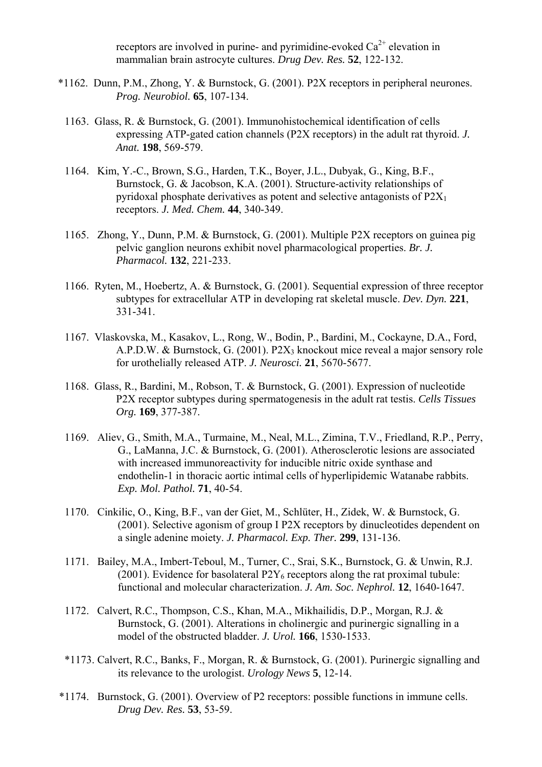receptors are involved in purine- and pyrimidine-evoked  $Ca^{2+}$  elevation in mammalian brain astrocyte cultures. *Drug Dev. Res.* **52**, 122-132.

- \*1162. Dunn, P.M., Zhong, Y. & Burnstock, G. (2001). P2X receptors in peripheral neurones. *Prog. Neurobiol.* **65**, 107-134.
	- 1163. Glass, R. & Burnstock, G. (2001). Immunohistochemical identification of cells expressing ATP-gated cation channels (P2X receptors) in the adult rat thyroid. *J. Anat.* **198**, 569-579.
	- 1164. Kim, Y.-C., Brown, S.G., Harden, T.K., Boyer, J.L., Dubyak, G., King, B.F., Burnstock, G. & Jacobson, K.A. (2001). Structure-activity relationships of pyridoxal phosphate derivatives as potent and selective antagonists of  $P2X_1$ receptors. *J. Med. Chem.* **44**, 340-349.
	- 1165. Zhong, Y., Dunn, P.M. & Burnstock, G. (2001). Multiple P2X receptors on guinea pig pelvic ganglion neurons exhibit novel pharmacological properties. *Br. J. Pharmacol.* **132**, 221-233.
	- 1166. Ryten, M., Hoebertz, A. & Burnstock, G. (2001). Sequential expression of three receptor subtypes for extracellular ATP in developing rat skeletal muscle. *Dev. Dyn.* **221**, 331-341.
	- 1167. Vlaskovska, M., Kasakov, L., Rong, W., Bodin, P., Bardini, M., Cockayne, D.A., Ford, A.P.D.W. & Burnstock, G. (2001). P2X3 knockout mice reveal a major sensory role for urothelially released ATP. *J. Neurosci.* **21**, 5670-5677.
	- 1168. Glass, R., Bardini, M., Robson, T. & Burnstock, G. (2001). Expression of nucleotide P2X receptor subtypes during spermatogenesis in the adult rat testis. *Cells Tissues Org.* **169**, 377-387.
	- 1169. Aliev, G., Smith, M.A., Turmaine, M., Neal, M.L., Zimina, T.V., Friedland, R.P., Perry, G., LaManna, J.C. & Burnstock, G. (2001). Atherosclerotic lesions are associated with increased immunoreactivity for inducible nitric oxide synthase and endothelin-1 in thoracic aortic intimal cells of hyperlipidemic Watanabe rabbits. *Exp. Mol. Pathol.* **71**, 40-54.
	- 1170. Cinkilic, O., King, B.F., van der Giet, M., Schlüter, H., Zidek, W. & Burnstock, G. (2001). Selective agonism of group I P2X receptors by dinucleotides dependent on a single adenine moiety. *J. Pharmacol. Exp. Ther.* **299**, 131-136.
	- 1171. Bailey, M.A., Imbert-Teboul, M., Turner, C., Srai, S.K., Burnstock, G. & Unwin, R.J. (2001). Evidence for basolateral  $P2Y_6$  receptors along the rat proximal tubule: functional and molecular characterization. *J. Am. Soc. Nephrol.* **12**, 1640-1647.
	- 1172. Calvert, R.C., Thompson, C.S., Khan, M.A., Mikhailidis, D.P., Morgan, R.J. & Burnstock, G. (2001). Alterations in cholinergic and purinergic signalling in a model of the obstructed bladder. *J. Urol.* **166**, 1530-1533.
	- \*1173. Calvert, R.C., Banks, F., Morgan, R. & Burnstock, G. (2001). Purinergic signalling and its relevance to the urologist. *Urology News* **5**, 12-14.
- \*1174. Burnstock, G. (2001). Overview of P2 receptors: possible functions in immune cells. *Drug Dev. Res.* **53**, 53-59.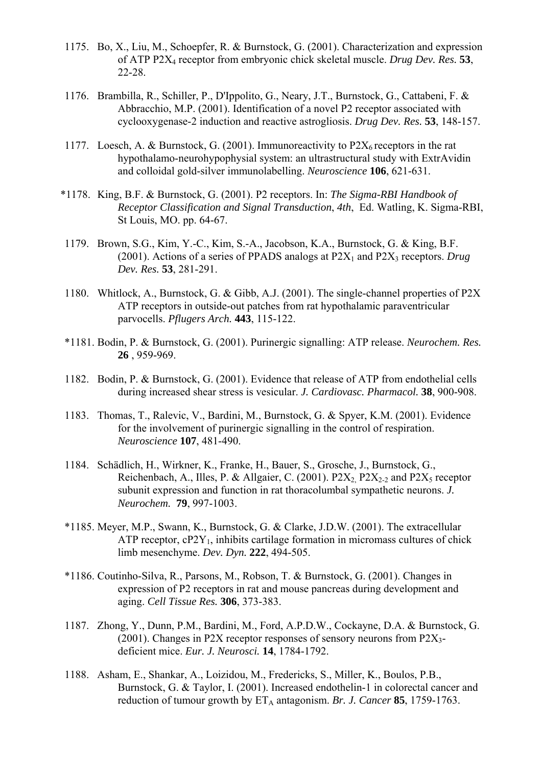- 1175. Bo, X., Liu, M., Schoepfer, R. & Burnstock, G. (2001). Characterization and expression of ATP P2X4 receptor from embryonic chick skeletal muscle. *Drug Dev. Res.* **53**, 22-28.
- 1176. Brambilla, R., Schiller, P., D'Ippolito, G., Neary, J.T., Burnstock, G., Cattabeni, F. & Abbracchio, M.P. (2001). Identification of a novel P2 receptor associated with cyclooxygenase-2 induction and reactive astrogliosis. *Drug Dev. Res.* **53**, 148-157.
- 1177. Loesch, A. & Burnstock, G. (2001). Immunoreactivity to  $P2X<sub>6</sub>$  receptors in the rat hypothalamo-neurohypophysial system: an ultrastructural study with ExtrAvidin and colloidal gold-silver immunolabelling. *Neuroscience* **106**, 621-631.
- \*1178. King, B.F. & Burnstock, G. (2001). P2 receptors. In: *The Sigma-RBI Handbook of Receptor Classification and Signal Transduction*, *4th*, Ed. Watling, K. Sigma-RBI, St Louis, MO. pp. 64-67.
- 1179. Brown, S.G., Kim, Y.-C., Kim, S.-A., Jacobson, K.A., Burnstock, G. & King, B.F. (2001). Actions of a series of PPADS analogs at  $P2X_1$  and  $P2X_3$  receptors. *Drug Dev. Res.* **53**, 281-291.
- 1180. Whitlock, A., Burnstock, G. & Gibb, A.J. (2001). The single-channel properties of P2X ATP receptors in outside-out patches from rat hypothalamic paraventricular parvocells. *Pflugers Arch.* **443**, 115-122.
- \*1181. Bodin, P. & Burnstock, G. (2001). Purinergic signalling: ATP release. *Neurochem. Res.* **26** , 959-969.
- 1182. Bodin, P. & Burnstock, G. (2001). Evidence that release of ATP from endothelial cells during increased shear stress is vesicular. *J. Cardiovasc. Pharmacol.* **38**, 900-908.
- 1183. Thomas, T., Ralevic, V., Bardini, M., Burnstock, G. & Spyer, K.M. (2001). Evidence for the involvement of purinergic signalling in the control of respiration. *Neuroscience* **107**, 481-490.
- 1184. Schädlich, H., Wirkner, K., Franke, H., Bauer, S., Grosche, J., Burnstock, G., Reichenbach, A., Illes, P. & Allgaier, C. (2001).  $P2X_2$ ,  $P2X_2$  and  $P2X_5$  receptor subunit expression and function in rat thoracolumbal sympathetic neurons. *J. Neurochem.* **79**, 997-1003.
- \*1185. Meyer, M.P., Swann, K., Burnstock, G. & Clarke, J.D.W. (2001). The extracellular ATP receptor,  $cP2Y_1$ , inhibits cartilage formation in micromass cultures of chick limb mesenchyme. *Dev. Dyn.* **222**, 494-505.
- \*1186. Coutinho-Silva, R., Parsons, M., Robson, T. & Burnstock, G. (2001). Changes in expression of P2 receptors in rat and mouse pancreas during development and aging. *Cell Tissue Res.* **306**, 373-383.
- 1187. Zhong, Y., Dunn, P.M., Bardini, M., Ford, A.P.D.W., Cockayne, D.A. & Burnstock, G. (2001). Changes in P2X receptor responses of sensory neurons from  $P2X_3$ deficient mice. *Eur. J. Neurosci.* **14**, 1784-1792.
- 1188. Asham, E., Shankar, A., Loizidou, M., Fredericks, S., Miller, K., Boulos, P.B., Burnstock, G. & Taylor, I. (2001). Increased endothelin-1 in colorectal cancer and reduction of tumour growth by  $ET_A$  antagonism. *Br. J. Cancer* 85, 1759-1763.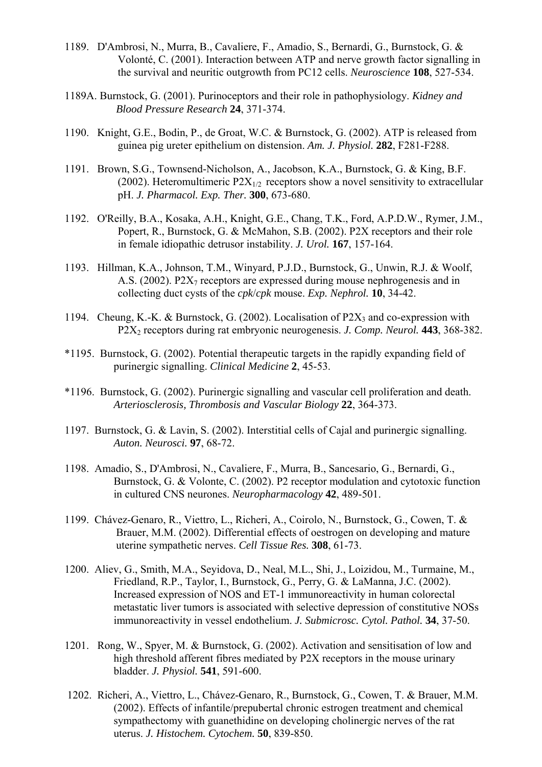- 1189. D'Ambrosi, N., Murra, B., Cavaliere, F., Amadio, S., Bernardi, G., Burnstock, G. & Volonté, C. (2001). Interaction between ATP and nerve growth factor signalling in the survival and neuritic outgrowth from PC12 cells. *Neuroscience* **108**, 527-534.
- 1189A. Burnstock, G. (2001). Purinoceptors and their role in pathophysiology. *Kidney and Blood Pressure Research* **24**, 371-374.
- 1190. Knight, G.E., Bodin, P., de Groat, W.C. & Burnstock, G. (2002). ATP is released from guinea pig ureter epithelium on distension. *Am. J. Physiol.* **282**, F281-F288.
- 1191. Brown, S.G., Townsend-Nicholson, A., Jacobson, K.A., Burnstock, G. & King, B.F. (2002). Heteromultimeric  $P2X_{1/2}$  receptors show a novel sensitivity to extracellular pH. *J. Pharmacol. Exp. Ther.* **300**, 673-680.
- 1192. O'Reilly, B.A., Kosaka, A.H., Knight, G.E., Chang, T.K., Ford, A.P.D.W., Rymer, J.M., Popert, R., Burnstock, G. & McMahon, S.B. (2002). P2X receptors and their role in female idiopathic detrusor instability. *J. Urol.* **167**, 157-164.
- 1193. Hillman, K.A., Johnson, T.M., Winyard, P.J.D., Burnstock, G., Unwin, R.J. & Woolf, A.S. (2002). P2X7 receptors are expressed during mouse nephrogenesis and in collecting duct cysts of the *cpk*/*cpk* mouse. *Exp. Nephrol.* **10**, 34-42.
- 1194. Cheung, K.-K. & Burnstock, G. (2002). Localisation of  $P2X_3$  and co-expression with P2X2 receptors during rat embryonic neurogenesis. *J. Comp. Neurol.* **443**, 368-382.
- \*1195. Burnstock, G. (2002). Potential therapeutic targets in the rapidly expanding field of purinergic signalling. *Clinical Medicine* **2**, 45-53.
- \*1196. Burnstock, G. (2002). Purinergic signalling and vascular cell proliferation and death. *Arteriosclerosis, Thrombosis and Vascular Biology* **22**, 364-373.
- 1197. Burnstock, G. & Lavin, S. (2002). Interstitial cells of Cajal and purinergic signalling. *Auton. Neurosci.* **97**, 68-72.
- 1198. Amadio, S., D'Ambrosi, N., Cavaliere, F., Murra, B., Sancesario, G., Bernardi, G., Burnstock, G. & Volonte, C. (2002). P2 receptor modulation and cytotoxic function in cultured CNS neurones. *Neuropharmacology* **42**, 489-501.
- 1199. Chávez-Genaro, R., Viettro, L., Richeri, A., Coirolo, N., Burnstock, G., Cowen, T. & Brauer, M.M. (2002). Differential effects of oestrogen on developing and mature uterine sympathetic nerves. *Cell Tissue Res.* **308**, 61-73.
- 1200. Aliev, G., Smith, M.A., Seyidova, D., Neal, M.L., Shi, J., Loizidou, M., Turmaine, M., Friedland, R.P., Taylor, I., Burnstock, G., Perry, G. & LaManna, J.C. (2002). Increased expression of NOS and ET-1 immunoreactivity in human colorectal metastatic liver tumors is associated with selective depression of constitutive NOSs immunoreactivity in vessel endothelium. *J. Submicrosc. Cytol. Pathol.* **34**, 37-50.
- 1201. Rong, W., Spyer, M. & Burnstock, G. (2002). Activation and sensitisation of low and high threshold afferent fibres mediated by P2X receptors in the mouse urinary bladder. *J. Physiol.* **541**, 591-600.
- 1202. Richeri, A., Viettro, L., Chávez-Genaro, R., Burnstock, G., Cowen, T. & Brauer, M.M. (2002). Effects of infantile/prepubertal chronic estrogen treatment and chemical sympathectomy with guanethidine on developing cholinergic nerves of the rat uterus. *J. Histochem. Cytochem.* **50**, 839-850.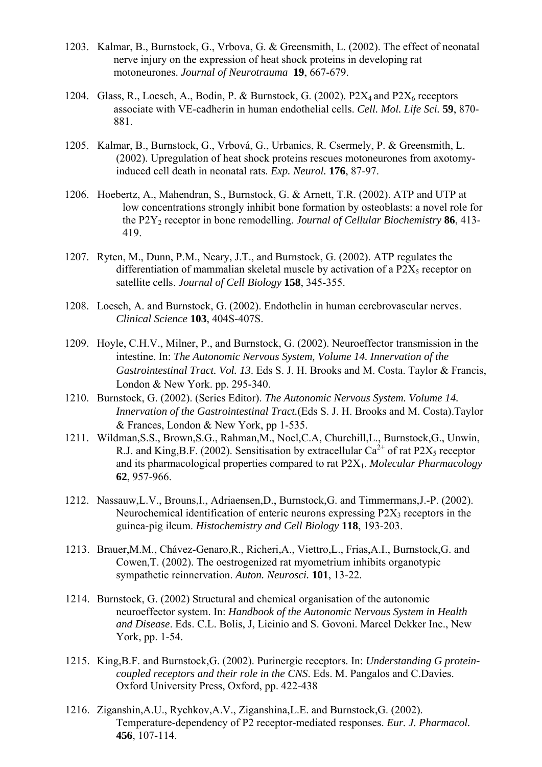- 1203. Kalmar, B., Burnstock, G., Vrbova, G. & Greensmith, L. (2002). The effect of neonatal nerve injury on the expression of heat shock proteins in developing rat motoneurones. *Journal of Neurotrauma* **19**, 667-679.
- 1204. Glass, R., Loesch, A., Bodin, P. & Burnstock, G. (2002).  $P2X_4$  and  $P2X_6$  receptors associate with VE-cadherin in human endothelial cells. *Cell. Mol. Life Sci.* **59**, 870- 881.
- 1205. Kalmar, B., Burnstock, G., Vrbová, G., Urbanics, R. Csermely, P. & Greensmith, L. (2002). Upregulation of heat shock proteins rescues motoneurones from axotomyinduced cell death in neonatal rats. *Exp. Neurol.* **176**, 87-97.
- 1206. Hoebertz, A., Mahendran, S., Burnstock, G. & Arnett, T.R. (2002). ATP and UTP at low concentrations strongly inhibit bone formation by osteoblasts: a novel role for the P2Y2 receptor in bone remodelling. *Journal of Cellular Biochemistry* **86**, 413- 419.
- 1207. Ryten, M., Dunn, P.M., Neary, J.T., and Burnstock, G. (2002). ATP regulates the differentiation of mammalian skeletal muscle by activation of a  $P2X<sub>5</sub>$  receptor on satellite cells. *Journal of Cell Biology* **158**, 345-355.
- 1208. Loesch, A. and Burnstock, G. (2002). Endothelin in human cerebrovascular nerves. *Clinical Science* **103**, 404S-407S.
- 1209. Hoyle, C.H.V., Milner, P., and Burnstock, G. (2002). Neuroeffector transmission in the intestine. In: *The Autonomic Nervous System, Volume 14. Innervation of the Gastrointestinal Tract. Vol. 13*. Eds S. J. H. Brooks and M. Costa. Taylor & Francis, London & New York. pp. 295-340.
- 1210. Burnstock, G. (2002). (Series Editor). *The Autonomic Nervous System. Volume 14. Innervation of the Gastrointestinal Tract.*(Eds S. J. H. Brooks and M. Costa).Taylor & Frances, London & New York, pp 1-535.
- 1211. Wildman,S.S., Brown,S.G., Rahman,M., Noel,C.A, Churchill,L., Burnstock,G., Unwin, R.J. and King, B.F. (2002). Sensitisation by extracellular  $Ca^{2+}$  of rat P2X<sub>5</sub> receptor and its pharmacological properties compared to rat P2X1. *Molecular Pharmacology* **62**, 957-966.
- 1212. Nassauw,L.V., Brouns,I., Adriaensen,D., Burnstock,G. and Timmermans,J.-P. (2002). Neurochemical identification of enteric neurons expressing  $P2X_3$  receptors in the guinea-pig ileum. *Histochemistry and Cell Biology* **118**, 193-203.
- 1213. Brauer,M.M., Chávez-Genaro,R., Richeri,A., Viettro,L., Frias,A.I., Burnstock,G. and Cowen,T. (2002). The oestrogenized rat myometrium inhibits organotypic sympathetic reinnervation. *Auton. Neurosci.* **101**, 13-22.
- 1214. Burnstock, G. (2002) Structural and chemical organisation of the autonomic neuroeffector system. In: *Handbook of the Autonomic Nervous System in Health and Disease*. Eds. C.L. Bolis, J, Licinio and S. Govoni. Marcel Dekker Inc., New York, pp. 1-54.
- 1215. King,B.F. and Burnstock,G. (2002). Purinergic receptors. In: *Understanding G proteincoupled receptors and their role in the CNS*. Eds. M. Pangalos and C.Davies. Oxford University Press, Oxford, pp. 422-438
- 1216. Ziganshin,A.U., Rychkov,A.V., Ziganshina,L.E. and Burnstock,G. (2002). Temperature-dependency of P2 receptor-mediated responses. *Eur. J. Pharmacol.* **456**, 107-114.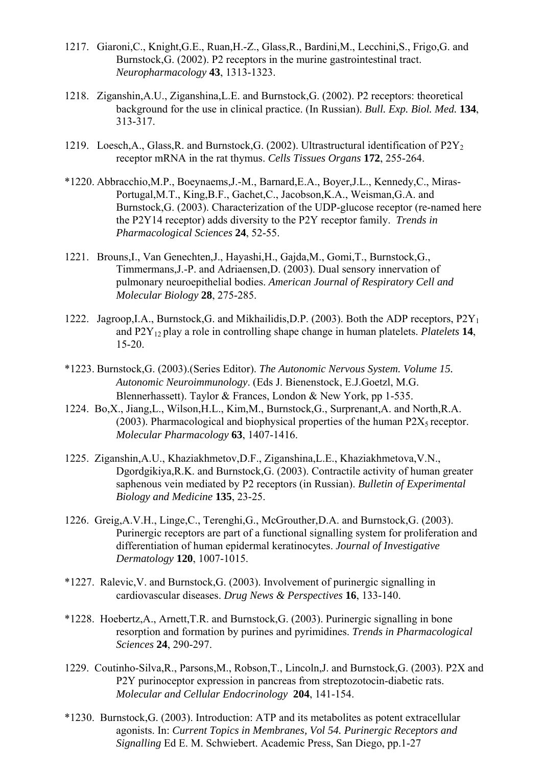- 1217. Giaroni,C., Knight,G.E., Ruan,H.-Z., Glass,R., Bardini,M., Lecchini,S., Frigo,G. and Burnstock,G. (2002). P2 receptors in the murine gastrointestinal tract. *Neuropharmacology* **43**, 1313-1323.
- 1218. Ziganshin,A.U., Ziganshina,L.E. and Burnstock,G. (2002). P2 receptors: theoretical background for the use in clinical practice. (In Russian). *Bull. Exp. Biol. Med.* **134**, 313-317.
- 1219. Loesch, A., Glass, R. and Burnstock, G. (2002). Ultrastructural identification of  $P2Y_2$ receptor mRNA in the rat thymus. *Cells Tissues Organs* **172**, 255-264.
- \*1220. Abbracchio,M.P., Boeynaems,J.-M., Barnard,E.A., Boyer,J.L., Kennedy,C., Miras-Portugal,M.T., King,B.F., Gachet,C., Jacobson,K.A., Weisman,G.A. and Burnstock,G. (2003). Characterization of the UDP-glucose receptor (re-named here the P2Y14 receptor) adds diversity to the P2Y receptor family. *Trends in Pharmacological Sciences* **24**, 52-55.
- 1221. Brouns,I., Van Genechten,J., Hayashi,H., Gajda,M., Gomi,T., Burnstock,G., Timmermans,J.-P. and Adriaensen,D. (2003). Dual sensory innervation of pulmonary neuroepithelial bodies. *American Journal of Respiratory Cell and Molecular Biology* **28**, 275-285.
- 1222. Jagroop, I.A., Burnstock, G. and Mikhailidis, D.P. (2003). Both the ADP receptors,  $P2Y_1$ and P2Y12 play a role in controlling shape change in human platelets. *Platelets* **14**, 15-20.
- \*1223. Burnstock,G. (2003).(Series Editor). *The Autonomic Nervous System. Volume 15. Autonomic Neuroimmunology*. (Eds J. Bienenstock, E.J.Goetzl, M.G. Blennerhassett). Taylor & Frances, London & New York, pp 1-535.
- 1224. Bo,X., Jiang,L., Wilson,H.L., Kim,M., Burnstock,G., Surprenant,A. and North,R.A. (2003). Pharmacological and biophysical properties of the human  $P2X_5$  receptor. *Molecular Pharmacology* **63**, 1407-1416.
- 1225. Ziganshin,A.U., Khaziakhmetov,D.F., Ziganshina,L.E., Khaziakhmetova,V.N., Dgordgikiya,R.K. and Burnstock,G. (2003). Contractile activity of human greater saphenous vein mediated by P2 receptors (in Russian). *Bulletin of Experimental Biology and Medicine* **135**, 23-25.
- 1226. Greig,A.V.H., Linge,C., Terenghi,G., McGrouther,D.A. and Burnstock,G. (2003). Purinergic receptors are part of a functional signalling system for proliferation and differentiation of human epidermal keratinocytes. *Journal of Investigative Dermatology* **120**, 1007-1015.
- \*1227. Ralevic,V. and Burnstock,G. (2003). Involvement of purinergic signalling in cardiovascular diseases. *Drug News & Perspectives* **16**, 133-140.
- \*1228. Hoebertz,A., Arnett,T.R. and Burnstock,G. (2003). Purinergic signalling in bone resorption and formation by purines and pyrimidines. *Trends in Pharmacological Sciences* **24**, 290-297.
- 1229. Coutinho-Silva,R., Parsons,M., Robson,T., Lincoln,J. and Burnstock,G. (2003). P2X and P2Y purinoceptor expression in pancreas from streptozotocin-diabetic rats. *Molecular and Cellular Endocrinology* **204**, 141-154.
- \*1230. Burnstock,G. (2003). Introduction: ATP and its metabolites as potent extracellular agonists. In: *Current Topics in Membranes, Vol 54. Purinergic Receptors and Signalling* Ed E. M. Schwiebert. Academic Press, San Diego, pp.1-27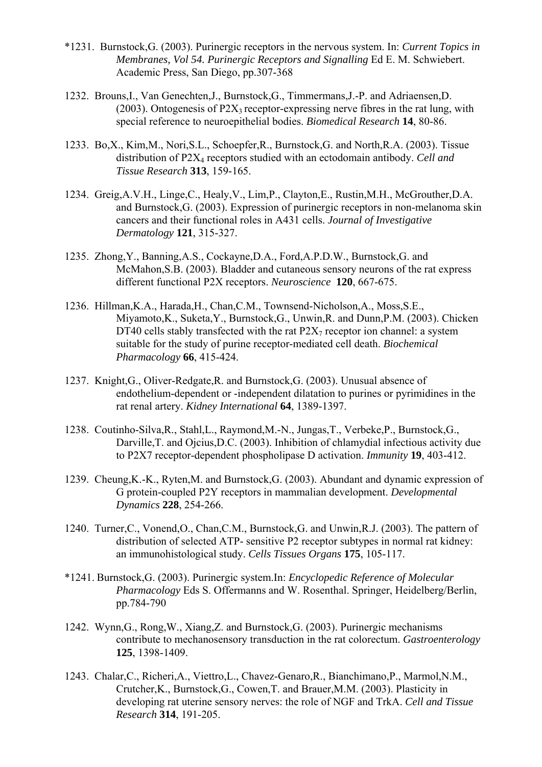- \*1231. Burnstock,G. (2003). Purinergic receptors in the nervous system. In: *Current Topics in Membranes, Vol 54. Purinergic Receptors and Signalling* Ed E. M. Schwiebert. Academic Press, San Diego, pp.307-368
- 1232. Brouns,I., Van Genechten,J., Burnstock,G., Timmermans,J.-P. and Adriaensen,D. (2003). Ontogenesis of  $P2X_3$  receptor-expressing nerve fibres in the rat lung, with special reference to neuroepithelial bodies. *Biomedical Research* **14**, 80-86.
- 1233. Bo,X., Kim,M., Nori,S.L., Schoepfer,R., Burnstock,G. and North,R.A. (2003). Tissue distribution of P2X4 receptors studied with an ectodomain antibody. *Cell and Tissue Research* **313**, 159-165.
- 1234. Greig,A.V.H., Linge,C., Healy,V., Lim,P., Clayton,E., Rustin,M.H., McGrouther,D.A. and Burnstock,G. (2003). Expression of purinergic receptors in non-melanoma skin cancers and their functional roles in A431 cells. *Journal of Investigative Dermatology* **121**, 315-327.
- 1235. Zhong,Y., Banning,A.S., Cockayne,D.A., Ford,A.P.D.W., Burnstock,G. and McMahon,S.B. (2003). Bladder and cutaneous sensory neurons of the rat express different functional P2X receptors. *Neuroscience* **120**, 667-675.
- 1236. Hillman,K.A., Harada,H., Chan,C.M., Townsend-Nicholson,A., Moss,S.E., Miyamoto,K., Suketa,Y., Burnstock,G., Unwin,R. and Dunn,P.M. (2003). Chicken DT40 cells stably transfected with the rat  $P2X<sub>7</sub>$  receptor ion channel: a system suitable for the study of purine receptor-mediated cell death. *Biochemical Pharmacology* **66**, 415-424.
- 1237. Knight,G., Oliver-Redgate,R. and Burnstock,G. (2003). Unusual absence of endothelium-dependent or -independent dilatation to purines or pyrimidines in the rat renal artery. *Kidney International* **64**, 1389-1397.
- 1238. Coutinho-Silva,R., Stahl,L., Raymond,M.-N., Jungas,T., Verbeke,P., Burnstock,G., Darville,T. and Ojcius,D.C. (2003). Inhibition of chlamydial infectious activity due to P2X7 receptor-dependent phospholipase D activation. *Immunity* **19**, 403-412.
- 1239. Cheung,K.-K., Ryten,M. and Burnstock,G. (2003). Abundant and dynamic expression of G protein-coupled P2Y receptors in mammalian development. *Developmental Dynamics* **228**, 254-266.
- 1240. Turner,C., Vonend,O., Chan,C.M., Burnstock,G. and Unwin,R.J. (2003). The pattern of distribution of selected ATP- sensitive P2 receptor subtypes in normal rat kidney: an immunohistological study. *Cells Tissues Organs* **175**, 105-117.
- \*1241. Burnstock,G. (2003). Purinergic system.In: *Encyclopedic Reference of Molecular Pharmacology* Eds S. Offermanns and W. Rosenthal. Springer, Heidelberg/Berlin, pp.784-790
- 1242. Wynn,G., Rong,W., Xiang,Z. and Burnstock,G. (2003). Purinergic mechanisms contribute to mechanosensory transduction in the rat colorectum. *Gastroenterology* **125**, 1398-1409.
- 1243. Chalar,C., Richeri,A., Viettro,L., Chavez-Genaro,R., Bianchimano,P., Marmol,N.M., Crutcher,K., Burnstock,G., Cowen,T. and Brauer,M.M. (2003). Plasticity in developing rat uterine sensory nerves: the role of NGF and TrkA. *Cell and Tissue Research* **314**, 191-205.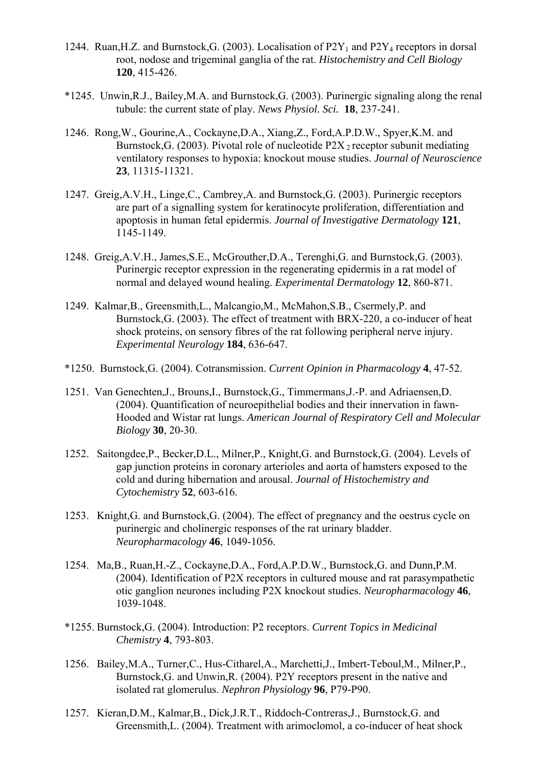- 1244. Ruan, H.Z. and Burnstock, G. (2003). Localisation of  $P2Y_1$  and  $P2Y_4$  receptors in dorsal root, nodose and trigeminal ganglia of the rat. *Histochemistry and Cell Biology* **120**, 415-426.
- \*1245. Unwin,R.J., Bailey,M.A. and Burnstock,G. (2003). Purinergic signaling along the renal tubule: the current state of play. *News Physiol. Sci.* **18**, 237-241.
- 1246. Rong,W., Gourine,A., Cockayne,D.A., Xiang,Z., Ford,A.P.D.W., Spyer,K.M. and Burnstock, G. (2003). Pivotal role of nucleotide  $P2X_2$  receptor subunit mediating ventilatory responses to hypoxia: knockout mouse studies. *Journal of Neuroscience* **23**, 11315-11321.
- 1247. Greig,A.V.H., Linge,C., Cambrey,A. and Burnstock,G. (2003). Purinergic receptors are part of a signalling system for keratinocyte proliferation, differentiation and apoptosis in human fetal epidermis. *Journal of Investigative Dermatology* **121**, 1145-1149.
- 1248. Greig,A.V.H., James,S.E., McGrouther,D.A., Terenghi,G. and Burnstock,G. (2003). Purinergic receptor expression in the regenerating epidermis in a rat model of normal and delayed wound healing. *Experimental Dermatology* **12**, 860-871.
- 1249. Kalmar,B., Greensmith,L., Malcangio,M., McMahon,S.B., Csermely,P. and Burnstock,G. (2003). The effect of treatment with BRX-220, a co-inducer of heat shock proteins, on sensory fibres of the rat following peripheral nerve injury. *Experimental Neurology* **184**, 636-647.
- \*1250. Burnstock,G. (2004). Cotransmission. *Current Opinion in Pharmacology* **4**, 47-52.
- 1251. Van Genechten,J., Brouns,I., Burnstock,G., Timmermans,J.-P. and Adriaensen,D. (2004). Quantification of neuroepithelial bodies and their innervation in fawn-Hooded and Wistar rat lungs. *American Journal of Respiratory Cell and Molecular Biology* **30**, 20-30.
- 1252. Saitongdee,P., Becker,D.L., Milner,P., Knight,G. and Burnstock,G. (2004). Levels of gap junction proteins in coronary arterioles and aorta of hamsters exposed to the cold and during hibernation and arousal. *Journal of Histochemistry and Cytochemistry* **52**, 603-616.
- 1253. Knight,G. and Burnstock,G. (2004). The effect of pregnancy and the oestrus cycle on purinergic and cholinergic responses of the rat urinary bladder. *Neuropharmacology* **46**, 1049-1056.
- 1254. Ma,B., Ruan,H.-Z., Cockayne,D.A., Ford,A.P.D.W., Burnstock,G. and Dunn,P.M. (2004). Identification of P2X receptors in cultured mouse and rat parasympathetic otic ganglion neurones including P2X knockout studies. *Neuropharmacology* **46**, 1039-1048.
- \*1255. Burnstock,G. (2004). Introduction: P2 receptors. *Current Topics in Medicinal Chemistry* **4**, 793-803.
- 1256. Bailey,M.A., Turner,C., Hus-Citharel,A., Marchetti,J., Imbert-Teboul,M., Milner,P., Burnstock,G. and Unwin,R. (2004). P2Y receptors present in the native and isolated rat glomerulus. *Nephron Physiology* **96**, P79-P90.
- 1257. Kieran,D.M., Kalmar,B., Dick,J.R.T., Riddoch-Contreras,J., Burnstock,G. and Greensmith,L. (2004). Treatment with arimoclomol, a co-inducer of heat shock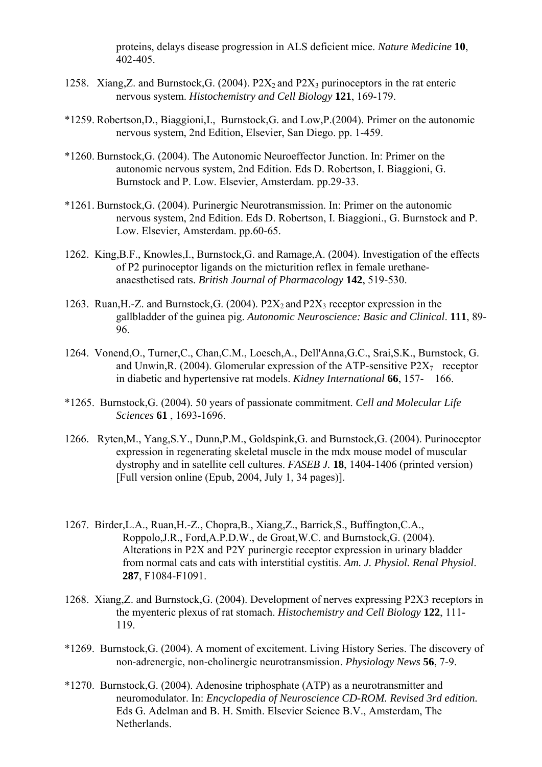proteins, delays disease progression in ALS deficient mice. *Nature Medicine* **10**, 402-405.

- 1258. Xiang, Z. and Burnstock, G. (2004).  $P2X_2$  and  $P2X_3$  purinoceptors in the rat enteric nervous system. *Histochemistry and Cell Biology* **121**, 169-179.
- \*1259. Robertson,D., Biaggioni,I., Burnstock,G. and Low,P.(2004). Primer on the autonomic nervous system, 2nd Edition, Elsevier, San Diego. pp. 1-459.
- \*1260. Burnstock,G. (2004). The Autonomic Neuroeffector Junction. In: Primer on the autonomic nervous system, 2nd Edition. Eds D. Robertson, I. Biaggioni, G. Burnstock and P. Low. Elsevier, Amsterdam. pp.29-33.
- \*1261. Burnstock,G. (2004). Purinergic Neurotransmission. In: Primer on the autonomic nervous system, 2nd Edition. Eds D. Robertson, I. Biaggioni., G. Burnstock and P. Low. Elsevier, Amsterdam. pp.60-65.
- 1262. King,B.F., Knowles,I., Burnstock,G. and Ramage,A. (2004). Investigation of the effects of P2 purinoceptor ligands on the micturition reflex in female urethaneanaesthetised rats. *British Journal of Pharmacology* **142**, 519-530.
- 1263. Ruan, H.-Z. and Burnstock, G. (2004).  $P2X_2$  and  $P2X_3$  receptor expression in the gallbladder of the guinea pig. *Autonomic Neuroscience: Basic and Clinical*. **111**, 89- 96.
- 1264. Vonend,O., Turner,C., Chan,C.M., Loesch,A., Dell'Anna,G.C., Srai,S.K., Burnstock, G. and Unwin, R. (2004). Glomerular expression of the ATP-sensitive  $P2X_7$  receptor in diabetic and hypertensive rat models. *Kidney International* **66**, 157- 166.
- \*1265. Burnstock,G. (2004). 50 years of passionate commitment. *Cell and Molecular Life Sciences* **61** , 1693-1696.
- 1266. Ryten,M., Yang,S.Y., Dunn,P.M., Goldspink,G. and Burnstock,G. (2004). Purinoceptor expression in regenerating skeletal muscle in the mdx mouse model of muscular dystrophy and in satellite cell cultures. *FASEB J.* **18**, 1404-1406 (printed version) [Full version online (Epub, 2004, July 1, 34 pages)].
- 1267. Birder,L.A., Ruan,H.-Z., Chopra,B., Xiang,Z., Barrick,S., Buffington,C.A., Roppolo,J.R., Ford,A.P.D.W., de Groat,W.C. and Burnstock,G. (2004). Alterations in P2X and P2Y purinergic receptor expression in urinary bladder from normal cats and cats with interstitial cystitis. *Am. J. Physiol. Renal Physiol*. **287**, F1084-F1091.
- 1268. Xiang,Z. and Burnstock,G. (2004). Development of nerves expressing P2X3 receptors in the myenteric plexus of rat stomach. *Histochemistry and Cell Biology* **122**, 111- 119.
- \*1269. Burnstock,G. (2004). A moment of excitement. Living History Series. The discovery of non-adrenergic, non-cholinergic neurotransmission. *Physiology News* **56**, 7-9.
- \*1270. Burnstock,G. (2004). Adenosine triphosphate (ATP) as a neurotransmitter and neuromodulator. In: *Encyclopedia of Neuroscience CD-ROM. Revised 3rd edition.*  Eds G. Adelman and B. H. Smith. Elsevier Science B.V., Amsterdam, The Netherlands.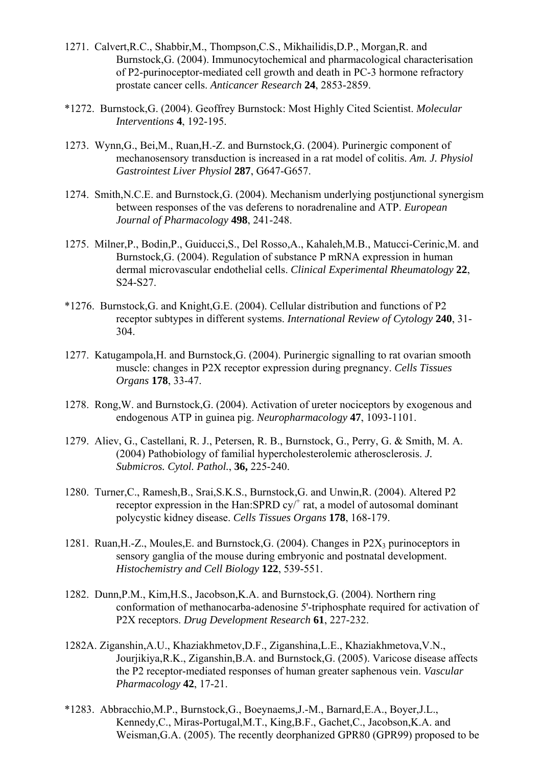- 1271. Calvert,R.C., Shabbir,M., Thompson,C.S., Mikhailidis,D.P., Morgan,R. and Burnstock,G. (2004). Immunocytochemical and pharmacological characterisation of P2-purinoceptor-mediated cell growth and death in PC-3 hormone refractory prostate cancer cells. *Anticancer Research* **24**, 2853-2859.
- \*1272. Burnstock,G. (2004). Geoffrey Burnstock: Most Highly Cited Scientist. *Molecular Interventions* **4**, 192-195.
- 1273. Wynn,G., Bei,M., Ruan,H.-Z. and Burnstock,G. (2004). Purinergic component of mechanosensory transduction is increased in a rat model of colitis. *Am. J. Physiol Gastrointest Liver Physiol* **287**, G647-G657.
- 1274. Smith,N.C.E. and Burnstock,G. (2004). Mechanism underlying postjunctional synergism between responses of the vas deferens to noradrenaline and ATP. *European Journal of Pharmacology* **498**, 241-248.
- 1275. Milner,P., Bodin,P., Guiducci,S., Del Rosso,A., Kahaleh,M.B., Matucci-Cerinic,M. and Burnstock,G. (2004). Regulation of substance P mRNA expression in human dermal microvascular endothelial cells. *Clinical Experimental Rheumatology* **22**, S24-S27.
- \*1276. Burnstock,G. and Knight,G.E. (2004). Cellular distribution and functions of P2 receptor subtypes in different systems. *International Review of Cytology* **240**, 31- 304.
- 1277. Katugampola,H. and Burnstock,G. (2004). Purinergic signalling to rat ovarian smooth muscle: changes in P2X receptor expression during pregnancy. *Cells Tissues Organs* **178**, 33-47.
- 1278. Rong,W. and Burnstock,G. (2004). Activation of ureter nociceptors by exogenous and endogenous ATP in guinea pig. *Neuropharmacology* **47**, 1093-1101.
- 1279. Aliev, G., Castellani, R. J., Petersen, R. B., Burnstock, G., Perry, G. & Smith, M. A. (2004) Pathobiology of familial hypercholesterolemic atherosclerosis. *J. Submicros. Cytol. Pathol.*, **36,** 225-240.
- 1280. Turner,C., Ramesh,B., Srai,S.K.S., Burnstock,G. and Unwin,R. (2004). Altered P2 receptor expression in the Han: SPRD  $cy$ <sup>+</sup> rat, a model of autosomal dominant polycystic kidney disease. *Cells Tissues Organs* **178**, 168-179.
- 1281. Ruan, H.-Z., Moules, E. and Burnstock, G. (2004). Changes in  $P2X_3$  purinoceptors in sensory ganglia of the mouse during embryonic and postnatal development. *Histochemistry and Cell Biology* **122**, 539-551.
- 1282. Dunn,P.M., Kim,H.S., Jacobson,K.A. and Burnstock,G. (2004). Northern ring conformation of methanocarba-adenosine 5'-triphosphate required for activation of P2X receptors. *Drug Development Research* **61**, 227-232.
- 1282A. Ziganshin,A.U., Khaziakhmetov,D.F., Ziganshina,L.E., Khaziakhmetova,V.N., Jourjikiya,R.K., Ziganshin,B.A. and Burnstock,G. (2005). Varicose disease affects the P2 receptor-mediated responses of human greater saphenous vein. *Vascular Pharmacology* **42**, 17-21.
- \*1283. Abbracchio,M.P., Burnstock,G., Boeynaems,J.-M., Barnard,E.A., Boyer,J.L., Kennedy,C., Miras-Portugal,M.T., King,B.F., Gachet,C., Jacobson,K.A. and Weisman,G.A. (2005). The recently deorphanized GPR80 (GPR99) proposed to be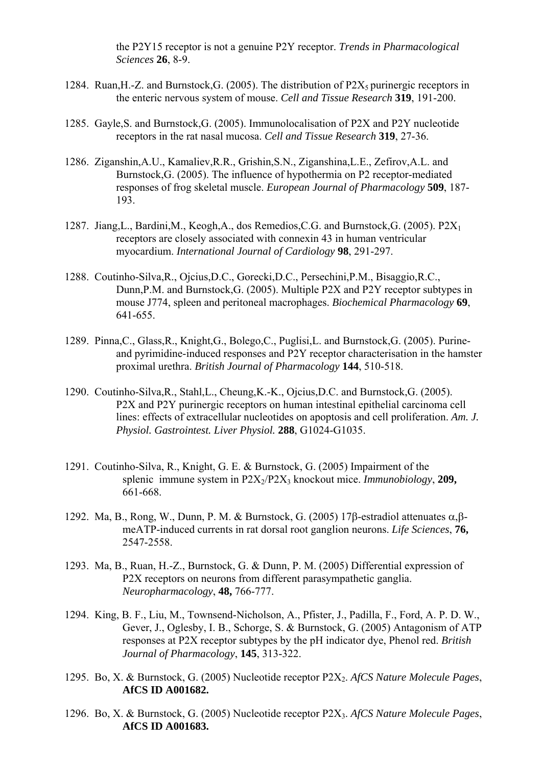the P2Y15 receptor is not a genuine P2Y receptor. *Trends in Pharmacological Sciences* **26**, 8-9.

- 1284. Ruan, H.-Z. and Burnstock, G. (2005). The distribution of  $P2X_5$  purinergic receptors in the enteric nervous system of mouse. *Cell and Tissue Research* **319**, 191-200.
- 1285. Gayle,S. and Burnstock,G. (2005). Immunolocalisation of P2X and P2Y nucleotide receptors in the rat nasal mucosa. *Cell and Tissue Research* **319**, 27-36.
- 1286. Ziganshin,A.U., Kamaliev,R.R., Grishin,S.N., Ziganshina,L.E., Zefirov,A.L. and Burnstock,G. (2005). The influence of hypothermia on P2 receptor-mediated responses of frog skeletal muscle. *European Journal of Pharmacology* **509**, 187- 193.
- 1287. Jiang,L., Bardini,M., Keogh,A., dos Remedios,C.G. and Burnstock,G. (2005). P2X1 receptors are closely associated with connexin 43 in human ventricular myocardium. *International Journal of Cardiology* **98**, 291-297.
- 1288. Coutinho-Silva,R., Ojcius,D.C., Gorecki,D.C., Persechini,P.M., Bisaggio,R.C., Dunn,P.M. and Burnstock,G. (2005). Multiple P2X and P2Y receptor subtypes in mouse J774, spleen and peritoneal macrophages. *Biochemical Pharmacology* **69**, 641-655.
- 1289. Pinna,C., Glass,R., Knight,G., Bolego,C., Puglisi,L. and Burnstock,G. (2005). Purineand pyrimidine-induced responses and P2Y receptor characterisation in the hamster proximal urethra. *British Journal of Pharmacology* **144**, 510-518.
- 1290. Coutinho-Silva,R., Stahl,L., Cheung,K.-K., Ojcius,D.C. and Burnstock,G. (2005). P2X and P2Y purinergic receptors on human intestinal epithelial carcinoma cell lines: effects of extracellular nucleotides on apoptosis and cell proliferation. *Am. J. Physiol. Gastrointest. Liver Physiol.* **288**, G1024-G1035.
- 1291. Coutinho-Silva, R., Knight, G. E. & Burnstock, G. (2005) Impairment of the splenic immune system in P2X2/P2X3 knockout mice. *Immunobiology*, **209,** 661-668.
- 1292. Ma, B., Rong, W., Dunn, P. M. & Burnstock, G. (2005) 17β-estradiol attenuates α,βmeATP-induced currents in rat dorsal root ganglion neurons. *Life Sciences*, **76,** 2547-2558.
- 1293. Ma, B., Ruan, H.-Z., Burnstock, G. & Dunn, P. M. (2005) Differential expression of P2X receptors on neurons from different parasympathetic ganglia. *Neuropharmacology*, **48,** 766-777.
- 1294. King, B. F., Liu, M., Townsend-Nicholson, A., Pfister, J., Padilla, F., Ford, A. P. D. W., Gever, J., Oglesby, I. B., Schorge, S. & Burnstock, G. (2005) Antagonism of ATP responses at P2X receptor subtypes by the pH indicator dye, Phenol red. *British Journal of Pharmacology*, **145**, 313-322.
- 1295. Bo, X. & Burnstock, G. (2005) Nucleotide receptor P2X<sub>2</sub>. *AfCS Nature Molecule Pages*, **AfCS ID A001682.**
- 1296. Bo, X. & Burnstock, G. (2005) Nucleotide receptor P2X3. *AfCS Nature Molecule Pages*, **AfCS ID A001683.**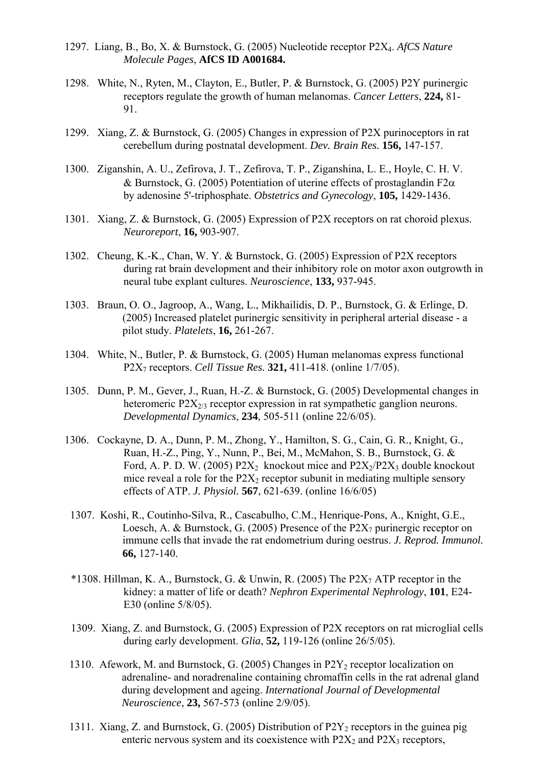- 1297. Liang, B., Bo, X. & Burnstock, G. (2005) Nucleotide receptor P2X4. *AfCS Nature Molecule Pages*, **AfCS ID A001684.**
- 1298. White, N., Ryten, M., Clayton, E., Butler, P. & Burnstock, G. (2005) P2Y purinergic receptors regulate the growth of human melanomas. *Cancer Letters*, **224,** 81- 91.
- 1299. Xiang, Z. & Burnstock, G. (2005) Changes in expression of P2X purinoceptors in rat cerebellum during postnatal development. *Dev. Brain Res.* **156,** 147-157.
- 1300. Ziganshin, A. U., Zefirova, J. T., Zefirova, T. P., Ziganshina, L. E., Hoyle, C. H. V. & Burnstock, G. (2005) Potentiation of uterine effects of prostaglandin F2 $\alpha$ by adenosine 5'-triphosphate. *Obstetrics and Gynecology*, **105,** 1429-1436.
- 1301. Xiang, Z. & Burnstock, G. (2005) Expression of P2X receptors on rat choroid plexus. *Neuroreport*, **16,** 903-907.
- 1302. Cheung, K.-K., Chan, W. Y. & Burnstock, G. (2005) Expression of P2X receptors during rat brain development and their inhibitory role on motor axon outgrowth in neural tube explant cultures. *Neuroscience*, **133,** 937-945.
- 1303. Braun, O. O., Jagroop, A., Wang, L., Mikhailidis, D. P., Burnstock, G. & Erlinge, D. (2005) Increased platelet purinergic sensitivity in peripheral arterial disease - a pilot study. *Platelets*, **16,** 261-267.
- 1304. White, N., Butler, P. & Burnstock, G. (2005) Human melanomas express functional P2X7 receptors. *Cell Tissue Res.* **321,** 411-418. (online 1/7/05).
- 1305. Dunn, P. M., Gever, J., Ruan, H.-Z. & Burnstock, G. (2005) Developmental changes in heteromeric  $P2X_{2/3}$  receptor expression in rat sympathetic ganglion neurons. *Developmental Dynamics*, **234**, 505-511 (online 22/6/05).
- 1306. Cockayne, D. A., Dunn, P. M., Zhong, Y., Hamilton, S. G., Cain, G. R., Knight, G., Ruan, H.-Z., Ping, Y., Nunn, P., Bei, M., McMahon, S. B., Burnstock, G. & Ford, A. P. D. W. (2005) P2 $X_2$  knockout mice and P2 $X_2$ /P2 $X_3$  double knockout mice reveal a role for the  $P2X_2$  receptor subunit in mediating multiple sensory effects of ATP. *J. Physiol.* **567**, 621-639. (online 16/6/05)
- 1307. Koshi, R., Coutinho-Silva, R., Cascabulho, C.M., Henrique-Pons, A., Knight, G.E., Loesch, A. & Burnstock, G. (2005) Presence of the  $P2X_7$  purinergic receptor on immune cells that invade the rat endometrium during oestrus. *J. Reprod. Immunol.* **66,** 127-140.
- \*1308. Hillman, K. A., Burnstock, G. & Unwin, R. (2005) The  $P2X<sub>7</sub>$  ATP receptor in the kidney: a matter of life or death? *Nephron Experimental Nephrology*, **101**, E24- E30 (online 5/8/05).
- 1309. Xiang, Z. and Burnstock, G. (2005) Expression of P2X receptors on rat microglial cells during early development. *Glia*, **52,** 119-126 (online 26/5/05).
- 1310. Afework, M. and Burnstock, G. (2005) Changes in  $P2Y_2$  receptor localization on adrenaline- and noradrenaline containing chromaffin cells in the rat adrenal gland during development and ageing. *International Journal of Developmental Neuroscience*, **23,** 567-573 (online 2/9/05).
- 1311. Xiang, Z. and Burnstock, G. (2005) Distribution of  $P2Y_2$  receptors in the guinea pig enteric nervous system and its coexistence with  $P2X_2$  and  $P2X_3$  receptors,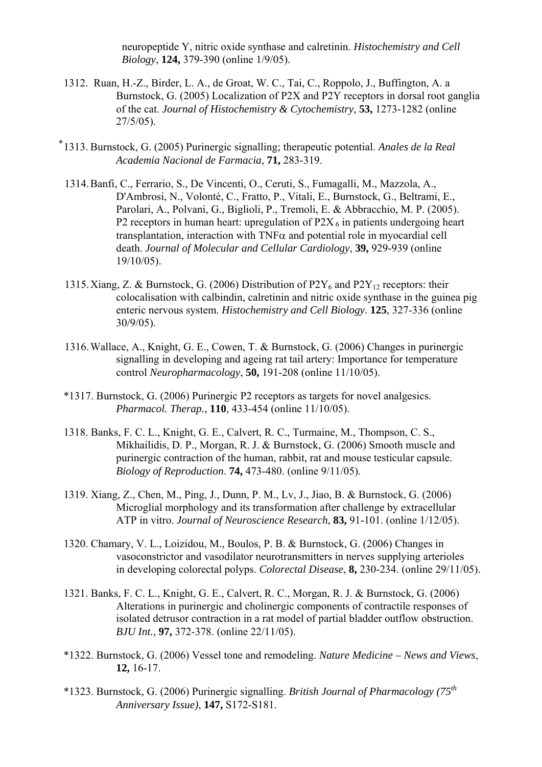neuropeptide Y, nitric oxide synthase and calretinin. *Histochemistry and Cell Biology*, **124,** 379-390 (online 1/9/05).

- 1312. Ruan, H.-Z., Birder, L. A., de Groat, W. C., Tai, C., Roppolo, J., Buffington, A. a Burnstock, G. (2005) Localization of P2X and P2Y receptors in dorsal root ganglia of the cat. *Journal of Histochemistry & Cytochemistry,* **53,** 1273-1282 (online 27/5/05).
- 1313. Burnstock, G. (2005) Purinergic signalling; therapeutic potential. *Anales de la Real*  \* *Academia Nacional de Farmacia*, **71,** 283-319.
- 1314.Banfi, C., Ferrario, S., De Vincenti, O., Ceruti, S., Fumagalli, M., Mazzola, A., D'Ambrosi, N., Volontè, C., Fratto, P., Vitali, E., Burnstock, G., Beltrami, E., Parolari, A., Polvani, G., Biglioli, P., Tremoli, E. & Abbracchio, M. P. (2005). P2 receptors in human heart: upregulation of  $P2X_6$  in patients undergoing heart transplantation, interaction with  $TNF\alpha$  and potential role in myocardial cell death. *Journal of Molecular and Cellular Cardiology*, **39,** 929-939 (online 19/10/05).
- 1315. Xiang, Z. & Burnstock, G. (2006) Distribution of  $P2Y_6$  and  $P2Y_{12}$  receptors: their colocalisation with calbindin, calretinin and nitric oxide synthase in the guinea pig enteric nervous system. *Histochemistry and Cell Biology*. **125**, 327-336 (online 30/9/05).
- 1316.Wallace, A., Knight, G. E., Cowen, T. & Burnstock, G. (2006) Changes in purinergic signalling in developing and ageing rat tail artery: Importance for temperature control *Neuropharmacology*, **50,** 191-208 (online 11/10/05).
- \*1317. Burnstock, G. (2006) Purinergic P2 receptors as targets for novel analgesics. *Pharmacol. Therap.*, **110**, 433-454 (online 11/10/05).
- 1318. Banks, F. C. L., Knight, G. E., Calvert, R. C., Turmaine, M., Thompson, C. S., Mikhailidis, D. P., Morgan, R. J. & Burnstock, G. (2006) Smooth muscle and purinergic contraction of the human, rabbit, rat and mouse testicular capsule. *Biology of Reproduction*. **74,** 473-480. (online 9/11/05).
- 1319. Xiang, Z., Chen, M., Ping, J., Dunn, P. M., Lv, J., Jiao, B. & Burnstock, G. (2006) Microglial morphology and its transformation after challenge by extracellular ATP in vitro. *Journal of Neuroscience Research*, **83,** 91-101. (online 1/12/05).
- 1320. Chamary, V. L., Loizidou, M., Boulos, P. B. & Burnstock, G. (2006) Changes in vasoconstrictor and vasodilator neurotransmitters in nerves supplying arterioles in developing colorectal polyps. *Colorectal Disease*, **8,** 230-234. (online 29/11/05).
- 1321. Banks, F. C. L., Knight, G. E., Calvert, R. C., Morgan, R. J. & Burnstock, G. (2006) Alterations in purinergic and cholinergic components of contractile responses of isolated detrusor contraction in a rat model of partial bladder outflow obstruction. *BJU Int.*, **97,** 372-378. (online 22/11/05).
- \*1322. Burnstock, G. (2006) Vessel tone and remodeling. *Nature Medicine News and Views*, **12,** 16-17.
- \*1323. Burnstock, G. (2006) Purinergic signalling. *British Journal of Pharmacology (75th Anniversary Issue)*, **147,** S172-S181.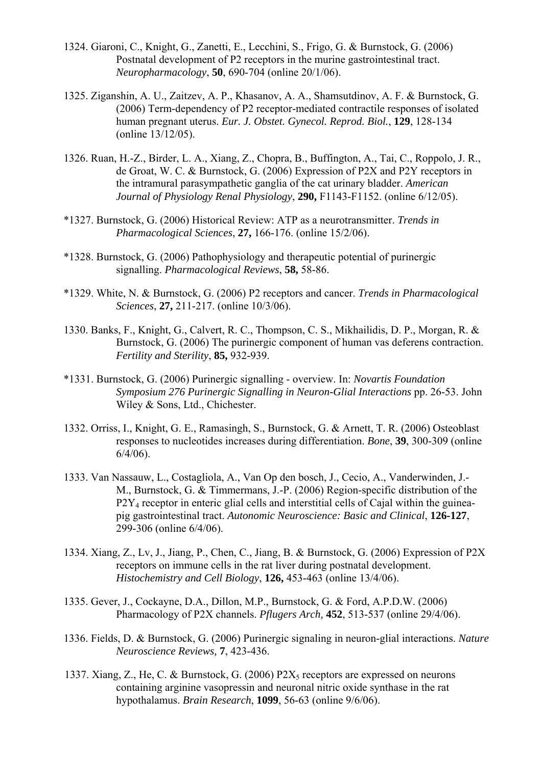- 1324. Giaroni, C., Knight, G., Zanetti, E., Lecchini, S., Frigo, G. & Burnstock, G. (2006) Postnatal development of P2 receptors in the murine gastrointestinal tract. *Neuropharmacology*, **50**, 690-704 (online 20/1/06).
- 1325. Ziganshin, A. U., Zaitzev, A. P., Khasanov, A. A., Shamsutdinov, A. F. & Burnstock, G. (2006) Term-dependency of P2 receptor-mediated contractile responses of isolated human pregnant uterus. *Eur. J. Obstet. Gynecol. Reprod. Biol.*, **129**, 128-134 (online 13/12/05).
- 1326. Ruan, H.-Z., Birder, L. A., Xiang, Z., Chopra, B., Buffington, A., Tai, C., Roppolo, J. R., de Groat, W. C. & Burnstock, G. (2006) Expression of P2X and P2Y receptors in the intramural parasympathetic ganglia of the cat urinary bladder. *American Journal of Physiology Renal Physiology*, **290,** F1143-F1152. (online 6/12/05).
- \*1327. Burnstock, G. (2006) Historical Review: ATP as a neurotransmitter. *Trends in Pharmacological Sciences*, **27,** 166-176. (online 15/2/06).
- \*1328. Burnstock, G. (2006) Pathophysiology and therapeutic potential of purinergic signalling. *Pharmacological Reviews*, **58,** 58-86.
- \*1329. White, N. & Burnstock, G. (2006) P2 receptors and cancer. *Trends in Pharmacological Sciences*, **27,** 211-217. (online 10/3/06).
- 1330. Banks, F., Knight, G., Calvert, R. C., Thompson, C. S., Mikhailidis, D. P., Morgan, R. & Burnstock, G. (2006) The purinergic component of human vas deferens contraction. *Fertility and Sterility*, **85,** 932-939.
- \*1331. Burnstock, G. (2006) Purinergic signalling overview. In: *Novartis Foundation Symposium 276 Purinergic Signalling in Neuron-Glial Interactions* pp. 26-53. John Wiley & Sons, Ltd., Chichester.
- 1332. Orriss, I., Knight, G. E., Ramasingh, S., Burnstock, G. & Arnett, T. R. (2006) Osteoblast responses to nucleotides increases during differentiation. *Bone*, **39**, 300-309 (online 6/4/06).
- 1333. Van Nassauw, L., Costagliola, A., Van Op den bosch, J., Cecio, A., Vanderwinden, J.- M., Burnstock, G. & Timmermans, J.-P. (2006) Region-specific distribution of the P2Y4 receptor in enteric glial cells and interstitial cells of Cajal within the guineapig gastrointestinal tract. *Autonomic Neuroscience: Basic and Clinical*, **126-127**, 299-306 (online 6/4/06).
- 1334. Xiang, Z., Lv, J., Jiang, P., Chen, C., Jiang, B. & Burnstock, G. (2006) Expression of P2X receptors on immune cells in the rat liver during postnatal development. *Histochemistry and Cell Biology*, **126,** 453-463 (online 13/4/06).
- 1335. Gever, J., Cockayne, D.A., Dillon, M.P., Burnstock, G. & Ford, A.P.D.W. (2006) Pharmacology of P2X channels. *Pflugers Arch,* **452**, 513-537 (online 29/4/06).
- 1336. Fields, D. & Burnstock, G. (2006) Purinergic signaling in neuron-glial interactions. *Nature Neuroscience Reviews,* **7**, 423-436.
- 1337. Xiang, Z., He, C. & Burnstock, G. (2006)  $P2X_5$  receptors are expressed on neurons containing arginine vasopressin and neuronal nitric oxide synthase in the rat hypothalamus. *Brain Research*, **1099**, 56-63 (online 9/6/06).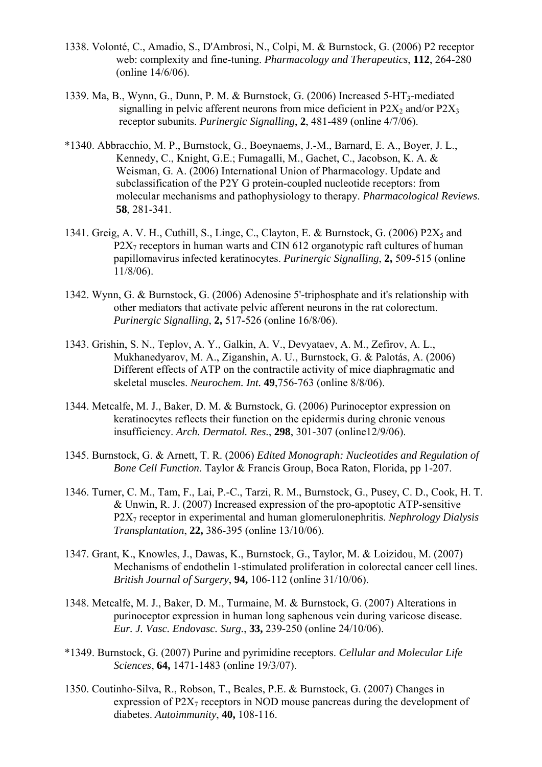- 1338. Volonté, C., Amadio, S., D'Ambrosi, N., Colpi, M. & Burnstock, G. (2006) P2 receptor web: complexity and fine-tuning. *Pharmacology and Therapeutics*, **112**, 264-280 (online 14/6/06).
- 1339. Ma, B., Wynn, G., Dunn, P. M. & Burnstock, G. (2006) Increased 5-HT3-mediated signalling in pelvic afferent neurons from mice deficient in  $P2X_2$  and/or  $P2X_3$ receptor subunits. *Purinergic Signalling*, **2**, 481-489 (online 4/7/06).
- \*1340. Abbracchio, M. P., Burnstock, G., Boeynaems, J.-M., Barnard, E. A., Boyer, J. L., Kennedy, C., Knight, G.E.; Fumagalli, M., Gachet, C., Jacobson, K. A. & Weisman, G. A. (2006) International Union of Pharmacology. Update and subclassification of the P2Y G protein-coupled nucleotide receptors: from molecular mechanisms and pathophysiology to therapy. *Pharmacological Reviews*. **58**, 281-341.
- 1341. Greig, A. V. H., Cuthill, S., Linge, C., Clayton, E. & Burnstock, G. (2006) P2 $X_5$  and  $P2X<sub>7</sub>$  receptors in human warts and CIN 612 organotypic raft cultures of human papillomavirus infected keratinocytes. *Purinergic Signalling*, **2,** 509-515 (online 11/8/06).
- 1342. Wynn, G. & Burnstock, G. (2006) Adenosine 5'-triphosphate and it's relationship with other mediators that activate pelvic afferent neurons in the rat colorectum. *Purinergic Signalling*, **2,** 517-526 (online 16/8/06).
- 1343. Grishin, S. N., Teplov, A. Y., Galkin, A. V., Devyataev, A. M., Zefirov, A. L., Mukhanedyarov, M. A., Ziganshin, A. U., Burnstock, G. & Palotás, A. (2006) Different effects of ATP on the contractile activity of mice diaphragmatic and skeletal muscles. *Neurochem. Int.* **49**,756-763 (online 8/8/06).
- 1344. Metcalfe, M. J., Baker, D. M. & Burnstock, G. (2006) Purinoceptor expression on keratinocytes reflects their function on the epidermis during chronic venous insufficiency. *Arch. Dermatol. Res.*, **298**, 301-307 (online12/9/06).
- 1345. Burnstock, G. & Arnett, T. R. (2006) *Edited Monograph: Nucleotides and Regulation of Bone Cell Function*. Taylor & Francis Group, Boca Raton, Florida, pp 1-207.
- 1346. Turner, C. M., Tam, F., Lai, P.-C., Tarzi, R. M., Burnstock, G., Pusey, C. D., Cook, H. T. & Unwin, R. J. (2007) Increased expression of the pro-apoptotic ATP-sensitive P2X7 receptor in experimental and human glomerulonephritis. *Nephrology Dialysis Transplantation*, **22,** 386-395 (online 13/10/06).
- 1347. Grant, K., Knowles, J., Dawas, K., Burnstock, G., Taylor, M. & Loizidou, M. (2007) Mechanisms of endothelin 1-stimulated proliferation in colorectal cancer cell lines. *British Journal of Surgery*, **94,** 106-112 (online 31/10/06).
- 1348. Metcalfe, M. J., Baker, D. M., Turmaine, M. & Burnstock, G. (2007) Alterations in purinoceptor expression in human long saphenous vein during varicose disease. *Eur. J. Vasc. Endovasc. Surg.*, **33,** 239-250 (online 24/10/06).
- \*1349. Burnstock, G. (2007) Purine and pyrimidine receptors. *Cellular and Molecular Life Sciences*, **64,** 1471-1483 (online 19/3/07).
- 1350. Coutinho-Silva, R., Robson, T., Beales, P.E. & Burnstock, G. (2007) Changes in expression of  $P2X_7$  receptors in NOD mouse pancreas during the development of diabetes. *Autoimmunity*, **40,** 108-116.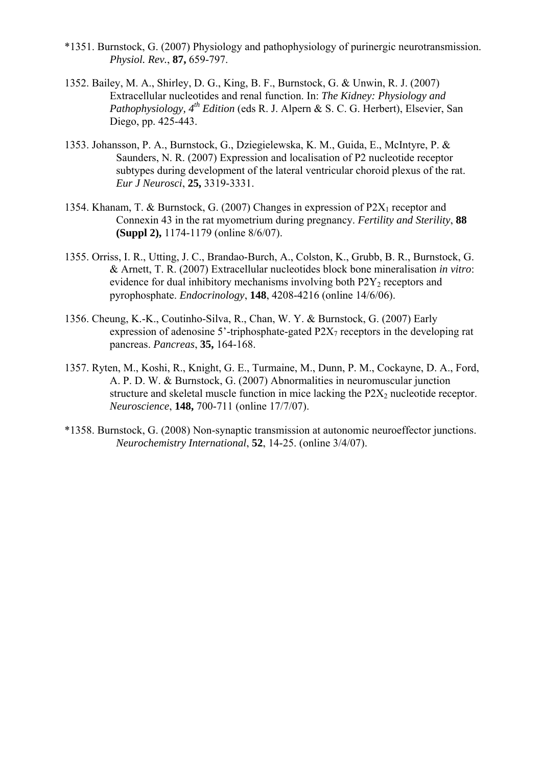- \*1351. Burnstock, G. (2007) Physiology and pathophysiology of purinergic neurotransmission. *Physiol. Rev.*, **87,** 659-797.
- 1352. Bailey, M. A., Shirley, D. G., King, B. F., Burnstock, G. & Unwin, R. J. (2007) Extracellular nucleotides and renal function. In: *The Kidney: Physiology and Pathophysiology, 4<sup>th</sup> Edition* (eds R. J. Alpern & S. C. G. Herbert), Elsevier, San Diego, pp. 425-443.
- 1353. Johansson, P. A., Burnstock, G., Dziegielewska, K. M., Guida, E., McIntyre, P. & Saunders, N. R. (2007) Expression and localisation of P2 nucleotide receptor subtypes during development of the lateral ventricular choroid plexus of the rat. *Eur J Neurosci*, **25,** 3319-3331.
- 1354. Khanam, T. & Burnstock, G. (2007) Changes in expression of  $P2X_1$  receptor and Connexin 43 in the rat myometrium during pregnancy. *Fertility and Sterility*, **88 (Suppl 2),** 1174-1179 (online 8/6/07).
- 1355. Orriss, I. R., Utting, J. C., Brandao-Burch, A., Colston, K., Grubb, B. R., Burnstock, G. & Arnett, T. R. (2007) Extracellular nucleotides block bone mineralisation *in vitro*: evidence for dual inhibitory mechanisms involving both  $P2Y_2$  receptors and pyrophosphate. *Endocrinology*, **148**, 4208-4216 (online 14/6/06).
- 1356. Cheung, K.-K., Coutinho-Silva, R., Chan, W. Y. & Burnstock, G. (2007) Early expression of adenosine 5'-triphosphate-gated  $P2X<sub>7</sub>$  receptors in the developing rat pancreas. *Pancreas*, **35,** 164-168.
- 1357. Ryten, M., Koshi, R., Knight, G. E., Turmaine, M., Dunn, P. M., Cockayne, D. A., Ford, A. P. D. W. & Burnstock, G. (2007) Abnormalities in neuromuscular junction structure and skeletal muscle function in mice lacking the  $P2X_2$  nucleotide receptor. *Neuroscience*, **148,** 700-711 (online 17/7/07).
- \*1358. Burnstock, G. (2008) Non-synaptic transmission at autonomic neuroeffector junctions. *Neurochemistry International*, **52**, 14-25. (online 3/4/07).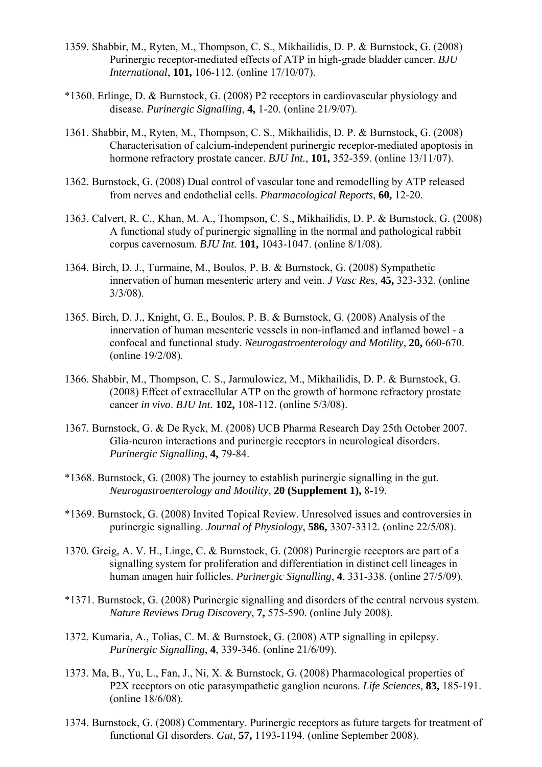- 1359. Shabbir, M., Ryten, M., Thompson, C. S., Mikhailidis, D. P. & Burnstock, G. (2008) Purinergic receptor-mediated effects of ATP in high-grade bladder cancer. *BJU International*, **101,** 106-112. (online 17/10/07).
- \*1360. Erlinge, D. & Burnstock, G. (2008) P2 receptors in cardiovascular physiology and disease. *Purinergic Signalling*, **4,** 1-20. (online 21/9/07).
- 1361. Shabbir, M., Ryten, M., Thompson, C. S., Mikhailidis, D. P. & Burnstock, G. (2008) Characterisation of calcium-independent purinergic receptor-mediated apoptosis in hormone refractory prostate cancer. *BJU Int.*, **101,** 352-359. (online 13/11/07).
- 1362. Burnstock, G. (2008) Dual control of vascular tone and remodelling by ATP released from nerves and endothelial cells. *Pharmacological Reports*, **60,** 12-20.
- 1363. Calvert, R. C., Khan, M. A., Thompson, C. S., Mikhailidis, D. P. & Burnstock, G. (2008) A functional study of purinergic signalling in the normal and pathological rabbit corpus cavernosum. *BJU Int.* **101,** 1043-1047. (online 8/1/08).
- 1364. Birch, D. J., Turmaine, M., Boulos, P. B. & Burnstock, G. (2008) Sympathetic innervation of human mesenteric artery and vein. *J Vasc Res*, **45,** 323-332. (online 3/3/08).
- 1365. Birch, D. J., Knight, G. E., Boulos, P. B. & Burnstock, G. (2008) Analysis of the innervation of human mesenteric vessels in non-inflamed and inflamed bowel - a confocal and functional study. *Neurogastroenterology and Motility*, **20,** 660-670. (online 19/2/08).
- 1366. Shabbir, M., Thompson, C. S., Jarmulowicz, M., Mikhailidis, D. P. & Burnstock, G. (2008) Effect of extracellular ATP on the growth of hormone refractory prostate cancer *in vivo*. *BJU Int.* **102,** 108-112. (online 5/3/08).
- 1367. Burnstock, G. & De Ryck, M. (2008) UCB Pharma Research Day 25th October 2007. Glia-neuron interactions and purinergic receptors in neurological disorders. *Purinergic Signalling*, **4,** 79-84.
- \*1368. Burnstock, G. (2008) The journey to establish purinergic signalling in the gut. *Neurogastroenterology and Motility*, **20 (Supplement 1),** 8-19.
- \*1369. Burnstock, G. (2008) Invited Topical Review. Unresolved issues and controversies in purinergic signalling. *Journal of Physiology*, **586,** 3307-3312. (online 22/5/08).
- 1370. Greig, A. V. H., Linge, C. & Burnstock, G. (2008) Purinergic receptors are part of a signalling system for proliferation and differentiation in distinct cell lineages in human anagen hair follicles. *Purinergic Signalling*, **4**, 331-338. (online 27/5/09).
- \*1371. Burnstock, G. (2008) Purinergic signalling and disorders of the central nervous system. *Nature Reviews Drug Discovery*, **7,** 575-590. (online July 2008).
- 1372. Kumaria, A., Tolias, C. M. & Burnstock, G. (2008) ATP signalling in epilepsy. *Purinergic Signalling*, **4**, 339-346. (online 21/6/09).
- 1373. Ma, B., Yu, L., Fan, J., Ni, X. & Burnstock, G. (2008) Pharmacological properties of P2X receptors on otic parasympathetic ganglion neurons. *Life Sciences*, **83,** 185-191. (online 18/6/08).
- 1374. Burnstock, G. (2008) Commentary. Purinergic receptors as future targets for treatment of functional GI disorders. *Gut*, **57,** 1193-1194. (online September 2008).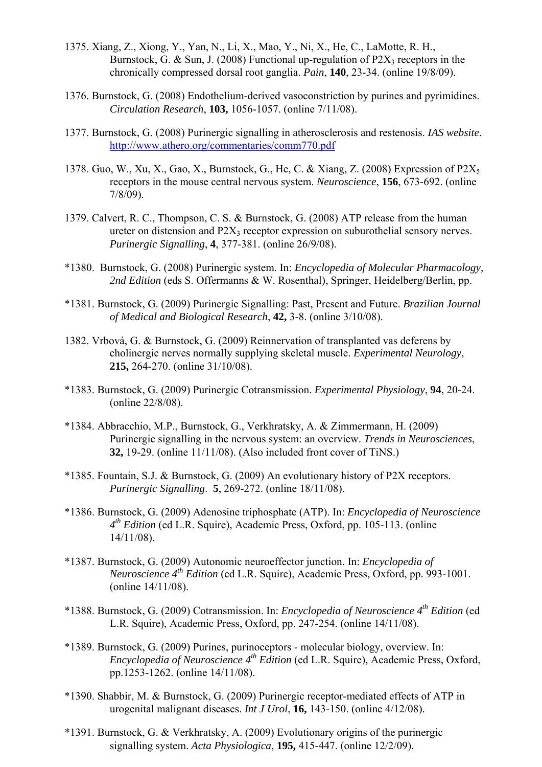- 1375. Xiang, Z., Xiong, Y., Yan, N., Li, X., Mao, Y., Ni, X., He, C., LaMotte, R. H., Burnstock, G. & Sun, J. (2008) Functional up-regulation of  $P2X_3$  receptors in the chronically compressed dorsal root ganglia. *Pain*, **140**, 23-34. (online 19/8/09).
- 1376. Burnstock, G. (2008) Endothelium-derived vasoconstriction by purines and pyrimidines. *Circulation Research*, **103,** 1056-1057. (online 7/11/08).
- 1377. Burnstock, G. (2008) Purinergic signalling in atherosclerosis and restenosis. *IAS website*. <http://www.athero.org/commentaries/comm770.pdf>
- 1378. Guo, W., Xu, X., Gao, X., Burnstock, G., He, C. & Xiang, Z. (2008) Expression of P2X5 receptors in the mouse central nervous system. *Neuroscience*, **156**, 673-692. (online 7/8/09).
- 1379. Calvert, R. C., Thompson, C. S. & Burnstock, G. (2008) ATP release from the human ureter on distension and  $P2X_3$  receptor expression on suburothelial sensory nerves. *Purinergic Signalling*, **4**, 377-381. (online 26/9/08).
- \*1380. Burnstock, G. (2008) Purinergic system. In: *Encyclopedia of Molecular Pharmacology, 2nd Edition* (eds S. Offermanns & W. Rosenthal), Springer, Heidelberg/Berlin, pp.
- \*1381. Burnstock, G. (2009) Purinergic Signalling: Past, Present and Future. *Brazilian Journal of Medical and Biological Research*, **42,** 3-8. (online 3/10/08).
- 1382. Vrbová, G. & Burnstock, G. (2009) Reinnervation of transplanted vas deferens by cholinergic nerves normally supplying skeletal muscle. *Experimental Neurology*, **215,** 264-270. (online 31/10/08).
- \*1383. Burnstock, G. (2009) Purinergic Cotransmission. *Experimental Physiology*, **94**, 20-24. (online 22/8/08).
- \*1384. Abbracchio, M.P., Burnstock, G., Verkhratsky, A. & Zimmermann, H. (2009) Purinergic signalling in the nervous system: an overview. *Trends in Neurosciences*, **32,** 19-29. (online 11/11/08). (Also included front cover of TiNS.)
- \*1385. Fountain, S.J. & Burnstock, G. (2009) An evolutionary history of P2X receptors. *Purinergic Signalling*. **5**, 269-272. (online 18/11/08).
- \*1386. Burnstock, G. (2009) Adenosine triphosphate (ATP). In: *Encyclopedia of Neuroscience 4th Edition* (ed L.R. Squire), Academic Press, Oxford, pp. 105-113. (online 14/11/08).
- \*1387. Burnstock, G. (2009) Autonomic neuroeffector junction. In: *Encyclopedia of Neuroscience 4th Edition* (ed L.R. Squire), Academic Press, Oxford, pp. 993-1001. (online 14/11/08).
- \*1388. Burnstock, G. (2009) Cotransmission. In: *Encyclopedia of Neuroscience 4th Edition* (ed L.R. Squire), Academic Press, Oxford, pp. 247-254. (online 14/11/08).
- \*1389. Burnstock, G. (2009) Purines, purinoceptors molecular biology, overview. In: *Encyclopedia of Neuroscience 4th Edition* (ed L.R. Squire), Academic Press, Oxford, pp.1253-1262. (online 14/11/08).
- \*1390. Shabbir, M. & Burnstock, G. (2009) Purinergic receptor-mediated effects of ATP in urogenital malignant diseases. *Int J Urol*, **16,** 143-150. (online 4/12/08).
- \*1391. Burnstock, G. & Verkhratsky, A. (2009) Evolutionary origins of the purinergic signalling system. *Acta Physiologica*, **195,** 415-447. (online 12/2/09).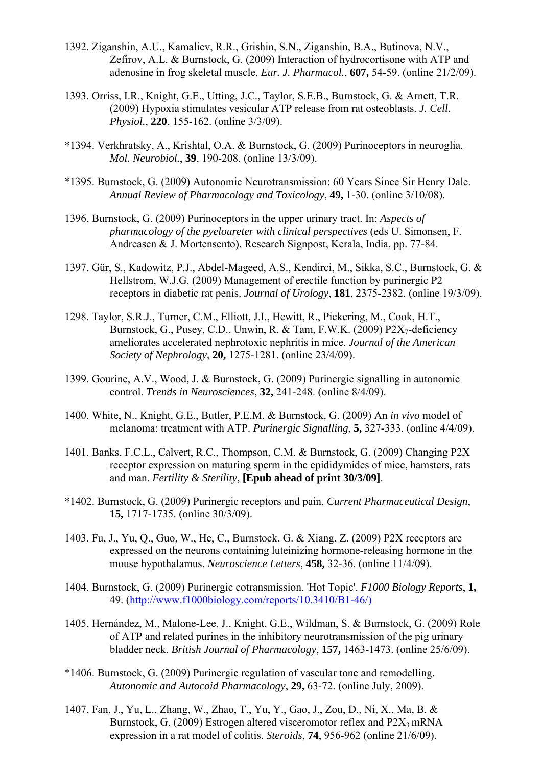- 1392. Ziganshin, A.U., Kamaliev, R.R., Grishin, S.N., Ziganshin, B.A., Butinova, N.V., Zefirov, A.L. & Burnstock, G. (2009) Interaction of hydrocortisone with ATP and adenosine in frog skeletal muscle. *Eur. J. Pharmacol.*, **607,** 54-59. (online 21/2/09).
- 1393. Orriss, I.R., Knight, G.E., Utting, J.C., Taylor, S.E.B., Burnstock, G. & Arnett, T.R. (2009) Hypoxia stimulates vesicular ATP release from rat osteoblasts. *J. Cell. Physiol.*, **220**, 155-162. (online 3/3/09).
- \*1394. Verkhratsky, A., Krishtal, O.A. & Burnstock, G. (2009) Purinoceptors in neuroglia. *Mol. Neurobiol.*, **39**, 190-208. (online 13/3/09).
- \*1395. Burnstock, G. (2009) Autonomic Neurotransmission: 60 Years Since Sir Henry Dale. *Annual Review of Pharmacology and Toxicology*, **49,** 1-30. (online 3/10/08).
- 1396. Burnstock, G. (2009) Purinoceptors in the upper urinary tract. In: *Aspects of pharmacology of the pyeloureter with clinical perspectives* (eds U. Simonsen, F. Andreasen & J. Mortensento), Research Signpost, Kerala, India, pp. 77-84.
- 1397. Gür, S., Kadowitz, P.J., Abdel-Mageed, A.S., Kendirci, M., Sikka, S.C., Burnstock, G. & Hellstrom, W.J.G. (2009) Management of erectile function by purinergic P2 receptors in diabetic rat penis. *Journal of Urology*, **181**, 2375-2382. (online 19/3/09).
- 1298. Taylor, S.R.J., Turner, C.M., Elliott, J.I., Hewitt, R., Pickering, M., Cook, H.T., Burnstock, G., Pusey, C.D., Unwin, R. & Tam, F.W.K. (2009)  $P2X_7$ -deficiency ameliorates accelerated nephrotoxic nephritis in mice. *Journal of the American Society of Nephrology*, **20,** 1275-1281. (online 23/4/09).
- 1399. Gourine, A.V., Wood, J. & Burnstock, G. (2009) Purinergic signalling in autonomic control. *Trends in Neurosciences*, **32,** 241-248. (online 8/4/09).
- 1400. White, N., Knight, G.E., Butler, P.E.M. & Burnstock, G. (2009) An *in vivo* model of melanoma: treatment with ATP. *Purinergic Signalling*, **5,** 327-333. (online 4/4/09).
- 1401. Banks, F.C.L., Calvert, R.C., Thompson, C.M. & Burnstock, G. (2009) Changing P2X receptor expression on maturing sperm in the epididymides of mice, hamsters, rats and man. *Fertility & Sterility*, **[Epub ahead of print 30/3/09]**.
- \*1402. Burnstock, G. (2009) Purinergic receptors and pain. *Current Pharmaceutical Design*, **15,** 1717-1735. (online 30/3/09).
- 1403. Fu, J., Yu, Q., Guo, W., He, C., Burnstock, G. & Xiang, Z. (2009) P2X receptors are expressed on the neurons containing luteinizing hormone-releasing hormone in the mouse hypothalamus. *Neuroscience Letters*, **458,** 32-36. (online 11/4/09).
- 1404. Burnstock, G. (2009) Purinergic cotransmission. 'Hot Topic'. *F1000 Biology Reports*, **1,** 49. (http://www.f1000biology.com/reports/10.3410/B1-46/)
- 1405. Hernández, M., Malone-Lee, J., Knight, G.E., Wildman, S. & Burnstock, G. (2009) Role of ATP and related purines in the inhibitory neurotransmission of the pig urinary bladder neck. *British Journal of Pharmacology*, **157,** 1463-1473. (online 25/6/09).
- \*1406. Burnstock, G. (2009) Purinergic regulation of vascular tone and remodelling. *Autonomic and Autocoid Pharmacology*, **29,** 63-72. (online July, 2009).
- 1407. Fan, J., Yu, L., Zhang, W., Zhao, T., Yu, Y., Gao, J., Zou, D., Ni, X., Ma, B. & Burnstock, G. (2009) Estrogen altered visceromotor reflex and  $P2X_3$  mRNA expression in a rat model of colitis. *Steroids*, **74**, 956-962 (online 21/6/09).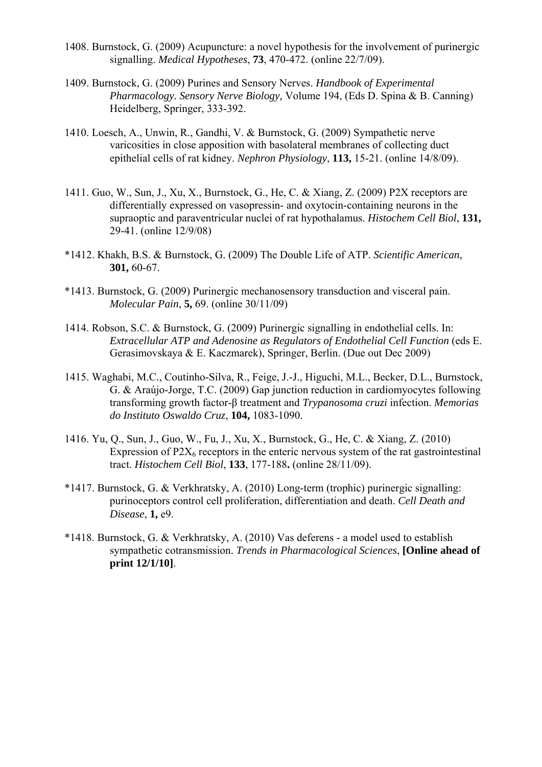- 1408. Burnstock, G. (2009) Acupuncture: a novel hypothesis for the involvement of purinergic signalling. *Medical Hypotheses*, **73**, 470-472. (online 22/7/09).
- 1409. Burnstock, G. (2009) Purines and Sensory Nerves. *Handbook of Experimental Pharmacology. Sensory Nerve Biology,* Volume 194, (Eds D. Spina & B. Canning) Heidelberg, Springer, 333-392.
- 1410. Loesch, A., Unwin, R., Gandhi, V. & Burnstock, G. (2009) Sympathetic nerve varicosities in close apposition with basolateral membranes of collecting duct epithelial cells of rat kidney. *Nephron Physiology*, **113,** 15-21. (online 14/8/09).
- 1411. Guo, W., Sun, J., Xu, X., Burnstock, G., He, C. & Xiang, Z. (2009) P2X receptors are differentially expressed on vasopressin- and oxytocin-containing neurons in the supraoptic and paraventricular nuclei of rat hypothalamus. *Histochem Cell Biol*, **131,** 29-41. (online 12/9/08)
- \*1412. Khakh, B.S. & Burnstock, G. (2009) The Double Life of ATP. *Scientific American*, **301,** 60-67.
- \*1413. Burnstock, G. (2009) Purinergic mechanosensory transduction and visceral pain. *Molecular Pain*, **5,** 69. (online 30/11/09)
- 1414. Robson, S.C. & Burnstock, G. (2009) Purinergic signalling in endothelial cells. In: *Extracellular ATP and Adenosine as Regulators of Endothelial Cell Function* (eds E. Gerasimovskaya & E. Kaczmarek), Springer, Berlin. (Due out Dec 2009)
- 1415. Waghabi, M.C., Coutinho-Silva, R., Feige, J.-J., Higuchi, M.L., Becker, D.L., Burnstock, G. & Araújo-Jorge, T.C. (2009) Gap junction reduction in cardiomyocytes following transforming growth factor-β treatment and *Trypanosoma cruzi* infection. *Memorias do Instituto Oswaldo Cruz*, **104,** 1083-1090.
- 1416. Yu, Q., Sun, J., Guo, W., Fu, J., Xu, X., Burnstock, G., He, C. & Xiang, Z. (2010) Expression of  $P2X_6$  receptors in the enteric nervous system of the rat gastrointestinal tract. *Histochem Cell Biol*, **133**, 177-188**.** (online 28/11/09).
- \*1417. Burnstock, G. & Verkhratsky, A. (2010) Long-term (trophic) purinergic signalling: purinoceptors control cell proliferation, differentiation and death. *Cell Death and Disease*, **1,** e9.
- \*1418. Burnstock, G. & Verkhratsky, A. (2010) Vas deferens a model used to establish sympathetic cotransmission. *Trends in Pharmacological Sciences*, **[Online ahead of print 12/1/10]**.